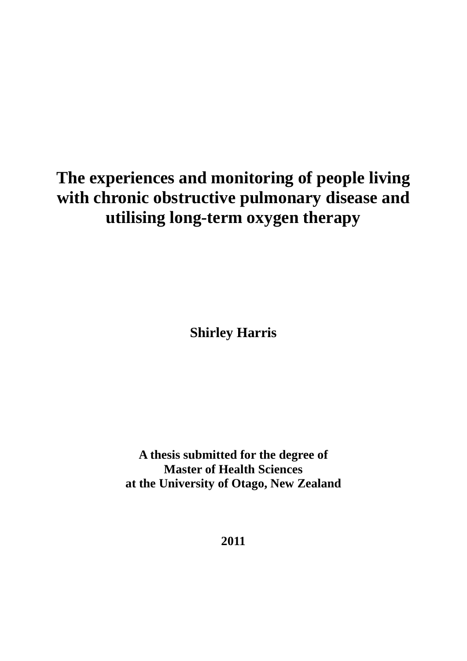# **The experiences and monitoring of people living with chronic obstructive pulmonary disease and utilising long-term oxygen therapy**

**Shirley Harris**

**A thesis submitted for the degree of Master of Health Sciences at the University of Otago, New Zealand**

**2011**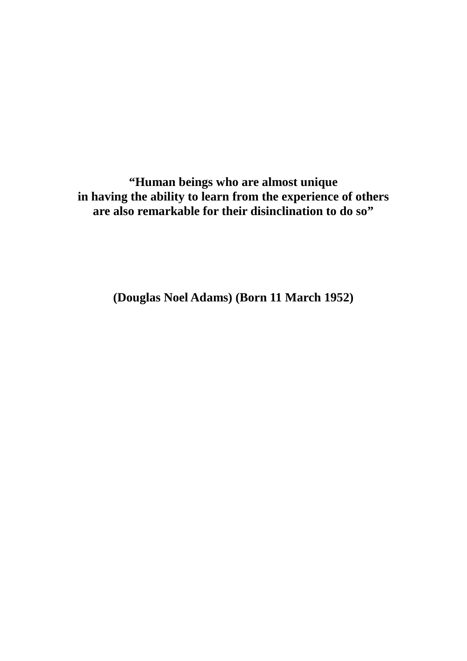**"Human beings who are almost unique in having the ability to learn from the experience of others are also remarkable for their disinclination to do so"**

**(Douglas Noel Adams) (Born 11 March 1952)**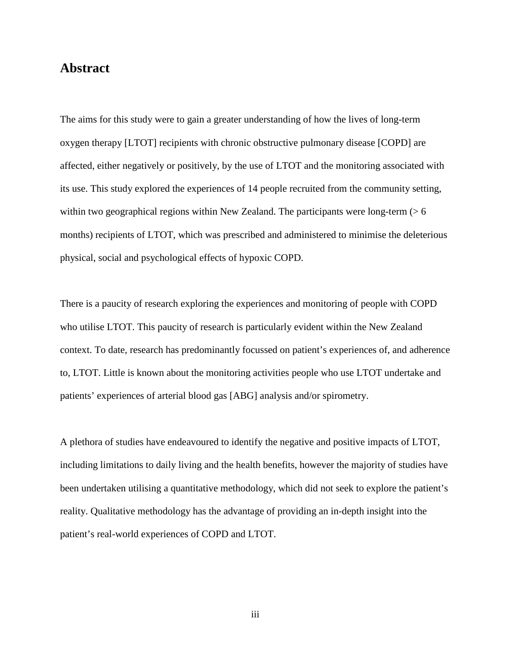### **Abstract**

The aims for this study were to gain a greater understanding of how the lives of long-term oxygen therapy [LTOT] recipients with chronic obstructive pulmonary disease [COPD] are affected, either negatively or positively, by the use of LTOT and the monitoring associated with its use. This study explored the experiences of 14 people recruited from the community setting, within two geographical regions within New Zealand. The participants were long-term  $($  > 6 months) recipients of LTOT, which was prescribed and administered to minimise the deleterious physical, social and psychological effects of hypoxic COPD.

There is a paucity of research exploring the experiences and monitoring of people with COPD who utilise LTOT. This paucity of research is particularly evident within the New Zealand context. To date, research has predominantly focussed on patient's experiences of, and adherence to, LTOT. Little is known about the monitoring activities people who use LTOT undertake and patients' experiences of arterial blood gas [ABG] analysis and/or spirometry.

A plethora of studies have endeavoured to identify the negative and positive impacts of LTOT, including limitations to daily living and the health benefits, however the majority of studies have been undertaken utilising a quantitative methodology, which did not seek to explore the patient's reality. Qualitative methodology has the advantage of providing an in-depth insight into the patient's real-world experiences of COPD and LTOT.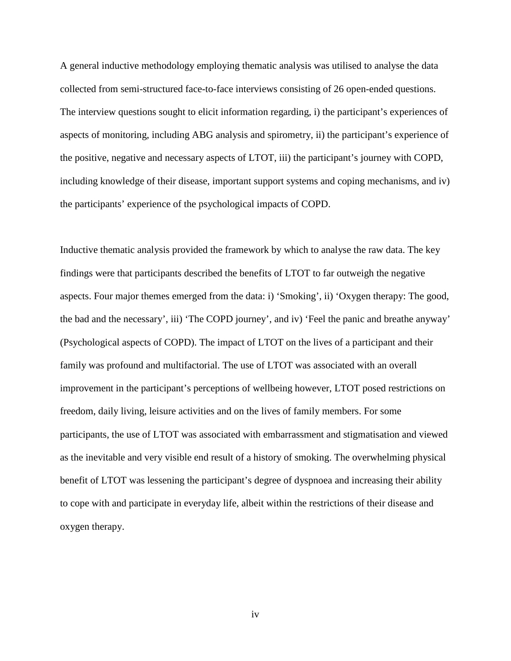A general inductive methodology employing thematic analysis was utilised to analyse the data collected from semi-structured face-to-face interviews consisting of 26 open-ended questions. The interview questions sought to elicit information regarding, i) the participant's experiences of aspects of monitoring, including ABG analysis and spirometry, ii) the participant's experience of the positive, negative and necessary aspects of LTOT, iii) the participant's journey with COPD, including knowledge of their disease, important support systems and coping mechanisms, and iv) the participants' experience of the psychological impacts of COPD.

Inductive thematic analysis provided the framework by which to analyse the raw data. The key findings were that participants described the benefits of LTOT to far outweigh the negative aspects. Four major themes emerged from the data: i) 'Smoking', ii) 'Oxygen therapy: The good, the bad and the necessary', iii) 'The COPD journey', and iv) 'Feel the panic and breathe anyway' (Psychological aspects of COPD). The impact of LTOT on the lives of a participant and their family was profound and multifactorial. The use of LTOT was associated with an overall improvement in the participant's perceptions of wellbeing however, LTOT posed restrictions on freedom, daily living, leisure activities and on the lives of family members. For some participants, the use of LTOT was associated with embarrassment and stigmatisation and viewed as the inevitable and very visible end result of a history of smoking. The overwhelming physical benefit of LTOT was lessening the participant's degree of dyspnoea and increasing their ability to cope with and participate in everyday life, albeit within the restrictions of their disease and oxygen therapy.

iv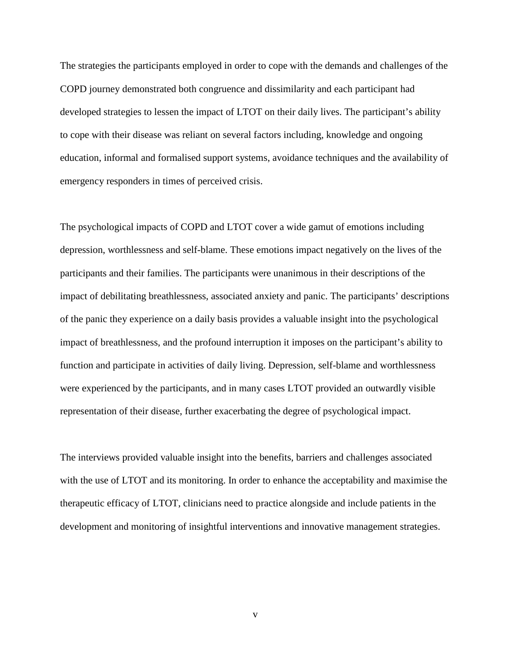The strategies the participants employed in order to cope with the demands and challenges of the COPD journey demonstrated both congruence and dissimilarity and each participant had developed strategies to lessen the impact of LTOT on their daily lives. The participant's ability to cope with their disease was reliant on several factors including, knowledge and ongoing education, informal and formalised support systems, avoidance techniques and the availability of emergency responders in times of perceived crisis.

The psychological impacts of COPD and LTOT cover a wide gamut of emotions including depression, worthlessness and self-blame. These emotions impact negatively on the lives of the participants and their families. The participants were unanimous in their descriptions of the impact of debilitating breathlessness, associated anxiety and panic. The participants' descriptions of the panic they experience on a daily basis provides a valuable insight into the psychological impact of breathlessness, and the profound interruption it imposes on the participant's ability to function and participate in activities of daily living. Depression, self-blame and worthlessness were experienced by the participants, and in many cases LTOT provided an outwardly visible representation of their disease, further exacerbating the degree of psychological impact.

The interviews provided valuable insight into the benefits, barriers and challenges associated with the use of LTOT and its monitoring. In order to enhance the acceptability and maximise the therapeutic efficacy of LTOT, clinicians need to practice alongside and include patients in the development and monitoring of insightful interventions and innovative management strategies.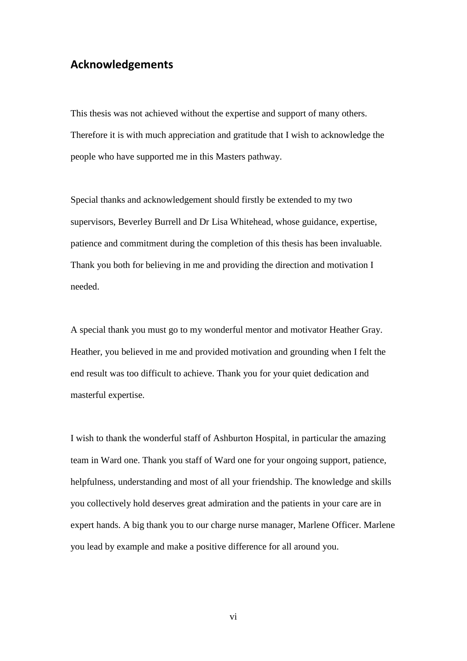### **Acknowledgements**

This thesis was not achieved without the expertise and support of many others. Therefore it is with much appreciation and gratitude that I wish to acknowledge the people who have supported me in this Masters pathway.

Special thanks and acknowledgement should firstly be extended to my two supervisors, Beverley Burrell and Dr Lisa Whitehead, whose guidance, expertise, patience and commitment during the completion of this thesis has been invaluable. Thank you both for believing in me and providing the direction and motivation I needed.

A special thank you must go to my wonderful mentor and motivator Heather Gray. Heather, you believed in me and provided motivation and grounding when I felt the end result was too difficult to achieve. Thank you for your quiet dedication and masterful expertise.

I wish to thank the wonderful staff of Ashburton Hospital, in particular the amazing team in Ward one. Thank you staff of Ward one for your ongoing support, patience, helpfulness, understanding and most of all your friendship. The knowledge and skills you collectively hold deserves great admiration and the patients in your care are in expert hands. A big thank you to our charge nurse manager, Marlene Officer. Marlene you lead by example and make a positive difference for all around you.

vi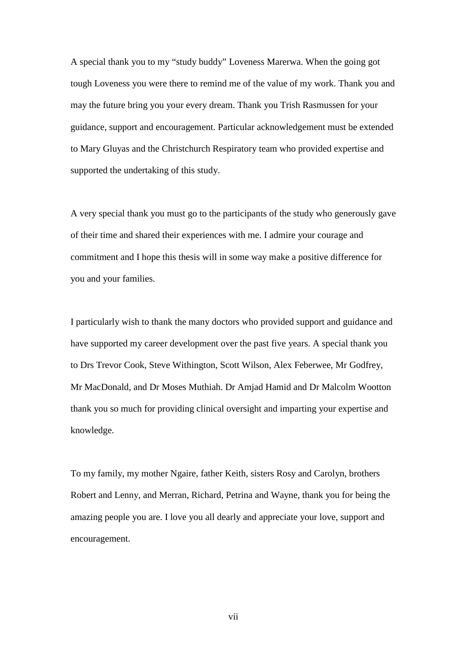A special thank you to my "study buddy" Loveness Marerwa. When the going got tough Loveness you were there to remind me of the value of my work. Thank you and may the future bring you your every dream. Thank you Trish Rasmussen for your guidance, support and encouragement. Particular acknowledgement must be extended to Mary Gluyas and the Christchurch Respiratory team who provided expertise and supported the undertaking of this study.

A very special thank you must go to the participants of the study who generously gave of their time and shared their experiences with me. I admire your courage and commitment and I hope this thesis will in some way make a positive difference for you and your families.

I particularly wish to thank the many doctors who provided support and guidance and have supported my career development over the past five years. A special thank you to Drs Trevor Cook, Steve Withington, Scott Wilson, Alex Feberwee, Mr Godfrey, Mr MacDonald, and Dr Moses Muthiah. Dr Amjad Hamid and Dr Malcolm Wootton thank you so much for providing clinical oversight and imparting your expertise and knowledge.

To my family, my mother Ngaire, father Keith, sisters Rosy and Carolyn, brothers Robert and Lenny, and Merran, Richard, Petrina and Wayne, thank you for being the amazing people you are. I love you all dearly and appreciate your love, support and encouragement.

vii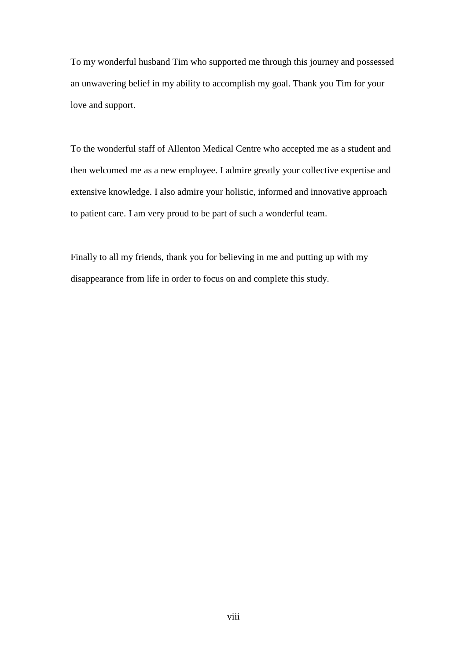To my wonderful husband Tim who supported me through this journey and possessed an unwavering belief in my ability to accomplish my goal. Thank you Tim for your love and support.

To the wonderful staff of Allenton Medical Centre who accepted me as a student and then welcomed me as a new employee. I admire greatly your collective expertise and extensive knowledge. I also admire your holistic, informed and innovative approach to patient care. I am very proud to be part of such a wonderful team.

Finally to all my friends, thank you for believing in me and putting up with my disappearance from life in order to focus on and complete this study.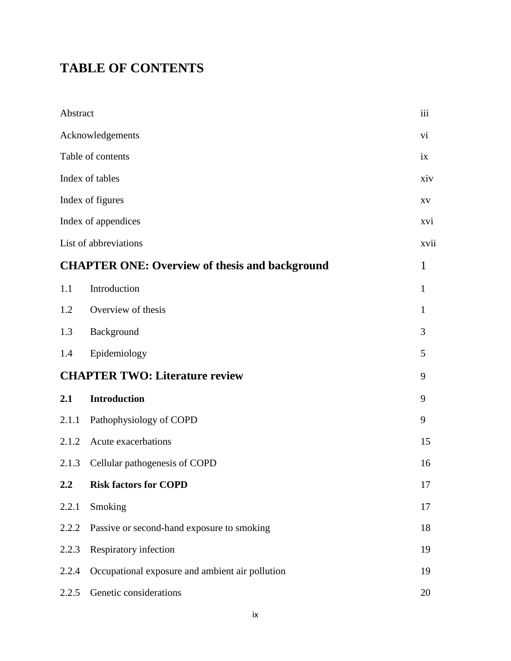## **TABLE OF CONTENTS**

| Abstract |                                                       | iii             |
|----------|-------------------------------------------------------|-----------------|
|          | Acknowledgements                                      | V <sub>1</sub>  |
|          | Table of contents                                     | ix              |
|          | Index of tables                                       | xiv             |
|          | Index of figures                                      | XV              |
|          | Index of appendices                                   | XV <sub>i</sub> |
|          | List of abbreviations                                 | xvii            |
|          | <b>CHAPTER ONE: Overview of thesis and background</b> | 1               |
| 1.1      | Introduction                                          | 1               |
| 1.2      | Overview of thesis                                    | 1               |
| 1.3      | Background                                            | 3               |
| 1.4      | Epidemiology                                          | 5               |
|          | <b>CHAPTER TWO: Literature review</b>                 | 9               |
| 2.1      | <b>Introduction</b>                                   | 9               |
| 2.1.1    | Pathophysiology of COPD                               | 9               |
| 2.1.2    | Acute exacerbations                                   | 15              |
| 2.1.3    | Cellular pathogenesis of COPD                         | 16              |
| 2.2      | <b>Risk factors for COPD</b>                          | 17              |
| 2.2.1    | Smoking                                               | 17              |
| 2.2.2    | Passive or second-hand exposure to smoking            | 18              |
| 2.2.3    | Respiratory infection                                 | 19              |
| 2.2.4    | Occupational exposure and ambient air pollution       | 19              |
| 2.2.5    | Genetic considerations                                | 20              |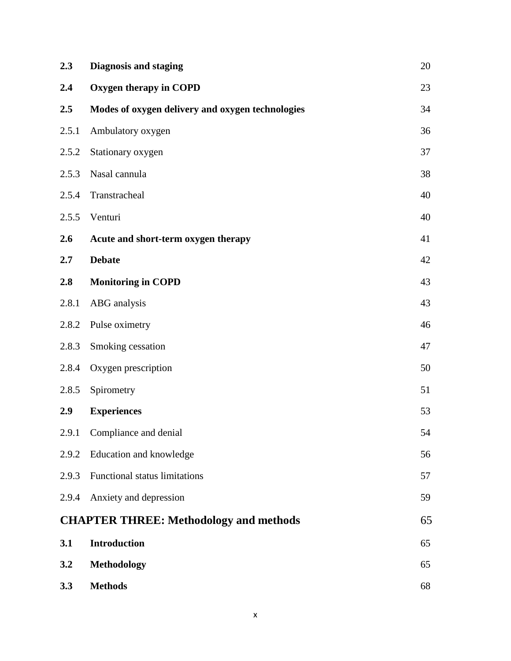| 2.3        | <b>Diagnosis and staging</b>                     | 20 |
|------------|--------------------------------------------------|----|
| 2.4        | Oxygen therapy in COPD                           | 23 |
| 2.5        | Modes of oxygen delivery and oxygen technologies | 34 |
| 2.5.1      | Ambulatory oxygen                                | 36 |
| 2.5.2      | Stationary oxygen                                | 37 |
| 2.5.3      | Nasal cannula                                    | 38 |
| 2.5.4      | Transtracheal                                    | 40 |
| 2.5.5      | Venturi                                          | 40 |
| 2.6        | Acute and short-term oxygen therapy              | 41 |
| 2.7        | <b>Debate</b>                                    | 42 |
| 2.8        | <b>Monitoring in COPD</b>                        | 43 |
| 2.8.1      | ABG analysis                                     | 43 |
| 2.8.2      | Pulse oximetry                                   | 46 |
| 2.8.3      | Smoking cessation                                | 47 |
| 2.8.4      | Oxygen prescription                              | 50 |
| 2.8.5      | Spirometry                                       | 51 |
| <b>2.9</b> | <b>Experiences</b>                               | 53 |
|            | 2.9.1 Compliance and denial                      | 54 |
| 2.9.2      | Education and knowledge                          | 56 |
| 2.9.3      | Functional status limitations                    | 57 |
| 2.9.4      | Anxiety and depression                           | 59 |
|            | <b>CHAPTER THREE: Methodology and methods</b>    | 65 |
| 3.1        | <b>Introduction</b>                              | 65 |
| 3.2        | <b>Methodology</b>                               | 65 |
| 3.3        | <b>Methods</b>                                   | 68 |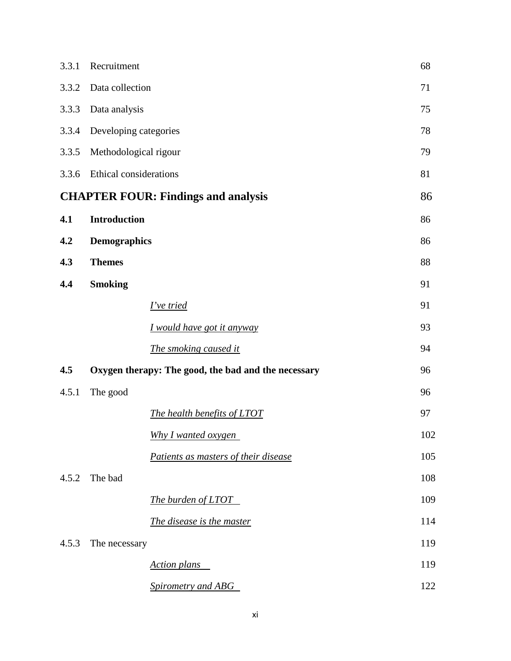| 3.3.1 | Recruitment            |                                                     | 68  |
|-------|------------------------|-----------------------------------------------------|-----|
| 3.3.2 | Data collection        |                                                     | 71  |
| 3.3.3 | Data analysis          |                                                     | 75  |
| 3.3.4 | Developing categories  |                                                     | 78  |
| 3.3.5 | Methodological rigour  |                                                     | 79  |
| 3.3.6 | Ethical considerations |                                                     | 81  |
|       |                        | <b>CHAPTER FOUR: Findings and analysis</b>          | 86  |
| 4.1   | <b>Introduction</b>    |                                                     | 86  |
| 4.2   | <b>Demographics</b>    |                                                     | 86  |
| 4.3   | <b>Themes</b>          |                                                     | 88  |
| 4.4   | <b>Smoking</b>         |                                                     | 91  |
|       |                        | <u>I've tried</u>                                   | 91  |
|       |                        | <u>I would have got it anyway</u>                   | 93  |
|       |                        | The smoking caused it                               | 94  |
| 4.5   |                        | Oxygen therapy: The good, the bad and the necessary | 96  |
| 4.5.1 | The good               |                                                     | 96  |
|       |                        | The health benefits of LTOT                         | 97  |
|       |                        | Why I wanted oxygen                                 | 102 |
|       |                        | Patients as masters of their disease                | 105 |
| 4.5.2 | The bad                |                                                     | 108 |
|       |                        | <b>The burden of LTOT</b>                           | 109 |
|       |                        | The disease is the master                           | 114 |
| 4.5.3 | The necessary          |                                                     | 119 |
|       |                        | <b>Action plans</b>                                 | 119 |
|       |                        | <b>Spirometry and ABG</b>                           | 122 |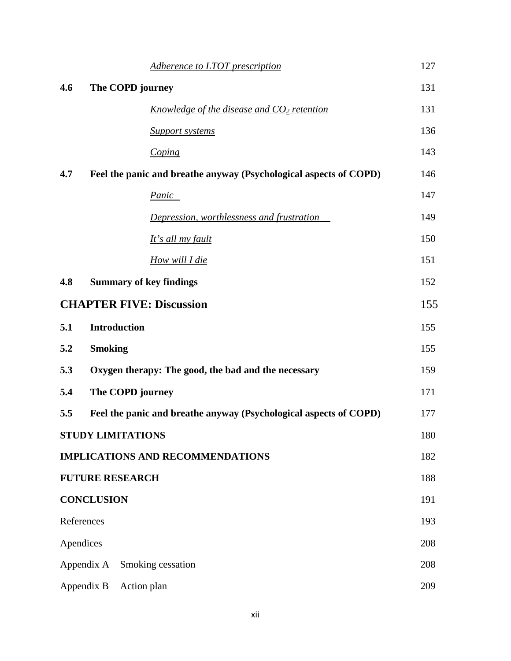|                          |                                 | Adherence to LTOT prescription                                    | 127 |
|--------------------------|---------------------------------|-------------------------------------------------------------------|-----|
| 4.6                      | The COPD journey                |                                                                   | 131 |
|                          |                                 | Knowledge of the disease and $CO2$ retention                      | 131 |
|                          |                                 | <b>Support systems</b>                                            | 136 |
|                          |                                 | Coping                                                            | 143 |
| 4.7                      |                                 | Feel the panic and breathe anyway (Psychological aspects of COPD) | 146 |
|                          |                                 | Panic                                                             | 147 |
|                          |                                 | Depression, worthlessness and frustration                         | 149 |
|                          |                                 | It's all my fault                                                 | 150 |
|                          |                                 | <b>How will I die</b>                                             | 151 |
| 4.8                      | <b>Summary of key findings</b>  |                                                                   | 152 |
|                          | <b>CHAPTER FIVE: Discussion</b> |                                                                   | 155 |
| 5.1                      | <b>Introduction</b>             |                                                                   | 155 |
| 5.2                      | <b>Smoking</b>                  |                                                                   | 155 |
| 5.3                      |                                 | Oxygen therapy: The good, the bad and the necessary               | 159 |
| 5.4                      | The COPD journey                |                                                                   | 171 |
| 5.5                      |                                 | Feel the panic and breathe anyway (Psychological aspects of COPD) | 177 |
| <b>STUDY LIMITATIONS</b> |                                 | 180                                                               |     |
|                          |                                 | <b>IMPLICATIONS AND RECOMMENDATIONS</b>                           | 182 |
|                          | <b>FUTURE RESEARCH</b>          |                                                                   | 188 |
|                          | <b>CONCLUSION</b>               |                                                                   | 191 |
| References               |                                 |                                                                   | 193 |
| Apendices                |                                 |                                                                   | 208 |
|                          | Appendix A Smoking cessation    |                                                                   | 208 |
|                          | Appendix B<br>Action plan       |                                                                   | 209 |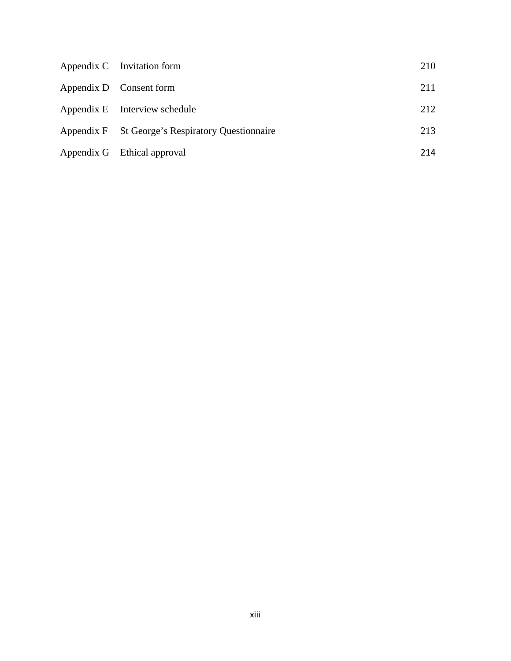| Appendix C Invitation form                       | 210 |
|--------------------------------------------------|-----|
| Appendix D Consent form                          | 211 |
| Appendix E Interview schedule                    | 212 |
| Appendix F St George's Respiratory Questionnaire | 213 |
| Appendix G Ethical approval                      | 214 |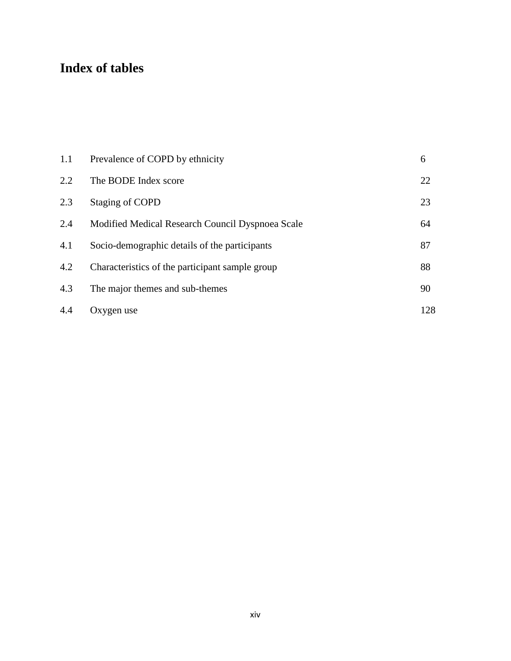## **Index of tables**

| 1.1 | Prevalence of COPD by ethnicity                  | 6   |
|-----|--------------------------------------------------|-----|
| 2.2 | The BODE Index score                             | 22  |
| 2.3 | <b>Staging of COPD</b>                           | 23  |
| 2.4 | Modified Medical Research Council Dyspnoea Scale | 64  |
| 4.1 | Socio-demographic details of the participants    | 87  |
| 4.2 | Characteristics of the participant sample group  | 88  |
| 4.3 | The major themes and sub-themes                  | 90  |
| 4.4 | Oxygen use                                       | 128 |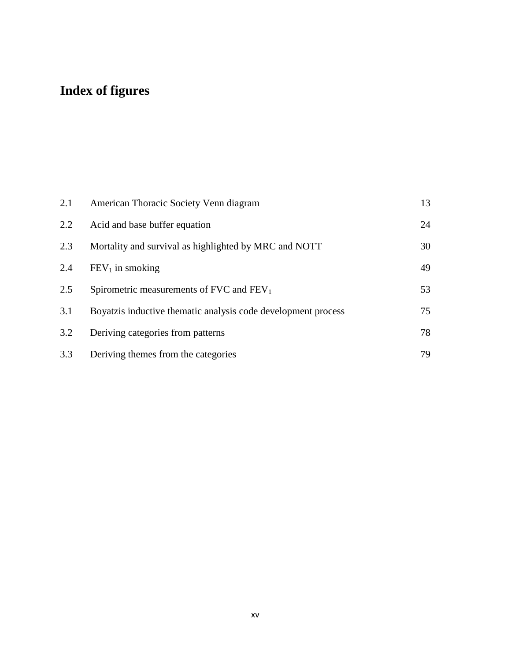# **Index of figures**

| 2.1 | American Thoracic Society Venn diagram                        | 13 |
|-----|---------------------------------------------------------------|----|
| 2.2 | Acid and base buffer equation                                 | 24 |
| 2.3 | Mortality and survival as highlighted by MRC and NOTT         | 30 |
| 2.4 | $FEV1$ in smoking                                             | 49 |
| 2.5 | Spirometric measurements of FVC and $FEV1$                    | 53 |
| 3.1 | Boyatzis inductive thematic analysis code development process | 75 |
| 3.2 | Deriving categories from patterns                             | 78 |
| 3.3 | Deriving themes from the categories                           | 79 |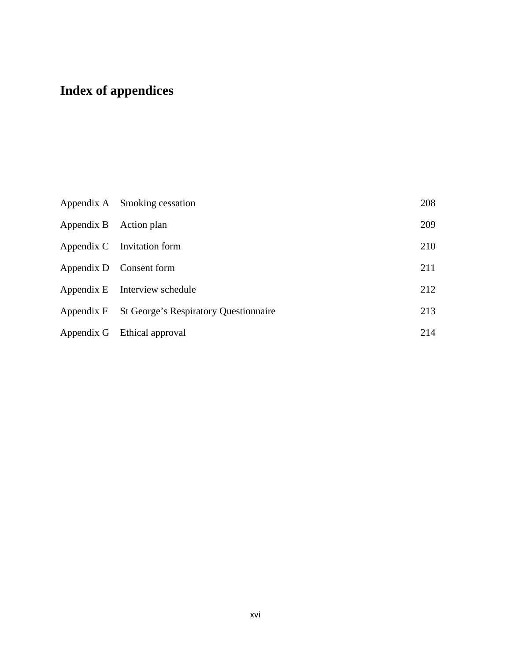# **Index of appendices**

|                        | Appendix A Smoking cessation                     | 208 |
|------------------------|--------------------------------------------------|-----|
| Appendix B Action plan |                                                  | 209 |
|                        | Appendix C Invitation form                       | 210 |
|                        | Appendix D Consent form                          | 211 |
|                        | Appendix E Interview schedule                    | 212 |
|                        | Appendix F St George's Respiratory Questionnaire | 213 |
|                        | Appendix G Ethical approval                      | 214 |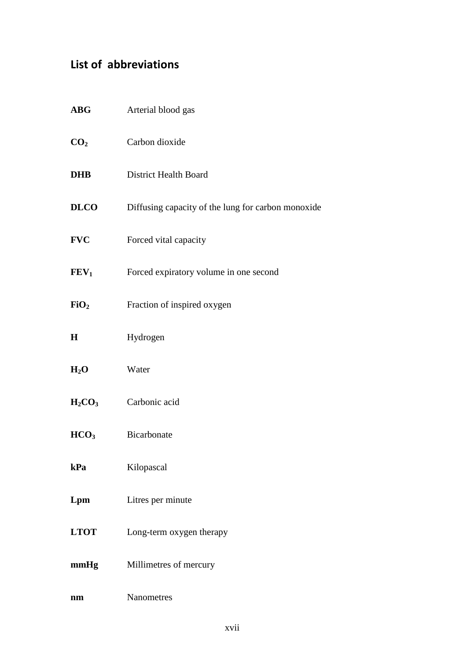## **List of abbreviations**

| $\bf{A}\bf{B}\bf{G}$ | Arterial blood gas                                 |
|----------------------|----------------------------------------------------|
| CO <sub>2</sub>      | Carbon dioxide                                     |
| <b>DHB</b>           | <b>District Health Board</b>                       |
| <b>DLCO</b>          | Diffusing capacity of the lung for carbon monoxide |
| <b>FVC</b>           | Forced vital capacity                              |
| FEV <sub>1</sub>     | Forced expiratory volume in one second             |
| FiO <sub>2</sub>     | Fraction of inspired oxygen                        |
| $\mathbf H$          | Hydrogen                                           |
| H <sub>2</sub> O     | Water                                              |
| $H_2CO_3$            | Carbonic acid                                      |
| HCO <sub>3</sub>     | Bicarbonate                                        |
| kPa                  | Kilopascal                                         |
| Lpm                  | Litres per minute                                  |
| <b>LTOT</b>          | Long-term oxygen therapy                           |
| mmHg                 | Millimetres of mercury                             |
| nm                   | Nanometres                                         |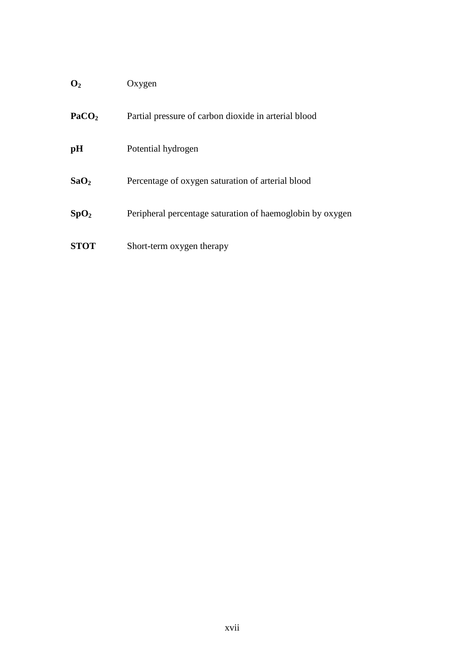### **O2** Oxygen

| PaCO <sub>2</sub> | Partial pressure of carbon dioxide in arterial blood      |
|-------------------|-----------------------------------------------------------|
| pН                | Potential hydrogen                                        |
| SaO <sub>2</sub>  | Percentage of oxygen saturation of arterial blood         |
| SpO <sub>2</sub>  | Peripheral percentage saturation of haemoglobin by oxygen |
| <b>STOT</b>       | Short-term oxygen therapy                                 |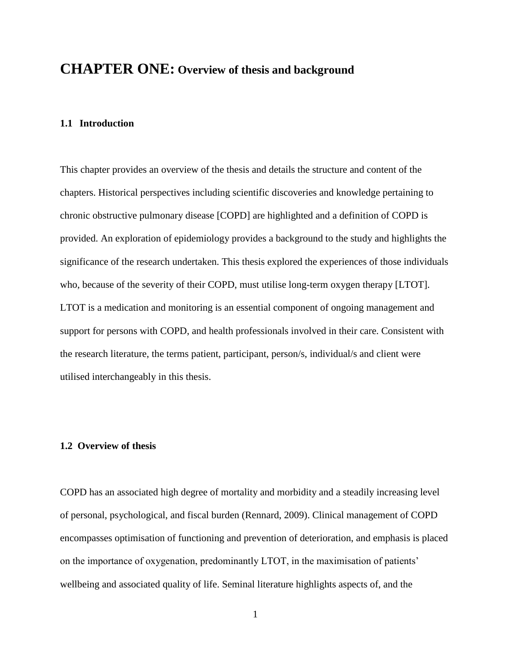### **CHAPTER ONE: Overview of thesis and background**

#### **1.1 Introduction**

This chapter provides an overview of the thesis and details the structure and content of the chapters. Historical perspectives including scientific discoveries and knowledge pertaining to chronic obstructive pulmonary disease [COPD] are highlighted and a definition of COPD is provided. An exploration of epidemiology provides a background to the study and highlights the significance of the research undertaken. This thesis explored the experiences of those individuals who, because of the severity of their COPD, must utilise long-term oxygen therapy [LTOT]. LTOT is a medication and monitoring is an essential component of ongoing management and support for persons with COPD, and health professionals involved in their care. Consistent with the research literature, the terms patient, participant, person/s, individual/s and client were utilised interchangeably in this thesis.

#### **1.2 Overview of thesis**

COPD has an associated high degree of mortality and morbidity and a steadily increasing level of personal, psychological, and fiscal burden (Rennard, 2009). Clinical management of COPD encompasses optimisation of functioning and prevention of deterioration, and emphasis is placed on the importance of oxygenation, predominantly LTOT, in the maximisation of patients' wellbeing and associated quality of life. Seminal literature highlights aspects of, and the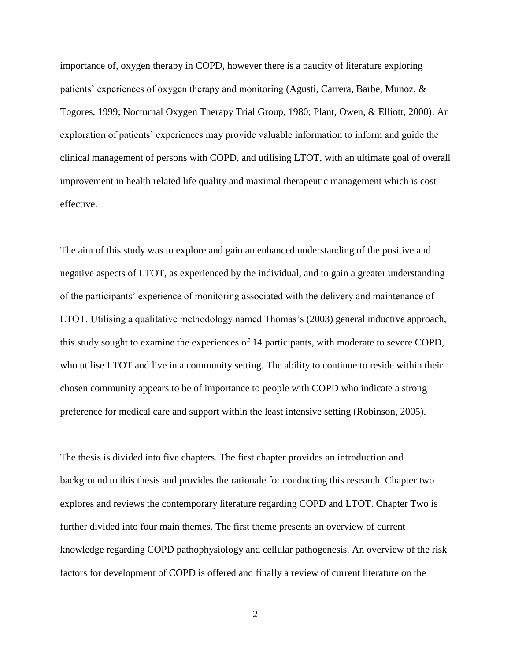importance of, oxygen therapy in COPD, however there is a paucity of literature exploring patients' experiences of oxygen therapy and monitoring (Agusti, Carrera, Barbe, Munoz, & Togores, 1999; Nocturnal Oxygen Therapy Trial Group, 1980; Plant, Owen, & Elliott, 2000). An exploration of patients' experiences may provide valuable information to inform and guide the clinical management of persons with COPD, and utilising LTOT, with an ultimate goal of overall improvement in health related life quality and maximal therapeutic management which is cost effective.

The aim of this study was to explore and gain an enhanced understanding of the positive and negative aspects of LTOT, as experienced by the individual, and to gain a greater understanding of the participants' experience of monitoring associated with the delivery and maintenance of LTOT. Utilising a qualitative methodology named Thomas's (2003) general inductive approach, this study sought to examine the experiences of 14 participants, with moderate to severe COPD, who utilise LTOT and live in a community setting. The ability to continue to reside within their chosen community appears to be of importance to people with COPD who indicate a strong preference for medical care and support within the least intensive setting (Robinson, 2005).

The thesis is divided into five chapters. The first chapter provides an introduction and background to this thesis and provides the rationale for conducting this research. Chapter two explores and reviews the contemporary literature regarding COPD and LTOT. Chapter Two is further divided into four main themes. The first theme presents an overview of current knowledge regarding COPD pathophysiology and cellular pathogenesis. An overview of the risk factors for development of COPD is offered and finally a review of current literature on the

2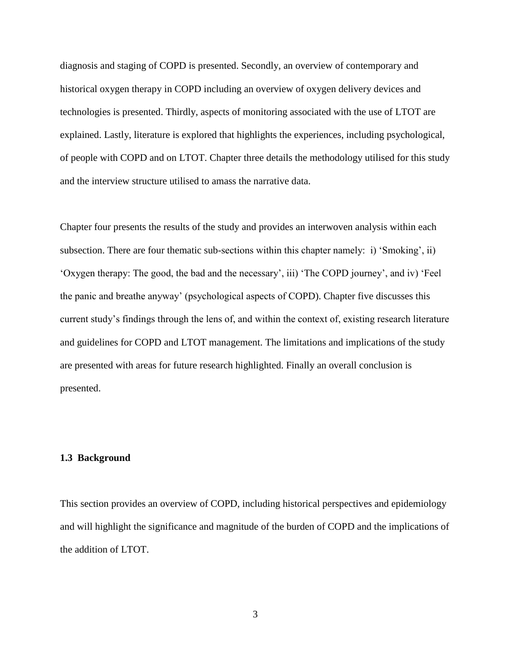diagnosis and staging of COPD is presented. Secondly, an overview of contemporary and historical oxygen therapy in COPD including an overview of oxygen delivery devices and technologies is presented. Thirdly, aspects of monitoring associated with the use of LTOT are explained. Lastly, literature is explored that highlights the experiences, including psychological, of people with COPD and on LTOT. Chapter three details the methodology utilised for this study and the interview structure utilised to amass the narrative data.

Chapter four presents the results of the study and provides an interwoven analysis within each subsection. There are four thematic sub-sections within this chapter namely: i) 'Smoking', ii) 'Oxygen therapy: The good, the bad and the necessary', iii) 'The COPD journey', and iv) 'Feel the panic and breathe anyway' (psychological aspects of COPD). Chapter five discusses this current study's findings through the lens of, and within the context of, existing research literature and guidelines for COPD and LTOT management. The limitations and implications of the study are presented with areas for future research highlighted. Finally an overall conclusion is presented.

#### **1.3 Background**

This section provides an overview of COPD, including historical perspectives and epidemiology and will highlight the significance and magnitude of the burden of COPD and the implications of the addition of LTOT.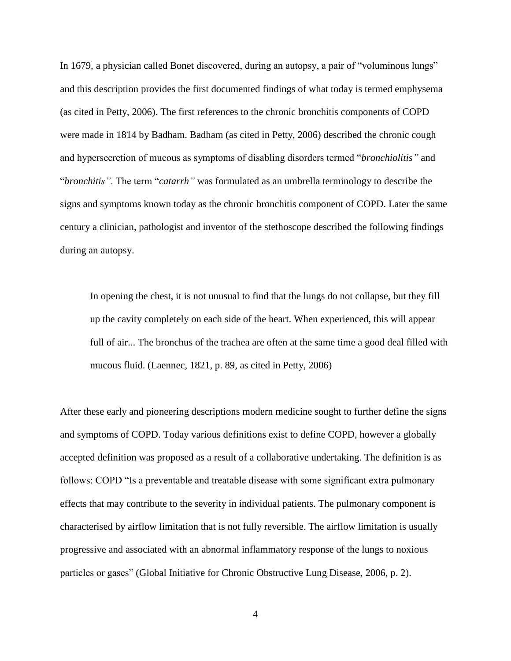In 1679, a physician called Bonet discovered, during an autopsy, a pair of "voluminous lungs" and this description provides the first documented findings of what today is termed emphysema (as cited in Petty, 2006). The first references to the chronic bronchitis components of COPD were made in 1814 by Badham. Badham (as cited in Petty, 2006) described the chronic cough and hypersecretion of mucous as symptoms of disabling disorders termed "*bronchiolitis"* and "*bronchitis"*. The term "*catarrh"* was formulated as an umbrella terminology to describe the signs and symptoms known today as the chronic bronchitis component of COPD. Later the same century a clinician, pathologist and inventor of the stethoscope described the following findings during an autopsy.

In opening the chest, it is not unusual to find that the lungs do not collapse, but they fill up the cavity completely on each side of the heart. When experienced, this will appear full of air... The bronchus of the trachea are often at the same time a good deal filled with mucous fluid. (Laennec, 1821, p. 89, as cited in Petty, 2006)

After these early and pioneering descriptions modern medicine sought to further define the signs and symptoms of COPD. Today various definitions exist to define COPD, however a globally accepted definition was proposed as a result of a collaborative undertaking. The definition is as follows: COPD "Is a preventable and treatable disease with some significant extra pulmonary effects that may contribute to the severity in individual patients. The pulmonary component is characterised by airflow limitation that is not fully reversible. The airflow limitation is usually progressive and associated with an abnormal inflammatory response of the lungs to noxious particles or gases" (Global Initiative for Chronic Obstructive Lung Disease, 2006, p. 2).

4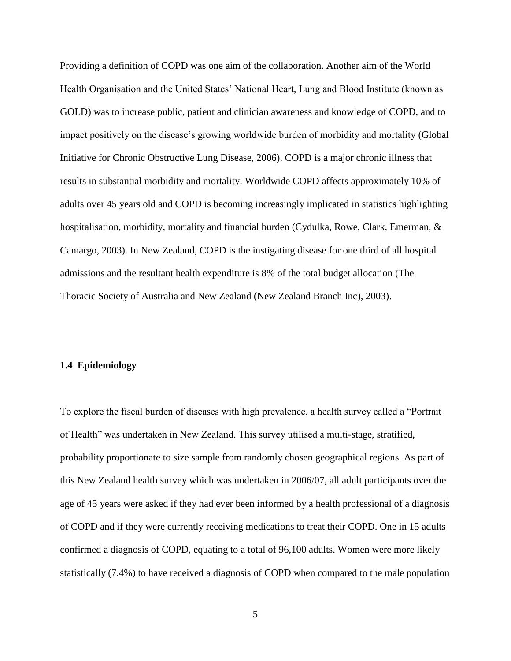Providing a definition of COPD was one aim of the collaboration. Another aim of the World Health Organisation and the United States' National Heart, Lung and Blood Institute (known as GOLD) was to increase public, patient and clinician awareness and knowledge of COPD, and to impact positively on the disease's growing worldwide burden of morbidity and mortality (Global Initiative for Chronic Obstructive Lung Disease, 2006). COPD is a major chronic illness that results in substantial morbidity and mortality. Worldwide COPD affects approximately 10% of adults over 45 years old and COPD is becoming increasingly implicated in statistics highlighting hospitalisation, morbidity, mortality and financial burden (Cydulka, Rowe, Clark, Emerman, & Camargo, 2003). In New Zealand, COPD is the instigating disease for one third of all hospital admissions and the resultant health expenditure is 8% of the total budget allocation (The Thoracic Society of Australia and New Zealand (New Zealand Branch Inc), 2003).

#### **1.4 Epidemiology**

To explore the fiscal burden of diseases with high prevalence, a health survey called a "Portrait of Health" was undertaken in New Zealand. This survey utilised a multi-stage, stratified, probability proportionate to size sample from randomly chosen geographical regions. As part of this New Zealand health survey which was undertaken in 2006/07, all adult participants over the age of 45 years were asked if they had ever been informed by a health professional of a diagnosis of COPD and if they were currently receiving medications to treat their COPD. One in 15 adults confirmed a diagnosis of COPD, equating to a total of 96,100 adults. Women were more likely statistically (7.4%) to have received a diagnosis of COPD when compared to the male population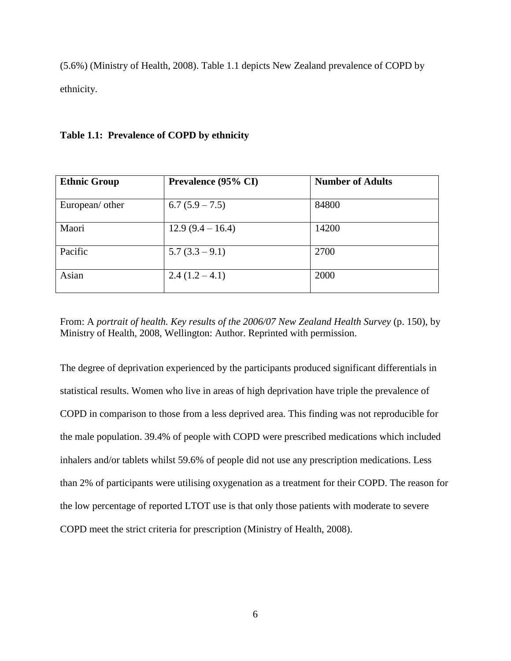(5.6%) (Ministry of Health, 2008). Table 1.1 depicts New Zealand prevalence of COPD by ethnicity.

| <b>Ethnic Group</b> | Prevalence (95% CI) | <b>Number of Adults</b> |
|---------------------|---------------------|-------------------------|
| European/ other     | $6.7(5.9 - 7.5)$    | 84800                   |
| Maori               | $12.9(9.4-16.4)$    | 14200                   |
| Pacific             | $5.7(3.3-9.1)$      | 2700                    |
| Asian               | $2.4(1.2-4.1)$      | 2000                    |

#### **Table 1.1: Prevalence of COPD by ethnicity**

From: A *portrait of health. Key results of the 2006/07 New Zealand Health Survey* (p. 150), by Ministry of Health, 2008, Wellington: Author. Reprinted with permission.

The degree of deprivation experienced by the participants produced significant differentials in statistical results. Women who live in areas of high deprivation have triple the prevalence of COPD in comparison to those from a less deprived area. This finding was not reproducible for the male population. 39.4% of people with COPD were prescribed medications which included inhalers and/or tablets whilst 59.6% of people did not use any prescription medications. Less than 2% of participants were utilising oxygenation as a treatment for their COPD. The reason for the low percentage of reported LTOT use is that only those patients with moderate to severe COPD meet the strict criteria for prescription (Ministry of Health, 2008).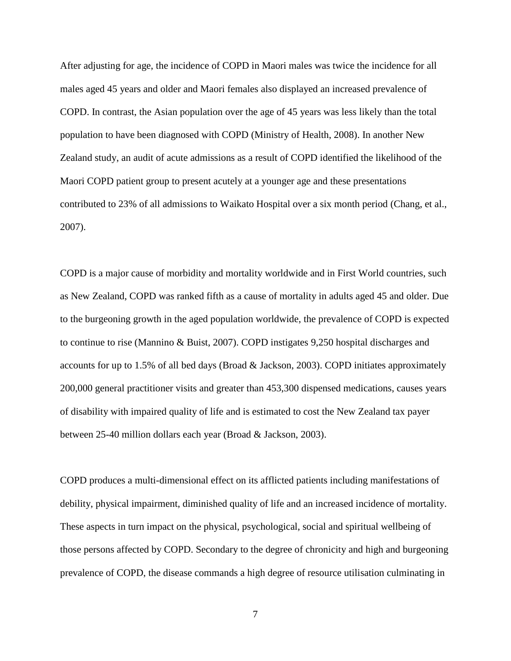After adjusting for age, the incidence of COPD in Maori males was twice the incidence for all males aged 45 years and older and Maori females also displayed an increased prevalence of COPD. In contrast, the Asian population over the age of 45 years was less likely than the total population to have been diagnosed with COPD (Ministry of Health, 2008). In another New Zealand study, an audit of acute admissions as a result of COPD identified the likelihood of the Maori COPD patient group to present acutely at a younger age and these presentations contributed to 23% of all admissions to Waikato Hospital over a six month period (Chang, et al., 2007).

COPD is a major cause of morbidity and mortality worldwide and in First World countries, such as New Zealand, COPD was ranked fifth as a cause of mortality in adults aged 45 and older. Due to the burgeoning growth in the aged population worldwide, the prevalence of COPD is expected to continue to rise (Mannino & Buist, 2007). COPD instigates 9,250 hospital discharges and accounts for up to 1.5% of all bed days (Broad & Jackson, 2003). COPD initiates approximately 200,000 general practitioner visits and greater than 453,300 dispensed medications, causes years of disability with impaired quality of life and is estimated to cost the New Zealand tax payer between 25-40 million dollars each year (Broad & Jackson, 2003).

COPD produces a multi-dimensional effect on its afflicted patients including manifestations of debility, physical impairment, diminished quality of life and an increased incidence of mortality. These aspects in turn impact on the physical, psychological, social and spiritual wellbeing of those persons affected by COPD. Secondary to the degree of chronicity and high and burgeoning prevalence of COPD, the disease commands a high degree of resource utilisation culminating in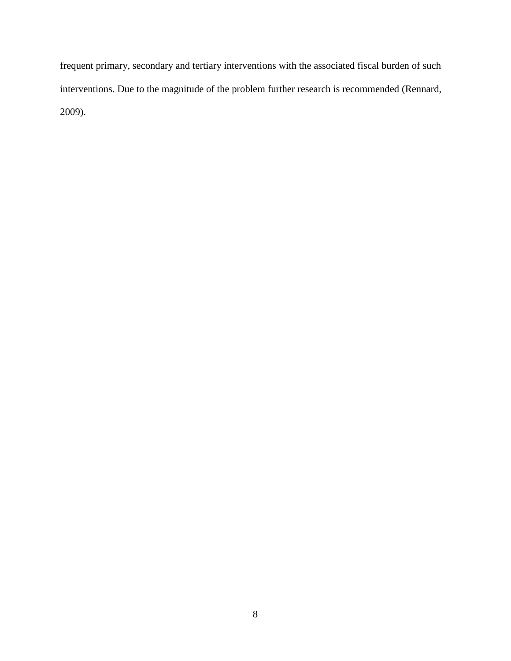frequent primary, secondary and tertiary interventions with the associated fiscal burden of such interventions. Due to the magnitude of the problem further research is recommended (Rennard, 2009).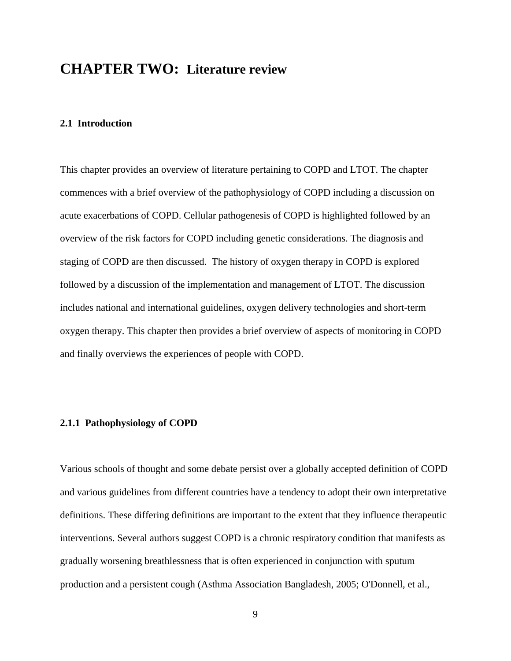## **CHAPTER TWO: Literature review**

#### **2.1 Introduction**

This chapter provides an overview of literature pertaining to COPD and LTOT. The chapter commences with a brief overview of the pathophysiology of COPD including a discussion on acute exacerbations of COPD. Cellular pathogenesis of COPD is highlighted followed by an overview of the risk factors for COPD including genetic considerations. The diagnosis and staging of COPD are then discussed. The history of oxygen therapy in COPD is explored followed by a discussion of the implementation and management of LTOT. The discussion includes national and international guidelines, oxygen delivery technologies and short-term oxygen therapy. This chapter then provides a brief overview of aspects of monitoring in COPD and finally overviews the experiences of people with COPD.

### **2.1.1 Pathophysiology of COPD**

Various schools of thought and some debate persist over a globally accepted definition of COPD and various guidelines from different countries have a tendency to adopt their own interpretative definitions. These differing definitions are important to the extent that they influence therapeutic interventions. Several authors suggest COPD is a chronic respiratory condition that manifests as gradually worsening breathlessness that is often experienced in conjunction with sputum production and a persistent cough (Asthma Association Bangladesh, 2005; O'Donnell, et al.,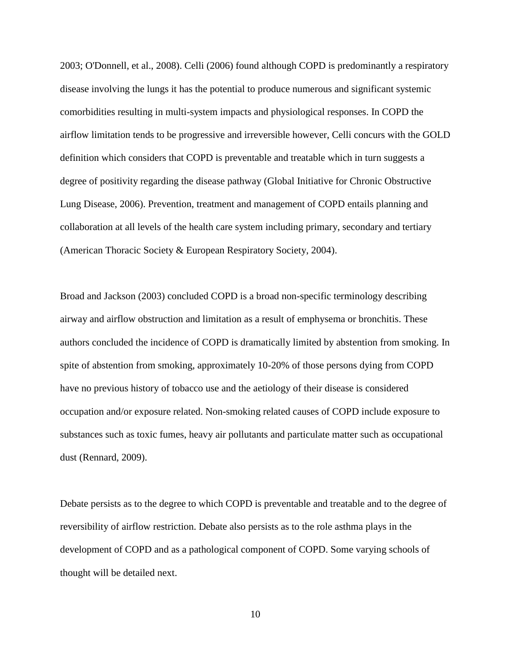2003; O'Donnell, et al., 2008). Celli (2006) found although COPD is predominantly a respiratory disease involving the lungs it has the potential to produce numerous and significant systemic comorbidities resulting in multi-system impacts and physiological responses. In COPD the airflow limitation tends to be progressive and irreversible however, Celli concurs with the GOLD definition which considers that COPD is preventable and treatable which in turn suggests a degree of positivity regarding the disease pathway (Global Initiative for Chronic Obstructive Lung Disease, 2006). Prevention, treatment and management of COPD entails planning and collaboration at all levels of the health care system including primary, secondary and tertiary (American Thoracic Society & European Respiratory Society, 2004).

Broad and Jackson (2003) concluded COPD is a broad non-specific terminology describing airway and airflow obstruction and limitation as a result of emphysema or bronchitis. These authors concluded the incidence of COPD is dramatically limited by abstention from smoking. In spite of abstention from smoking, approximately 10-20% of those persons dying from COPD have no previous history of tobacco use and the aetiology of their disease is considered occupation and/or exposure related. Non-smoking related causes of COPD include exposure to substances such as toxic fumes, heavy air pollutants and particulate matter such as occupational dust (Rennard, 2009).

Debate persists as to the degree to which COPD is preventable and treatable and to the degree of reversibility of airflow restriction. Debate also persists as to the role asthma plays in the development of COPD and as a pathological component of COPD. Some varying schools of thought will be detailed next.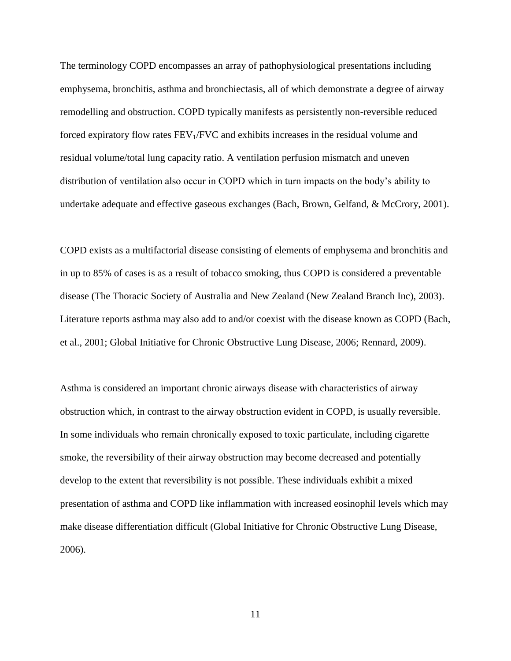The terminology COPD encompasses an array of pathophysiological presentations including emphysema, bronchitis, asthma and bronchiectasis, all of which demonstrate a degree of airway remodelling and obstruction. COPD typically manifests as persistently non-reversible reduced forced expiratory flow rates  $FEV_1/FVC$  and exhibits increases in the residual volume and residual volume/total lung capacity ratio. A ventilation perfusion mismatch and uneven distribution of ventilation also occur in COPD which in turn impacts on the body's ability to undertake adequate and effective gaseous exchanges (Bach, Brown, Gelfand, & McCrory, 2001).

COPD exists as a multifactorial disease consisting of elements of emphysema and bronchitis and in up to 85% of cases is as a result of tobacco smoking, thus COPD is considered a preventable disease (The Thoracic Society of Australia and New Zealand (New Zealand Branch Inc), 2003). Literature reports asthma may also add to and/or coexist with the disease known as COPD (Bach, et al., 2001; Global Initiative for Chronic Obstructive Lung Disease, 2006; Rennard, 2009).

Asthma is considered an important chronic airways disease with characteristics of airway obstruction which, in contrast to the airway obstruction evident in COPD, is usually reversible. In some individuals who remain chronically exposed to toxic particulate, including cigarette smoke, the reversibility of their airway obstruction may become decreased and potentially develop to the extent that reversibility is not possible. These individuals exhibit a mixed presentation of asthma and COPD like inflammation with increased eosinophil levels which may make disease differentiation difficult (Global Initiative for Chronic Obstructive Lung Disease, 2006).

11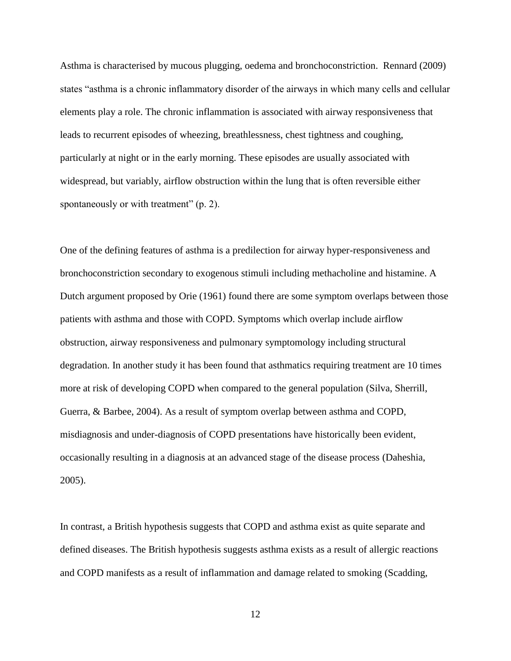Asthma is characterised by mucous plugging, oedema and bronchoconstriction. Rennard (2009) states "asthma is a chronic inflammatory disorder of the airways in which many cells and cellular elements play a role. The chronic inflammation is associated with airway responsiveness that leads to recurrent episodes of wheezing, breathlessness, chest tightness and coughing, particularly at night or in the early morning. These episodes are usually associated with widespread, but variably, airflow obstruction within the lung that is often reversible either spontaneously or with treatment" (p. 2).

One of the defining features of asthma is a predilection for airway hyper-responsiveness and bronchoconstriction secondary to exogenous stimuli including methacholine and histamine. A Dutch argument proposed by Orie (1961) found there are some symptom overlaps between those patients with asthma and those with COPD. Symptoms which overlap include airflow obstruction, airway responsiveness and pulmonary symptomology including structural degradation. In another study it has been found that asthmatics requiring treatment are 10 times more at risk of developing COPD when compared to the general population (Silva, Sherrill, Guerra, & Barbee, 2004). As a result of symptom overlap between asthma and COPD, misdiagnosis and under-diagnosis of COPD presentations have historically been evident, occasionally resulting in a diagnosis at an advanced stage of the disease process (Daheshia, 2005).

In contrast, a British hypothesis suggests that COPD and asthma exist as quite separate and defined diseases. The British hypothesis suggests asthma exists as a result of allergic reactions and COPD manifests as a result of inflammation and damage related to smoking (Scadding,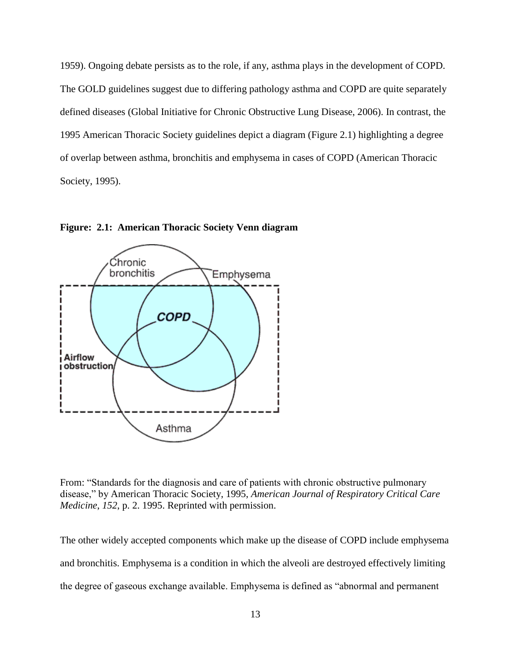1959). Ongoing debate persists as to the role, if any, asthma plays in the development of COPD. The GOLD guidelines suggest due to differing pathology asthma and COPD are quite separately defined diseases (Global Initiative for Chronic Obstructive Lung Disease, 2006). In contrast, the 1995 American Thoracic Society guidelines depict a diagram (Figure 2.1) highlighting a degree of overlap between asthma, bronchitis and emphysema in cases of COPD (American Thoracic Society, 1995).



**Figure: 2.1: American Thoracic Society Venn diagram**

From: "Standards for the diagnosis and care of patients with chronic obstructive pulmonary disease," by American Thoracic Society, 1995, *American Journal of Respiratory Critical Care Medicine*, *152*, p. 2. 1995. Reprinted with permission.

The other widely accepted components which make up the disease of COPD include emphysema and bronchitis. Emphysema is a condition in which the alveoli are destroyed effectively limiting the degree of gaseous exchange available. Emphysema is defined as "abnormal and permanent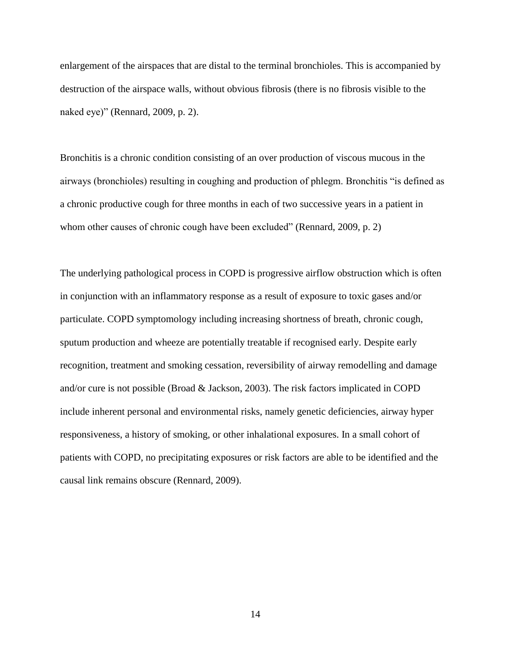enlargement of the airspaces that are distal to the terminal bronchioles. This is accompanied by destruction of the airspace walls, without obvious fibrosis (there is no fibrosis visible to the naked eye)" (Rennard, 2009, p. 2).

Bronchitis is a chronic condition consisting of an over production of viscous mucous in the airways (bronchioles) resulting in coughing and production of phlegm. Bronchitis "is defined as a chronic productive cough for three months in each of two successive years in a patient in whom other causes of chronic cough have been excluded" (Rennard, 2009, p. 2)

The underlying pathological process in COPD is progressive airflow obstruction which is often in conjunction with an inflammatory response as a result of exposure to toxic gases and/or particulate. COPD symptomology including increasing shortness of breath, chronic cough, sputum production and wheeze are potentially treatable if recognised early. Despite early recognition, treatment and smoking cessation, reversibility of airway remodelling and damage and/or cure is not possible (Broad & Jackson, 2003). The risk factors implicated in COPD include inherent personal and environmental risks, namely genetic deficiencies, airway hyper responsiveness, a history of smoking, or other inhalational exposures. In a small cohort of patients with COPD, no precipitating exposures or risk factors are able to be identified and the causal link remains obscure (Rennard, 2009).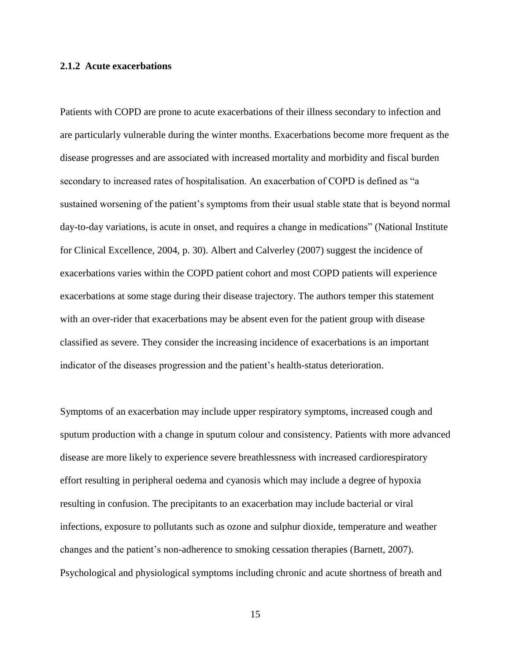#### **2.1.2 Acute exacerbations**

Patients with COPD are prone to acute exacerbations of their illness secondary to infection and are particularly vulnerable during the winter months. Exacerbations become more frequent as the disease progresses and are associated with increased mortality and morbidity and fiscal burden secondary to increased rates of hospitalisation. An exacerbation of COPD is defined as "a sustained worsening of the patient's symptoms from their usual stable state that is beyond normal day-to-day variations, is acute in onset, and requires a change in medications" (National Institute for Clinical Excellence, 2004, p. 30). Albert and Calverley (2007) suggest the incidence of exacerbations varies within the COPD patient cohort and most COPD patients will experience exacerbations at some stage during their disease trajectory. The authors temper this statement with an over-rider that exacerbations may be absent even for the patient group with disease classified as severe. They consider the increasing incidence of exacerbations is an important indicator of the diseases progression and the patient's health-status deterioration.

Symptoms of an exacerbation may include upper respiratory symptoms, increased cough and sputum production with a change in sputum colour and consistency. Patients with more advanced disease are more likely to experience severe breathlessness with increased cardiorespiratory effort resulting in peripheral oedema and cyanosis which may include a degree of hypoxia resulting in confusion. The precipitants to an exacerbation may include bacterial or viral infections, exposure to pollutants such as ozone and sulphur dioxide, temperature and weather changes and the patient's non-adherence to smoking cessation therapies (Barnett, 2007). Psychological and physiological symptoms including chronic and acute shortness of breath and

15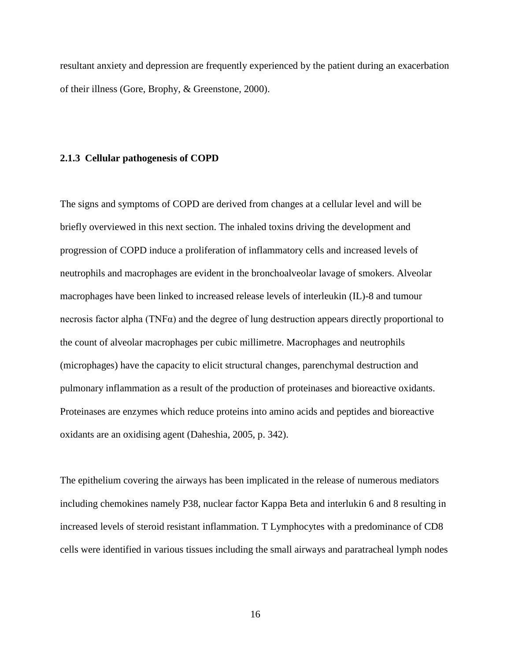resultant anxiety and depression are frequently experienced by the patient during an exacerbation of their illness (Gore, Brophy, & Greenstone, 2000).

#### **2.1.3 Cellular pathogenesis of COPD**

The signs and symptoms of COPD are derived from changes at a cellular level and will be briefly overviewed in this next section. The inhaled toxins driving the development and progression of COPD induce a proliferation of inflammatory cells and increased levels of neutrophils and macrophages are evident in the bronchoalveolar lavage of smokers. Alveolar macrophages have been linked to increased release levels of interleukin (IL)-8 and tumour necrosis factor alpha (TNFα) and the degree of lung destruction appears directly proportional to the count of alveolar macrophages per cubic millimetre. Macrophages and neutrophils (microphages) have the capacity to elicit structural changes, parenchymal destruction and pulmonary inflammation as a result of the production of proteinases and bioreactive oxidants. Proteinases are enzymes which reduce proteins into amino acids and peptides and bioreactive oxidants are an oxidising agent (Daheshia, 2005, p. 342).

The epithelium covering the airways has been implicated in the release of numerous mediators including chemokines namely P38, nuclear factor Kappa Beta and interlukin 6 and 8 resulting in increased levels of steroid resistant inflammation. T Lymphocytes with a predominance of CD8 cells were identified in various tissues including the small airways and paratracheal lymph nodes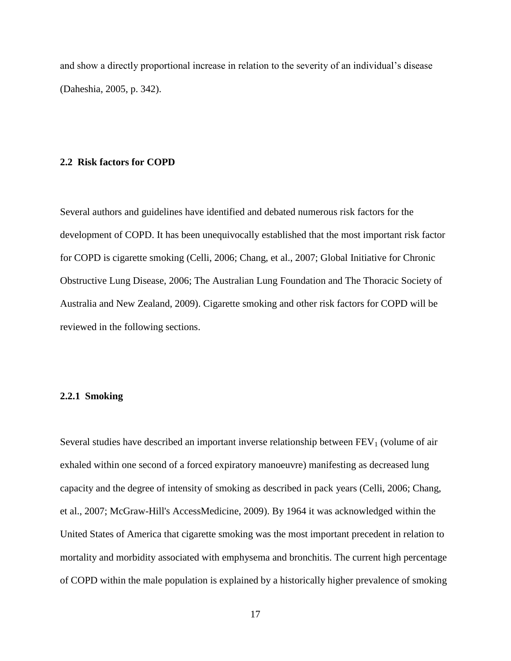and show a directly proportional increase in relation to the severity of an individual's disease (Daheshia, 2005, p. 342).

#### **2.2 Risk factors for COPD**

Several authors and guidelines have identified and debated numerous risk factors for the development of COPD. It has been unequivocally established that the most important risk factor for COPD is cigarette smoking (Celli, 2006; Chang, et al., 2007; Global Initiative for Chronic Obstructive Lung Disease, 2006; The Australian Lung Foundation and The Thoracic Society of Australia and New Zealand, 2009). Cigarette smoking and other risk factors for COPD will be reviewed in the following sections.

#### **2.2.1 Smoking**

Several studies have described an important inverse relationship between  $FEV<sub>1</sub>$  (volume of air exhaled within one second of a forced expiratory manoeuvre) manifesting as decreased lung capacity and the degree of intensity of smoking as described in pack years (Celli, 2006; Chang, et al., 2007; McGraw-Hill's AccessMedicine, 2009). By 1964 it was acknowledged within the United States of America that cigarette smoking was the most important precedent in relation to mortality and morbidity associated with emphysema and bronchitis. The current high percentage of COPD within the male population is explained by a historically higher prevalence of smoking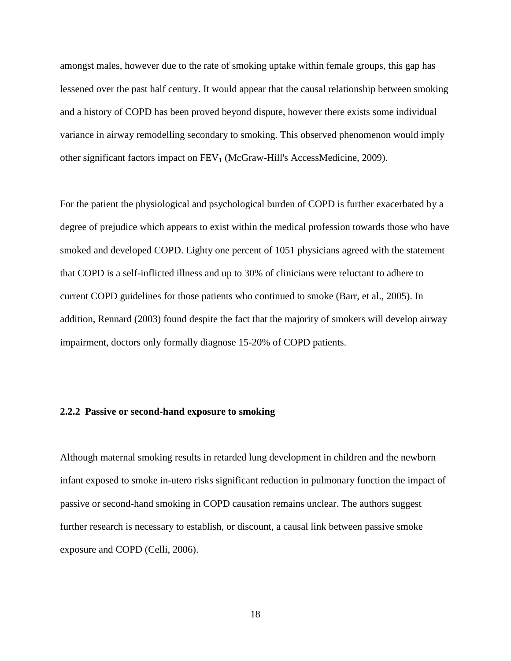amongst males, however due to the rate of smoking uptake within female groups, this gap has lessened over the past half century. It would appear that the causal relationship between smoking and a history of COPD has been proved beyond dispute, however there exists some individual variance in airway remodelling secondary to smoking. This observed phenomenon would imply other significant factors impact on  $FEV<sub>1</sub>$  (McGraw-Hill's AccessMedicine, 2009).

For the patient the physiological and psychological burden of COPD is further exacerbated by a degree of prejudice which appears to exist within the medical profession towards those who have smoked and developed COPD. Eighty one percent of 1051 physicians agreed with the statement that COPD is a self-inflicted illness and up to 30% of clinicians were reluctant to adhere to current COPD guidelines for those patients who continued to smoke (Barr, et al., 2005). In addition, Rennard (2003) found despite the fact that the majority of smokers will develop airway impairment, doctors only formally diagnose 15-20% of COPD patients.

#### **2.2.2 Passive or second-hand exposure to smoking**

Although maternal smoking results in retarded lung development in children and the newborn infant exposed to smoke in-utero risks significant reduction in pulmonary function the impact of passive or second-hand smoking in COPD causation remains unclear. The authors suggest further research is necessary to establish, or discount, a causal link between passive smoke exposure and COPD (Celli, 2006).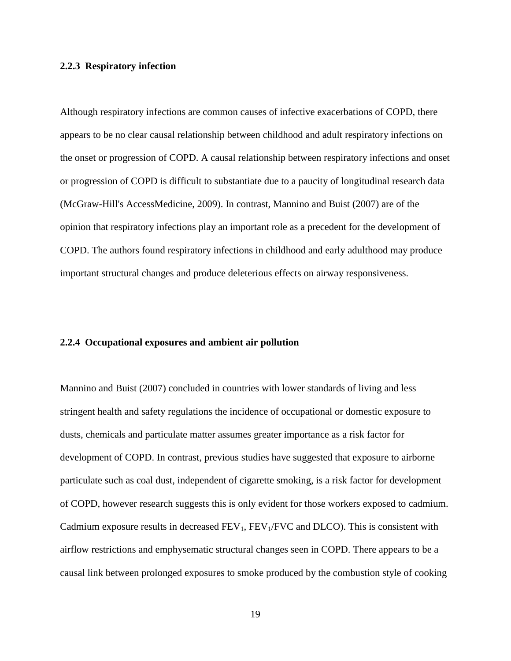# **2.2.3 Respiratory infection**

Although respiratory infections are common causes of infective exacerbations of COPD, there appears to be no clear causal relationship between childhood and adult respiratory infections on the onset or progression of COPD. A causal relationship between respiratory infections and onset or progression of COPD is difficult to substantiate due to a paucity of longitudinal research data (McGraw-Hill's AccessMedicine, 2009). In contrast, Mannino and Buist (2007) are of the opinion that respiratory infections play an important role as a precedent for the development of COPD. The authors found respiratory infections in childhood and early adulthood may produce important structural changes and produce deleterious effects on airway responsiveness.

### **2.2.4 Occupational exposures and ambient air pollution**

Mannino and Buist (2007) concluded in countries with lower standards of living and less stringent health and safety regulations the incidence of occupational or domestic exposure to dusts, chemicals and particulate matter assumes greater importance as a risk factor for development of COPD. In contrast, previous studies have suggested that exposure to airborne particulate such as coal dust, independent of cigarette smoking, is a risk factor for development of COPD, however research suggests this is only evident for those workers exposed to cadmium. Cadmium exposure results in decreased  $FEV_1$ ,  $FEV_1/FVC$  and  $DLCO$ ). This is consistent with airflow restrictions and emphysematic structural changes seen in COPD. There appears to be a causal link between prolonged exposures to smoke produced by the combustion style of cooking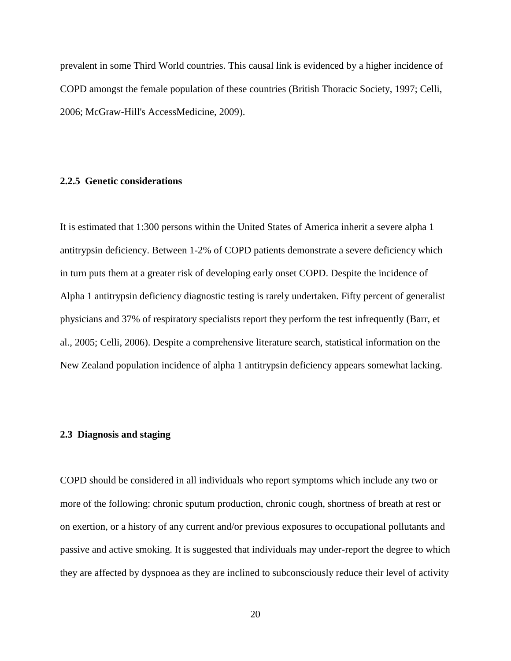prevalent in some Third World countries. This causal link is evidenced by a higher incidence of COPD amongst the female population of these countries (British Thoracic Society, 1997; Celli, 2006; McGraw-Hill's AccessMedicine, 2009).

## **2.2.5 Genetic considerations**

It is estimated that 1:300 persons within the United States of America inherit a severe alpha 1 antitrypsin deficiency. Between 1-2% of COPD patients demonstrate a severe deficiency which in turn puts them at a greater risk of developing early onset COPD. Despite the incidence of Alpha 1 antitrypsin deficiency diagnostic testing is rarely undertaken. Fifty percent of generalist physicians and 37% of respiratory specialists report they perform the test infrequently (Barr, et al., 2005; Celli, 2006). Despite a comprehensive literature search, statistical information on the New Zealand population incidence of alpha 1 antitrypsin deficiency appears somewhat lacking.

### **2.3 Diagnosis and staging**

COPD should be considered in all individuals who report symptoms which include any two or more of the following: chronic sputum production, chronic cough, shortness of breath at rest or on exertion, or a history of any current and/or previous exposures to occupational pollutants and passive and active smoking. It is suggested that individuals may under-report the degree to which they are affected by dyspnoea as they are inclined to subconsciously reduce their level of activity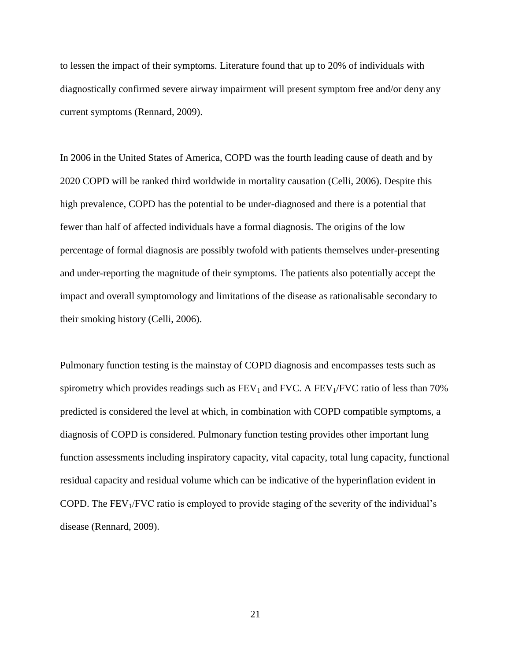to lessen the impact of their symptoms. Literature found that up to 20% of individuals with diagnostically confirmed severe airway impairment will present symptom free and/or deny any current symptoms (Rennard, 2009).

In 2006 in the United States of America, COPD was the fourth leading cause of death and by 2020 COPD will be ranked third worldwide in mortality causation (Celli, 2006). Despite this high prevalence, COPD has the potential to be under-diagnosed and there is a potential that fewer than half of affected individuals have a formal diagnosis. The origins of the low percentage of formal diagnosis are possibly twofold with patients themselves under-presenting and under-reporting the magnitude of their symptoms. The patients also potentially accept the impact and overall symptomology and limitations of the disease as rationalisable secondary to their smoking history (Celli, 2006).

Pulmonary function testing is the mainstay of COPD diagnosis and encompasses tests such as spirometry which provides readings such as  $FEV_1$  and FVC. A  $FEV_1/FVC$  ratio of less than 70% predicted is considered the level at which, in combination with COPD compatible symptoms, a diagnosis of COPD is considered. Pulmonary function testing provides other important lung function assessments including inspiratory capacity, vital capacity, total lung capacity, functional residual capacity and residual volume which can be indicative of the hyperinflation evident in COPD. The  $FEV<sub>1</sub>/FVC$  ratio is employed to provide staging of the severity of the individual's disease (Rennard, 2009).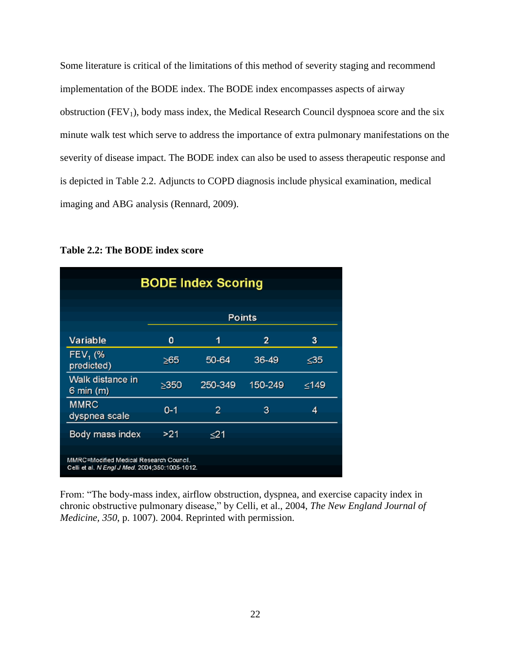Some literature is critical of the limitations of this method of severity staging and recommend implementation of the BODE index. The BODE index encompasses aspects of airway obstruction  $(FEV_1)$ , body mass index, the Medical Research Council dyspnoea score and the six minute walk test which serve to address the importance of extra pulmonary manifestations on the severity of disease impact. The BODE index can also be used to assess therapeutic response and is depicted in Table 2.2. Adjuncts to COPD diagnosis include physical examination, medical imaging and ABG analysis (Rennard, 2009).

**BODE Index Scoring Points**  $\overline{1}$ Variable 0  $\overline{a}$ 3 FEV<sub>1</sub> (%  $\geq 65$ 50-64 36-49 ≤35 predicted) Walk distance in  $\geq$  350 250-349 150-249 ≤149 6 min (m) **MMRC**  $0 - 1$  $\overline{2}$ 3 4 dyspnea scale Body mass index >21 ≤21 MMRC=Modified Medical Research Council. Celli et al. N Engl J Med. 2004;350:1005-1012.

**Table 2.2: The BODE index score**

From: "The body-mass index, airflow obstruction, dyspnea, and exercise capacity index in chronic obstructive pulmonary disease," by Celli, et al., 2004, *The New England Journal of Medicine, 350*, p. 1007). 2004. Reprinted with permission.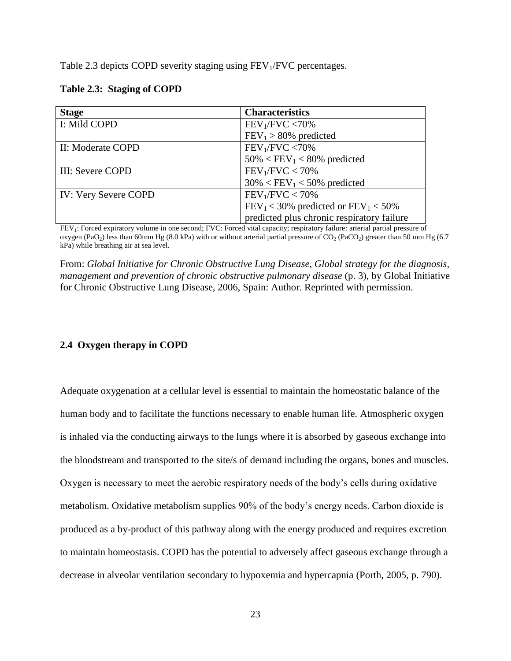Table 2.3 depicts COPD severity staging using FEV<sub>1</sub>/FVC percentages.

| <b>Stage</b>                | <b>Characteristics</b>                     |
|-----------------------------|--------------------------------------------|
| I: Mild COPD                | $FEV_1/FVC < 70\%$                         |
|                             | $FEV_1 > 80\%$ predicted                   |
| II: Moderate COPD           | FEV <sub>1</sub> /FVC < 70%                |
|                             | $50\% < FEV_1 < 80\%$ predicted            |
| III: Severe COPD            | $FEV_1/FVC < 70\%$                         |
|                             | $30\% < FEV_1 < 50\%$ predicted            |
| <b>IV: Very Severe COPD</b> | $FEV_1/FVC < 70\%$                         |
|                             | $FEV_1 < 30\%$ predicted or $FEV_1 < 50\%$ |
|                             | predicted plus chronic respiratory failure |

# **Table 2.3: Staging of COPD**

FEV<sub>1</sub>: Forced expiratory volume in one second; FVC: Forced vital capacity; respiratory failure: arterial partial pressure of oxygen (PaO<sub>2</sub>) less than 60mm Hg (8.0 kPa) with or without arterial partial pressure of  $CO_2$  (PaCO<sub>2</sub>) greater than 50 mm Hg (6.7 kPa) while breathing air at sea level.

From: *Global Initiative for Chronic Obstructive Lung Disease, Global strategy for the diagnosis, management and prevention of chronic obstructive pulmonary disease* (p. 3), by Global Initiative for Chronic Obstructive Lung Disease, 2006, Spain: Author. Reprinted with permission.

# **2.4 Oxygen therapy in COPD**

Adequate oxygenation at a cellular level is essential to maintain the homeostatic balance of the human body and to facilitate the functions necessary to enable human life. Atmospheric oxygen is inhaled via the conducting airways to the lungs where it is absorbed by gaseous exchange into the bloodstream and transported to the site/s of demand including the organs, bones and muscles. Oxygen is necessary to meet the aerobic respiratory needs of the body's cells during oxidative metabolism. Oxidative metabolism supplies 90% of the body's energy needs. Carbon dioxide is produced as a by-product of this pathway along with the energy produced and requires excretion to maintain homeostasis. COPD has the potential to adversely affect gaseous exchange through a decrease in alveolar ventilation secondary to hypoxemia and hypercapnia (Porth, 2005, p. 790).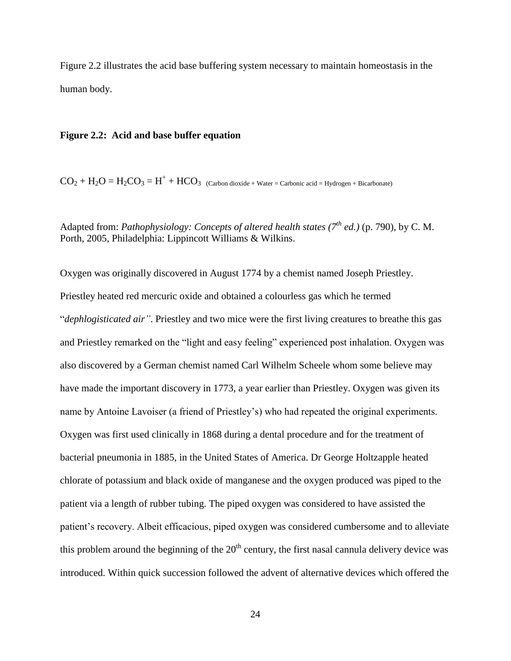Figure 2.2 illustrates the acid base buffering system necessary to maintain homeostasis in the human body.

### **Figure 2.2: Acid and base buffer equation**

 $CO_2 + H_2O = H_2CO_3 = H^+ + HCO_3$  (Carbon dioxide + Water = Carbonic acid = Hydrogen + Bicarbonate)

Adapted from: *Pathophysiology: Concepts of altered health states (7th ed.)* (p. 790), by C. M. Porth, 2005, Philadelphia: Lippincott Williams & Wilkins.

Oxygen was originally discovered in August 1774 by a chemist named Joseph Priestley. Priestley heated red mercuric oxide and obtained a colourless gas which he termed "*dephlogisticated air"*. Priestley and two mice were the first living creatures to breathe this gas and Priestley remarked on the "light and easy feeling" experienced post inhalation. Oxygen was also discovered by a German chemist named Carl Wilhelm Scheele whom some believe may have made the important discovery in 1773, a year earlier than Priestley. Oxygen was given its name by Antoine Lavoiser (a friend of Priestley's) who had repeated the original experiments. Oxygen was first used clinically in 1868 during a dental procedure and for the treatment of bacterial pneumonia in 1885, in the United States of America. Dr George Holtzapple heated chlorate of potassium and black oxide of manganese and the oxygen produced was piped to the patient via a length of rubber tubing. The piped oxygen was considered to have assisted the patient's recovery. Albeit efficacious, piped oxygen was considered cumbersome and to alleviate this problem around the beginning of the  $20<sup>th</sup>$  century, the first nasal cannula delivery device was introduced. Within quick succession followed the advent of alternative devices which offered the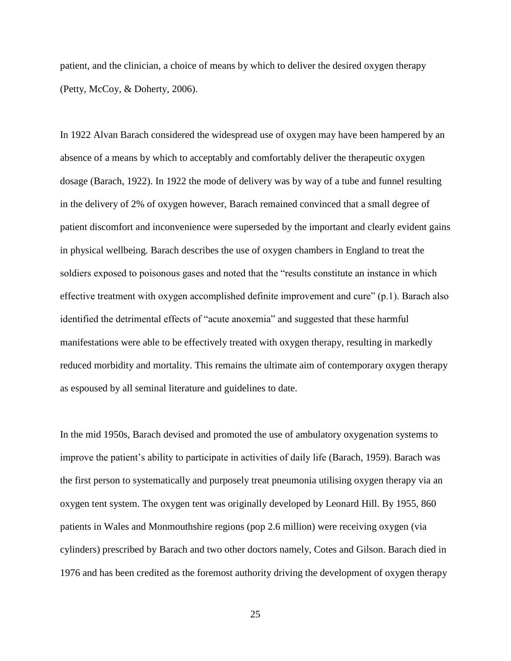patient, and the clinician, a choice of means by which to deliver the desired oxygen therapy (Petty, McCoy, & Doherty, 2006).

In 1922 Alvan Barach considered the widespread use of oxygen may have been hampered by an absence of a means by which to acceptably and comfortably deliver the therapeutic oxygen dosage (Barach, 1922). In 1922 the mode of delivery was by way of a tube and funnel resulting in the delivery of 2% of oxygen however, Barach remained convinced that a small degree of patient discomfort and inconvenience were superseded by the important and clearly evident gains in physical wellbeing. Barach describes the use of oxygen chambers in England to treat the soldiers exposed to poisonous gases and noted that the "results constitute an instance in which effective treatment with oxygen accomplished definite improvement and cure" (p.1). Barach also identified the detrimental effects of "acute anoxemia" and suggested that these harmful manifestations were able to be effectively treated with oxygen therapy, resulting in markedly reduced morbidity and mortality. This remains the ultimate aim of contemporary oxygen therapy as espoused by all seminal literature and guidelines to date.

In the mid 1950s, Barach devised and promoted the use of ambulatory oxygenation systems to improve the patient's ability to participate in activities of daily life (Barach, 1959). Barach was the first person to systematically and purposely treat pneumonia utilising oxygen therapy via an oxygen tent system. The oxygen tent was originally developed by Leonard Hill. By 1955, 860 patients in Wales and Monmouthshire regions (pop 2.6 million) were receiving oxygen (via cylinders) prescribed by Barach and two other doctors namely, Cotes and Gilson. Barach died in 1976 and has been credited as the foremost authority driving the development of oxygen therapy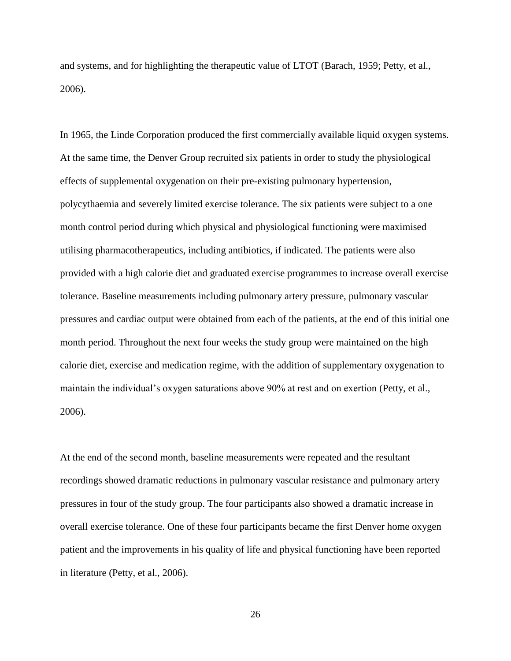and systems, and for highlighting the therapeutic value of LTOT (Barach, 1959; Petty, et al., 2006).

In 1965, the Linde Corporation produced the first commercially available liquid oxygen systems. At the same time, the Denver Group recruited six patients in order to study the physiological effects of supplemental oxygenation on their pre-existing pulmonary hypertension, polycythaemia and severely limited exercise tolerance. The six patients were subject to a one month control period during which physical and physiological functioning were maximised utilising pharmacotherapeutics, including antibiotics, if indicated. The patients were also provided with a high calorie diet and graduated exercise programmes to increase overall exercise tolerance. Baseline measurements including pulmonary artery pressure, pulmonary vascular pressures and cardiac output were obtained from each of the patients, at the end of this initial one month period. Throughout the next four weeks the study group were maintained on the high calorie diet, exercise and medication regime, with the addition of supplementary oxygenation to maintain the individual's oxygen saturations above 90% at rest and on exertion (Petty, et al., 2006).

At the end of the second month, baseline measurements were repeated and the resultant recordings showed dramatic reductions in pulmonary vascular resistance and pulmonary artery pressures in four of the study group. The four participants also showed a dramatic increase in overall exercise tolerance. One of these four participants became the first Denver home oxygen patient and the improvements in his quality of life and physical functioning have been reported in literature (Petty, et al., 2006).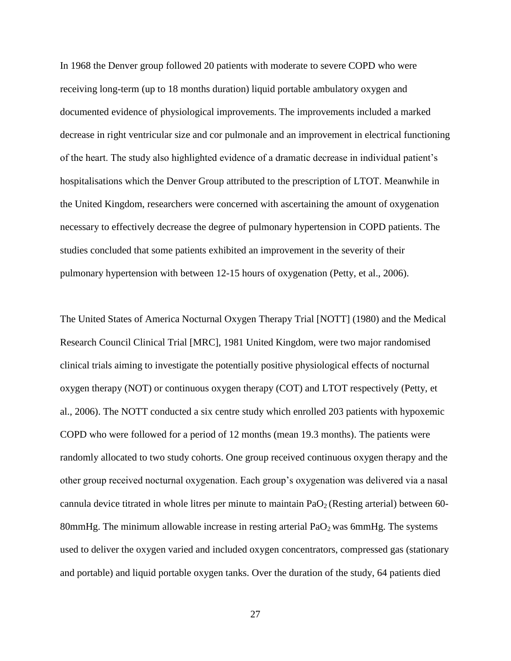In 1968 the Denver group followed 20 patients with moderate to severe COPD who were receiving long-term (up to 18 months duration) liquid portable ambulatory oxygen and documented evidence of physiological improvements. The improvements included a marked decrease in right ventricular size and cor pulmonale and an improvement in electrical functioning of the heart. The study also highlighted evidence of a dramatic decrease in individual patient's hospitalisations which the Denver Group attributed to the prescription of LTOT. Meanwhile in the United Kingdom, researchers were concerned with ascertaining the amount of oxygenation necessary to effectively decrease the degree of pulmonary hypertension in COPD patients. The studies concluded that some patients exhibited an improvement in the severity of their pulmonary hypertension with between 12-15 hours of oxygenation (Petty, et al., 2006).

The United States of America Nocturnal Oxygen Therapy Trial [NOTT] (1980) and the Medical Research Council Clinical Trial [MRC], 1981 United Kingdom, were two major randomised clinical trials aiming to investigate the potentially positive physiological effects of nocturnal oxygen therapy (NOT) or continuous oxygen therapy (COT) and LTOT respectively (Petty, et al., 2006). The NOTT conducted a six centre study which enrolled 203 patients with hypoxemic COPD who were followed for a period of 12 months (mean 19.3 months). The patients were randomly allocated to two study cohorts. One group received continuous oxygen therapy and the other group received nocturnal oxygenation. Each group's oxygenation was delivered via a nasal cannula device titrated in whole litres per minute to maintain  $PaO<sub>2</sub>$  (Resting arterial) between 60-80mmHg. The minimum allowable increase in resting arterial  $PaO<sub>2</sub>$  was 6mmHg. The systems used to deliver the oxygen varied and included oxygen concentrators, compressed gas (stationary and portable) and liquid portable oxygen tanks. Over the duration of the study, 64 patients died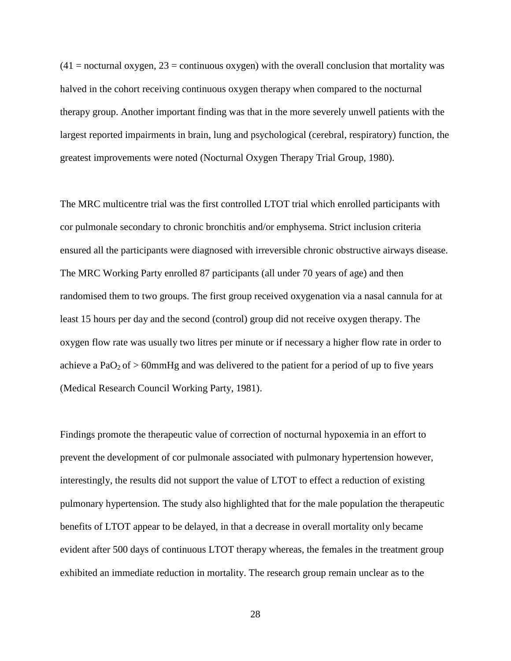$(41 =$  nocturnal oxygen,  $23 =$  continuous oxygen) with the overall conclusion that mortality was halved in the cohort receiving continuous oxygen therapy when compared to the nocturnal therapy group. Another important finding was that in the more severely unwell patients with the largest reported impairments in brain, lung and psychological (cerebral, respiratory) function, the greatest improvements were noted (Nocturnal Oxygen Therapy Trial Group, 1980).

The MRC multicentre trial was the first controlled LTOT trial which enrolled participants with cor pulmonale secondary to chronic bronchitis and/or emphysema. Strict inclusion criteria ensured all the participants were diagnosed with irreversible chronic obstructive airways disease. The MRC Working Party enrolled 87 participants (all under 70 years of age) and then randomised them to two groups. The first group received oxygenation via a nasal cannula for at least 15 hours per day and the second (control) group did not receive oxygen therapy. The oxygen flow rate was usually two litres per minute or if necessary a higher flow rate in order to achieve a PaO<sub>2</sub> of  $> 60$ mmHg and was delivered to the patient for a period of up to five years (Medical Research Council Working Party, 1981).

Findings promote the therapeutic value of correction of nocturnal hypoxemia in an effort to prevent the development of cor pulmonale associated with pulmonary hypertension however, interestingly, the results did not support the value of LTOT to effect a reduction of existing pulmonary hypertension. The study also highlighted that for the male population the therapeutic benefits of LTOT appear to be delayed, in that a decrease in overall mortality only became evident after 500 days of continuous LTOT therapy whereas, the females in the treatment group exhibited an immediate reduction in mortality. The research group remain unclear as to the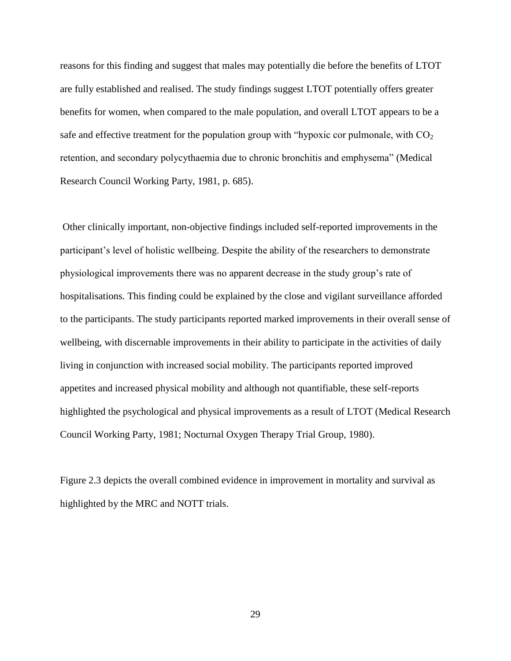reasons for this finding and suggest that males may potentially die before the benefits of LTOT are fully established and realised. The study findings suggest LTOT potentially offers greater benefits for women, when compared to the male population, and overall LTOT appears to be a safe and effective treatment for the population group with "hypoxic cor pulmonale, with  $CO<sub>2</sub>$ retention, and secondary polycythaemia due to chronic bronchitis and emphysema" (Medical Research Council Working Party, 1981, p. 685).

Other clinically important, non-objective findings included self-reported improvements in the participant's level of holistic wellbeing. Despite the ability of the researchers to demonstrate physiological improvements there was no apparent decrease in the study group's rate of hospitalisations. This finding could be explained by the close and vigilant surveillance afforded to the participants. The study participants reported marked improvements in their overall sense of wellbeing, with discernable improvements in their ability to participate in the activities of daily living in conjunction with increased social mobility. The participants reported improved appetites and increased physical mobility and although not quantifiable, these self-reports highlighted the psychological and physical improvements as a result of LTOT (Medical Research Council Working Party, 1981; Nocturnal Oxygen Therapy Trial Group, 1980).

Figure 2.3 depicts the overall combined evidence in improvement in mortality and survival as highlighted by the MRC and NOTT trials.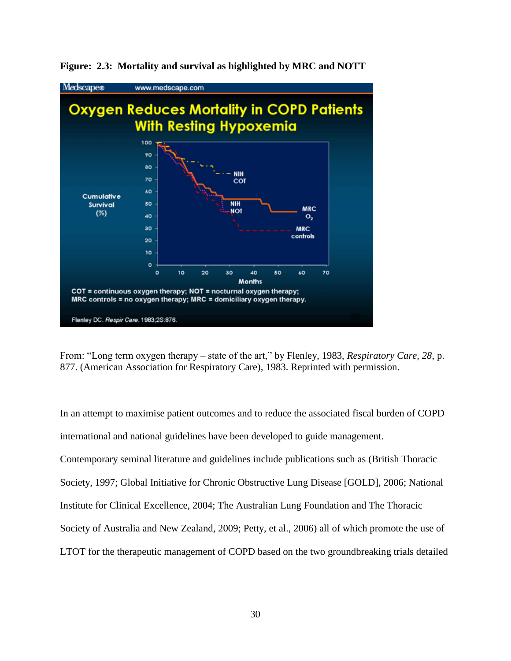

**Figure: 2.3: Mortality and survival as highlighted by MRC and NOTT**

From: "Long term oxygen therapy – state of the art," by Flenley, 1983, *Respiratory Care, 28*, p. 877. (American Association for Respiratory Care), 1983. Reprinted with permission.

In an attempt to maximise patient outcomes and to reduce the associated fiscal burden of COPD international and national guidelines have been developed to guide management. Contemporary seminal literature and guidelines include publications such as (British Thoracic Society, 1997; Global Initiative for Chronic Obstructive Lung Disease [GOLD], 2006; National Institute for Clinical Excellence, 2004; The Australian Lung Foundation and The Thoracic Society of Australia and New Zealand, 2009; Petty, et al., 2006) all of which promote the use of LTOT for the therapeutic management of COPD based on the two groundbreaking trials detailed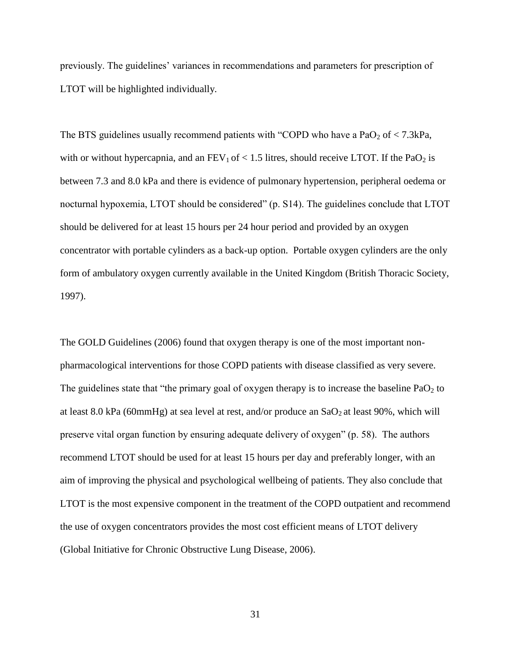previously. The guidelines' variances in recommendations and parameters for prescription of LTOT will be highlighted individually.

The BTS guidelines usually recommend patients with "COPD who have a  $PaO<sub>2</sub>$  of  $< 7.3$ kPa, with or without hypercapnia, and an  $FEV_1$  of  $< 1.5$  litres, should receive LTOT. If the PaO<sub>2</sub> is between 7.3 and 8.0 kPa and there is evidence of pulmonary hypertension, peripheral oedema or nocturnal hypoxemia, LTOT should be considered" (p. S14). The guidelines conclude that LTOT should be delivered for at least 15 hours per 24 hour period and provided by an oxygen concentrator with portable cylinders as a back-up option. Portable oxygen cylinders are the only form of ambulatory oxygen currently available in the United Kingdom (British Thoracic Society, 1997).

The GOLD Guidelines (2006) found that oxygen therapy is one of the most important nonpharmacological interventions for those COPD patients with disease classified as very severe. The guidelines state that "the primary goal of oxygen therapy is to increase the baseline  $PaO<sub>2</sub>$  to at least 8.0 kPa (60mmHg) at sea level at rest, and/or produce an  $SaO<sub>2</sub>$  at least 90%, which will preserve vital organ function by ensuring adequate delivery of oxygen" (p. 58). The authors recommend LTOT should be used for at least 15 hours per day and preferably longer, with an aim of improving the physical and psychological wellbeing of patients. They also conclude that LTOT is the most expensive component in the treatment of the COPD outpatient and recommend the use of oxygen concentrators provides the most cost efficient means of LTOT delivery (Global Initiative for Chronic Obstructive Lung Disease, 2006).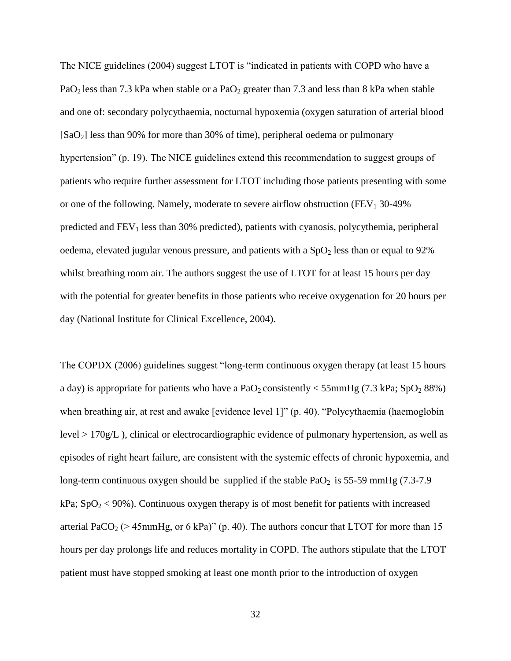The NICE guidelines (2004) suggest LTOT is "indicated in patients with COPD who have a PaO<sub>2</sub> less than 7.3 kPa when stable or a PaO<sub>2</sub> greater than 7.3 and less than 8 kPa when stable and one of: secondary polycythaemia, nocturnal hypoxemia (oxygen saturation of arterial blood [SaO2] less than 90% for more than 30% of time), peripheral oedema or pulmonary hypertension" (p. 19). The NICE guidelines extend this recommendation to suggest groups of patients who require further assessment for LTOT including those patients presenting with some or one of the following. Namely, moderate to severe airflow obstruction ( $FEV<sub>1</sub>$  30-49%) predicted and  $FEV<sub>1</sub>$  less than 30% predicted), patients with cyanosis, polycythemia, peripheral oedema, elevated jugular venous pressure, and patients with a  $SpO<sub>2</sub>$  less than or equal to 92% whilst breathing room air. The authors suggest the use of LTOT for at least 15 hours per day with the potential for greater benefits in those patients who receive oxygenation for 20 hours per day (National Institute for Clinical Excellence, 2004).

The COPDX (2006) guidelines suggest "long-term continuous oxygen therapy (at least 15 hours a day) is appropriate for patients who have a  $PaO<sub>2</sub>$  consistently < 55mmHg (7.3 kPa; SpO<sub>2</sub> 88%) when breathing air, at rest and awake [evidence level 1]" (p. 40). "Polycythaemia (haemoglobin  $level > 170g/L$ ), clinical or electrocardiographic evidence of pulmonary hypertension, as well as episodes of right heart failure, are consistent with the systemic effects of chronic hypoxemia, and long-term continuous oxygen should be supplied if the stable  $PaO<sub>2</sub>$  is 55-59 mmHg (7.3-7.9) kPa;  $SpO<sub>2</sub> < 90$ %). Continuous oxygen therapy is of most benefit for patients with increased arterial PaCO<sub>2</sub> ( $>$  45mmHg, or 6 kPa)" (p. 40). The authors concur that LTOT for more than 15 hours per day prolongs life and reduces mortality in COPD. The authors stipulate that the LTOT patient must have stopped smoking at least one month prior to the introduction of oxygen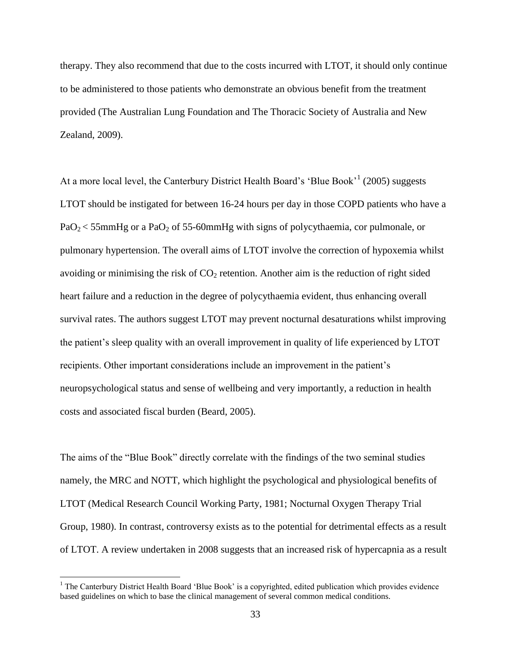therapy. They also recommend that due to the costs incurred with LTOT, it should only continue to be administered to those patients who demonstrate an obvious benefit from the treatment provided (The Australian Lung Foundation and The Thoracic Society of Australia and New Zealand, 2009).

At a more local level, the Canterbury District Health Board's 'Blue Book'<sup>1</sup> (2005) suggests LTOT should be instigated for between 16-24 hours per day in those COPD patients who have a  $PaO<sub>2</sub> < 55mmHg$  or a PaO<sub>2</sub> of 55-60mmHg with signs of polycythaemia, cor pulmonale, or pulmonary hypertension. The overall aims of LTOT involve the correction of hypoxemia whilst avoiding or minimising the risk of  $CO<sub>2</sub>$  retention. Another aim is the reduction of right sided heart failure and a reduction in the degree of polycythaemia evident, thus enhancing overall survival rates. The authors suggest LTOT may prevent nocturnal desaturations whilst improving the patient's sleep quality with an overall improvement in quality of life experienced by LTOT recipients. Other important considerations include an improvement in the patient's neuropsychological status and sense of wellbeing and very importantly, a reduction in health costs and associated fiscal burden (Beard, 2005).

The aims of the "Blue Book" directly correlate with the findings of the two seminal studies namely, the MRC and NOTT, which highlight the psychological and physiological benefits of LTOT (Medical Research Council Working Party, 1981; Nocturnal Oxygen Therapy Trial Group, 1980). In contrast, controversy exists as to the potential for detrimental effects as a result of LTOT. A review undertaken in 2008 suggests that an increased risk of hypercapnia as a result

 $\overline{a}$ 

<sup>&</sup>lt;sup>1</sup> The Canterbury District Health Board 'Blue Book' is a copyrighted, edited publication which provides evidence based guidelines on which to base the clinical management of several common medical conditions.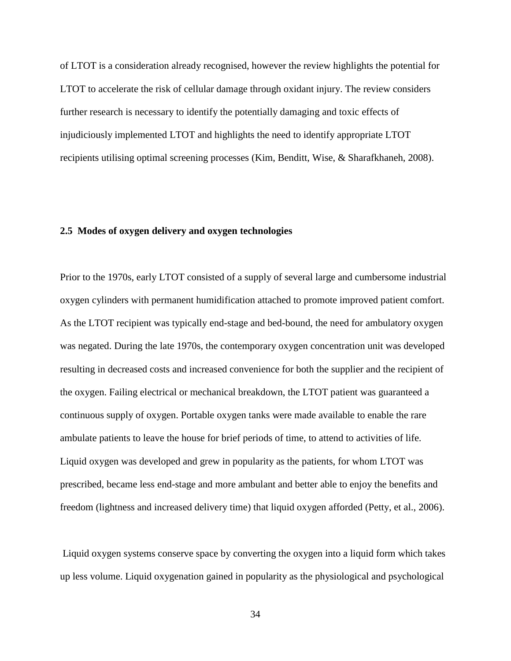of LTOT is a consideration already recognised, however the review highlights the potential for LTOT to accelerate the risk of cellular damage through oxidant injury. The review considers further research is necessary to identify the potentially damaging and toxic effects of injudiciously implemented LTOT and highlights the need to identify appropriate LTOT recipients utilising optimal screening processes (Kim, Benditt, Wise, & Sharafkhaneh, 2008).

# **2.5 Modes of oxygen delivery and oxygen technologies**

Prior to the 1970s, early LTOT consisted of a supply of several large and cumbersome industrial oxygen cylinders with permanent humidification attached to promote improved patient comfort. As the LTOT recipient was typically end-stage and bed-bound, the need for ambulatory oxygen was negated. During the late 1970s, the contemporary oxygen concentration unit was developed resulting in decreased costs and increased convenience for both the supplier and the recipient of the oxygen. Failing electrical or mechanical breakdown, the LTOT patient was guaranteed a continuous supply of oxygen. Portable oxygen tanks were made available to enable the rare ambulate patients to leave the house for brief periods of time, to attend to activities of life. Liquid oxygen was developed and grew in popularity as the patients, for whom LTOT was prescribed, became less end-stage and more ambulant and better able to enjoy the benefits and freedom (lightness and increased delivery time) that liquid oxygen afforded (Petty, et al., 2006).

Liquid oxygen systems conserve space by converting the oxygen into a liquid form which takes up less volume. Liquid oxygenation gained in popularity as the physiological and psychological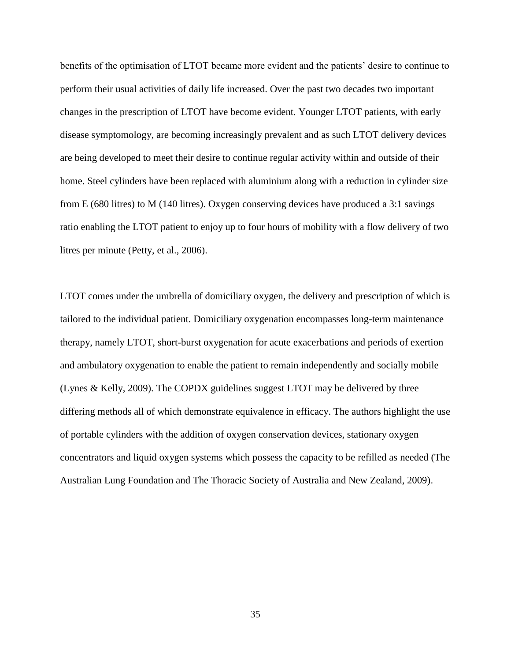benefits of the optimisation of LTOT became more evident and the patients' desire to continue to perform their usual activities of daily life increased. Over the past two decades two important changes in the prescription of LTOT have become evident. Younger LTOT patients, with early disease symptomology, are becoming increasingly prevalent and as such LTOT delivery devices are being developed to meet their desire to continue regular activity within and outside of their home. Steel cylinders have been replaced with aluminium along with a reduction in cylinder size from E (680 litres) to M (140 litres). Oxygen conserving devices have produced a 3:1 savings ratio enabling the LTOT patient to enjoy up to four hours of mobility with a flow delivery of two litres per minute (Petty, et al., 2006).

LTOT comes under the umbrella of domiciliary oxygen, the delivery and prescription of which is tailored to the individual patient. Domiciliary oxygenation encompasses long-term maintenance therapy, namely LTOT, short-burst oxygenation for acute exacerbations and periods of exertion and ambulatory oxygenation to enable the patient to remain independently and socially mobile (Lynes & Kelly, 2009). The COPDX guidelines suggest LTOT may be delivered by three differing methods all of which demonstrate equivalence in efficacy. The authors highlight the use of portable cylinders with the addition of oxygen conservation devices, stationary oxygen concentrators and liquid oxygen systems which possess the capacity to be refilled as needed (The Australian Lung Foundation and The Thoracic Society of Australia and New Zealand, 2009).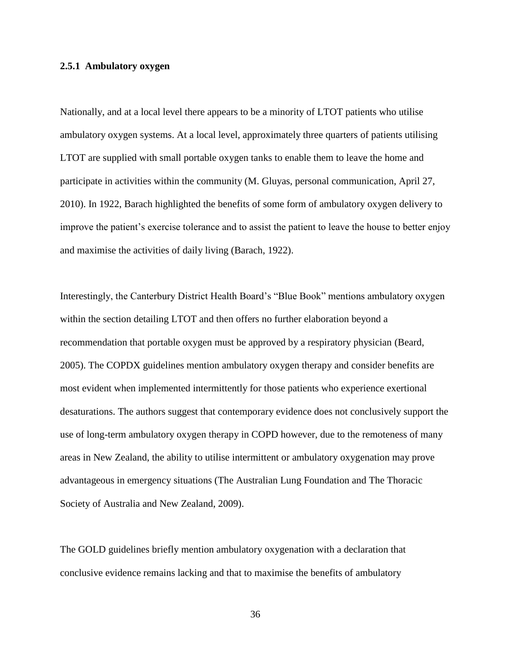#### **2.5.1 Ambulatory oxygen**

Nationally, and at a local level there appears to be a minority of LTOT patients who utilise ambulatory oxygen systems. At a local level, approximately three quarters of patients utilising LTOT are supplied with small portable oxygen tanks to enable them to leave the home and participate in activities within the community (M. Gluyas, personal communication, April 27, 2010). In 1922, Barach highlighted the benefits of some form of ambulatory oxygen delivery to improve the patient's exercise tolerance and to assist the patient to leave the house to better enjoy and maximise the activities of daily living (Barach, 1922).

Interestingly, the Canterbury District Health Board's "Blue Book" mentions ambulatory oxygen within the section detailing LTOT and then offers no further elaboration beyond a recommendation that portable oxygen must be approved by a respiratory physician (Beard, 2005). The COPDX guidelines mention ambulatory oxygen therapy and consider benefits are most evident when implemented intermittently for those patients who experience exertional desaturations. The authors suggest that contemporary evidence does not conclusively support the use of long-term ambulatory oxygen therapy in COPD however, due to the remoteness of many areas in New Zealand, the ability to utilise intermittent or ambulatory oxygenation may prove advantageous in emergency situations (The Australian Lung Foundation and The Thoracic Society of Australia and New Zealand, 2009).

The GOLD guidelines briefly mention ambulatory oxygenation with a declaration that conclusive evidence remains lacking and that to maximise the benefits of ambulatory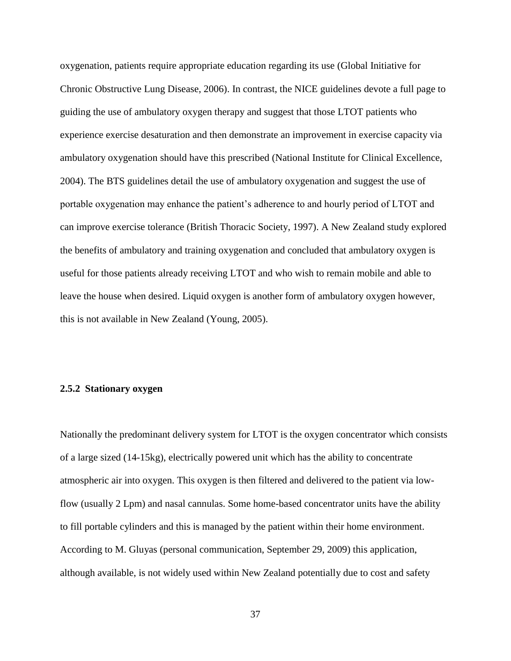oxygenation, patients require appropriate education regarding its use (Global Initiative for Chronic Obstructive Lung Disease, 2006). In contrast, the NICE guidelines devote a full page to guiding the use of ambulatory oxygen therapy and suggest that those LTOT patients who experience exercise desaturation and then demonstrate an improvement in exercise capacity via ambulatory oxygenation should have this prescribed (National Institute for Clinical Excellence, 2004). The BTS guidelines detail the use of ambulatory oxygenation and suggest the use of portable oxygenation may enhance the patient's adherence to and hourly period of LTOT and can improve exercise tolerance (British Thoracic Society, 1997). A New Zealand study explored the benefits of ambulatory and training oxygenation and concluded that ambulatory oxygen is useful for those patients already receiving LTOT and who wish to remain mobile and able to leave the house when desired. Liquid oxygen is another form of ambulatory oxygen however, this is not available in New Zealand (Young, 2005).

#### **2.5.2 Stationary oxygen**

Nationally the predominant delivery system for LTOT is the oxygen concentrator which consists of a large sized (14-15kg), electrically powered unit which has the ability to concentrate atmospheric air into oxygen. This oxygen is then filtered and delivered to the patient via lowflow (usually 2 Lpm) and nasal cannulas. Some home-based concentrator units have the ability to fill portable cylinders and this is managed by the patient within their home environment. According to M. Gluyas (personal communication, September 29, 2009) this application, although available, is not widely used within New Zealand potentially due to cost and safety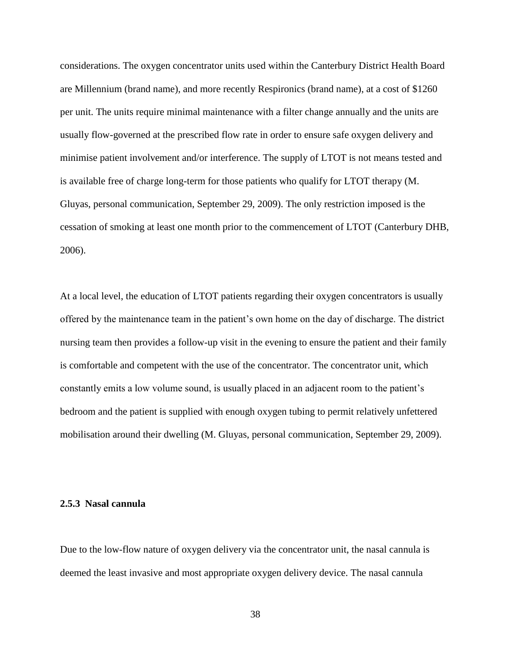considerations. The oxygen concentrator units used within the Canterbury District Health Board are Millennium (brand name), and more recently Respironics (brand name), at a cost of \$1260 per unit. The units require minimal maintenance with a filter change annually and the units are usually flow-governed at the prescribed flow rate in order to ensure safe oxygen delivery and minimise patient involvement and/or interference. The supply of LTOT is not means tested and is available free of charge long-term for those patients who qualify for LTOT therapy (M. Gluyas, personal communication, September 29, 2009). The only restriction imposed is the cessation of smoking at least one month prior to the commencement of LTOT (Canterbury DHB, 2006).

At a local level, the education of LTOT patients regarding their oxygen concentrators is usually offered by the maintenance team in the patient's own home on the day of discharge. The district nursing team then provides a follow-up visit in the evening to ensure the patient and their family is comfortable and competent with the use of the concentrator. The concentrator unit, which constantly emits a low volume sound, is usually placed in an adjacent room to the patient's bedroom and the patient is supplied with enough oxygen tubing to permit relatively unfettered mobilisation around their dwelling (M. Gluyas, personal communication, September 29, 2009).

## **2.5.3 Nasal cannula**

Due to the low-flow nature of oxygen delivery via the concentrator unit, the nasal cannula is deemed the least invasive and most appropriate oxygen delivery device. The nasal cannula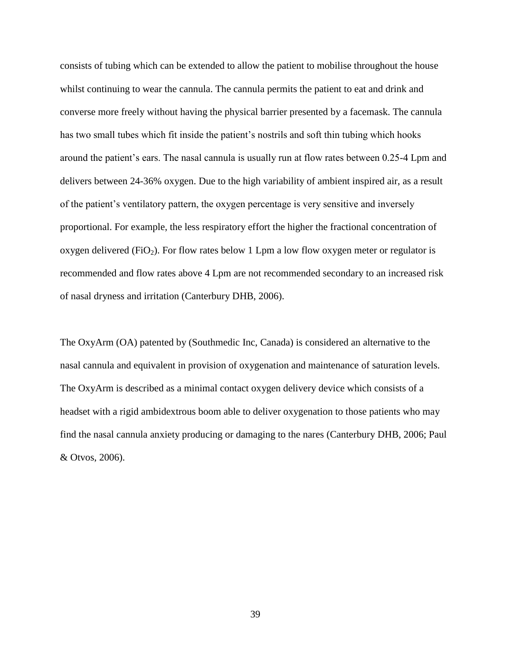consists of tubing which can be extended to allow the patient to mobilise throughout the house whilst continuing to wear the cannula. The cannula permits the patient to eat and drink and converse more freely without having the physical barrier presented by a facemask. The cannula has two small tubes which fit inside the patient's nostrils and soft thin tubing which hooks around the patient's ears. The nasal cannula is usually run at flow rates between 0.25-4 Lpm and delivers between 24-36% oxygen. Due to the high variability of ambient inspired air, as a result of the patient's ventilatory pattern, the oxygen percentage is very sensitive and inversely proportional. For example, the less respiratory effort the higher the fractional concentration of oxygen delivered (FiO<sub>2</sub>). For flow rates below 1 Lpm a low flow oxygen meter or regulator is recommended and flow rates above 4 Lpm are not recommended secondary to an increased risk of nasal dryness and irritation (Canterbury DHB, 2006).

The OxyArm (OA) patented by (Southmedic Inc, Canada) is considered an alternative to the nasal cannula and equivalent in provision of oxygenation and maintenance of saturation levels. The OxyArm is described as a minimal contact oxygen delivery device which consists of a headset with a rigid ambidextrous boom able to deliver oxygenation to those patients who may find the nasal cannula anxiety producing or damaging to the nares (Canterbury DHB, 2006; Paul & Otvos, 2006).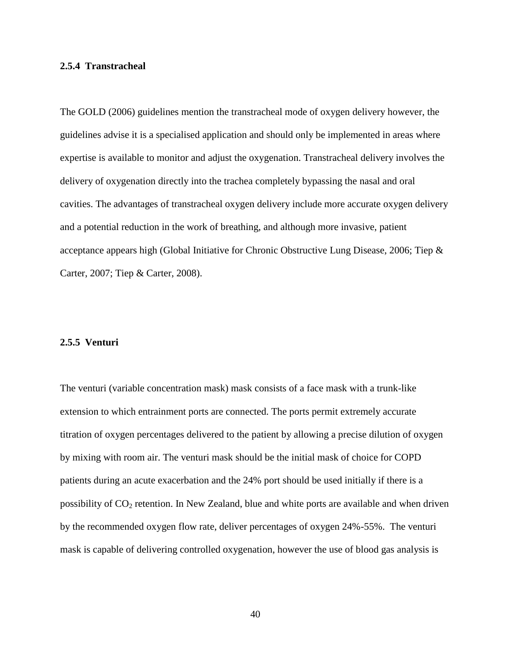## **2.5.4 Transtracheal**

The GOLD (2006) guidelines mention the transtracheal mode of oxygen delivery however, the guidelines advise it is a specialised application and should only be implemented in areas where expertise is available to monitor and adjust the oxygenation. Transtracheal delivery involves the delivery of oxygenation directly into the trachea completely bypassing the nasal and oral cavities. The advantages of transtracheal oxygen delivery include more accurate oxygen delivery and a potential reduction in the work of breathing, and although more invasive, patient acceptance appears high (Global Initiative for Chronic Obstructive Lung Disease, 2006; Tiep & Carter, 2007; Tiep & Carter, 2008).

### **2.5.5 Venturi**

The venturi (variable concentration mask) mask consists of a face mask with a trunk-like extension to which entrainment ports are connected. The ports permit extremely accurate titration of oxygen percentages delivered to the patient by allowing a precise dilution of oxygen by mixing with room air. The venturi mask should be the initial mask of choice for COPD patients during an acute exacerbation and the 24% port should be used initially if there is a possibility of  $CO<sub>2</sub>$  retention. In New Zealand, blue and white ports are available and when driven by the recommended oxygen flow rate, deliver percentages of oxygen 24%-55%. The venturi mask is capable of delivering controlled oxygenation, however the use of blood gas analysis is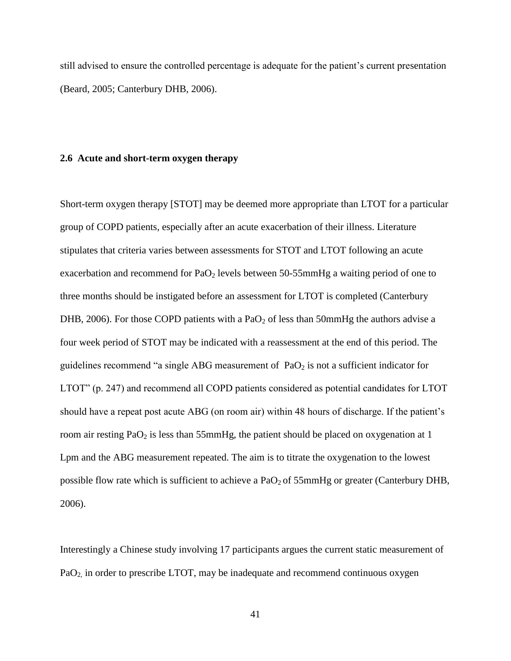still advised to ensure the controlled percentage is adequate for the patient's current presentation (Beard, 2005; Canterbury DHB, 2006).

#### **2.6 Acute and short-term oxygen therapy**

Short-term oxygen therapy [STOT] may be deemed more appropriate than LTOT for a particular group of COPD patients, especially after an acute exacerbation of their illness. Literature stipulates that criteria varies between assessments for STOT and LTOT following an acute exacerbation and recommend for  $PaO<sub>2</sub>$  levels between 50-55mmHg a waiting period of one to three months should be instigated before an assessment for LTOT is completed (Canterbury DHB, 2006). For those COPD patients with a  $PaO<sub>2</sub>$  of less than 50mmHg the authors advise a four week period of STOT may be indicated with a reassessment at the end of this period. The guidelines recommend "a single ABG measurement of  $PaO<sub>2</sub>$  is not a sufficient indicator for LTOT" (p. 247) and recommend all COPD patients considered as potential candidates for LTOT should have a repeat post acute ABG (on room air) within 48 hours of discharge. If the patient's room air resting  $PaO<sub>2</sub>$  is less than 55mmHg, the patient should be placed on oxygenation at 1 Lpm and the ABG measurement repeated. The aim is to titrate the oxygenation to the lowest possible flow rate which is sufficient to achieve a  $PaO<sub>2</sub>$  of 55mmHg or greater (Canterbury DHB, 2006).

Interestingly a Chinese study involving 17 participants argues the current static measurement of PaO<sub>2</sub>, in order to prescribe LTOT, may be inadequate and recommend continuous oxygen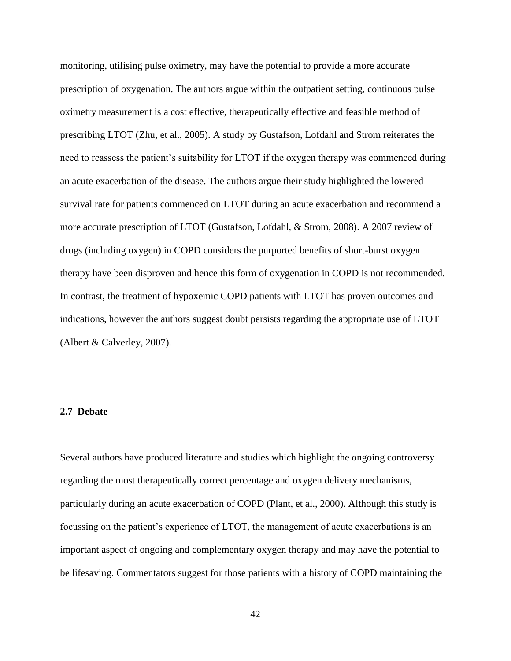monitoring, utilising pulse oximetry, may have the potential to provide a more accurate prescription of oxygenation. The authors argue within the outpatient setting, continuous pulse oximetry measurement is a cost effective, therapeutically effective and feasible method of prescribing LTOT (Zhu, et al., 2005). A study by Gustafson, Lofdahl and Strom reiterates the need to reassess the patient's suitability for LTOT if the oxygen therapy was commenced during an acute exacerbation of the disease. The authors argue their study highlighted the lowered survival rate for patients commenced on LTOT during an acute exacerbation and recommend a more accurate prescription of LTOT (Gustafson, Lofdahl, & Strom, 2008). A 2007 review of drugs (including oxygen) in COPD considers the purported benefits of short-burst oxygen therapy have been disproven and hence this form of oxygenation in COPD is not recommended. In contrast, the treatment of hypoxemic COPD patients with LTOT has proven outcomes and indications, however the authors suggest doubt persists regarding the appropriate use of LTOT (Albert & Calverley, 2007).

# **2.7 Debate**

Several authors have produced literature and studies which highlight the ongoing controversy regarding the most therapeutically correct percentage and oxygen delivery mechanisms, particularly during an acute exacerbation of COPD (Plant, et al., 2000). Although this study is focussing on the patient's experience of LTOT, the management of acute exacerbations is an important aspect of ongoing and complementary oxygen therapy and may have the potential to be lifesaving. Commentators suggest for those patients with a history of COPD maintaining the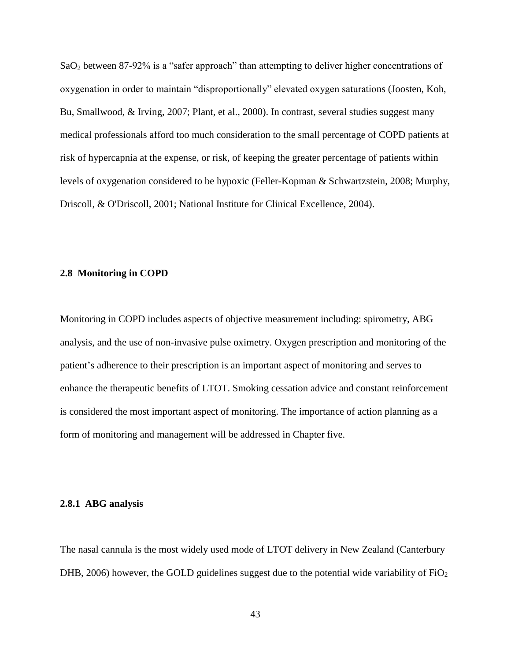SaO<sub>2</sub> between 87-92% is a "safer approach" than attempting to deliver higher concentrations of oxygenation in order to maintain "disproportionally" elevated oxygen saturations (Joosten, Koh, Bu, Smallwood, & Irving, 2007; Plant, et al., 2000). In contrast, several studies suggest many medical professionals afford too much consideration to the small percentage of COPD patients at risk of hypercapnia at the expense, or risk, of keeping the greater percentage of patients within levels of oxygenation considered to be hypoxic (Feller-Kopman & Schwartzstein, 2008; Murphy, Driscoll, & O'Driscoll, 2001; National Institute for Clinical Excellence, 2004).

# **2.8 Monitoring in COPD**

Monitoring in COPD includes aspects of objective measurement including: spirometry, ABG analysis, and the use of non-invasive pulse oximetry. Oxygen prescription and monitoring of the patient's adherence to their prescription is an important aspect of monitoring and serves to enhance the therapeutic benefits of LTOT. Smoking cessation advice and constant reinforcement is considered the most important aspect of monitoring. The importance of action planning as a form of monitoring and management will be addressed in Chapter five.

#### **2.8.1 ABG analysis**

The nasal cannula is the most widely used mode of LTOT delivery in New Zealand (Canterbury DHB, 2006) however, the GOLD guidelines suggest due to the potential wide variability of  $FiO<sub>2</sub>$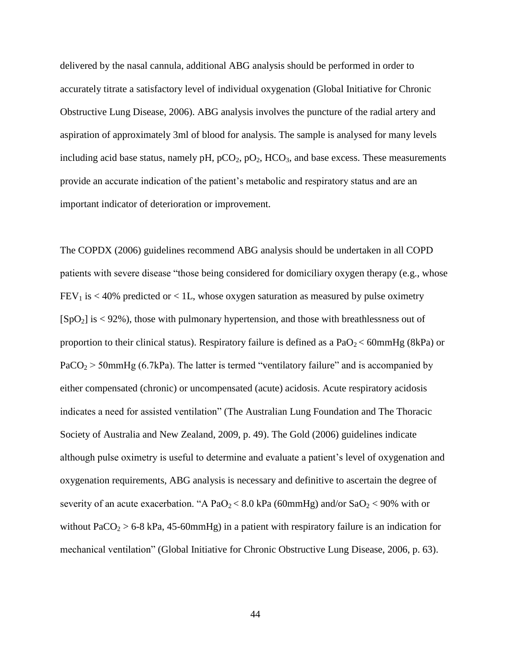delivered by the nasal cannula, additional ABG analysis should be performed in order to accurately titrate a satisfactory level of individual oxygenation (Global Initiative for Chronic Obstructive Lung Disease, 2006). ABG analysis involves the puncture of the radial artery and aspiration of approximately 3ml of blood for analysis. The sample is analysed for many levels including acid base status, namely  $pH$ ,  $pCO_2$ ,  $pO_2$ ,  $HCO_3$ , and base excess. These measurements provide an accurate indication of the patient's metabolic and respiratory status and are an important indicator of deterioration or improvement.

The COPDX (2006) guidelines recommend ABG analysis should be undertaken in all COPD patients with severe disease "those being considered for domiciliary oxygen therapy (e.g., whose  $FEV<sub>1</sub>$  is < 40% predicted or < 1L, whose oxygen saturation as measured by pulse oximetry  $[SpO<sub>2</sub>]$  is  $\lt 92\%$ ), those with pulmonary hypertension, and those with breathlessness out of proportion to their clinical status). Respiratory failure is defined as a  $PaO<sub>2</sub> < 60$ mmHg (8kPa) or  $PaCO<sub>2</sub> > 50$ mmHg (6.7kPa). The latter is termed "ventilatory failure" and is accompanied by either compensated (chronic) or uncompensated (acute) acidosis. Acute respiratory acidosis indicates a need for assisted ventilation" (The Australian Lung Foundation and The Thoracic Society of Australia and New Zealand, 2009, p. 49). The Gold (2006) guidelines indicate although pulse oximetry is useful to determine and evaluate a patient's level of oxygenation and oxygenation requirements, ABG analysis is necessary and definitive to ascertain the degree of severity of an acute exacerbation. "A PaO<sub>2</sub> < 8.0 kPa (60mmHg) and/or  $SaO<sub>2</sub>$  < 90% with or without  $PaCO<sub>2</sub> > 6-8$  kPa, 45-60mmHg) in a patient with respiratory failure is an indication for mechanical ventilation" (Global Initiative for Chronic Obstructive Lung Disease, 2006, p. 63).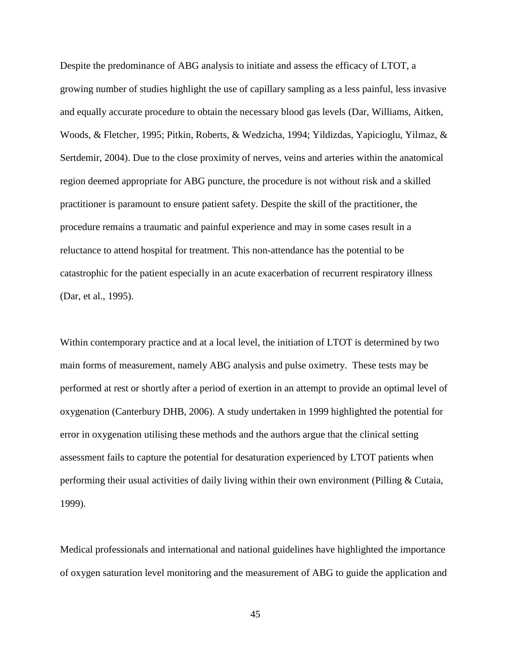Despite the predominance of ABG analysis to initiate and assess the efficacy of LTOT, a growing number of studies highlight the use of capillary sampling as a less painful, less invasive and equally accurate procedure to obtain the necessary blood gas levels (Dar, Williams, Aitken, Woods, & Fletcher, 1995; Pitkin, Roberts, & Wedzicha, 1994; Yildizdas, Yapicioglu, Yilmaz, & Sertdemir, 2004). Due to the close proximity of nerves, veins and arteries within the anatomical region deemed appropriate for ABG puncture, the procedure is not without risk and a skilled practitioner is paramount to ensure patient safety. Despite the skill of the practitioner, the procedure remains a traumatic and painful experience and may in some cases result in a reluctance to attend hospital for treatment. This non-attendance has the potential to be catastrophic for the patient especially in an acute exacerbation of recurrent respiratory illness (Dar, et al., 1995).

Within contemporary practice and at a local level, the initiation of LTOT is determined by two main forms of measurement, namely ABG analysis and pulse oximetry. These tests may be performed at rest or shortly after a period of exertion in an attempt to provide an optimal level of oxygenation (Canterbury DHB, 2006). A study undertaken in 1999 highlighted the potential for error in oxygenation utilising these methods and the authors argue that the clinical setting assessment fails to capture the potential for desaturation experienced by LTOT patients when performing their usual activities of daily living within their own environment (Pilling & Cutaia, 1999).

Medical professionals and international and national guidelines have highlighted the importance of oxygen saturation level monitoring and the measurement of ABG to guide the application and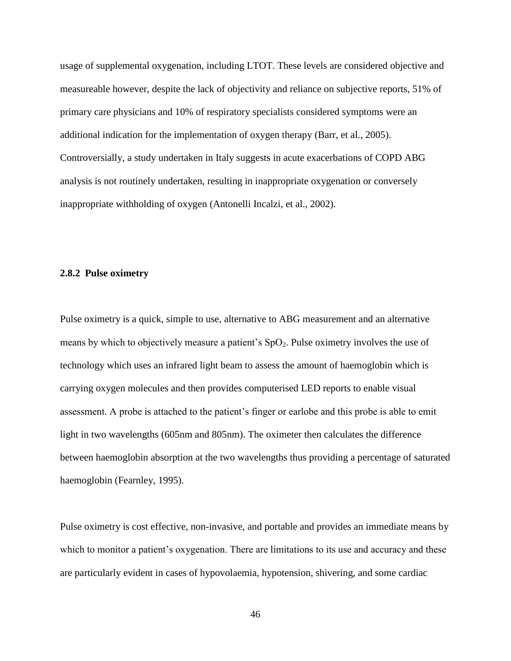usage of supplemental oxygenation, including LTOT. These levels are considered objective and measureable however, despite the lack of objectivity and reliance on subjective reports, 51% of primary care physicians and 10% of respiratory specialists considered symptoms were an additional indication for the implementation of oxygen therapy (Barr, et al., 2005). Controversially, a study undertaken in Italy suggests in acute exacerbations of COPD ABG analysis is not routinely undertaken, resulting in inappropriate oxygenation or conversely inappropriate withholding of oxygen (Antonelli Incalzi, et al., 2002).

#### **2.8.2 Pulse oximetry**

Pulse oximetry is a quick, simple to use, alternative to ABG measurement and an alternative means by which to objectively measure a patient's  $SpO<sub>2</sub>$ . Pulse oximetry involves the use of technology which uses an infrared light beam to assess the amount of haemoglobin which is carrying oxygen molecules and then provides computerised LED reports to enable visual assessment. A probe is attached to the patient's finger or earlobe and this probe is able to emit light in two wavelengths (605nm and 805nm). The oximeter then calculates the difference between haemoglobin absorption at the two wavelengths thus providing a percentage of saturated haemoglobin (Fearnley, 1995).

Pulse oximetry is cost effective, non-invasive, and portable and provides an immediate means by which to monitor a patient's oxygenation. There are limitations to its use and accuracy and these are particularly evident in cases of hypovolaemia, hypotension, shivering, and some cardiac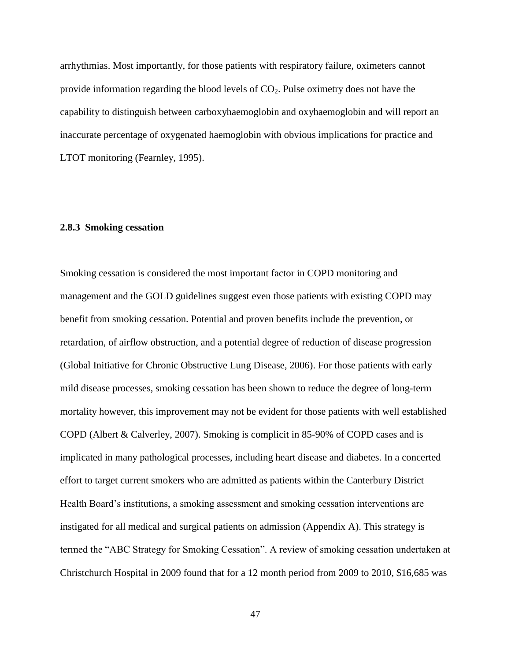arrhythmias. Most importantly, for those patients with respiratory failure, oximeters cannot provide information regarding the blood levels of  $CO<sub>2</sub>$ . Pulse oximetry does not have the capability to distinguish between carboxyhaemoglobin and oxyhaemoglobin and will report an inaccurate percentage of oxygenated haemoglobin with obvious implications for practice and LTOT monitoring (Fearnley, 1995).

# **2.8.3 Smoking cessation**

Smoking cessation is considered the most important factor in COPD monitoring and management and the GOLD guidelines suggest even those patients with existing COPD may benefit from smoking cessation. Potential and proven benefits include the prevention, or retardation, of airflow obstruction, and a potential degree of reduction of disease progression (Global Initiative for Chronic Obstructive Lung Disease, 2006). For those patients with early mild disease processes, smoking cessation has been shown to reduce the degree of long-term mortality however, this improvement may not be evident for those patients with well established COPD (Albert & Calverley, 2007). Smoking is complicit in 85-90% of COPD cases and is implicated in many pathological processes, including heart disease and diabetes. In a concerted effort to target current smokers who are admitted as patients within the Canterbury District Health Board's institutions, a smoking assessment and smoking cessation interventions are instigated for all medical and surgical patients on admission (Appendix A). This strategy is termed the "ABC Strategy for Smoking Cessation". A review of smoking cessation undertaken at Christchurch Hospital in 2009 found that for a 12 month period from 2009 to 2010, \$16,685 was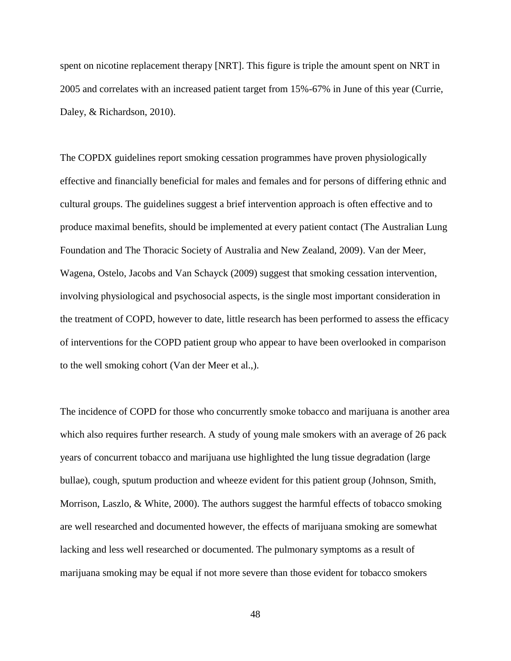spent on nicotine replacement therapy [NRT]. This figure is triple the amount spent on NRT in 2005 and correlates with an increased patient target from 15%-67% in June of this year (Currie, Daley, & Richardson, 2010).

The COPDX guidelines report smoking cessation programmes have proven physiologically effective and financially beneficial for males and females and for persons of differing ethnic and cultural groups. The guidelines suggest a brief intervention approach is often effective and to produce maximal benefits, should be implemented at every patient contact (The Australian Lung Foundation and The Thoracic Society of Australia and New Zealand, 2009). Van der Meer, Wagena, Ostelo, Jacobs and Van Schayck (2009) suggest that smoking cessation intervention, involving physiological and psychosocial aspects, is the single most important consideration in the treatment of COPD, however to date, little research has been performed to assess the efficacy of interventions for the COPD patient group who appear to have been overlooked in comparison to the well smoking cohort (Van der Meer et al.,).

The incidence of COPD for those who concurrently smoke tobacco and marijuana is another area which also requires further research. A study of young male smokers with an average of 26 pack years of concurrent tobacco and marijuana use highlighted the lung tissue degradation (large bullae), cough, sputum production and wheeze evident for this patient group (Johnson, Smith, Morrison, Laszlo, & White, 2000). The authors suggest the harmful effects of tobacco smoking are well researched and documented however, the effects of marijuana smoking are somewhat lacking and less well researched or documented. The pulmonary symptoms as a result of marijuana smoking may be equal if not more severe than those evident for tobacco smokers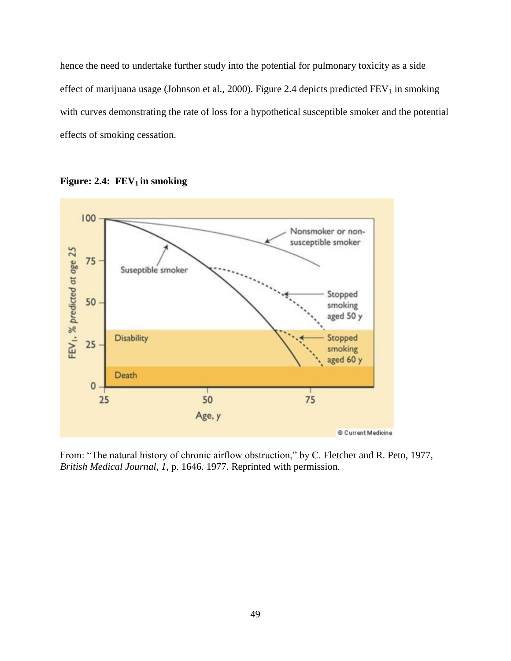hence the need to undertake further study into the potential for pulmonary toxicity as a side effect of marijuana usage (Johnson et al., 2000). Figure 2.4 depicts predicted  $FEV<sub>1</sub>$  in smoking with curves demonstrating the rate of loss for a hypothetical susceptible smoker and the potential effects of smoking cessation.



Figure: 2.4: FEV<sub>1</sub> in smoking

From: "The natural history of chronic airflow obstruction," by C. Fletcher and R. Peto, 1977, *British Medical Journal, 1*, p. 1646. 1977. Reprinted with permission.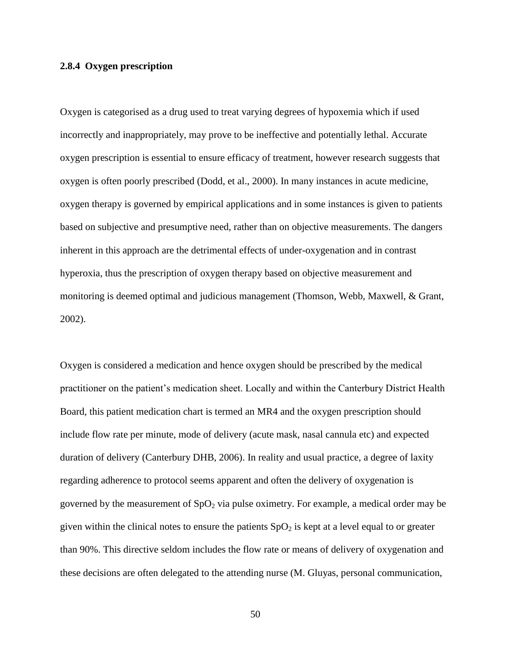# **2.8.4 Oxygen prescription**

Oxygen is categorised as a drug used to treat varying degrees of hypoxemia which if used incorrectly and inappropriately, may prove to be ineffective and potentially lethal. Accurate oxygen prescription is essential to ensure efficacy of treatment, however research suggests that oxygen is often poorly prescribed (Dodd, et al., 2000). In many instances in acute medicine, oxygen therapy is governed by empirical applications and in some instances is given to patients based on subjective and presumptive need, rather than on objective measurements. The dangers inherent in this approach are the detrimental effects of under-oxygenation and in contrast hyperoxia, thus the prescription of oxygen therapy based on objective measurement and monitoring is deemed optimal and judicious management (Thomson, Webb, Maxwell, & Grant, 2002).

Oxygen is considered a medication and hence oxygen should be prescribed by the medical practitioner on the patient's medication sheet. Locally and within the Canterbury District Health Board, this patient medication chart is termed an MR4 and the oxygen prescription should include flow rate per minute, mode of delivery (acute mask, nasal cannula etc) and expected duration of delivery (Canterbury DHB, 2006). In reality and usual practice, a degree of laxity regarding adherence to protocol seems apparent and often the delivery of oxygenation is governed by the measurement of  $SpO<sub>2</sub>$  via pulse oximetry. For example, a medical order may be given within the clinical notes to ensure the patients  $SpO<sub>2</sub>$  is kept at a level equal to or greater than 90%. This directive seldom includes the flow rate or means of delivery of oxygenation and these decisions are often delegated to the attending nurse (M. Gluyas, personal communication,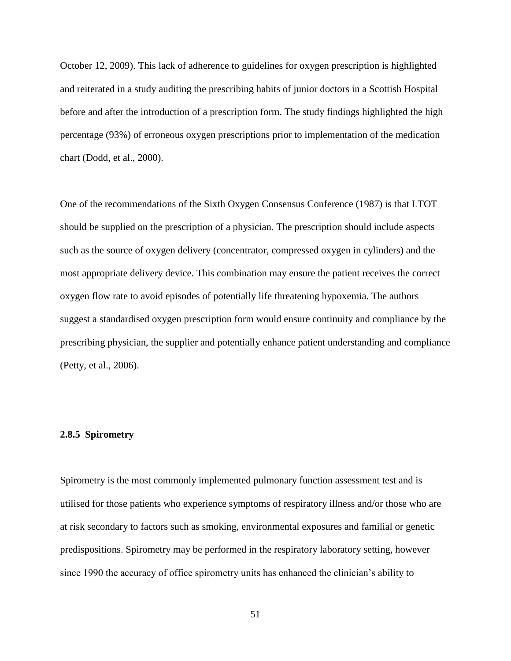October 12, 2009). This lack of adherence to guidelines for oxygen prescription is highlighted and reiterated in a study auditing the prescribing habits of junior doctors in a Scottish Hospital before and after the introduction of a prescription form. The study findings highlighted the high percentage (93%) of erroneous oxygen prescriptions prior to implementation of the medication chart (Dodd, et al., 2000).

One of the recommendations of the Sixth Oxygen Consensus Conference (1987) is that LTOT should be supplied on the prescription of a physician. The prescription should include aspects such as the source of oxygen delivery (concentrator, compressed oxygen in cylinders) and the most appropriate delivery device. This combination may ensure the patient receives the correct oxygen flow rate to avoid episodes of potentially life threatening hypoxemia. The authors suggest a standardised oxygen prescription form would ensure continuity and compliance by the prescribing physician, the supplier and potentially enhance patient understanding and compliance (Petty, et al., 2006).

# **2.8.5 Spirometry**

Spirometry is the most commonly implemented pulmonary function assessment test and is utilised for those patients who experience symptoms of respiratory illness and/or those who are at risk secondary to factors such as smoking, environmental exposures and familial or genetic predispositions. Spirometry may be performed in the respiratory laboratory setting, however since 1990 the accuracy of office spirometry units has enhanced the clinician's ability to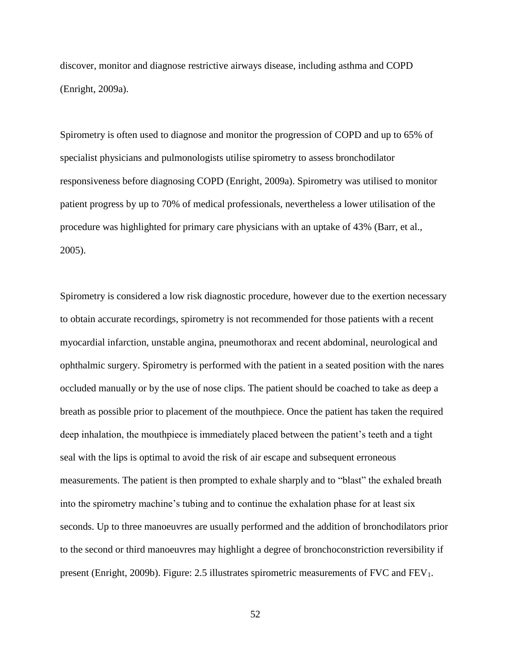discover, monitor and diagnose restrictive airways disease, including asthma and COPD (Enright, 2009a).

Spirometry is often used to diagnose and monitor the progression of COPD and up to 65% of specialist physicians and pulmonologists utilise spirometry to assess bronchodilator responsiveness before diagnosing COPD (Enright, 2009a). Spirometry was utilised to monitor patient progress by up to 70% of medical professionals, nevertheless a lower utilisation of the procedure was highlighted for primary care physicians with an uptake of 43% (Barr, et al., 2005).

Spirometry is considered a low risk diagnostic procedure, however due to the exertion necessary to obtain accurate recordings, spirometry is not recommended for those patients with a recent myocardial infarction, unstable angina, pneumothorax and recent abdominal, neurological and ophthalmic surgery. Spirometry is performed with the patient in a seated position with the nares occluded manually or by the use of nose clips. The patient should be coached to take as deep a breath as possible prior to placement of the mouthpiece. Once the patient has taken the required deep inhalation, the mouthpiece is immediately placed between the patient's teeth and a tight seal with the lips is optimal to avoid the risk of air escape and subsequent erroneous measurements. The patient is then prompted to exhale sharply and to "blast" the exhaled breath into the spirometry machine's tubing and to continue the exhalation phase for at least six seconds. Up to three manoeuvres are usually performed and the addition of bronchodilators prior to the second or third manoeuvres may highlight a degree of bronchoconstriction reversibility if present (Enright, 2009b). Figure: 2.5 illustrates spirometric measurements of FVC and FEV1.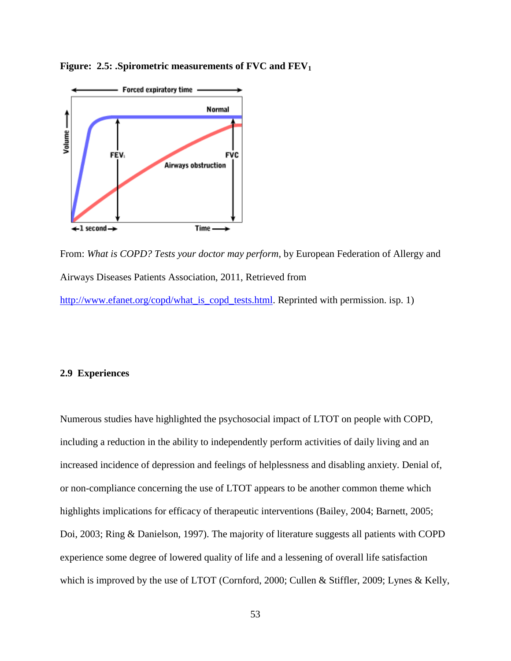

**Figure: 2.5: .Spirometric measurements of FVC and FEV<sup>1</sup>**

From: *What is COPD? Tests your doctor may perform*, by European Federation of Allergy and Airways Diseases Patients Association, 2011, Retrieved from [http://www.efanet.org/copd/what\\_is\\_copd\\_tests.html.](http://www.efanet.org/copd/what_is_copd_tests.html) Reprinted with permission. isp. 1)

# **2.9 Experiences**

Numerous studies have highlighted the psychosocial impact of LTOT on people with COPD, including a reduction in the ability to independently perform activities of daily living and an increased incidence of depression and feelings of helplessness and disabling anxiety. Denial of, or non-compliance concerning the use of LTOT appears to be another common theme which highlights implications for efficacy of therapeutic interventions (Bailey, 2004; Barnett, 2005; Doi, 2003; Ring & Danielson, 1997). The majority of literature suggests all patients with COPD experience some degree of lowered quality of life and a lessening of overall life satisfaction which is improved by the use of LTOT (Cornford, 2000; Cullen & Stiffler, 2009; Lynes & Kelly,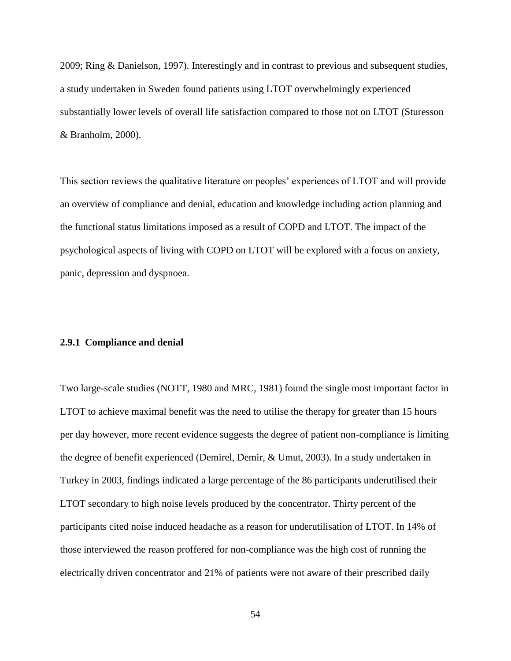2009; Ring & Danielson, 1997). Interestingly and in contrast to previous and subsequent studies, a study undertaken in Sweden found patients using LTOT overwhelmingly experienced substantially lower levels of overall life satisfaction compared to those not on LTOT (Sturesson & Branholm, 2000).

This section reviews the qualitative literature on peoples' experiences of LTOT and will provide an overview of compliance and denial, education and knowledge including action planning and the functional status limitations imposed as a result of COPD and LTOT. The impact of the psychological aspects of living with COPD on LTOT will be explored with a focus on anxiety, panic, depression and dyspnoea.

### **2.9.1 Compliance and denial**

Two large-scale studies (NOTT, 1980 and MRC, 1981) found the single most important factor in LTOT to achieve maximal benefit was the need to utilise the therapy for greater than 15 hours per day however, more recent evidence suggests the degree of patient non-compliance is limiting the degree of benefit experienced (Demirel, Demir, & Umut, 2003). In a study undertaken in Turkey in 2003, findings indicated a large percentage of the 86 participants underutilised their LTOT secondary to high noise levels produced by the concentrator. Thirty percent of the participants cited noise induced headache as a reason for underutilisation of LTOT. In 14% of those interviewed the reason proffered for non-compliance was the high cost of running the electrically driven concentrator and 21% of patients were not aware of their prescribed daily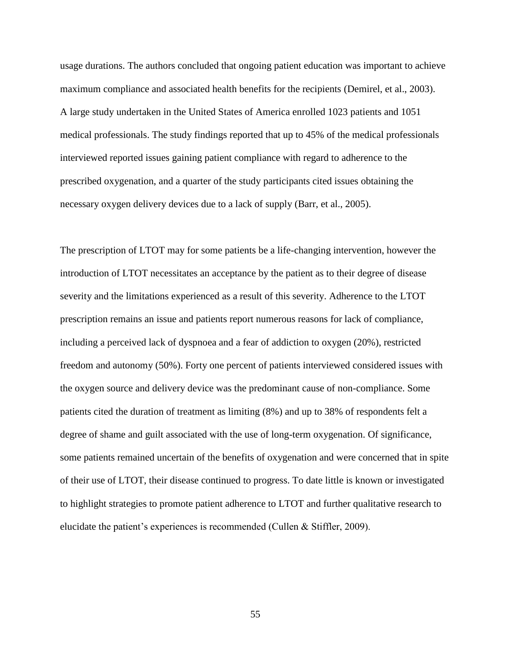usage durations. The authors concluded that ongoing patient education was important to achieve maximum compliance and associated health benefits for the recipients (Demirel, et al., 2003). A large study undertaken in the United States of America enrolled 1023 patients and 1051 medical professionals. The study findings reported that up to 45% of the medical professionals interviewed reported issues gaining patient compliance with regard to adherence to the prescribed oxygenation, and a quarter of the study participants cited issues obtaining the necessary oxygen delivery devices due to a lack of supply (Barr, et al., 2005).

The prescription of LTOT may for some patients be a life-changing intervention, however the introduction of LTOT necessitates an acceptance by the patient as to their degree of disease severity and the limitations experienced as a result of this severity. Adherence to the LTOT prescription remains an issue and patients report numerous reasons for lack of compliance, including a perceived lack of dyspnoea and a fear of addiction to oxygen (20%), restricted freedom and autonomy (50%). Forty one percent of patients interviewed considered issues with the oxygen source and delivery device was the predominant cause of non-compliance. Some patients cited the duration of treatment as limiting (8%) and up to 38% of respondents felt a degree of shame and guilt associated with the use of long-term oxygenation. Of significance, some patients remained uncertain of the benefits of oxygenation and were concerned that in spite of their use of LTOT, their disease continued to progress. To date little is known or investigated to highlight strategies to promote patient adherence to LTOT and further qualitative research to elucidate the patient's experiences is recommended (Cullen & Stiffler, 2009).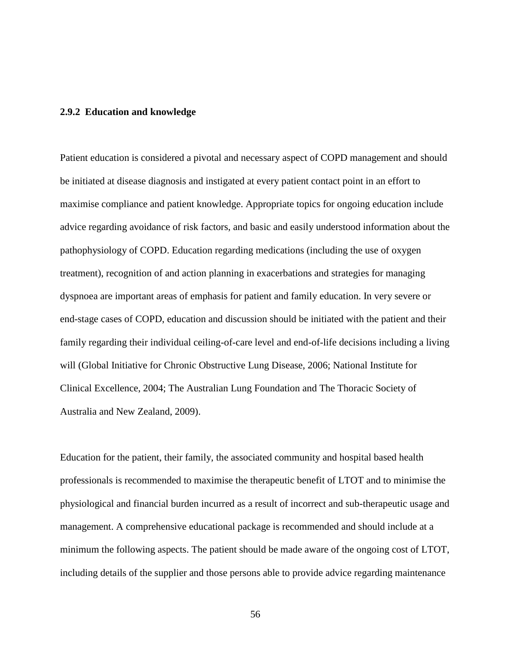### **2.9.2 Education and knowledge**

Patient education is considered a pivotal and necessary aspect of COPD management and should be initiated at disease diagnosis and instigated at every patient contact point in an effort to maximise compliance and patient knowledge. Appropriate topics for ongoing education include advice regarding avoidance of risk factors, and basic and easily understood information about the pathophysiology of COPD. Education regarding medications (including the use of oxygen treatment), recognition of and action planning in exacerbations and strategies for managing dyspnoea are important areas of emphasis for patient and family education. In very severe or end-stage cases of COPD, education and discussion should be initiated with the patient and their family regarding their individual ceiling-of-care level and end-of-life decisions including a living will (Global Initiative for Chronic Obstructive Lung Disease, 2006; National Institute for Clinical Excellence, 2004; The Australian Lung Foundation and The Thoracic Society of Australia and New Zealand, 2009).

Education for the patient, their family, the associated community and hospital based health professionals is recommended to maximise the therapeutic benefit of LTOT and to minimise the physiological and financial burden incurred as a result of incorrect and sub-therapeutic usage and management. A comprehensive educational package is recommended and should include at a minimum the following aspects. The patient should be made aware of the ongoing cost of LTOT, including details of the supplier and those persons able to provide advice regarding maintenance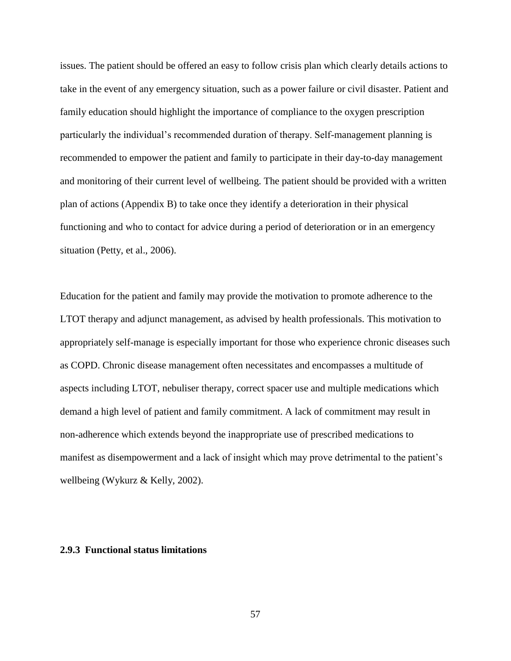issues. The patient should be offered an easy to follow crisis plan which clearly details actions to take in the event of any emergency situation, such as a power failure or civil disaster. Patient and family education should highlight the importance of compliance to the oxygen prescription particularly the individual's recommended duration of therapy. Self-management planning is recommended to empower the patient and family to participate in their day-to-day management and monitoring of their current level of wellbeing. The patient should be provided with a written plan of actions (Appendix B) to take once they identify a deterioration in their physical functioning and who to contact for advice during a period of deterioration or in an emergency situation (Petty, et al., 2006).

Education for the patient and family may provide the motivation to promote adherence to the LTOT therapy and adjunct management, as advised by health professionals. This motivation to appropriately self-manage is especially important for those who experience chronic diseases such as COPD. Chronic disease management often necessitates and encompasses a multitude of aspects including LTOT, nebuliser therapy, correct spacer use and multiple medications which demand a high level of patient and family commitment. A lack of commitment may result in non-adherence which extends beyond the inappropriate use of prescribed medications to manifest as disempowerment and a lack of insight which may prove detrimental to the patient's wellbeing (Wykurz & Kelly, 2002).

# **2.9.3 Functional status limitations**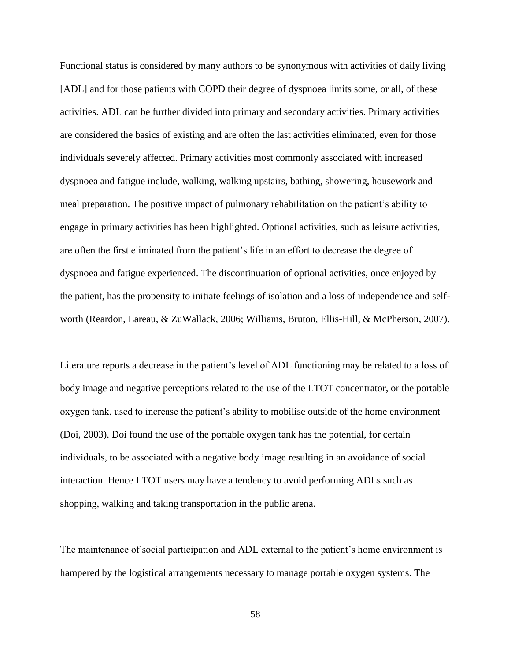Functional status is considered by many authors to be synonymous with activities of daily living [ADL] and for those patients with COPD their degree of dyspnoea limits some, or all, of these activities. ADL can be further divided into primary and secondary activities. Primary activities are considered the basics of existing and are often the last activities eliminated, even for those individuals severely affected. Primary activities most commonly associated with increased dyspnoea and fatigue include, walking, walking upstairs, bathing, showering, housework and meal preparation. The positive impact of pulmonary rehabilitation on the patient's ability to engage in primary activities has been highlighted. Optional activities, such as leisure activities, are often the first eliminated from the patient's life in an effort to decrease the degree of dyspnoea and fatigue experienced. The discontinuation of optional activities, once enjoyed by the patient, has the propensity to initiate feelings of isolation and a loss of independence and selfworth (Reardon, Lareau, & ZuWallack, 2006; Williams, Bruton, Ellis-Hill, & McPherson, 2007).

Literature reports a decrease in the patient's level of ADL functioning may be related to a loss of body image and negative perceptions related to the use of the LTOT concentrator, or the portable oxygen tank, used to increase the patient's ability to mobilise outside of the home environment (Doi, 2003). Doi found the use of the portable oxygen tank has the potential, for certain individuals, to be associated with a negative body image resulting in an avoidance of social interaction. Hence LTOT users may have a tendency to avoid performing ADLs such as shopping, walking and taking transportation in the public arena.

The maintenance of social participation and ADL external to the patient's home environment is hampered by the logistical arrangements necessary to manage portable oxygen systems. The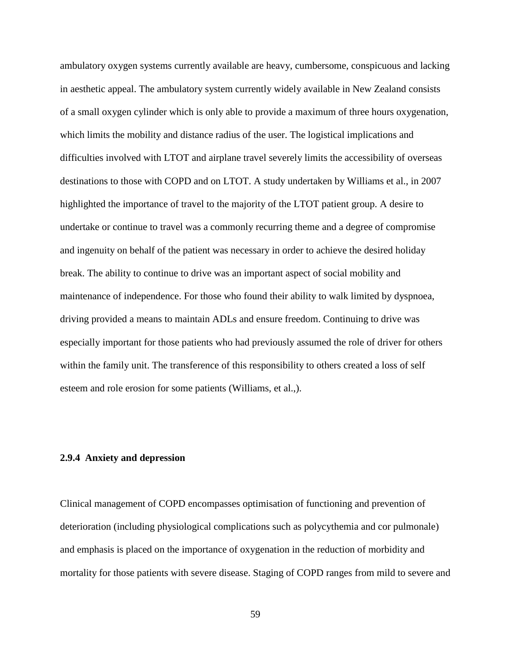ambulatory oxygen systems currently available are heavy, cumbersome, conspicuous and lacking in aesthetic appeal. The ambulatory system currently widely available in New Zealand consists of a small oxygen cylinder which is only able to provide a maximum of three hours oxygenation, which limits the mobility and distance radius of the user. The logistical implications and difficulties involved with LTOT and airplane travel severely limits the accessibility of overseas destinations to those with COPD and on LTOT. A study undertaken by Williams et al., in 2007 highlighted the importance of travel to the majority of the LTOT patient group. A desire to undertake or continue to travel was a commonly recurring theme and a degree of compromise and ingenuity on behalf of the patient was necessary in order to achieve the desired holiday break. The ability to continue to drive was an important aspect of social mobility and maintenance of independence. For those who found their ability to walk limited by dyspnoea, driving provided a means to maintain ADLs and ensure freedom. Continuing to drive was especially important for those patients who had previously assumed the role of driver for others within the family unit. The transference of this responsibility to others created a loss of self esteem and role erosion for some patients (Williams, et al.,).

#### **2.9.4 Anxiety and depression**

Clinical management of COPD encompasses optimisation of functioning and prevention of deterioration (including physiological complications such as polycythemia and cor pulmonale) and emphasis is placed on the importance of oxygenation in the reduction of morbidity and mortality for those patients with severe disease. Staging of COPD ranges from mild to severe and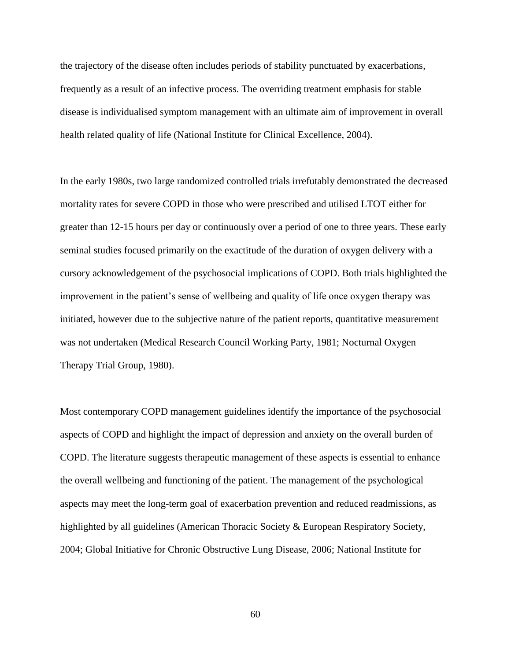the trajectory of the disease often includes periods of stability punctuated by exacerbations, frequently as a result of an infective process. The overriding treatment emphasis for stable disease is individualised symptom management with an ultimate aim of improvement in overall health related quality of life (National Institute for Clinical Excellence, 2004).

In the early 1980s, two large randomized controlled trials irrefutably demonstrated the decreased mortality rates for severe COPD in those who were prescribed and utilised LTOT either for greater than 12-15 hours per day or continuously over a period of one to three years. These early seminal studies focused primarily on the exactitude of the duration of oxygen delivery with a cursory acknowledgement of the psychosocial implications of COPD. Both trials highlighted the improvement in the patient's sense of wellbeing and quality of life once oxygen therapy was initiated, however due to the subjective nature of the patient reports, quantitative measurement was not undertaken (Medical Research Council Working Party, 1981; Nocturnal Oxygen Therapy Trial Group, 1980).

Most contemporary COPD management guidelines identify the importance of the psychosocial aspects of COPD and highlight the impact of depression and anxiety on the overall burden of COPD. The literature suggests therapeutic management of these aspects is essential to enhance the overall wellbeing and functioning of the patient. The management of the psychological aspects may meet the long-term goal of exacerbation prevention and reduced readmissions, as highlighted by all guidelines (American Thoracic Society & European Respiratory Society, 2004; Global Initiative for Chronic Obstructive Lung Disease, 2006; National Institute for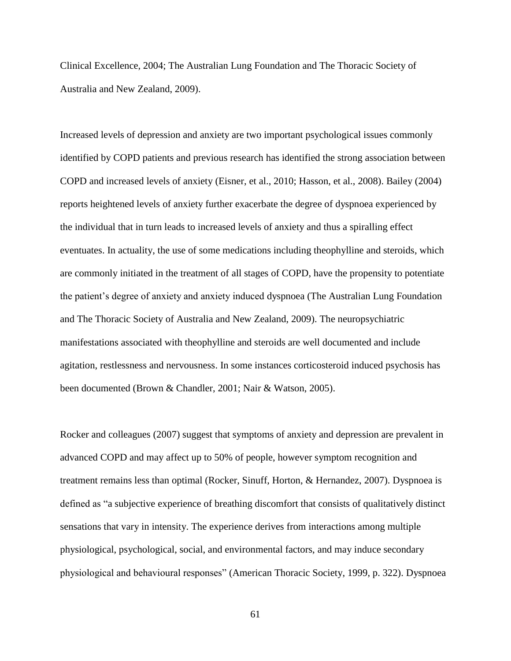Clinical Excellence, 2004; The Australian Lung Foundation and The Thoracic Society of Australia and New Zealand, 2009).

Increased levels of depression and anxiety are two important psychological issues commonly identified by COPD patients and previous research has identified the strong association between COPD and increased levels of anxiety (Eisner, et al., 2010; Hasson, et al., 2008). Bailey (2004) reports heightened levels of anxiety further exacerbate the degree of dyspnoea experienced by the individual that in turn leads to increased levels of anxiety and thus a spiralling effect eventuates. In actuality, the use of some medications including theophylline and steroids, which are commonly initiated in the treatment of all stages of COPD, have the propensity to potentiate the patient's degree of anxiety and anxiety induced dyspnoea (The Australian Lung Foundation and The Thoracic Society of Australia and New Zealand, 2009). The neuropsychiatric manifestations associated with theophylline and steroids are well documented and include agitation, restlessness and nervousness. In some instances corticosteroid induced psychosis has been documented (Brown & Chandler, 2001; Nair & Watson, 2005).

Rocker and colleagues (2007) suggest that symptoms of anxiety and depression are prevalent in advanced COPD and may affect up to 50% of people, however symptom recognition and treatment remains less than optimal (Rocker, Sinuff, Horton, & Hernandez, 2007). Dyspnoea is defined as "a subjective experience of breathing discomfort that consists of qualitatively distinct sensations that vary in intensity. The experience derives from interactions among multiple physiological, psychological, social, and environmental factors, and may induce secondary physiological and behavioural responses" (American Thoracic Society, 1999, p. 322). Dyspnoea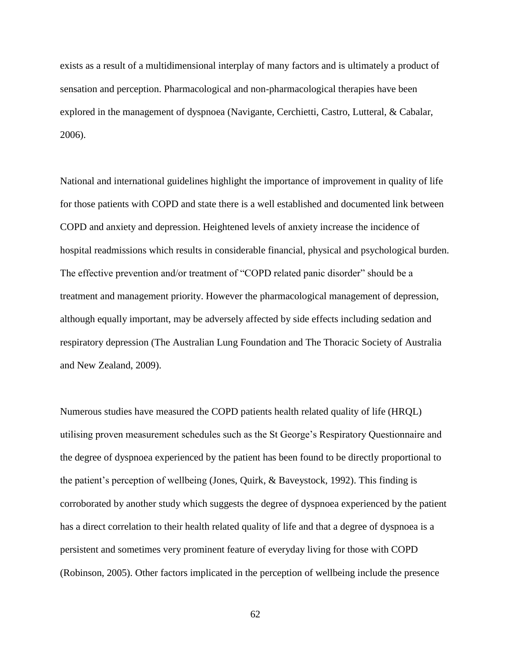exists as a result of a multidimensional interplay of many factors and is ultimately a product of sensation and perception. Pharmacological and non-pharmacological therapies have been explored in the management of dyspnoea (Navigante, Cerchietti, Castro, Lutteral, & Cabalar, 2006).

National and international guidelines highlight the importance of improvement in quality of life for those patients with COPD and state there is a well established and documented link between COPD and anxiety and depression. Heightened levels of anxiety increase the incidence of hospital readmissions which results in considerable financial, physical and psychological burden. The effective prevention and/or treatment of "COPD related panic disorder" should be a treatment and management priority. However the pharmacological management of depression, although equally important, may be adversely affected by side effects including sedation and respiratory depression (The Australian Lung Foundation and The Thoracic Society of Australia and New Zealand, 2009).

Numerous studies have measured the COPD patients health related quality of life (HRQL) utilising proven measurement schedules such as the St George's Respiratory Questionnaire and the degree of dyspnoea experienced by the patient has been found to be directly proportional to the patient's perception of wellbeing (Jones, Quirk, & Baveystock, 1992). This finding is corroborated by another study which suggests the degree of dyspnoea experienced by the patient has a direct correlation to their health related quality of life and that a degree of dyspnoea is a persistent and sometimes very prominent feature of everyday living for those with COPD (Robinson, 2005). Other factors implicated in the perception of wellbeing include the presence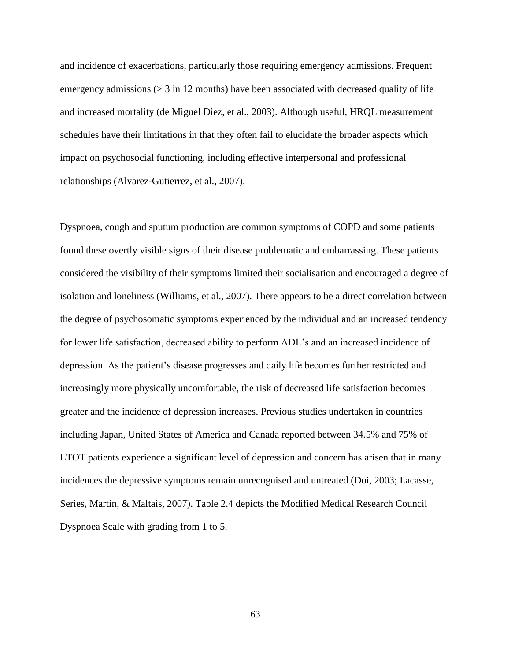and incidence of exacerbations, particularly those requiring emergency admissions. Frequent emergency admissions  $(> 3$  in 12 months) have been associated with decreased quality of life and increased mortality (de Miguel Diez, et al., 2003). Although useful, HRQL measurement schedules have their limitations in that they often fail to elucidate the broader aspects which impact on psychosocial functioning, including effective interpersonal and professional relationships (Alvarez-Gutierrez, et al., 2007).

Dyspnoea, cough and sputum production are common symptoms of COPD and some patients found these overtly visible signs of their disease problematic and embarrassing. These patients considered the visibility of their symptoms limited their socialisation and encouraged a degree of isolation and loneliness (Williams, et al., 2007). There appears to be a direct correlation between the degree of psychosomatic symptoms experienced by the individual and an increased tendency for lower life satisfaction, decreased ability to perform ADL's and an increased incidence of depression. As the patient's disease progresses and daily life becomes further restricted and increasingly more physically uncomfortable, the risk of decreased life satisfaction becomes greater and the incidence of depression increases. Previous studies undertaken in countries including Japan, United States of America and Canada reported between 34.5% and 75% of LTOT patients experience a significant level of depression and concern has arisen that in many incidences the depressive symptoms remain unrecognised and untreated (Doi, 2003; Lacasse, Series, Martin, & Maltais, 2007). Table 2.4 depicts the Modified Medical Research Council Dyspnoea Scale with grading from 1 to 5.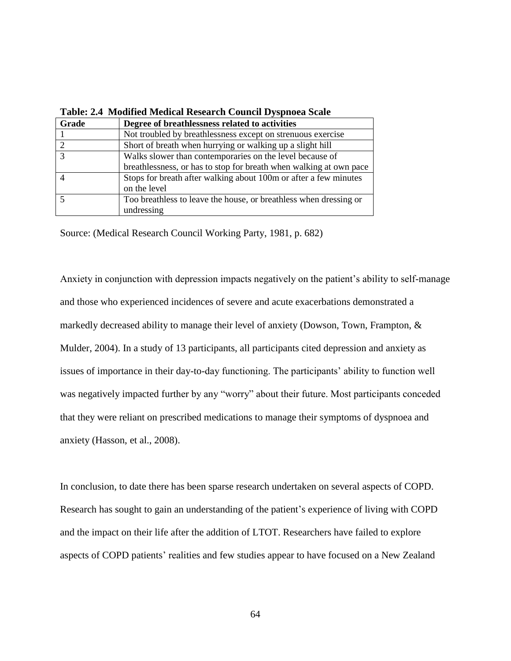| Grade        | Degree of breathlessness related to activities                     |  |  |
|--------------|--------------------------------------------------------------------|--|--|
|              | Not troubled by breathlessness except on strenuous exercise        |  |  |
|              | Short of breath when hurrying or walking up a slight hill          |  |  |
| $\mathbf{z}$ | Walks slower than contemporaries on the level because of           |  |  |
|              | breathlessness, or has to stop for breath when walking at own pace |  |  |
|              | Stops for breath after walking about 100m or after a few minutes   |  |  |
|              | on the level                                                       |  |  |
|              | Too breathless to leave the house, or breathless when dressing or  |  |  |
|              | undressing                                                         |  |  |

**Table: 2.4 Modified Medical Research Council Dyspnoea Scale**

Source: (Medical Research Council Working Party, 1981, p. 682)

Anxiety in conjunction with depression impacts negatively on the patient's ability to self-manage and those who experienced incidences of severe and acute exacerbations demonstrated a markedly decreased ability to manage their level of anxiety (Dowson, Town, Frampton, & Mulder, 2004). In a study of 13 participants, all participants cited depression and anxiety as issues of importance in their day-to-day functioning. The participants' ability to function well was negatively impacted further by any "worry" about their future. Most participants conceded that they were reliant on prescribed medications to manage their symptoms of dyspnoea and anxiety (Hasson, et al., 2008).

In conclusion, to date there has been sparse research undertaken on several aspects of COPD. Research has sought to gain an understanding of the patient's experience of living with COPD and the impact on their life after the addition of LTOT. Researchers have failed to explore aspects of COPD patients' realities and few studies appear to have focused on a New Zealand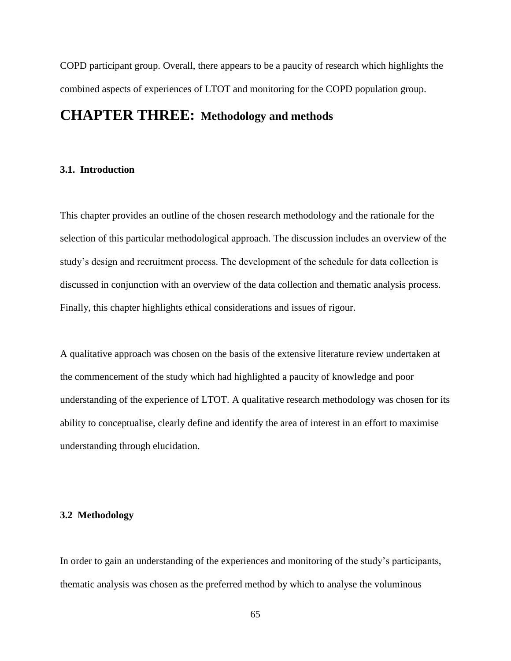COPD participant group. Overall, there appears to be a paucity of research which highlights the combined aspects of experiences of LTOT and monitoring for the COPD population group.

# **CHAPTER THREE: Methodology and methods**

### **3.1. Introduction**

This chapter provides an outline of the chosen research methodology and the rationale for the selection of this particular methodological approach. The discussion includes an overview of the study's design and recruitment process. The development of the schedule for data collection is discussed in conjunction with an overview of the data collection and thematic analysis process. Finally, this chapter highlights ethical considerations and issues of rigour.

A qualitative approach was chosen on the basis of the extensive literature review undertaken at the commencement of the study which had highlighted a paucity of knowledge and poor understanding of the experience of LTOT. A qualitative research methodology was chosen for its ability to conceptualise, clearly define and identify the area of interest in an effort to maximise understanding through elucidation.

### **3.2 Methodology**

In order to gain an understanding of the experiences and monitoring of the study's participants, thematic analysis was chosen as the preferred method by which to analyse the voluminous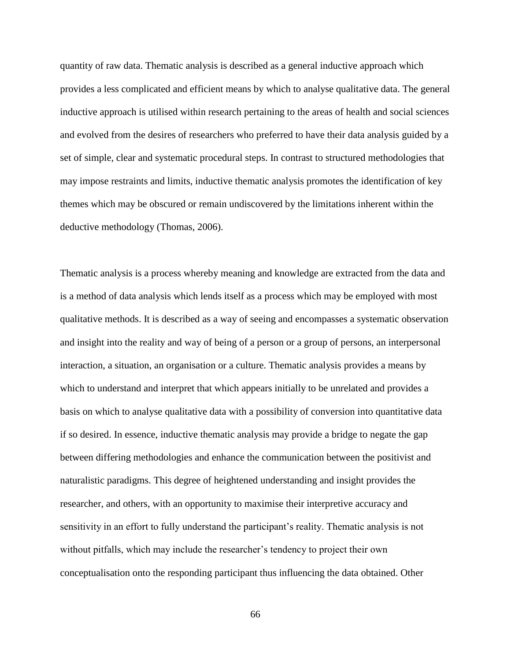quantity of raw data. Thematic analysis is described as a general inductive approach which provides a less complicated and efficient means by which to analyse qualitative data. The general inductive approach is utilised within research pertaining to the areas of health and social sciences and evolved from the desires of researchers who preferred to have their data analysis guided by a set of simple, clear and systematic procedural steps. In contrast to structured methodologies that may impose restraints and limits, inductive thematic analysis promotes the identification of key themes which may be obscured or remain undiscovered by the limitations inherent within the deductive methodology (Thomas, 2006).

Thematic analysis is a process whereby meaning and knowledge are extracted from the data and is a method of data analysis which lends itself as a process which may be employed with most qualitative methods. It is described as a way of seeing and encompasses a systematic observation and insight into the reality and way of being of a person or a group of persons, an interpersonal interaction, a situation, an organisation or a culture. Thematic analysis provides a means by which to understand and interpret that which appears initially to be unrelated and provides a basis on which to analyse qualitative data with a possibility of conversion into quantitative data if so desired. In essence, inductive thematic analysis may provide a bridge to negate the gap between differing methodologies and enhance the communication between the positivist and naturalistic paradigms. This degree of heightened understanding and insight provides the researcher, and others, with an opportunity to maximise their interpretive accuracy and sensitivity in an effort to fully understand the participant's reality. Thematic analysis is not without pitfalls, which may include the researcher's tendency to project their own conceptualisation onto the responding participant thus influencing the data obtained. Other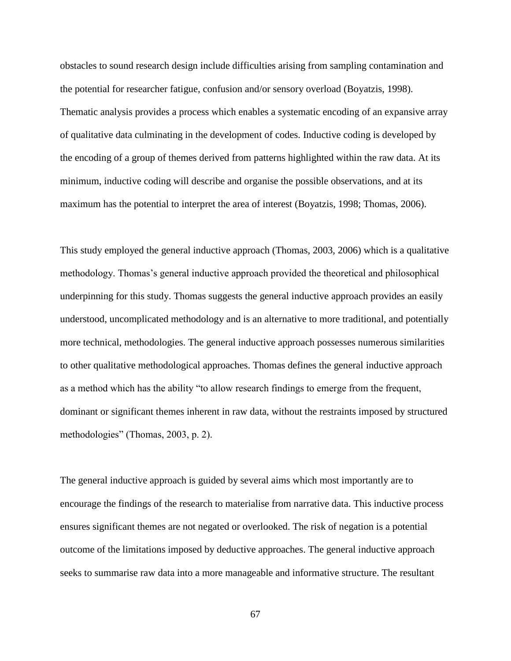obstacles to sound research design include difficulties arising from sampling contamination and the potential for researcher fatigue, confusion and/or sensory overload (Boyatzis, 1998). Thematic analysis provides a process which enables a systematic encoding of an expansive array of qualitative data culminating in the development of codes. Inductive coding is developed by the encoding of a group of themes derived from patterns highlighted within the raw data. At its minimum, inductive coding will describe and organise the possible observations, and at its maximum has the potential to interpret the area of interest (Boyatzis, 1998; Thomas, 2006).

This study employed the general inductive approach (Thomas, 2003, 2006) which is a qualitative methodology. Thomas's general inductive approach provided the theoretical and philosophical underpinning for this study. Thomas suggests the general inductive approach provides an easily understood, uncomplicated methodology and is an alternative to more traditional, and potentially more technical, methodologies. The general inductive approach possesses numerous similarities to other qualitative methodological approaches. Thomas defines the general inductive approach as a method which has the ability "to allow research findings to emerge from the frequent, dominant or significant themes inherent in raw data, without the restraints imposed by structured methodologies" (Thomas, 2003, p. 2).

The general inductive approach is guided by several aims which most importantly are to encourage the findings of the research to materialise from narrative data. This inductive process ensures significant themes are not negated or overlooked. The risk of negation is a potential outcome of the limitations imposed by deductive approaches. The general inductive approach seeks to summarise raw data into a more manageable and informative structure. The resultant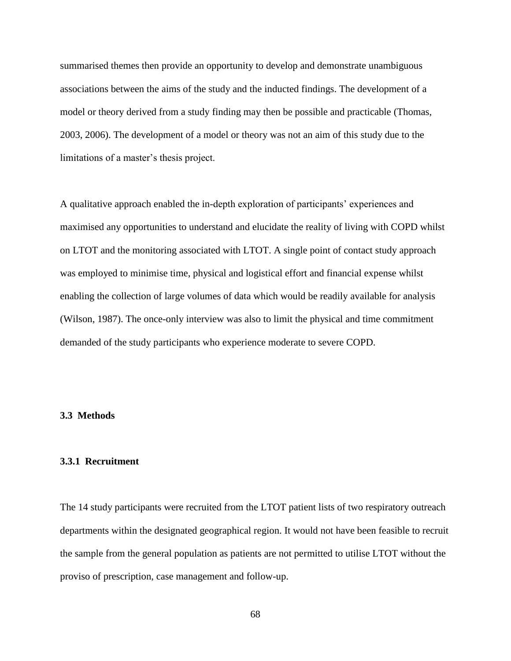summarised themes then provide an opportunity to develop and demonstrate unambiguous associations between the aims of the study and the inducted findings. The development of a model or theory derived from a study finding may then be possible and practicable (Thomas, 2003, 2006). The development of a model or theory was not an aim of this study due to the limitations of a master's thesis project.

A qualitative approach enabled the in-depth exploration of participants' experiences and maximised any opportunities to understand and elucidate the reality of living with COPD whilst on LTOT and the monitoring associated with LTOT. A single point of contact study approach was employed to minimise time, physical and logistical effort and financial expense whilst enabling the collection of large volumes of data which would be readily available for analysis (Wilson, 1987). The once-only interview was also to limit the physical and time commitment demanded of the study participants who experience moderate to severe COPD.

#### **3.3 Methods**

### **3.3.1 Recruitment**

The 14 study participants were recruited from the LTOT patient lists of two respiratory outreach departments within the designated geographical region. It would not have been feasible to recruit the sample from the general population as patients are not permitted to utilise LTOT without the proviso of prescription, case management and follow-up.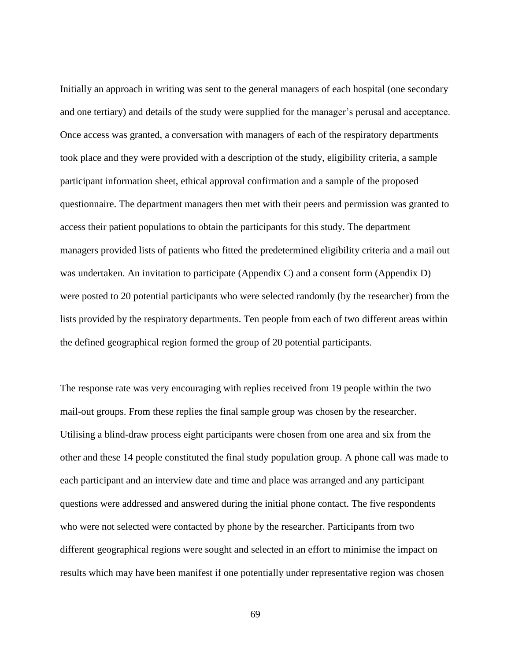Initially an approach in writing was sent to the general managers of each hospital (one secondary and one tertiary) and details of the study were supplied for the manager's perusal and acceptance. Once access was granted, a conversation with managers of each of the respiratory departments took place and they were provided with a description of the study, eligibility criteria, a sample participant information sheet, ethical approval confirmation and a sample of the proposed questionnaire. The department managers then met with their peers and permission was granted to access their patient populations to obtain the participants for this study. The department managers provided lists of patients who fitted the predetermined eligibility criteria and a mail out was undertaken. An invitation to participate (Appendix C) and a consent form (Appendix D) were posted to 20 potential participants who were selected randomly (by the researcher) from the lists provided by the respiratory departments. Ten people from each of two different areas within the defined geographical region formed the group of 20 potential participants.

The response rate was very encouraging with replies received from 19 people within the two mail-out groups. From these replies the final sample group was chosen by the researcher. Utilising a blind-draw process eight participants were chosen from one area and six from the other and these 14 people constituted the final study population group. A phone call was made to each participant and an interview date and time and place was arranged and any participant questions were addressed and answered during the initial phone contact. The five respondents who were not selected were contacted by phone by the researcher. Participants from two different geographical regions were sought and selected in an effort to minimise the impact on results which may have been manifest if one potentially under representative region was chosen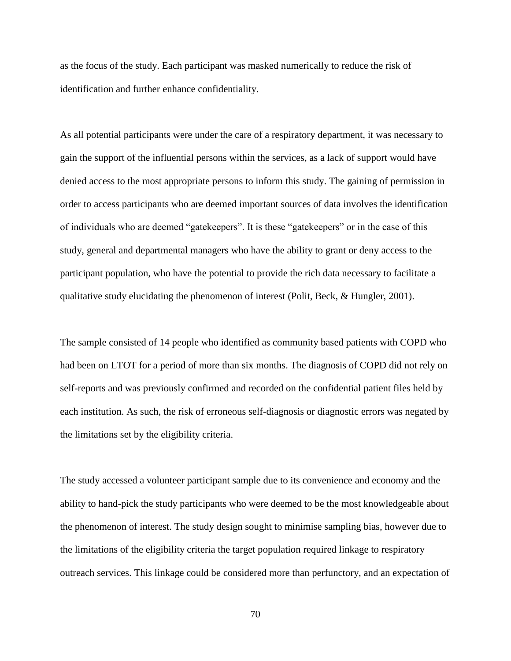as the focus of the study. Each participant was masked numerically to reduce the risk of identification and further enhance confidentiality.

As all potential participants were under the care of a respiratory department, it was necessary to gain the support of the influential persons within the services, as a lack of support would have denied access to the most appropriate persons to inform this study. The gaining of permission in order to access participants who are deemed important sources of data involves the identification of individuals who are deemed "gatekeepers". It is these "gatekeepers" or in the case of this study, general and departmental managers who have the ability to grant or deny access to the participant population, who have the potential to provide the rich data necessary to facilitate a qualitative study elucidating the phenomenon of interest (Polit, Beck, & Hungler, 2001).

The sample consisted of 14 people who identified as community based patients with COPD who had been on LTOT for a period of more than six months. The diagnosis of COPD did not rely on self-reports and was previously confirmed and recorded on the confidential patient files held by each institution. As such, the risk of erroneous self-diagnosis or diagnostic errors was negated by the limitations set by the eligibility criteria.

The study accessed a volunteer participant sample due to its convenience and economy and the ability to hand-pick the study participants who were deemed to be the most knowledgeable about the phenomenon of interest. The study design sought to minimise sampling bias, however due to the limitations of the eligibility criteria the target population required linkage to respiratory outreach services. This linkage could be considered more than perfunctory, and an expectation of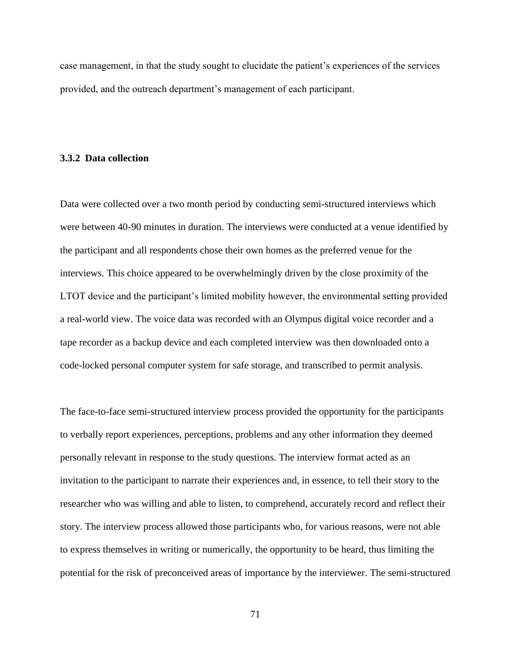case management, in that the study sought to elucidate the patient's experiences of the services provided, and the outreach department's management of each participant.

#### **3.3.2 Data collection**

Data were collected over a two month period by conducting semi-structured interviews which were between 40-90 minutes in duration. The interviews were conducted at a venue identified by the participant and all respondents chose their own homes as the preferred venue for the interviews. This choice appeared to be overwhelmingly driven by the close proximity of the LTOT device and the participant's limited mobility however, the environmental setting provided a real-world view. The voice data was recorded with an Olympus digital voice recorder and a tape recorder as a backup device and each completed interview was then downloaded onto a code-locked personal computer system for safe storage, and transcribed to permit analysis.

The face-to-face semi-structured interview process provided the opportunity for the participants to verbally report experiences, perceptions, problems and any other information they deemed personally relevant in response to the study questions. The interview format acted as an invitation to the participant to narrate their experiences and, in essence, to tell their story to the researcher who was willing and able to listen, to comprehend, accurately record and reflect their story. The interview process allowed those participants who, for various reasons, were not able to express themselves in writing or numerically, the opportunity to be heard, thus limiting the potential for the risk of preconceived areas of importance by the interviewer. The semi-structured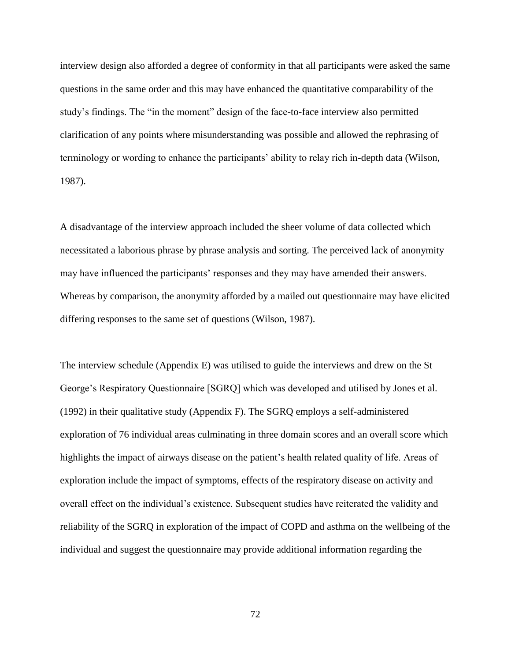interview design also afforded a degree of conformity in that all participants were asked the same questions in the same order and this may have enhanced the quantitative comparability of the study's findings. The "in the moment" design of the face-to-face interview also permitted clarification of any points where misunderstanding was possible and allowed the rephrasing of terminology or wording to enhance the participants' ability to relay rich in-depth data (Wilson, 1987).

A disadvantage of the interview approach included the sheer volume of data collected which necessitated a laborious phrase by phrase analysis and sorting. The perceived lack of anonymity may have influenced the participants' responses and they may have amended their answers. Whereas by comparison, the anonymity afforded by a mailed out questionnaire may have elicited differing responses to the same set of questions (Wilson, 1987).

The interview schedule (Appendix E) was utilised to guide the interviews and drew on the St George's Respiratory Questionnaire [SGRQ] which was developed and utilised by Jones et al. (1992) in their qualitative study (Appendix F). The SGRQ employs a self-administered exploration of 76 individual areas culminating in three domain scores and an overall score which highlights the impact of airways disease on the patient's health related quality of life. Areas of exploration include the impact of symptoms, effects of the respiratory disease on activity and overall effect on the individual's existence. Subsequent studies have reiterated the validity and reliability of the SGRQ in exploration of the impact of COPD and asthma on the wellbeing of the individual and suggest the questionnaire may provide additional information regarding the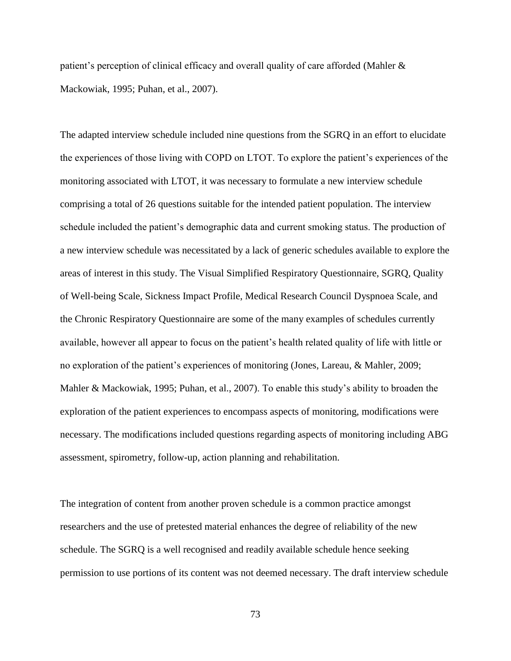patient's perception of clinical efficacy and overall quality of care afforded (Mahler & Mackowiak, 1995; Puhan, et al., 2007).

The adapted interview schedule included nine questions from the SGRQ in an effort to elucidate the experiences of those living with COPD on LTOT. To explore the patient's experiences of the monitoring associated with LTOT, it was necessary to formulate a new interview schedule comprising a total of 26 questions suitable for the intended patient population. The interview schedule included the patient's demographic data and current smoking status. The production of a new interview schedule was necessitated by a lack of generic schedules available to explore the areas of interest in this study. The Visual Simplified Respiratory Questionnaire, SGRQ, Quality of Well-being Scale, Sickness Impact Profile, Medical Research Council Dyspnoea Scale, and the Chronic Respiratory Questionnaire are some of the many examples of schedules currently available, however all appear to focus on the patient's health related quality of life with little or no exploration of the patient's experiences of monitoring (Jones, Lareau, & Mahler, 2009; Mahler & Mackowiak, 1995; Puhan, et al., 2007). To enable this study's ability to broaden the exploration of the patient experiences to encompass aspects of monitoring, modifications were necessary. The modifications included questions regarding aspects of monitoring including ABG assessment, spirometry, follow-up, action planning and rehabilitation.

The integration of content from another proven schedule is a common practice amongst researchers and the use of pretested material enhances the degree of reliability of the new schedule. The SGRQ is a well recognised and readily available schedule hence seeking permission to use portions of its content was not deemed necessary. The draft interview schedule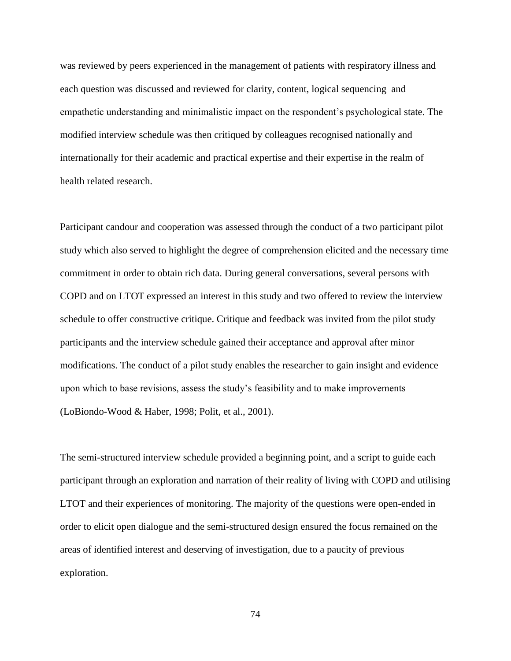was reviewed by peers experienced in the management of patients with respiratory illness and each question was discussed and reviewed for clarity, content, logical sequencing and empathetic understanding and minimalistic impact on the respondent's psychological state. The modified interview schedule was then critiqued by colleagues recognised nationally and internationally for their academic and practical expertise and their expertise in the realm of health related research.

Participant candour and cooperation was assessed through the conduct of a two participant pilot study which also served to highlight the degree of comprehension elicited and the necessary time commitment in order to obtain rich data. During general conversations, several persons with COPD and on LTOT expressed an interest in this study and two offered to review the interview schedule to offer constructive critique. Critique and feedback was invited from the pilot study participants and the interview schedule gained their acceptance and approval after minor modifications. The conduct of a pilot study enables the researcher to gain insight and evidence upon which to base revisions, assess the study's feasibility and to make improvements (LoBiondo-Wood & Haber, 1998; Polit, et al., 2001).

The semi-structured interview schedule provided a beginning point, and a script to guide each participant through an exploration and narration of their reality of living with COPD and utilising LTOT and their experiences of monitoring. The majority of the questions were open-ended in order to elicit open dialogue and the semi-structured design ensured the focus remained on the areas of identified interest and deserving of investigation, due to a paucity of previous exploration.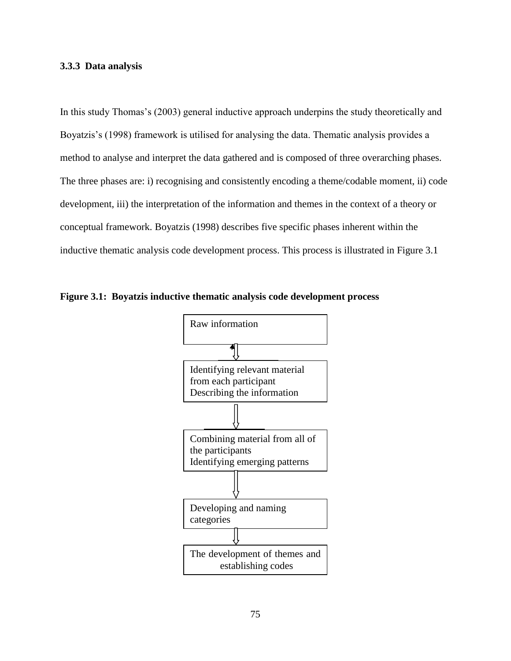# **3.3.3 Data analysis**

In this study Thomas's (2003) general inductive approach underpins the study theoretically and Boyatzis's (1998) framework is utilised for analysing the data. Thematic analysis provides a method to analyse and interpret the data gathered and is composed of three overarching phases. The three phases are: i) recognising and consistently encoding a theme/codable moment, ii) code development, iii) the interpretation of the information and themes in the context of a theory or conceptual framework. Boyatzis (1998) describes five specific phases inherent within the inductive thematic analysis code development process. This process is illustrated in Figure 3.1



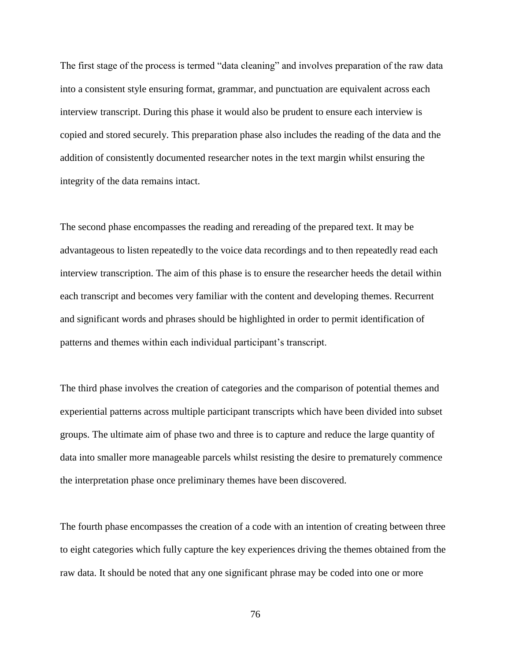The first stage of the process is termed "data cleaning" and involves preparation of the raw data into a consistent style ensuring format, grammar, and punctuation are equivalent across each interview transcript. During this phase it would also be prudent to ensure each interview is copied and stored securely. This preparation phase also includes the reading of the data and the addition of consistently documented researcher notes in the text margin whilst ensuring the integrity of the data remains intact.

The second phase encompasses the reading and rereading of the prepared text. It may be advantageous to listen repeatedly to the voice data recordings and to then repeatedly read each interview transcription. The aim of this phase is to ensure the researcher heeds the detail within each transcript and becomes very familiar with the content and developing themes. Recurrent and significant words and phrases should be highlighted in order to permit identification of patterns and themes within each individual participant's transcript.

The third phase involves the creation of categories and the comparison of potential themes and experiential patterns across multiple participant transcripts which have been divided into subset groups. The ultimate aim of phase two and three is to capture and reduce the large quantity of data into smaller more manageable parcels whilst resisting the desire to prematurely commence the interpretation phase once preliminary themes have been discovered.

The fourth phase encompasses the creation of a code with an intention of creating between three to eight categories which fully capture the key experiences driving the themes obtained from the raw data. It should be noted that any one significant phrase may be coded into one or more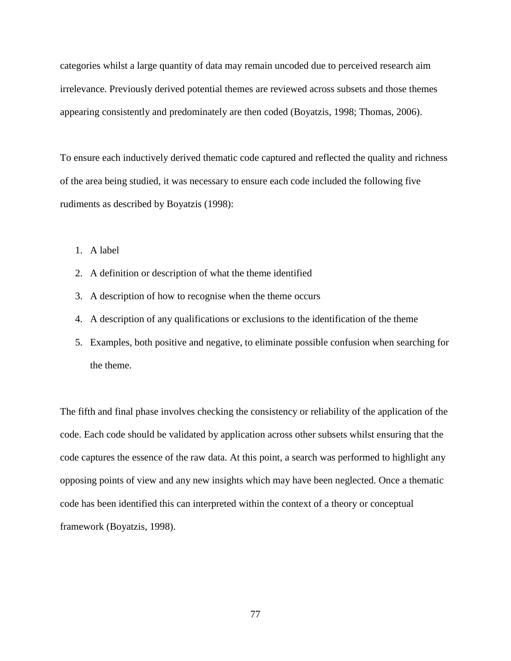categories whilst a large quantity of data may remain uncoded due to perceived research aim irrelevance. Previously derived potential themes are reviewed across subsets and those themes appearing consistently and predominately are then coded (Boyatzis, 1998; Thomas, 2006).

To ensure each inductively derived thematic code captured and reflected the quality and richness of the area being studied, it was necessary to ensure each code included the following five rudiments as described by Boyatzis (1998):

- 1. A label
- 2. A definition or description of what the theme identified
- 3. A description of how to recognise when the theme occurs
- 4. A description of any qualifications or exclusions to the identification of the theme
- 5. Examples, both positive and negative, to eliminate possible confusion when searching for the theme.

The fifth and final phase involves checking the consistency or reliability of the application of the code. Each code should be validated by application across other subsets whilst ensuring that the code captures the essence of the raw data. At this point, a search was performed to highlight any opposing points of view and any new insights which may have been neglected. Once a thematic code has been identified this can interpreted within the context of a theory or conceptual framework (Boyatzis, 1998).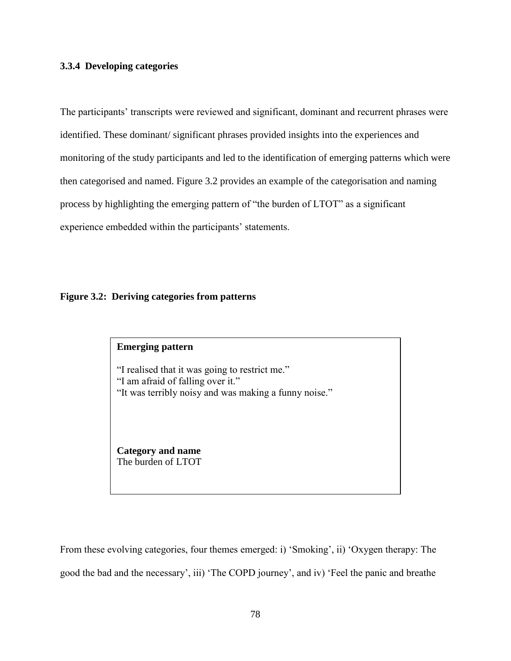# **3.3.4 Developing categories**

The participants' transcripts were reviewed and significant, dominant and recurrent phrases were identified. These dominant/ significant phrases provided insights into the experiences and monitoring of the study participants and led to the identification of emerging patterns which were then categorised and named. Figure 3.2 provides an example of the categorisation and naming process by highlighting the emerging pattern of "the burden of LTOT" as a significant experience embedded within the participants' statements.

# **Figure 3.2: Deriving categories from patterns**

# **Emerging pattern**

"I realised that it was going to restrict me." "I am afraid of falling over it." "It was terribly noisy and was making a funny noise."

**Category and name** The burden of LTOT

From these evolving categories, four themes emerged: i) 'Smoking', ii) 'Oxygen therapy: The good the bad and the necessary', iii) 'The COPD journey', and iv) 'Feel the panic and breathe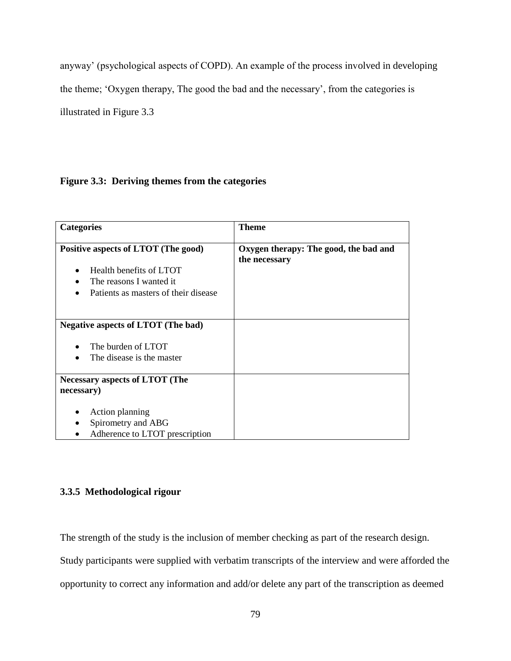anyway' (psychological aspects of COPD). An example of the process involved in developing the theme; 'Oxygen therapy, The good the bad and the necessary', from the categories is illustrated in Figure 3.3

# **Figure 3.3: Deriving themes from the categories**

| <b>Categories</b>                                                                                                                 | <b>Theme</b>                                           |  |
|-----------------------------------------------------------------------------------------------------------------------------------|--------------------------------------------------------|--|
| Positive aspects of LTOT (The good)<br>Health benefits of LTOT<br>The reasons I wanted it<br>Patients as masters of their disease | Oxygen therapy: The good, the bad and<br>the necessary |  |
| <b>Negative aspects of LTOT (The bad)</b><br>The burden of LTOT<br>The disease is the master                                      |                                                        |  |
| <b>Necessary aspects of LTOT (The</b><br>necessary)<br>Action planning<br>Spirometry and ABG<br>Adherence to LTOT prescription    |                                                        |  |

# **3.3.5 Methodological rigour**

The strength of the study is the inclusion of member checking as part of the research design.

Study participants were supplied with verbatim transcripts of the interview and were afforded the

opportunity to correct any information and add/or delete any part of the transcription as deemed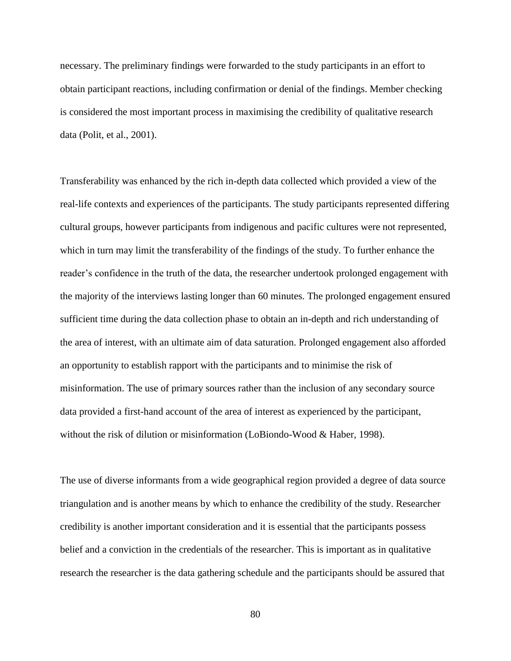necessary. The preliminary findings were forwarded to the study participants in an effort to obtain participant reactions, including confirmation or denial of the findings. Member checking is considered the most important process in maximising the credibility of qualitative research data (Polit, et al., 2001).

Transferability was enhanced by the rich in-depth data collected which provided a view of the real-life contexts and experiences of the participants. The study participants represented differing cultural groups, however participants from indigenous and pacific cultures were not represented, which in turn may limit the transferability of the findings of the study. To further enhance the reader's confidence in the truth of the data, the researcher undertook prolonged engagement with the majority of the interviews lasting longer than 60 minutes. The prolonged engagement ensured sufficient time during the data collection phase to obtain an in-depth and rich understanding of the area of interest, with an ultimate aim of data saturation. Prolonged engagement also afforded an opportunity to establish rapport with the participants and to minimise the risk of misinformation. The use of primary sources rather than the inclusion of any secondary source data provided a first-hand account of the area of interest as experienced by the participant, without the risk of dilution or misinformation (LoBiondo-Wood & Haber, 1998).

The use of diverse informants from a wide geographical region provided a degree of data source triangulation and is another means by which to enhance the credibility of the study. Researcher credibility is another important consideration and it is essential that the participants possess belief and a conviction in the credentials of the researcher. This is important as in qualitative research the researcher is the data gathering schedule and the participants should be assured that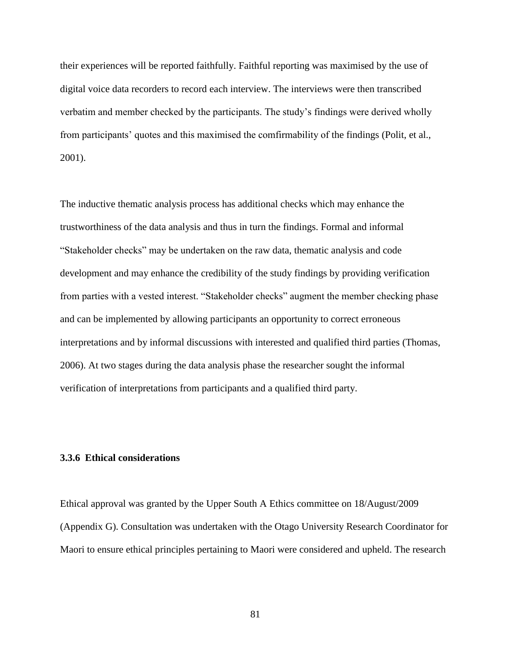their experiences will be reported faithfully. Faithful reporting was maximised by the use of digital voice data recorders to record each interview. The interviews were then transcribed verbatim and member checked by the participants. The study's findings were derived wholly from participants' quotes and this maximised the comfirmability of the findings (Polit, et al., 2001).

The inductive thematic analysis process has additional checks which may enhance the trustworthiness of the data analysis and thus in turn the findings. Formal and informal "Stakeholder checks" may be undertaken on the raw data, thematic analysis and code development and may enhance the credibility of the study findings by providing verification from parties with a vested interest. "Stakeholder checks" augment the member checking phase and can be implemented by allowing participants an opportunity to correct erroneous interpretations and by informal discussions with interested and qualified third parties (Thomas, 2006). At two stages during the data analysis phase the researcher sought the informal verification of interpretations from participants and a qualified third party.

# **3.3.6 Ethical considerations**

Ethical approval was granted by the Upper South A Ethics committee on 18/August/2009 (Appendix G). Consultation was undertaken with the Otago University Research Coordinator for Maori to ensure ethical principles pertaining to Maori were considered and upheld. The research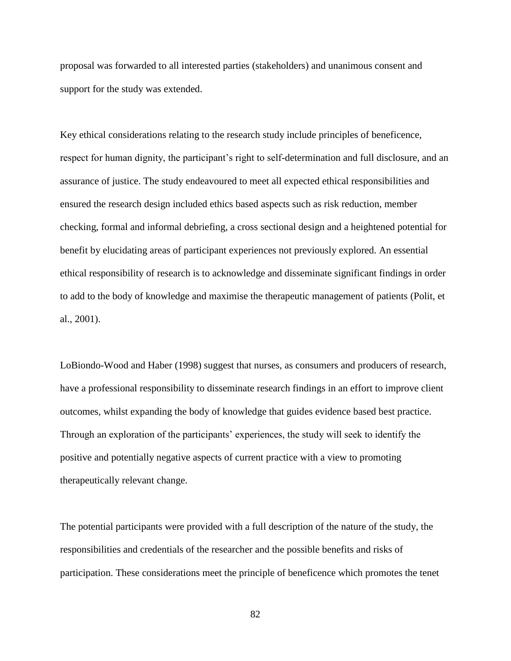proposal was forwarded to all interested parties (stakeholders) and unanimous consent and support for the study was extended.

Key ethical considerations relating to the research study include principles of beneficence, respect for human dignity, the participant's right to self-determination and full disclosure, and an assurance of justice. The study endeavoured to meet all expected ethical responsibilities and ensured the research design included ethics based aspects such as risk reduction, member checking, formal and informal debriefing, a cross sectional design and a heightened potential for benefit by elucidating areas of participant experiences not previously explored. An essential ethical responsibility of research is to acknowledge and disseminate significant findings in order to add to the body of knowledge and maximise the therapeutic management of patients (Polit, et al., 2001).

LoBiondo-Wood and Haber (1998) suggest that nurses, as consumers and producers of research, have a professional responsibility to disseminate research findings in an effort to improve client outcomes, whilst expanding the body of knowledge that guides evidence based best practice. Through an exploration of the participants' experiences, the study will seek to identify the positive and potentially negative aspects of current practice with a view to promoting therapeutically relevant change.

The potential participants were provided with a full description of the nature of the study, the responsibilities and credentials of the researcher and the possible benefits and risks of participation. These considerations meet the principle of beneficence which promotes the tenet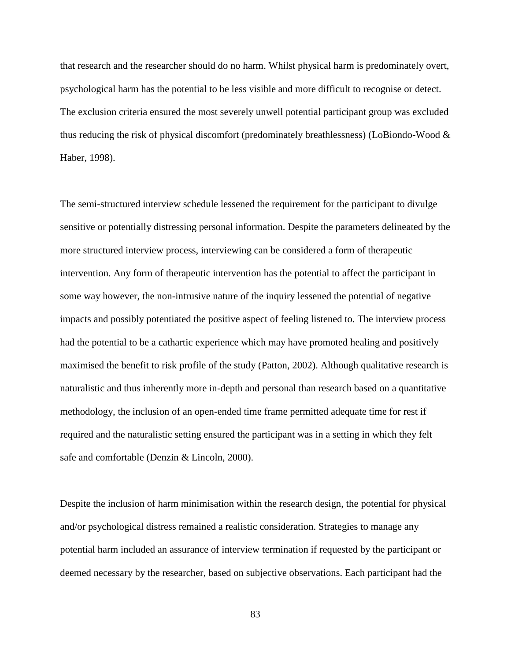that research and the researcher should do no harm. Whilst physical harm is predominately overt, psychological harm has the potential to be less visible and more difficult to recognise or detect. The exclusion criteria ensured the most severely unwell potential participant group was excluded thus reducing the risk of physical discomfort (predominately breathlessness) (LoBiondo-Wood & Haber, 1998).

The semi-structured interview schedule lessened the requirement for the participant to divulge sensitive or potentially distressing personal information. Despite the parameters delineated by the more structured interview process, interviewing can be considered a form of therapeutic intervention. Any form of therapeutic intervention has the potential to affect the participant in some way however, the non-intrusive nature of the inquiry lessened the potential of negative impacts and possibly potentiated the positive aspect of feeling listened to. The interview process had the potential to be a cathartic experience which may have promoted healing and positively maximised the benefit to risk profile of the study (Patton, 2002). Although qualitative research is naturalistic and thus inherently more in-depth and personal than research based on a quantitative methodology, the inclusion of an open-ended time frame permitted adequate time for rest if required and the naturalistic setting ensured the participant was in a setting in which they felt safe and comfortable (Denzin & Lincoln, 2000).

Despite the inclusion of harm minimisation within the research design, the potential for physical and/or psychological distress remained a realistic consideration. Strategies to manage any potential harm included an assurance of interview termination if requested by the participant or deemed necessary by the researcher, based on subjective observations. Each participant had the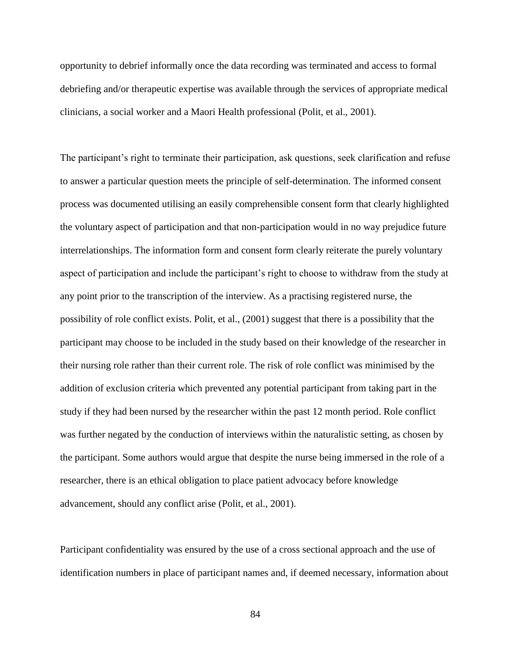opportunity to debrief informally once the data recording was terminated and access to formal debriefing and/or therapeutic expertise was available through the services of appropriate medical clinicians, a social worker and a Maori Health professional (Polit, et al., 2001).

The participant's right to terminate their participation, ask questions, seek clarification and refuse to answer a particular question meets the principle of self-determination. The informed consent process was documented utilising an easily comprehensible consent form that clearly highlighted the voluntary aspect of participation and that non-participation would in no way prejudice future interrelationships. The information form and consent form clearly reiterate the purely voluntary aspect of participation and include the participant's right to choose to withdraw from the study at any point prior to the transcription of the interview. As a practising registered nurse, the possibility of role conflict exists. Polit, et al., (2001) suggest that there is a possibility that the participant may choose to be included in the study based on their knowledge of the researcher in their nursing role rather than their current role. The risk of role conflict was minimised by the addition of exclusion criteria which prevented any potential participant from taking part in the study if they had been nursed by the researcher within the past 12 month period. Role conflict was further negated by the conduction of interviews within the naturalistic setting, as chosen by the participant. Some authors would argue that despite the nurse being immersed in the role of a researcher, there is an ethical obligation to place patient advocacy before knowledge advancement, should any conflict arise (Polit, et al., 2001).

Participant confidentiality was ensured by the use of a cross sectional approach and the use of identification numbers in place of participant names and, if deemed necessary, information about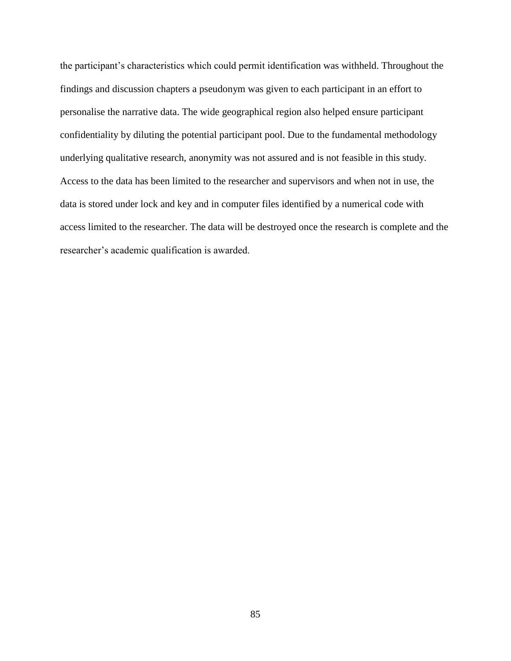the participant's characteristics which could permit identification was withheld. Throughout the findings and discussion chapters a pseudonym was given to each participant in an effort to personalise the narrative data. The wide geographical region also helped ensure participant confidentiality by diluting the potential participant pool. Due to the fundamental methodology underlying qualitative research, anonymity was not assured and is not feasible in this study. Access to the data has been limited to the researcher and supervisors and when not in use, the data is stored under lock and key and in computer files identified by a numerical code with access limited to the researcher. The data will be destroyed once the research is complete and the researcher's academic qualification is awarded.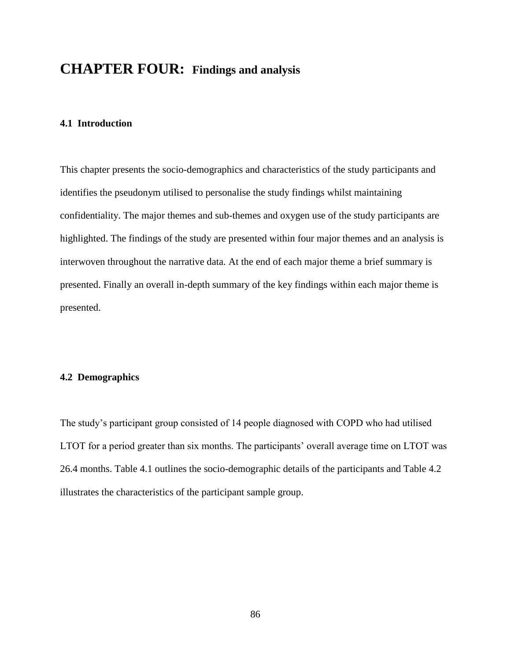# **CHAPTER FOUR: Findings and analysis**

# **4.1 Introduction**

This chapter presents the socio-demographics and characteristics of the study participants and identifies the pseudonym utilised to personalise the study findings whilst maintaining confidentiality. The major themes and sub-themes and oxygen use of the study participants are highlighted. The findings of the study are presented within four major themes and an analysis is interwoven throughout the narrative data. At the end of each major theme a brief summary is presented. Finally an overall in-depth summary of the key findings within each major theme is presented.

# **4.2 Demographics**

The study's participant group consisted of 14 people diagnosed with COPD who had utilised LTOT for a period greater than six months. The participants' overall average time on LTOT was 26.4 months. Table 4.1 outlines the socio-demographic details of the participants and Table 4.2 illustrates the characteristics of the participant sample group.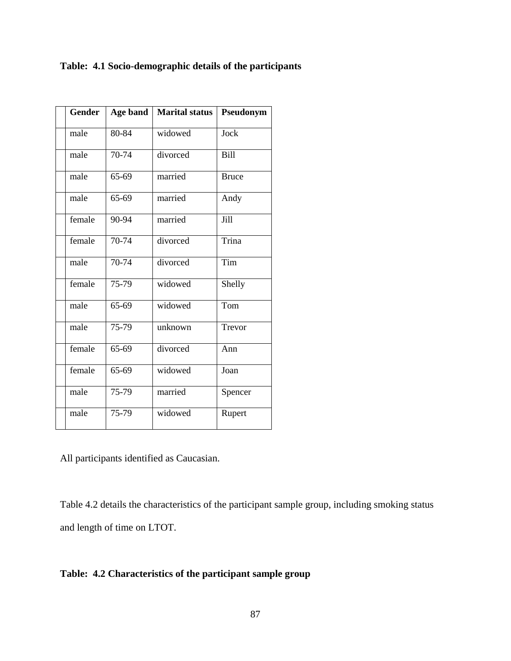# **Table: 4.1 Socio-demographic details of the participants**

| <b>Gender</b> | Age band  | <b>Marital status</b> | Pseudonym    |
|---------------|-----------|-----------------------|--------------|
| male          | 80-84     | widowed               | Jock         |
| male          | 70-74     | divorced              | <b>Bill</b>  |
| male          | 65-69     | married               | <b>Bruce</b> |
| male          | 65-69     | married               | Andy         |
| female        | 90-94     | married               | Jill         |
| female        | 70-74     | divorced              | Trina        |
| male          | 70-74     | divorced              | Tim          |
| female        | 75-79     | widowed               | Shelly       |
| male          | 65-69     | widowed               | Tom          |
| male          | 75-79     | unknown               | Trevor       |
| female        | 65-69     | divorced              | Ann          |
| female        | $65 - 69$ | widowed               | Joan         |
| male          | 75-79     | married               | Spencer      |
| male          | 75-79     | widowed               | Rupert       |

All participants identified as Caucasian.

Table 4.2 details the characteristics of the participant sample group, including smoking status and length of time on LTOT.

# **Table: 4.2 Characteristics of the participant sample group**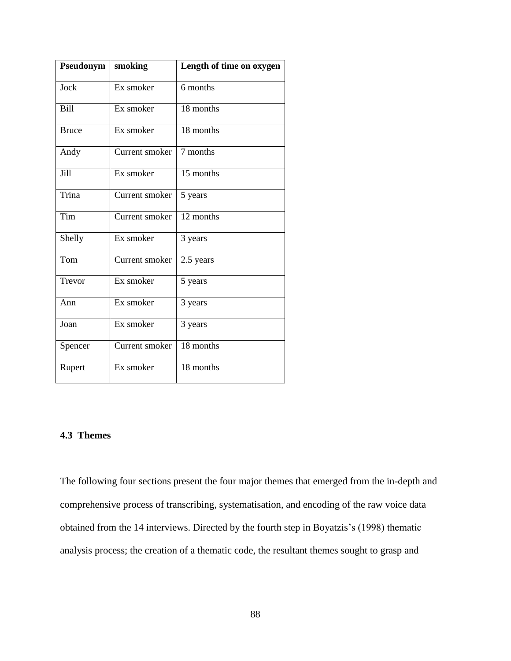| Pseudonym    | smoking        | Length of time on oxygen |
|--------------|----------------|--------------------------|
| Jock         | Ex smoker      | 6 months                 |
| <b>Bill</b>  | Ex smoker      | 18 months                |
| <b>Bruce</b> | Ex smoker      | 18 months                |
| Andy         | Current smoker | 7 months                 |
| Jill         | Ex smoker      | 15 months                |
| Trina        | Current smoker | 5 years                  |
| Tim          | Current smoker | 12 months                |
| Shelly       | Ex smoker      | 3 years                  |
| Tom          | Current smoker | 2.5 years                |
| Trevor       | Ex smoker      | 5 years                  |
| Ann          | Ex smoker      | 3 years                  |
| Joan         | Ex smoker      | 3 years                  |
| Spencer      | Current smoker | 18 months                |
| Rupert       | Ex smoker      | 18 months                |

# **4.3 Themes**

The following four sections present the four major themes that emerged from the in-depth and comprehensive process of transcribing, systematisation, and encoding of the raw voice data obtained from the 14 interviews. Directed by the fourth step in Boyatzis's (1998) thematic analysis process; the creation of a thematic code, the resultant themes sought to grasp and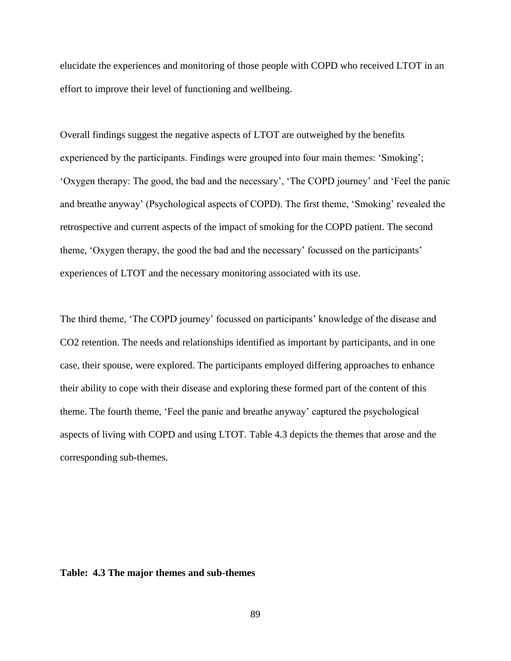elucidate the experiences and monitoring of those people with COPD who received LTOT in an effort to improve their level of functioning and wellbeing.

Overall findings suggest the negative aspects of LTOT are outweighed by the benefits experienced by the participants. Findings were grouped into four main themes: 'Smoking'; 'Oxygen therapy: The good, the bad and the necessary', 'The COPD journey' and 'Feel the panic and breathe anyway' (Psychological aspects of COPD). The first theme, 'Smoking' revealed the retrospective and current aspects of the impact of smoking for the COPD patient. The second theme, 'Oxygen therapy, the good the bad and the necessary' focussed on the participants' experiences of LTOT and the necessary monitoring associated with its use.

The third theme, 'The COPD journey' focussed on participants' knowledge of the disease and CO2 retention. The needs and relationships identified as important by participants, and in one case, their spouse, were explored. The participants employed differing approaches to enhance their ability to cope with their disease and exploring these formed part of the content of this theme. The fourth theme, 'Feel the panic and breathe anyway' captured the psychological aspects of living with COPD and using LTOT. Table 4.3 depicts the themes that arose and the corresponding sub-themes.

#### **Table: 4.3 The major themes and sub-themes**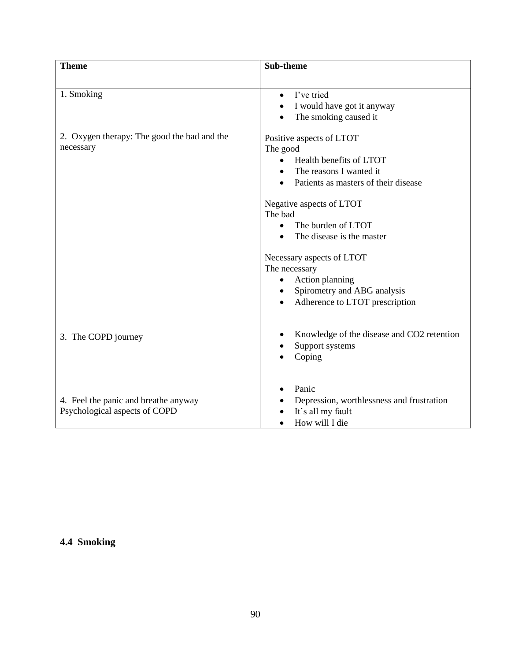| <b>Theme</b>                                                          | Sub-theme                                                                                 |
|-----------------------------------------------------------------------|-------------------------------------------------------------------------------------------|
|                                                                       |                                                                                           |
| 1. Smoking                                                            | I've tried<br>$\bullet$                                                                   |
|                                                                       | I would have got it anyway<br>$\bullet$                                                   |
|                                                                       | The smoking caused it                                                                     |
| 2. Oxygen therapy: The good the bad and the<br>necessary              | Positive aspects of LTOT<br>The good                                                      |
|                                                                       | Health benefits of LTOT<br>$\bullet$                                                      |
|                                                                       | The reasons I wanted it                                                                   |
|                                                                       | Patients as masters of their disease                                                      |
|                                                                       | Negative aspects of LTOT<br>The bad                                                       |
|                                                                       | The burden of LTOT<br>$\bullet$                                                           |
|                                                                       | The disease is the master                                                                 |
|                                                                       | Necessary aspects of LTOT                                                                 |
|                                                                       | The necessary                                                                             |
|                                                                       | Action planning                                                                           |
|                                                                       | Spirometry and ABG analysis<br>Adherence to LTOT prescription                             |
|                                                                       |                                                                                           |
| 3. The COPD journey                                                   | Knowledge of the disease and CO2 retention<br>Support systems<br>Coping                   |
| 4. Feel the panic and breathe anyway<br>Psychological aspects of COPD | Panic<br>Depression, worthlessness and frustration<br>It's all my fault<br>How will I die |

**4.4 Smoking**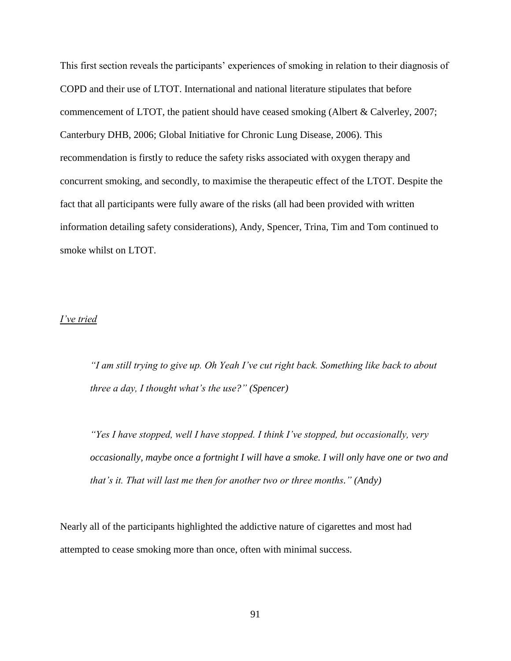This first section reveals the participants' experiences of smoking in relation to their diagnosis of COPD and their use of LTOT. International and national literature stipulates that before commencement of LTOT, the patient should have ceased smoking (Albert & Calverley, 2007; Canterbury DHB, 2006; Global Initiative for Chronic Lung Disease, 2006). This recommendation is firstly to reduce the safety risks associated with oxygen therapy and concurrent smoking, and secondly, to maximise the therapeutic effect of the LTOT. Despite the fact that all participants were fully aware of the risks (all had been provided with written information detailing safety considerations), Andy, Spencer, Trina, Tim and Tom continued to smoke whilst on LTOT.

# *I've tried*

*"I am still trying to give up. Oh Yeah I've cut right back. Something like back to about three a day, I thought what's the use?" (Spencer)*

*"Yes I have stopped, well I have stopped. I think I've stopped, but occasionally, very occasionally, maybe once a fortnight I will have a smoke. I will only have one or two and that's it. That will last me then for another two or three months." (Andy)*

Nearly all of the participants highlighted the addictive nature of cigarettes and most had attempted to cease smoking more than once, often with minimal success.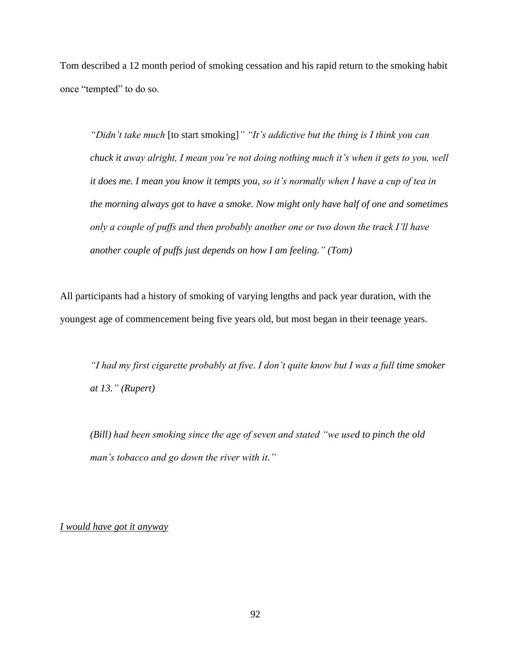Tom described a 12 month period of smoking cessation and his rapid return to the smoking habit once "tempted" to do so.

*"Didn't take much* [to start smoking]*" "It's addictive but the thing is I think you can chuck it away alright, I mean you're not doing nothing much it's when it gets to you, well it does me. I mean you know it tempts you, so it's normally when I have a cup of tea in the morning always got to have a smoke. Now might only have half of one and sometimes only a couple of puffs and then probably another one or two down the track I'll have another couple of puffs just depends on how I am feeling." (Tom)*

All participants had a history of smoking of varying lengths and pack year duration, with the youngest age of commencement being five years old, but most began in their teenage years.

*"I had my first cigarette probably at five. I don't quite know but I was a full time smoker at 13." (Rupert)*

*(Bill) had been smoking since the age of seven and stated "we used to pinch the old man's tobacco and go down the river with it."*

*I would have got it anyway*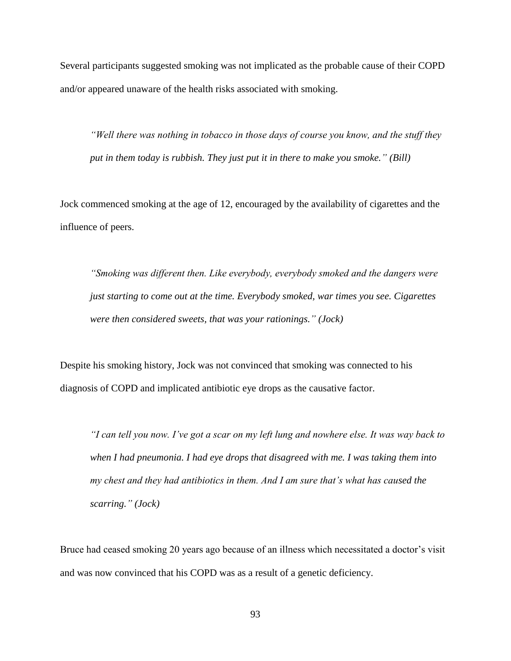Several participants suggested smoking was not implicated as the probable cause of their COPD and/or appeared unaware of the health risks associated with smoking.

*"Well there was nothing in tobacco in those days of course you know, and the stuff they put in them today is rubbish. They just put it in there to make you smoke." (Bill)*

Jock commenced smoking at the age of 12, encouraged by the availability of cigarettes and the influence of peers.

*"Smoking was different then. Like everybody, everybody smoked and the dangers were just starting to come out at the time. Everybody smoked, war times you see. Cigarettes were then considered sweets, that was your rationings." (Jock)*

Despite his smoking history, Jock was not convinced that smoking was connected to his diagnosis of COPD and implicated antibiotic eye drops as the causative factor.

*"I can tell you now. I've got a scar on my left lung and nowhere else. It was way back to when I had pneumonia. I had eye drops that disagreed with me. I was taking them into my chest and they had antibiotics in them. And I am sure that's what has caused the scarring." (Jock)*

Bruce had ceased smoking 20 years ago because of an illness which necessitated a doctor's visit and was now convinced that his COPD was as a result of a genetic deficiency.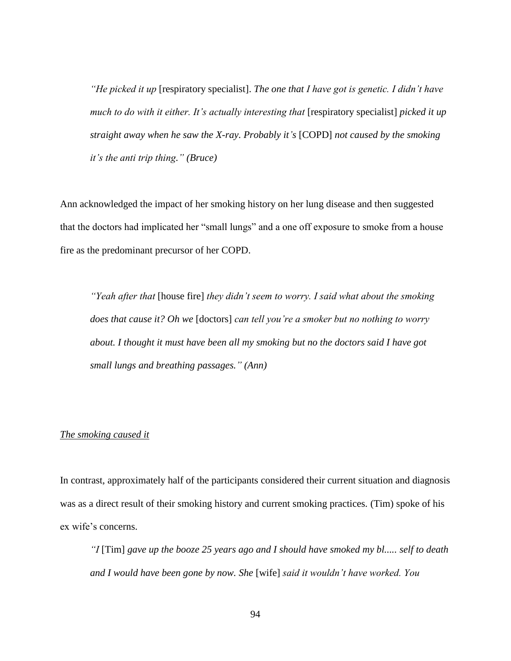*"He picked it up* [respiratory specialist]. *The one that I have got is genetic. I didn't have much to do with it either. It's actually interesting that* [respiratory specialist] *picked it up straight away when he saw the X-ray. Probably it's* [COPD] *not caused by the smoking it's the anti trip thing." (Bruce)*

Ann acknowledged the impact of her smoking history on her lung disease and then suggested that the doctors had implicated her "small lungs" and a one off exposure to smoke from a house fire as the predominant precursor of her COPD.

*"Yeah after that* [house fire] *they didn't seem to worry. I said what about the smoking does that cause it? Oh we* [doctors] *can tell you're a smoker but no nothing to worry about. I thought it must have been all my smoking but no the doctors said I have got small lungs and breathing passages." (Ann)*

### *The smoking caused it*

In contrast, approximately half of the participants considered their current situation and diagnosis was as a direct result of their smoking history and current smoking practices*.* (Tim) spoke of his ex wife's concerns.

*"I* [Tim] *gave up the booze 25 years ago and I should have smoked my bl..... self to death and I would have been gone by now. She* [wife] *said it wouldn't have worked. You*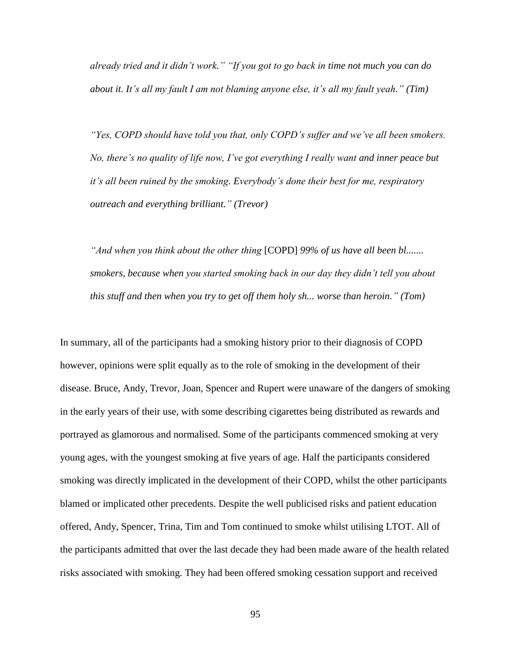*already tried and it didn't work." "If you got to go back in time not much you can do about it. It's all my fault I am not blaming anyone else, it's all my fault yeah." (Tim)*

*"Yes, COPD should have told you that, only COPD's suffer and we've all been smokers. No, there's no quality of life now, I've got everything I really want and inner peace but it's all been ruined by the smoking. Everybody's done their best for me, respiratory outreach and everything brilliant." (Trevor)*

*"And when you think about the other thing* [COPD] *99% of us have all been bl....... smokers, because when you started smoking back in our day they didn't tell you about this stuff and then when you try to get off them holy sh... worse than heroin." (Tom)*

In summary, all of the participants had a smoking history prior to their diagnosis of COPD however, opinions were split equally as to the role of smoking in the development of their disease. Bruce, Andy, Trevor, Joan, Spencer and Rupert were unaware of the dangers of smoking in the early years of their use, with some describing cigarettes being distributed as rewards and portrayed as glamorous and normalised. Some of the participants commenced smoking at very young ages, with the youngest smoking at five years of age. Half the participants considered smoking was directly implicated in the development of their COPD, whilst the other participants blamed or implicated other precedents. Despite the well publicised risks and patient education offered, Andy, Spencer, Trina, Tim and Tom continued to smoke whilst utilising LTOT. All of the participants admitted that over the last decade they had been made aware of the health related risks associated with smoking. They had been offered smoking cessation support and received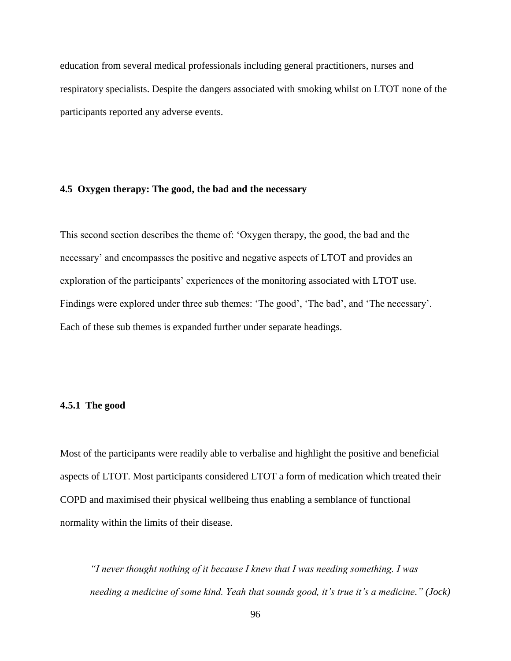education from several medical professionals including general practitioners, nurses and respiratory specialists. Despite the dangers associated with smoking whilst on LTOT none of the participants reported any adverse events.

# **4.5 Oxygen therapy: The good, the bad and the necessary**

This second section describes the theme of: 'Oxygen therapy, the good, the bad and the necessary' and encompasses the positive and negative aspects of LTOT and provides an exploration of the participants' experiences of the monitoring associated with LTOT use. Findings were explored under three sub themes: 'The good', 'The bad', and 'The necessary'. Each of these sub themes is expanded further under separate headings.

### **4.5.1 The good**

Most of the participants were readily able to verbalise and highlight the positive and beneficial aspects of LTOT. Most participants considered LTOT a form of medication which treated their COPD and maximised their physical wellbeing thus enabling a semblance of functional normality within the limits of their disease.

*"I never thought nothing of it because I knew that I was needing something. I was needing a medicine of some kind. Yeah that sounds good, it's true it's a medicine." (Jock)*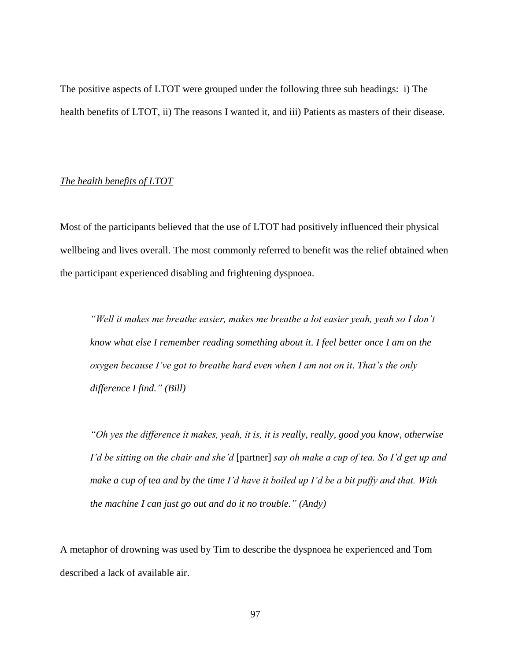The positive aspects of LTOT were grouped under the following three sub headings: i) The health benefits of LTOT, ii) The reasons I wanted it, and iii) Patients as masters of their disease.

### *The health benefits of LTOT*

Most of the participants believed that the use of LTOT had positively influenced their physical wellbeing and lives overall. The most commonly referred to benefit was the relief obtained when the participant experienced disabling and frightening dyspnoea.

*"Well it makes me breathe easier, makes me breathe a lot easier yeah, yeah so I don't know what else I remember reading something about it. I feel better once I am on the oxygen because I've got to breathe hard even when I am not on it. That's the only difference I find." (Bill)*

*"Oh yes the difference it makes, yeah, it is, it is really, really, good you know, otherwise I'd be sitting on the chair and she'd* [partner] *say oh make a cup of tea. So I'd get up and make a cup of tea and by the time I'd have it boiled up I'd be a bit puffy and that. With the machine I can just go out and do it no trouble." (Andy)*

A metaphor of drowning was used by Tim to describe the dyspnoea he experienced and Tom described a lack of available air.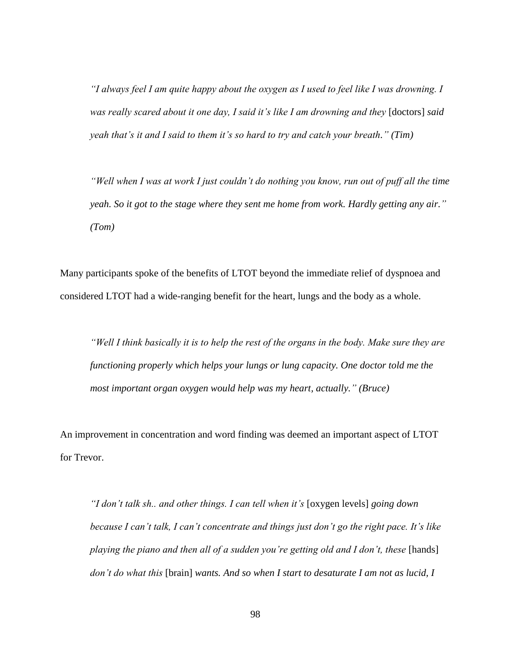*"I always feel I am quite happy about the oxygen as I used to feel like I was drowning. I was really scared about it one day, I said it's like I am drowning and they* [doctors] *said yeah that's it and I said to them it's so hard to try and catch your breath." (Tim)*

*"Well when I was at work I just couldn't do nothing you know, run out of puff all the time yeah. So it got to the stage where they sent me home from work. Hardly getting any air." (Tom)*

Many participants spoke of the benefits of LTOT beyond the immediate relief of dyspnoea and considered LTOT had a wide-ranging benefit for the heart, lungs and the body as a whole.

*"Well I think basically it is to help the rest of the organs in the body. Make sure they are functioning properly which helps your lungs or lung capacity. One doctor told me the most important organ oxygen would help was my heart, actually." (Bruce)*

An improvement in concentration and word finding was deemed an important aspect of LTOT for Trevor.

*"I don't talk sh.. and other things. I can tell when it's* [oxygen levels] *going down because I can't talk, I can't concentrate and things just don't go the right pace. It's like playing the piano and then all of a sudden you're getting old and I don't, these* [hands] *don't do what this* [brain] *wants. And so when I start to desaturate I am not as lucid, I*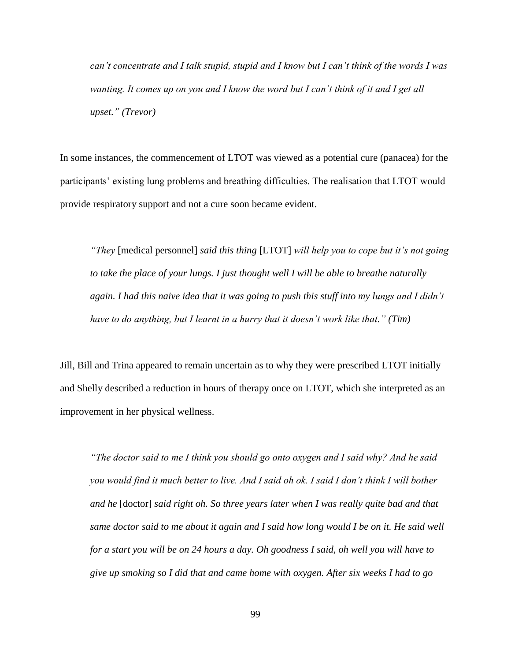*can't concentrate and I talk stupid, stupid and I know but I can't think of the words I was wanting. It comes up on you and I know the word but I can't think of it and I get all upset." (Trevor)*

In some instances, the commencement of LTOT was viewed as a potential cure (panacea) for the participants' existing lung problems and breathing difficulties. The realisation that LTOT would provide respiratory support and not a cure soon became evident.

*"They* [medical personnel] *said this thing* [LTOT] *will help you to cope but it's not going to take the place of your lungs. I just thought well I will be able to breathe naturally again. I had this naive idea that it was going to push this stuff into my lungs and I didn't have to do anything, but I learnt in a hurry that it doesn't work like that." (Tim)*

Jill, Bill and Trina appeared to remain uncertain as to why they were prescribed LTOT initially and Shelly described a reduction in hours of therapy once on LTOT, which she interpreted as an improvement in her physical wellness.

*"The doctor said to me I think you should go onto oxygen and I said why? And he said you would find it much better to live. And I said oh ok. I said I don't think I will bother and he* [doctor] *said right oh. So three years later when I was really quite bad and that same doctor said to me about it again and I said how long would I be on it. He said well for a start you will be on 24 hours a day. Oh goodness I said, oh well you will have to give up smoking so I did that and came home with oxygen. After six weeks I had to go*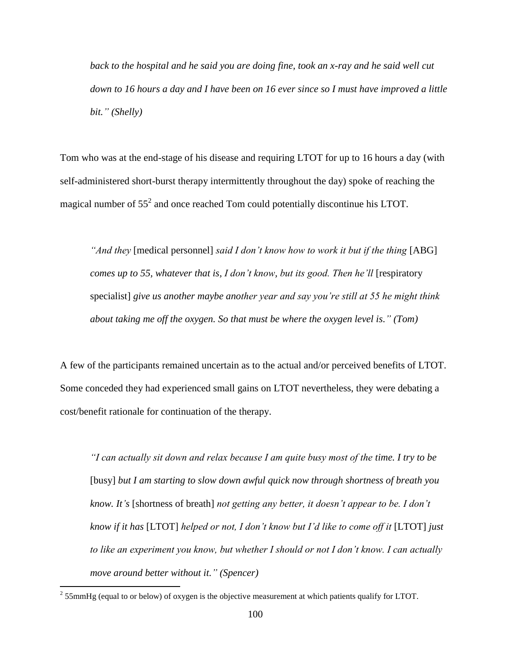*back to the hospital and he said you are doing fine, took an x-ray and he said well cut down to 16 hours a day and I have been on 16 ever since so I must have improved a little bit." (Shelly)*

Tom who was at the end-stage of his disease and requiring LTOT for up to 16 hours a day (with self-administered short-burst therapy intermittently throughout the day) spoke of reaching the magical number of  $55<sup>2</sup>$  and once reached Tom could potentially discontinue his LTOT.

*"And they* [medical personnel] *said I don't know how to work it but if the thing* [ABG] *comes up to 55, whatever that is, I don't know, but its good. Then he'll* [respiratory specialist] *give us another maybe another year and say you're still at 55 he might think about taking me off the oxygen. So that must be where the oxygen level is." (Tom)*

A few of the participants remained uncertain as to the actual and/or perceived benefits of LTOT. Some conceded they had experienced small gains on LTOT nevertheless, they were debating a cost/benefit rationale for continuation of the therapy.

*"I can actually sit down and relax because I am quite busy most of the time. I try to be*  [busy] *but I am starting to slow down awful quick now through shortness of breath you know. It's* [shortness of breath] *not getting any better, it doesn't appear to be. I don't know if it has* [LTOT] *helped or not, I don't know but I'd like to come off it* [LTOT] *just to like an experiment you know, but whether I should or not I don't know. I can actually move around better without it." (Spencer)*

 $\overline{a}$ 

 $2^2$  55mmHg (equal to or below) of oxygen is the objective measurement at which patients qualify for LTOT.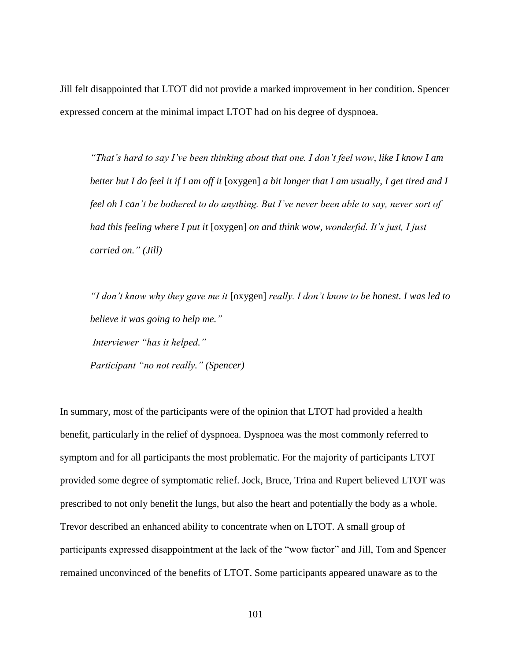Jill felt disappointed that LTOT did not provide a marked improvement in her condition. Spencer expressed concern at the minimal impact LTOT had on his degree of dyspnoea.

*"That's hard to say I've been thinking about that one. I don't feel wow, like I know I am better but I do feel it if I am off it* [oxygen] *a bit longer that I am usually, I get tired and I feel oh I can't be bothered to do anything. But I've never been able to say, never sort of had this feeling where I put it* [oxygen] *on and think wow, wonderful. It's just, I just carried on." (Jill)*

*"I don't know why they gave me it* [oxygen] *really. I don't know to be honest. I was led to believe it was going to help me." Interviewer "has it helped." Participant "no not really." (Spencer)*

In summary, most of the participants were of the opinion that LTOT had provided a health benefit, particularly in the relief of dyspnoea. Dyspnoea was the most commonly referred to symptom and for all participants the most problematic. For the majority of participants LTOT provided some degree of symptomatic relief. Jock, Bruce, Trina and Rupert believed LTOT was prescribed to not only benefit the lungs, but also the heart and potentially the body as a whole. Trevor described an enhanced ability to concentrate when on LTOT. A small group of participants expressed disappointment at the lack of the "wow factor" and Jill, Tom and Spencer remained unconvinced of the benefits of LTOT. Some participants appeared unaware as to the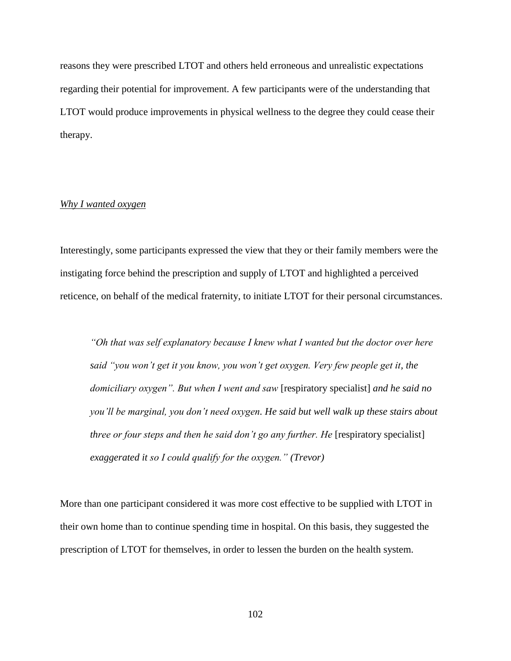reasons they were prescribed LTOT and others held erroneous and unrealistic expectations regarding their potential for improvement. A few participants were of the understanding that LTOT would produce improvements in physical wellness to the degree they could cease their therapy.

## *Why I wanted oxygen*

Interestingly, some participants expressed the view that they or their family members were the instigating force behind the prescription and supply of LTOT and highlighted a perceived reticence, on behalf of the medical fraternity, to initiate LTOT for their personal circumstances.

*"Oh that was self explanatory because I knew what I wanted but the doctor over here said "you won't get it you know, you won't get oxygen. Very few people get it, the domiciliary oxygen". But when I went and saw* [respiratory specialist] *and he said no you'll be marginal, you don't need oxygen. He said but well walk up these stairs about three or four steps and then he said don't go any further. He* [respiratory specialist] *exaggerated it so I could qualify for the oxygen." (Trevor)*

More than one participant considered it was more cost effective to be supplied with LTOT in their own home than to continue spending time in hospital. On this basis, they suggested the prescription of LTOT for themselves, in order to lessen the burden on the health system.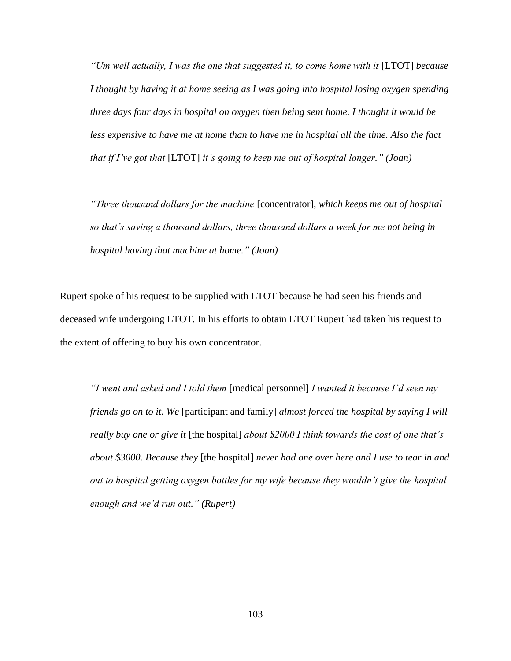*"Um well actually, I was the one that suggested it, to come home with it [LTOT] because I thought by having it at home seeing as I was going into hospital losing oxygen spending three days four days in hospital on oxygen then being sent home. I thought it would be less expensive to have me at home than to have me in hospital all the time. Also the fact that if I've got that* [LTOT] *it's going to keep me out of hospital longer." (Joan)*

*"Three thousand dollars for the machine* [concentrator], *which keeps me out of hospital so that's saving a thousand dollars, three thousand dollars a week for me not being in hospital having that machine at home." (Joan)*

Rupert spoke of his request to be supplied with LTOT because he had seen his friends and deceased wife undergoing LTOT. In his efforts to obtain LTOT Rupert had taken his request to the extent of offering to buy his own concentrator.

*"I went and asked and I told them* [medical personnel] *I wanted it because I'd seen my friends go on to it. We* [participant and family] *almost forced the hospital by saying I will really buy one or give it* [the hospital] *about \$2000 I think towards the cost of one that's about \$3000. Because they* [the hospital] *never had one over here and I use to tear in and out to hospital getting oxygen bottles for my wife because they wouldn't give the hospital enough and we'd run out." (Rupert)*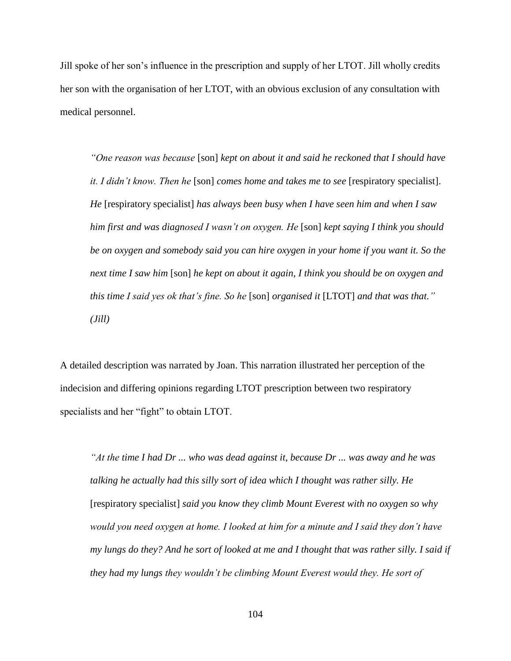Jill spoke of her son's influence in the prescription and supply of her LTOT. Jill wholly credits her son with the organisation of her LTOT, with an obvious exclusion of any consultation with medical personnel.

*"One reason was because* [son] *kept on about it and said he reckoned that I should have it. I didn't know. Then he* [son] *comes home and takes me to see* [respiratory specialist]. *He* [respiratory specialist] *has always been busy when I have seen him and when I saw him first and was diagnosed I wasn't on oxygen. He* [son] *kept saying I think you should be on oxygen and somebody said you can hire oxygen in your home if you want it. So the next time I saw him* [son] *he kept on about it again, I think you should be on oxygen and this time I said yes ok that's fine. So he* [son] *organised it* [LTOT] *and that was that." (Jill)*

A detailed description was narrated by Joan. This narration illustrated her perception of the indecision and differing opinions regarding LTOT prescription between two respiratory specialists and her "fight" to obtain LTOT.

*"At the time I had Dr ... who was dead against it, because Dr ... was away and he was talking he actually had this silly sort of idea which I thought was rather silly. He*  [respiratory specialist] *said you know they climb Mount Everest with no oxygen so why would you need oxygen at home. I looked at him for a minute and I said they don't have my lungs do they? And he sort of looked at me and I thought that was rather silly. I said if they had my lungs they wouldn't be climbing Mount Everest would they. He sort of*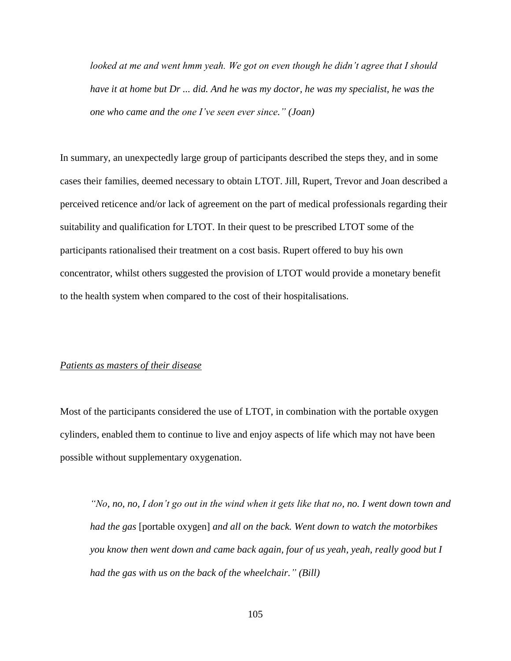looked at me and went hmm yeah. We got on even though he didn't agree that I should *have it at home but Dr ... did. And he was my doctor, he was my specialist, he was the one who came and the one I've seen ever since." (Joan)*

In summary, an unexpectedly large group of participants described the steps they, and in some cases their families, deemed necessary to obtain LTOT. Jill, Rupert, Trevor and Joan described a perceived reticence and/or lack of agreement on the part of medical professionals regarding their suitability and qualification for LTOT. In their quest to be prescribed LTOT some of the participants rationalised their treatment on a cost basis. Rupert offered to buy his own concentrator, whilst others suggested the provision of LTOT would provide a monetary benefit to the health system when compared to the cost of their hospitalisations.

#### *Patients as masters of their disease*

Most of the participants considered the use of LTOT, in combination with the portable oxygen cylinders, enabled them to continue to live and enjoy aspects of life which may not have been possible without supplementary oxygenation.

*"No, no, no, I don't go out in the wind when it gets like that no, no. I went down town and had the gas* [portable oxygen] *and all on the back. Went down to watch the motorbikes you know then went down and came back again, four of us yeah, yeah, really good but I had the gas with us on the back of the wheelchair." (Bill)*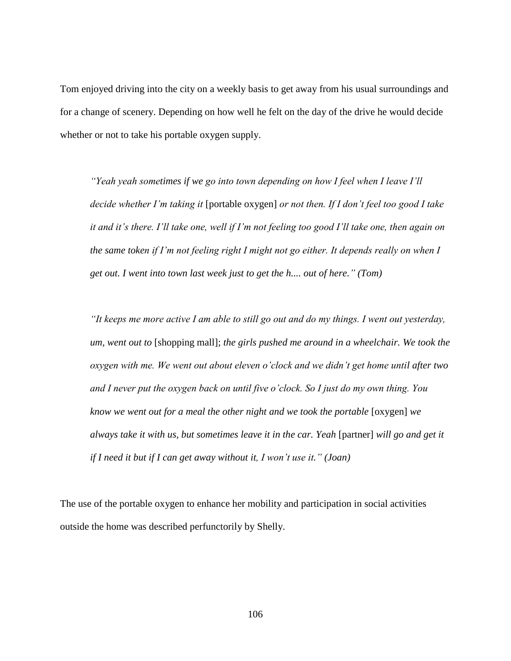Tom enjoyed driving into the city on a weekly basis to get away from his usual surroundings and for a change of scenery. Depending on how well he felt on the day of the drive he would decide whether or not to take his portable oxygen supply.

*"Yeah yeah sometimes if we go into town depending on how I feel when I leave I'll decide whether I'm taking it* [portable oxygen] *or not then. If I don't feel too good I take it and it's there. I'll take one, well if I'm not feeling too good I'll take one, then again on the same token if I'm not feeling right I might not go either. It depends really on when I get out. I went into town last week just to get the h.... out of here." (Tom)*

*"It keeps me more active I am able to still go out and do my things. I went out yesterday, um, went out to* [shopping mall]; *the girls pushed me around in a wheelchair. We took the oxygen with me. We went out about eleven o'clock and we didn't get home until after two and I never put the oxygen back on until five o'clock. So I just do my own thing. You know we went out for a meal the other night and we took the portable* [oxygen] *we always take it with us, but sometimes leave it in the car. Yeah* [partner] *will go and get it if I need it but if I can get away without it, I won't use it." (Joan)* 

The use of the portable oxygen to enhance her mobility and participation in social activities outside the home was described perfunctorily by Shelly.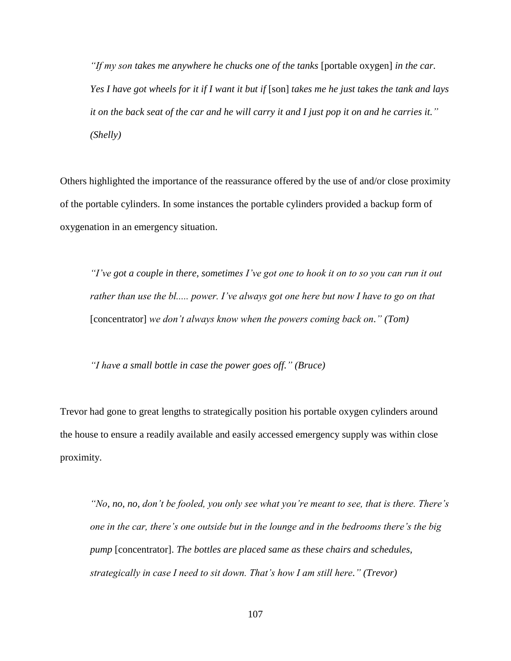*"If my son takes me anywhere he chucks one of the tanks* [portable oxygen] *in the car. Yes I have got wheels for it if I want it but if* [son] *takes me he just takes the tank and lays it on the back seat of the car and he will carry it and I just pop it on and he carries it." (Shelly)*

Others highlighted the importance of the reassurance offered by the use of and/or close proximity of the portable cylinders. In some instances the portable cylinders provided a backup form of oxygenation in an emergency situation.

*"I've got a couple in there, sometimes I've got one to hook it on to so you can run it out rather than use the bl..... power. I've always got one here but now I have to go on that*  [concentrator] *we don't always know when the powers coming back on." (Tom)*

*"I have a small bottle in case the power goes off." (Bruce)*

Trevor had gone to great lengths to strategically position his portable oxygen cylinders around the house to ensure a readily available and easily accessed emergency supply was within close proximity.

*"No, no, no, don't be fooled, you only see what you're meant to see, that is there. There's one in the car, there's one outside but in the lounge and in the bedrooms there's the big pump* [concentrator]. *The bottles are placed same as these chairs and schedules, strategically in case I need to sit down. That's how I am still here." (Trevor)*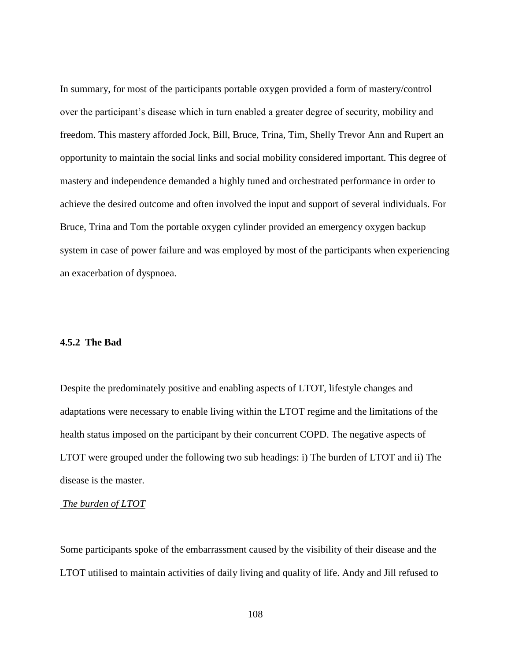In summary, for most of the participants portable oxygen provided a form of mastery/control over the participant's disease which in turn enabled a greater degree of security, mobility and freedom. This mastery afforded Jock, Bill, Bruce, Trina, Tim, Shelly Trevor Ann and Rupert an opportunity to maintain the social links and social mobility considered important. This degree of mastery and independence demanded a highly tuned and orchestrated performance in order to achieve the desired outcome and often involved the input and support of several individuals. For Bruce, Trina and Tom the portable oxygen cylinder provided an emergency oxygen backup system in case of power failure and was employed by most of the participants when experiencing an exacerbation of dyspnoea.

### **4.5.2 The Bad**

Despite the predominately positive and enabling aspects of LTOT, lifestyle changes and adaptations were necessary to enable living within the LTOT regime and the limitations of the health status imposed on the participant by their concurrent COPD. The negative aspects of LTOT were grouped under the following two sub headings: i) The burden of LTOT and ii) The disease is the master.

# *The burden of LTOT*

Some participants spoke of the embarrassment caused by the visibility of their disease and the LTOT utilised to maintain activities of daily living and quality of life. Andy and Jill refused to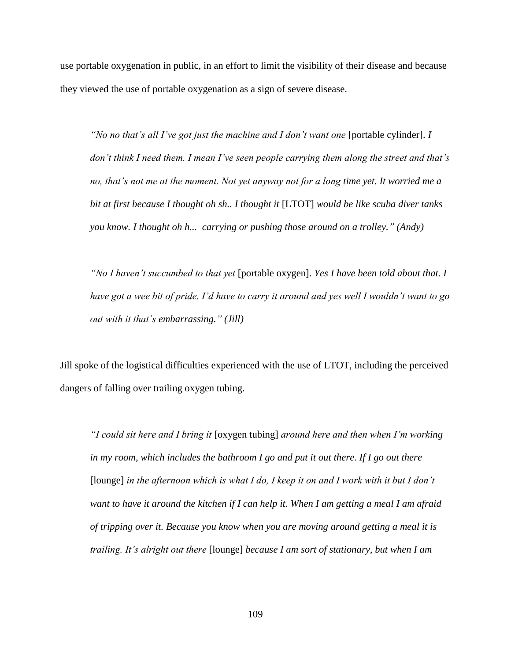use portable oxygenation in public, in an effort to limit the visibility of their disease and because they viewed the use of portable oxygenation as a sign of severe disease.

*"No no that's all I've got just the machine and I don't want one* [portable cylinder]. *I don't think I need them. I mean I've seen people carrying them along the street and that's no, that's not me at the moment. Not yet anyway not for a long time yet. It worried me a bit at first because I thought oh sh.. I thought it* [LTOT] *would be like scuba diver tanks you know. I thought oh h... carrying or pushing those around on a trolley." (Andy)*

*"No I haven't succumbed to that yet* [portable oxygen]. *Yes I have been told about that. I have got a wee bit of pride. I'd have to carry it around and yes well I wouldn't want to go out with it that's embarrassing." (Jill)*

Jill spoke of the logistical difficulties experienced with the use of LTOT, including the perceived dangers of falling over trailing oxygen tubing.

*"I could sit here and I bring it* [oxygen tubing] *around here and then when I'm working in my room, which includes the bathroom I go and put it out there. If I go out there*  [lounge] *in the afternoon which is what I do, I keep it on and I work with it but I don't want to have it around the kitchen if I can help it. When I am getting a meal I am afraid of tripping over it. Because you know when you are moving around getting a meal it is trailing. It's alright out there* [lounge] *because I am sort of stationary, but when I am*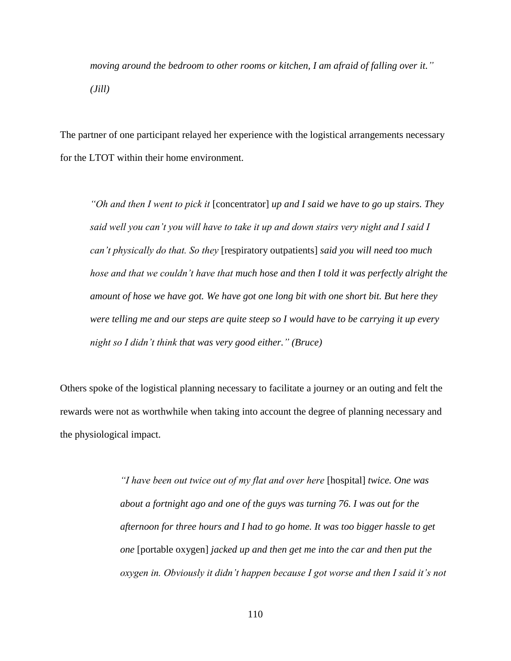*moving around the bedroom to other rooms or kitchen, I am afraid of falling over it." (Jill)*

The partner of one participant relayed her experience with the logistical arrangements necessary for the LTOT within their home environment.

*"Oh and then I went to pick it* [concentrator] *up and I said we have to go up stairs. They said well you can't you will have to take it up and down stairs very night and I said I can't physically do that. So they* [respiratory outpatients] *said you will need too much hose and that we couldn't have that much hose and then I told it was perfectly alright the amount of hose we have got. We have got one long bit with one short bit. But here they were telling me and our steps are quite steep so I would have to be carrying it up every night so I didn't think that was very good either." (Bruce)*

Others spoke of the logistical planning necessary to facilitate a journey or an outing and felt the rewards were not as worthwhile when taking into account the degree of planning necessary and the physiological impact.

> *"I have been out twice out of my flat and over here* [hospital] *twice. One was about a fortnight ago and one of the guys was turning 76. I was out for the afternoon for three hours and I had to go home. It was too bigger hassle to get one* [portable oxygen] *jacked up and then get me into the car and then put the oxygen in. Obviously it didn't happen because I got worse and then I said it's not*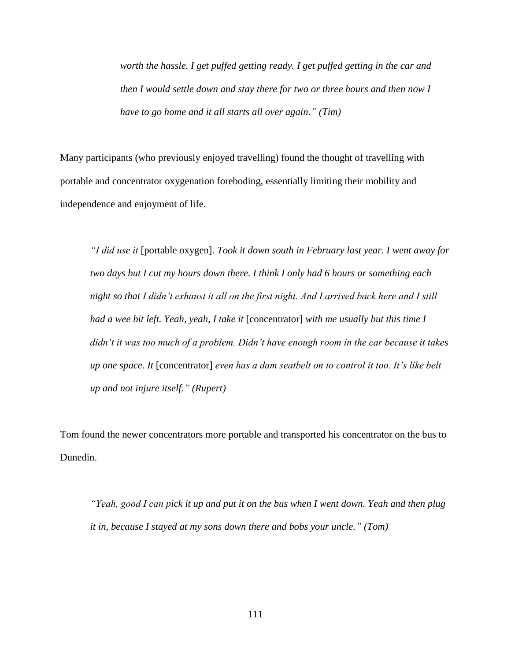*worth the hassle. I get puffed getting ready. I get puffed getting in the car and then I would settle down and stay there for two or three hours and then now I have to go home and it all starts all over again." (Tim)*

Many participants (who previously enjoyed travelling) found the thought of travelling with portable and concentrator oxygenation foreboding, essentially limiting their mobility and independence and enjoyment of life.

*"I did use it* [portable oxygen]. *Took it down south in February last year. I went away for two days but I cut my hours down there. I think I only had 6 hours or something each night so that I didn't exhaust it all on the first night. And I arrived back here and I still had a wee bit left. Yeah, yeah, I take it* [concentrator] *with me usually but this time I didn't it was too much of a problem. Didn't have enough room in the car because it takes up one space. It* [concentrator] *even has a dam seatbelt on to control it too. It's like belt up and not injure itself." (Rupert)*

Tom found the newer concentrators more portable and transported his concentrator on the bus to Dunedin.

*"Yeah, good I can pick it up and put it on the bus when I went down. Yeah and then plug it in, because I stayed at my sons down there and bobs your uncle." (Tom)*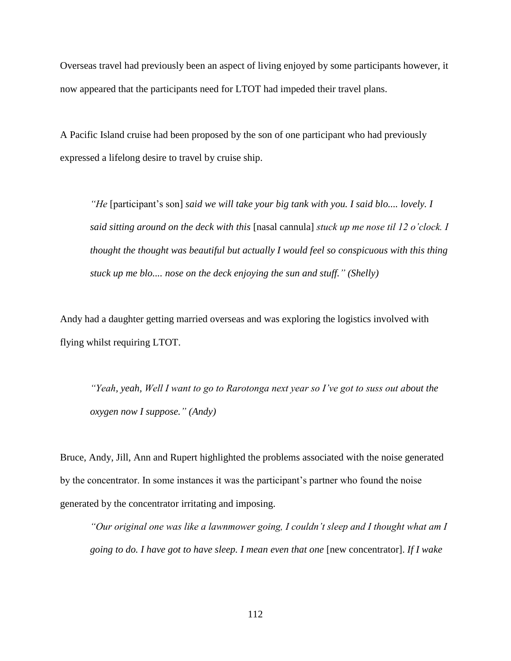Overseas travel had previously been an aspect of living enjoyed by some participants however, it now appeared that the participants need for LTOT had impeded their travel plans.

A Pacific Island cruise had been proposed by the son of one participant who had previously expressed a lifelong desire to travel by cruise ship.

*"He* [participant's son] *said we will take your big tank with you. I said blo.... lovely. I said sitting around on the deck with this* [nasal cannula] *stuck up me nose til 12 o'clock. I thought the thought was beautiful but actually I would feel so conspicuous with this thing stuck up me blo.... nose on the deck enjoying the sun and stuff." (Shelly)*

Andy had a daughter getting married overseas and was exploring the logistics involved with flying whilst requiring LTOT.

*"Yeah, yeah, Well I want to go to Rarotonga next year so I've got to suss out about the oxygen now I suppose." (Andy)*

Bruce, Andy, Jill, Ann and Rupert highlighted the problems associated with the noise generated by the concentrator. In some instances it was the participant's partner who found the noise generated by the concentrator irritating and imposing.

*"Our original one was like a lawnmower going, I couldn't sleep and I thought what am I going to do. I have got to have sleep. I mean even that one* [new concentrator]. *If I wake*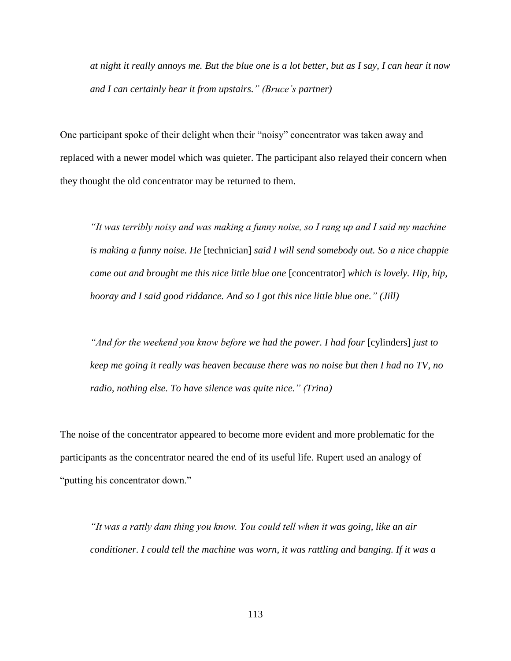*at night it really annoys me. But the blue one is a lot better, but as I say, I can hear it now and I can certainly hear it from upstairs." (Bruce's partner)*

One participant spoke of their delight when their "noisy" concentrator was taken away and replaced with a newer model which was quieter. The participant also relayed their concern when they thought the old concentrator may be returned to them.

*"It was terribly noisy and was making a funny noise, so I rang up and I said my machine is making a funny noise. He* [technician] *said I will send somebody out. So a nice chappie came out and brought me this nice little blue one* [concentrator] *which is lovely. Hip, hip, hooray and I said good riddance. And so I got this nice little blue one." (Jill)*

*"And for the weekend you know before we had the power. I had four* [cylinders] *just to keep me going it really was heaven because there was no noise but then I had no TV, no radio, nothing else. To have silence was quite nice." (Trina)*

The noise of the concentrator appeared to become more evident and more problematic for the participants as the concentrator neared the end of its useful life. Rupert used an analogy of "putting his concentrator down."

*"It was a rattly dam thing you know. You could tell when it was going, like an air conditioner. I could tell the machine was worn, it was rattling and banging. If it was a*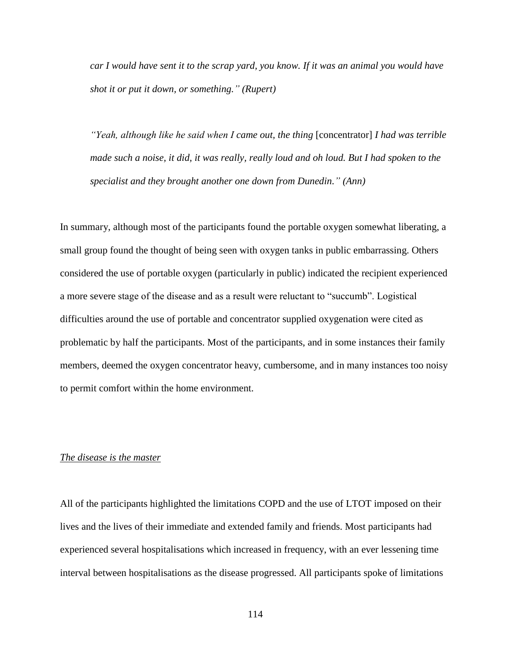*car I would have sent it to the scrap yard, you know. If it was an animal you would have shot it or put it down, or something." (Rupert)*

*"Yeah, although like he said when I came out, the thing* [concentrator] *I had was terrible made such a noise, it did, it was really, really loud and oh loud. But I had spoken to the specialist and they brought another one down from Dunedin." (Ann)*

In summary, although most of the participants found the portable oxygen somewhat liberating, a small group found the thought of being seen with oxygen tanks in public embarrassing. Others considered the use of portable oxygen (particularly in public) indicated the recipient experienced a more severe stage of the disease and as a result were reluctant to "succumb". Logistical difficulties around the use of portable and concentrator supplied oxygenation were cited as problematic by half the participants. Most of the participants, and in some instances their family members, deemed the oxygen concentrator heavy, cumbersome, and in many instances too noisy to permit comfort within the home environment.

#### *The disease is the master*

All of the participants highlighted the limitations COPD and the use of LTOT imposed on their lives and the lives of their immediate and extended family and friends. Most participants had experienced several hospitalisations which increased in frequency, with an ever lessening time interval between hospitalisations as the disease progressed. All participants spoke of limitations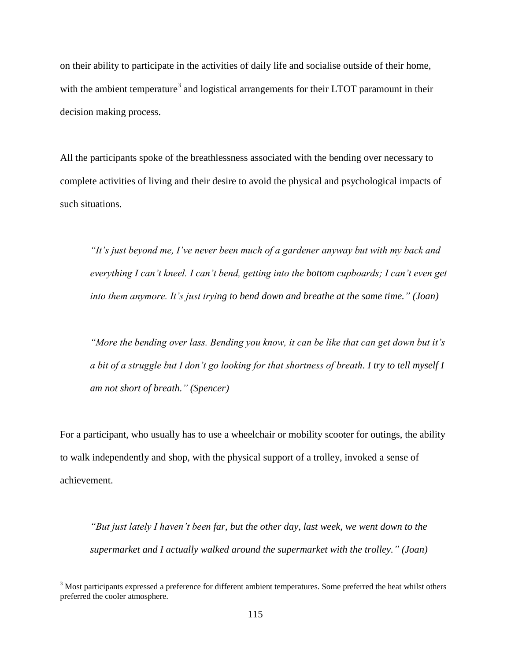on their ability to participate in the activities of daily life and socialise outside of their home, with the ambient temperature<sup>3</sup> and logistical arrangements for their LTOT paramount in their decision making process.

All the participants spoke of the breathlessness associated with the bending over necessary to complete activities of living and their desire to avoid the physical and psychological impacts of such situations.

*"It's just beyond me, I've never been much of a gardener anyway but with my back and everything I can't kneel. I can't bend, getting into the bottom cupboards; I can't even get into them anymore. It's just trying to bend down and breathe at the same time." (Joan)*

*"More the bending over lass. Bending you know, it can be like that can get down but it's a bit of a struggle but I don't go looking for that shortness of breath. I try to tell myself I am not short of breath." (Spencer)*

For a participant, who usually has to use a wheelchair or mobility scooter for outings, the ability to walk independently and shop, with the physical support of a trolley, invoked a sense of achievement.

*"But just lately I haven't been far, but the other day, last week, we went down to the supermarket and I actually walked around the supermarket with the trolley." (Joan)*

 $\overline{a}$ 

<sup>&</sup>lt;sup>3</sup> Most participants expressed a preference for different ambient temperatures. Some preferred the heat whilst others preferred the cooler atmosphere.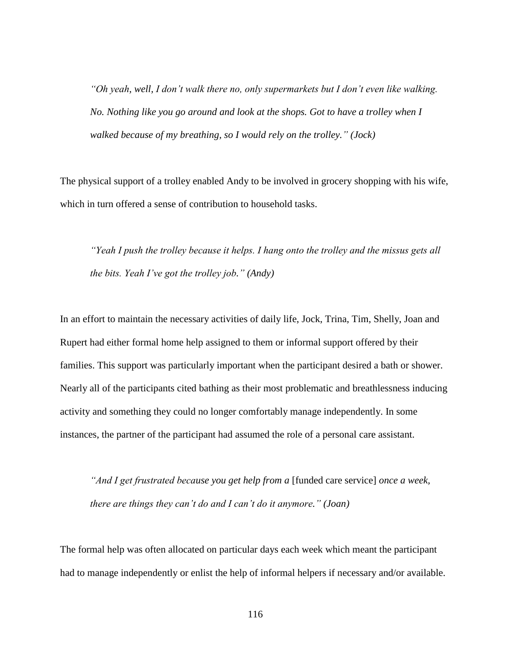*"Oh yeah, well, I don't walk there no, only supermarkets but I don't even like walking. No. Nothing like you go around and look at the shops. Got to have a trolley when I walked because of my breathing, so I would rely on the trolley." (Jock)*

The physical support of a trolley enabled Andy to be involved in grocery shopping with his wife, which in turn offered a sense of contribution to household tasks.

*"Yeah I push the trolley because it helps. I hang onto the trolley and the missus gets all the bits. Yeah I've got the trolley job." (Andy)*

In an effort to maintain the necessary activities of daily life, Jock, Trina, Tim, Shelly, Joan and Rupert had either formal home help assigned to them or informal support offered by their families. This support was particularly important when the participant desired a bath or shower. Nearly all of the participants cited bathing as their most problematic and breathlessness inducing activity and something they could no longer comfortably manage independently. In some instances, the partner of the participant had assumed the role of a personal care assistant.

*"And I get frustrated because you get help from a [funded care service] once a week, there are things they can't do and I can't do it anymore." (Joan)*

The formal help was often allocated on particular days each week which meant the participant had to manage independently or enlist the help of informal helpers if necessary and/or available.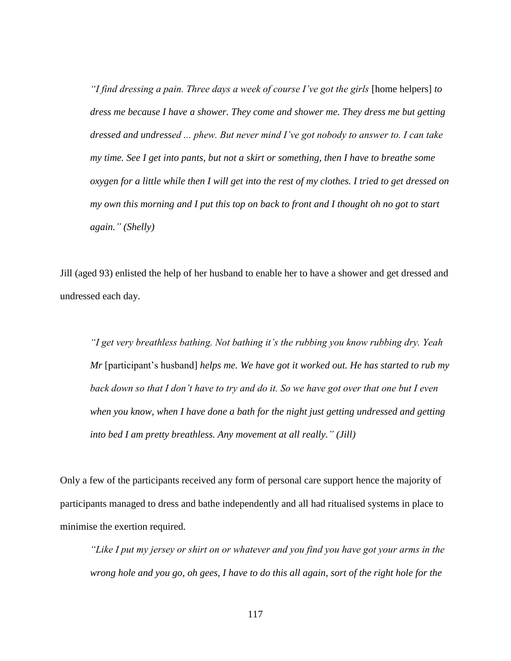*"I find dressing a pain. Three days a week of course I've got the girls* [home helpers] *to dress me because I have a shower. They come and shower me. They dress me but getting dressed and undressed ... phew. But never mind I've got nobody to answer to. I can take my time. See I get into pants, but not a skirt or something, then I have to breathe some oxygen for a little while then I will get into the rest of my clothes. I tried to get dressed on my own this morning and I put this top on back to front and I thought oh no got to start again." (Shelly)*

Jill (aged 93) enlisted the help of her husband to enable her to have a shower and get dressed and undressed each day.

*"I get very breathless bathing. Not bathing it's the rubbing you know rubbing dry. Yeah Mr* [participant's husband] *helps me. We have got it worked out. He has started to rub my back down so that I don't have to try and do it. So we have got over that one but I even when you know, when I have done a bath for the night just getting undressed and getting into bed I am pretty breathless. Any movement at all really." (Jill)*

Only a few of the participants received any form of personal care support hence the majority of participants managed to dress and bathe independently and all had ritualised systems in place to minimise the exertion required.

*"Like I put my jersey or shirt on or whatever and you find you have got your arms in the wrong hole and you go, oh gees, I have to do this all again, sort of the right hole for the*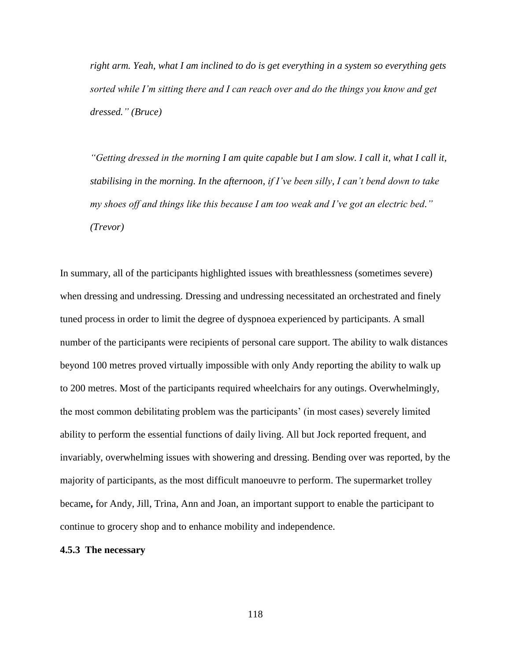*right arm. Yeah, what I am inclined to do is get everything in a system so everything gets sorted while I'm sitting there and I can reach over and do the things you know and get dressed." (Bruce)*

*"Getting dressed in the morning I am quite capable but I am slow. I call it, what I call it, stabilising in the morning. In the afternoon, if I've been silly, I can't bend down to take my shoes off and things like this because I am too weak and I've got an electric bed." (Trevor)*

In summary, all of the participants highlighted issues with breathlessness (sometimes severe) when dressing and undressing. Dressing and undressing necessitated an orchestrated and finely tuned process in order to limit the degree of dyspnoea experienced by participants. A small number of the participants were recipients of personal care support. The ability to walk distances beyond 100 metres proved virtually impossible with only Andy reporting the ability to walk up to 200 metres. Most of the participants required wheelchairs for any outings. Overwhelmingly, the most common debilitating problem was the participants' (in most cases) severely limited ability to perform the essential functions of daily living. All but Jock reported frequent, and invariably, overwhelming issues with showering and dressing. Bending over was reported, by the majority of participants, as the most difficult manoeuvre to perform. The supermarket trolley became**,** for Andy, Jill, Trina, Ann and Joan, an important support to enable the participant to continue to grocery shop and to enhance mobility and independence.

### **4.5.3 The necessary**

118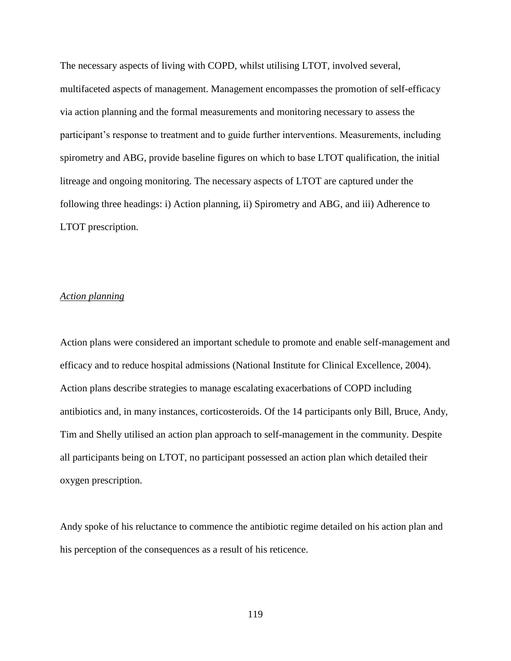The necessary aspects of living with COPD, whilst utilising LTOT, involved several, multifaceted aspects of management. Management encompasses the promotion of self-efficacy via action planning and the formal measurements and monitoring necessary to assess the participant's response to treatment and to guide further interventions. Measurements, including spirometry and ABG, provide baseline figures on which to base LTOT qualification, the initial litreage and ongoing monitoring. The necessary aspects of LTOT are captured under the following three headings: i) Action planning, ii) Spirometry and ABG, and iii) Adherence to LTOT prescription.

# *Action planning*

Action plans were considered an important schedule to promote and enable self-management and efficacy and to reduce hospital admissions (National Institute for Clinical Excellence, 2004). Action plans describe strategies to manage escalating exacerbations of COPD including antibiotics and, in many instances, corticosteroids. Of the 14 participants only Bill, Bruce, Andy, Tim and Shelly utilised an action plan approach to self-management in the community. Despite all participants being on LTOT, no participant possessed an action plan which detailed their oxygen prescription.

Andy spoke of his reluctance to commence the antibiotic regime detailed on his action plan and his perception of the consequences as a result of his reticence.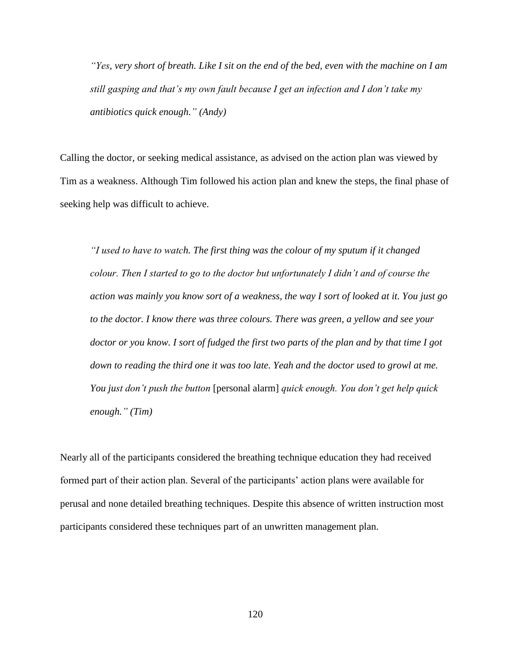*"Yes, very short of breath. Like I sit on the end of the bed, even with the machine on I am still gasping and that's my own fault because I get an infection and I don't take my antibiotics quick enough." (Andy)*

Calling the doctor, or seeking medical assistance, as advised on the action plan was viewed by Tim as a weakness. Although Tim followed his action plan and knew the steps, the final phase of seeking help was difficult to achieve.

*"I used to have to watch. The first thing was the colour of my sputum if it changed colour. Then I started to go to the doctor but unfortunately I didn't and of course the action was mainly you know sort of a weakness, the way I sort of looked at it. You just go to the doctor. I know there was three colours. There was green, a yellow and see your doctor or you know. I sort of fudged the first two parts of the plan and by that time I got down to reading the third one it was too late. Yeah and the doctor used to growl at me. You just don't push the button* [personal alarm] *quick enough. You don't get help quick enough." (Tim)*

Nearly all of the participants considered the breathing technique education they had received formed part of their action plan. Several of the participants' action plans were available for perusal and none detailed breathing techniques. Despite this absence of written instruction most participants considered these techniques part of an unwritten management plan.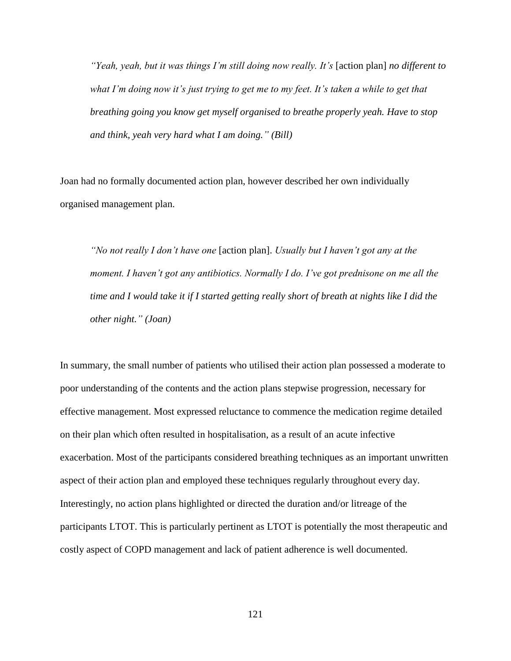*"Yeah, yeah, but it was things I'm still doing now really. It's* [action plan] *no different to what I'm doing now it's just trying to get me to my feet. It's taken a while to get that breathing going you know get myself organised to breathe properly yeah. Have to stop and think, yeah very hard what I am doing." (Bill)*

Joan had no formally documented action plan, however described her own individually organised management plan.

*"No not really I don't have one* [action plan]. *Usually but I haven't got any at the moment. I haven't got any antibiotics. Normally I do. I've got prednisone on me all the time and I would take it if I started getting really short of breath at nights like I did the other night." (Joan)*

In summary, the small number of patients who utilised their action plan possessed a moderate to poor understanding of the contents and the action plans stepwise progression, necessary for effective management. Most expressed reluctance to commence the medication regime detailed on their plan which often resulted in hospitalisation, as a result of an acute infective exacerbation. Most of the participants considered breathing techniques as an important unwritten aspect of their action plan and employed these techniques regularly throughout every day. Interestingly, no action plans highlighted or directed the duration and/or litreage of the participants LTOT. This is particularly pertinent as LTOT is potentially the most therapeutic and costly aspect of COPD management and lack of patient adherence is well documented.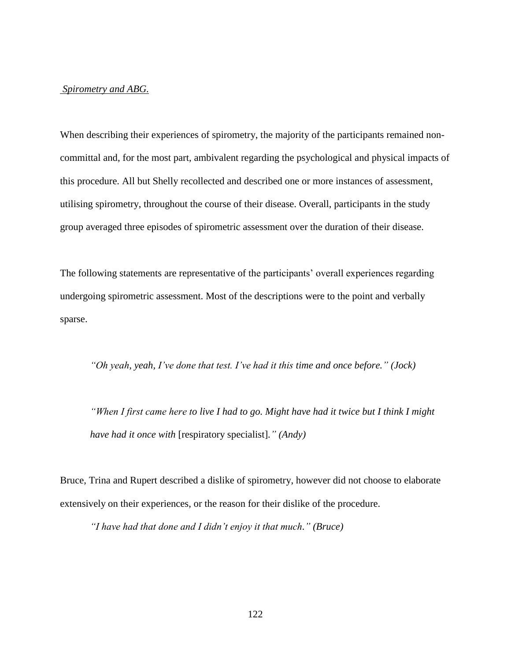# *Spirometry and ABG.*

When describing their experiences of spirometry, the majority of the participants remained noncommittal and, for the most part, ambivalent regarding the psychological and physical impacts of this procedure. All but Shelly recollected and described one or more instances of assessment, utilising spirometry, throughout the course of their disease. Overall, participants in the study group averaged three episodes of spirometric assessment over the duration of their disease.

The following statements are representative of the participants' overall experiences regarding undergoing spirometric assessment. Most of the descriptions were to the point and verbally sparse.

*"Oh yeah, yeah, I've done that test. I've had it this time and once before." (Jock)*

*"When I first came here to live I had to go. Might have had it twice but I think I might have had it once with* [respiratory specialist]*." (Andy)*

Bruce, Trina and Rupert described a dislike of spirometry, however did not choose to elaborate extensively on their experiences, or the reason for their dislike of the procedure.

*"I have had that done and I didn't enjoy it that much." (Bruce)*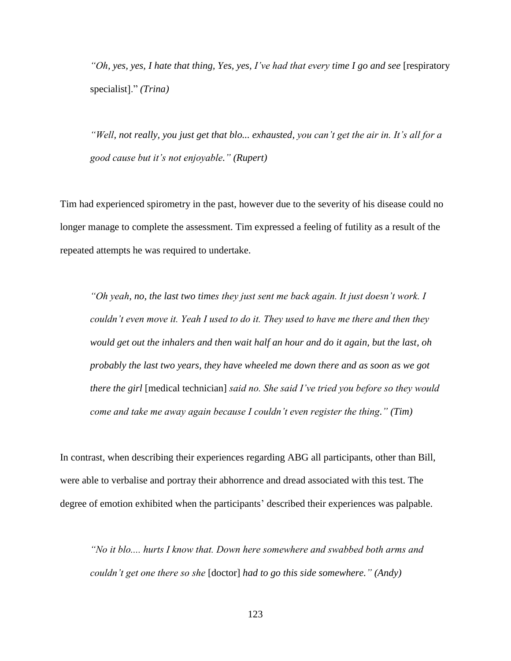*"Oh, yes, yes, I hate that thing, Yes, yes, I've had that every time I go and see* [respiratory specialist]." *(Trina)*

*"Well, not really, you just get that blo... exhausted, you can't get the air in. It's all for a good cause but it's not enjoyable." (Rupert)*

Tim had experienced spirometry in the past, however due to the severity of his disease could no longer manage to complete the assessment. Tim expressed a feeling of futility as a result of the repeated attempts he was required to undertake.

*"Oh yeah, no, the last two times they just sent me back again. It just doesn't work. I couldn't even move it. Yeah I used to do it. They used to have me there and then they would get out the inhalers and then wait half an hour and do it again, but the last, oh probably the last two years, they have wheeled me down there and as soon as we got there the girl* [medical technician] *said no. She said I've tried you before so they would come and take me away again because I couldn't even register the thing." (Tim)*

In contrast, when describing their experiences regarding ABG all participants, other than Bill, were able to verbalise and portray their abhorrence and dread associated with this test. The degree of emotion exhibited when the participants' described their experiences was palpable.

*"No it blo.... hurts I know that. Down here somewhere and swabbed both arms and couldn't get one there so she* [doctor] *had to go this side somewhere." (Andy)*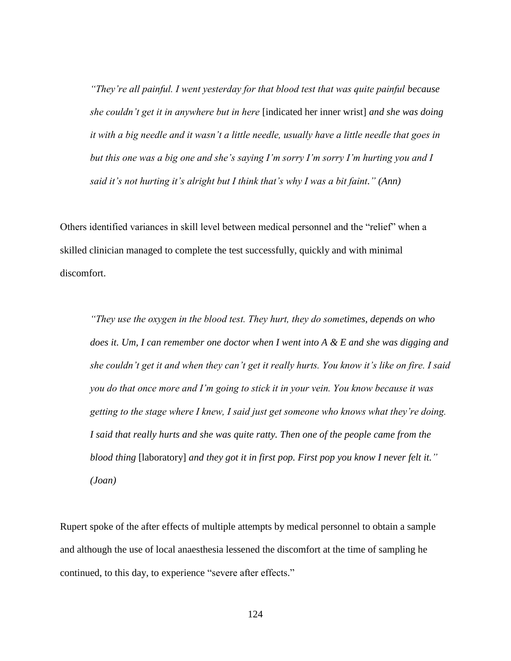*"They're all painful. I went yesterday for that blood test that was quite painful because she couldn't get it in anywhere but in here* [indicated her inner wrist] *and she was doing it with a big needle and it wasn't a little needle, usually have a little needle that goes in but this one was a big one and she's saying I'm sorry I'm sorry I'm hurting you and I said it's not hurting it's alright but I think that's why I was a bit faint." (Ann)*

Others identified variances in skill level between medical personnel and the "relief" when a skilled clinician managed to complete the test successfully, quickly and with minimal discomfort.

*"They use the oxygen in the blood test. They hurt, they do sometimes, depends on who does it. Um, I can remember one doctor when I went into A & E and she was digging and she couldn't get it and when they can't get it really hurts. You know it's like on fire. I said you do that once more and I'm going to stick it in your vein. You know because it was getting to the stage where I knew, I said just get someone who knows what they're doing. I said that really hurts and she was quite ratty. Then one of the people came from the blood thing* [laboratory] *and they got it in first pop. First pop you know I never felt it." (Joan)*

Rupert spoke of the after effects of multiple attempts by medical personnel to obtain a sample and although the use of local anaesthesia lessened the discomfort at the time of sampling he continued, to this day, to experience "severe after effects."

124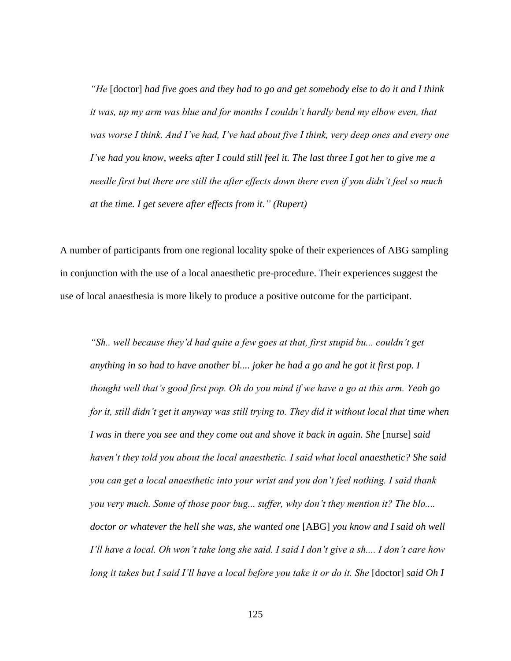*"He* [doctor] *had five goes and they had to go and get somebody else to do it and I think it was, up my arm was blue and for months I couldn't hardly bend my elbow even, that was worse I think. And I've had, I've had about five I think, very deep ones and every one I've had you know, weeks after I could still feel it. The last three I got her to give me a needle first but there are still the after effects down there even if you didn't feel so much at the time. I get severe after effects from it." (Rupert)*

A number of participants from one regional locality spoke of their experiences of ABG sampling in conjunction with the use of a local anaesthetic pre-procedure. Their experiences suggest the use of local anaesthesia is more likely to produce a positive outcome for the participant.

*"Sh.. well because they'd had quite a few goes at that, first stupid bu... couldn't get anything in so had to have another bl.... joker he had a go and he got it first pop. I thought well that's good first pop. Oh do you mind if we have a go at this arm. Yeah go for it, still didn't get it anyway was still trying to. They did it without local that time when I* was in there you see and they come out and shove it back in again. She [nurse] said *haven't they told you about the local anaesthetic. I said what local anaesthetic? She said you can get a local anaesthetic into your wrist and you don't feel nothing. I said thank you very much. Some of those poor bug... suffer, why don't they mention it? The blo.... doctor or whatever the hell she was, she wanted one* [ABG] *you know and I said oh well I'll have a local. Oh won't take long she said. I said I don't give a sh.... I don't care how long it takes but I said I'll have a local before you take it or do it. She* [doctor] *said Oh I*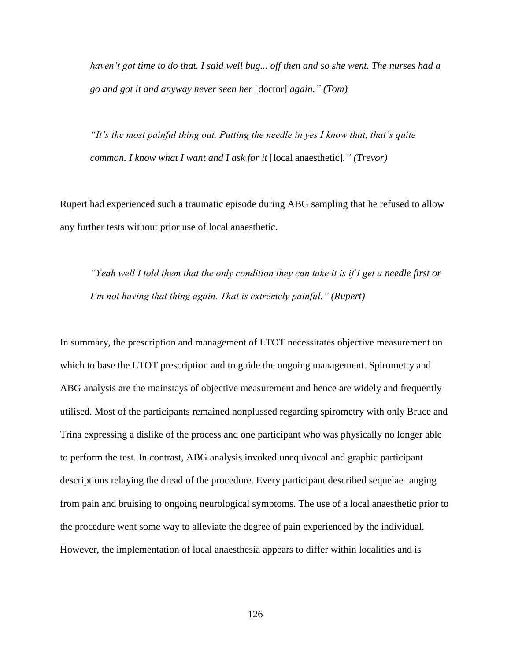*haven't got time to do that. I said well bug... off then and so she went. The nurses had a go and got it and anyway never seen her* [doctor] *again." (Tom)*

*"It's the most painful thing out. Putting the needle in yes I know that, that's quite common. I know what I want and I ask for it* [local anaesthetic]*." (Trevor)*

Rupert had experienced such a traumatic episode during ABG sampling that he refused to allow any further tests without prior use of local anaesthetic.

*"Yeah well I told them that the only condition they can take it is if I get a needle first or I'm not having that thing again. That is extremely painful." (Rupert)*

In summary, the prescription and management of LTOT necessitates objective measurement on which to base the LTOT prescription and to guide the ongoing management. Spirometry and ABG analysis are the mainstays of objective measurement and hence are widely and frequently utilised. Most of the participants remained nonplussed regarding spirometry with only Bruce and Trina expressing a dislike of the process and one participant who was physically no longer able to perform the test. In contrast, ABG analysis invoked unequivocal and graphic participant descriptions relaying the dread of the procedure. Every participant described sequelae ranging from pain and bruising to ongoing neurological symptoms. The use of a local anaesthetic prior to the procedure went some way to alleviate the degree of pain experienced by the individual. However, the implementation of local anaesthesia appears to differ within localities and is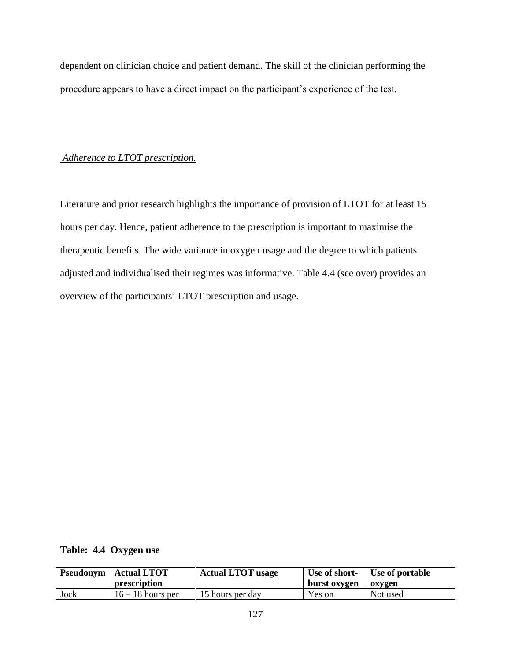dependent on clinician choice and patient demand. The skill of the clinician performing the procedure appears to have a direct impact on the participant's experience of the test.

# *Adherence to LTOT prescription.*

Literature and prior research highlights the importance of provision of LTOT for at least 15 hours per day. Hence, patient adherence to the prescription is important to maximise the therapeutic benefits. The wide variance in oxygen usage and the degree to which patients adjusted and individualised their regimes was informative. Table 4.4 (see over) provides an overview of the participants' LTOT prescription and usage.

**Table: 4.4 Oxygen use**

|      | <b>Pseudonym</b>   Actual LTOT<br>prescription | <b>Actual LTOT usage</b> | burst oxygen | Use of short- Use of portable<br>oxvgen |
|------|------------------------------------------------|--------------------------|--------------|-----------------------------------------|
| Jock | $16 - 18$ hours per                            | 15 hours per day         | Yes on       | Not used                                |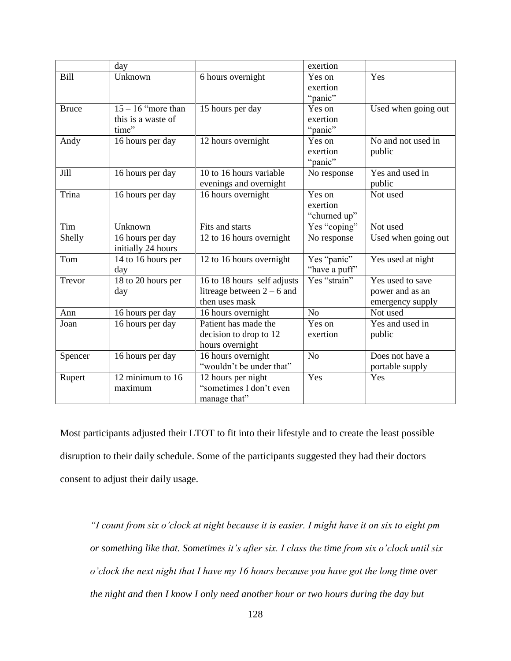|              | day                  |                              | exertion       |                                     |
|--------------|----------------------|------------------------------|----------------|-------------------------------------|
| <b>Bill</b>  | Unknown              | 6 hours overnight            | Yes on         | Yes                                 |
|              |                      |                              | exertion       |                                     |
|              |                      |                              | "panic"        |                                     |
| <b>Bruce</b> | $15 - 16$ "more than | 15 hours per day             | Yes on         | Used when going out                 |
|              | this is a waste of   |                              | exertion       |                                     |
|              | time"                |                              | "panic"        |                                     |
| Andy         | 16 hours per day     | 12 hours overnight           | Yes on         | No and not used in                  |
|              |                      |                              | exertion       | public                              |
|              |                      |                              | "panic"        |                                     |
| Jill         | 16 hours per day     | 10 to 16 hours variable      | No response    | Yes and used in                     |
|              |                      | evenings and overnight       |                | public                              |
| Trina        | 16 hours per day     | 16 hours overnight           | Yes on         | Not used                            |
|              |                      |                              | exertion       |                                     |
|              |                      |                              | "churned up"   |                                     |
| Tim          | Unknown              | Fits and starts              | Yes "coping"   | Not used                            |
| Shelly       | 16 hours per day     | 12 to 16 hours overnight     | No response    | Used when going out                 |
|              | initially 24 hours   |                              |                |                                     |
| Tom          | 14 to 16 hours per   | 12 to 16 hours overnight     | Yes "panic"    | Yes used at night                   |
|              | day                  |                              | "have a puff"  |                                     |
| Trevor       | 18 to 20 hours per   | 16 to 18 hours self adjusts  | Yes "strain"   | Yes used to save                    |
|              | day                  | litreage between $2 - 6$ and |                | power and as an                     |
|              |                      | then uses mask               |                | emergency supply                    |
| Ann          | 16 hours per day     | 16 hours overnight           | N <sub>o</sub> | Not used                            |
| Joan         | 16 hours per day     | Patient has made the         | Yes on         | Yes and used $\overline{\text{in}}$ |
|              |                      | decision to drop to 12       | exertion       | public                              |
|              |                      | hours overnight              |                |                                     |
| Spencer      | 16 hours per day     | 16 hours overnight           | N <sub>o</sub> | Does not have a                     |
|              |                      | "wouldn't be under that"     |                | portable supply                     |
| Rupert       | 12 minimum to 16     | 12 hours per night           | Yes            | Yes                                 |
|              | maximum              | "sometimes I don't even      |                |                                     |
|              |                      | manage that"                 |                |                                     |

Most participants adjusted their LTOT to fit into their lifestyle and to create the least possible disruption to their daily schedule. Some of the participants suggested they had their doctors consent to adjust their daily usage.

*"I count from six o'clock at night because it is easier. I might have it on six to eight pm or something like that. Sometimes it's after six. I class the time from six o'clock until six o'clock the next night that I have my 16 hours because you have got the long time over the night and then I know I only need another hour or two hours during the day but*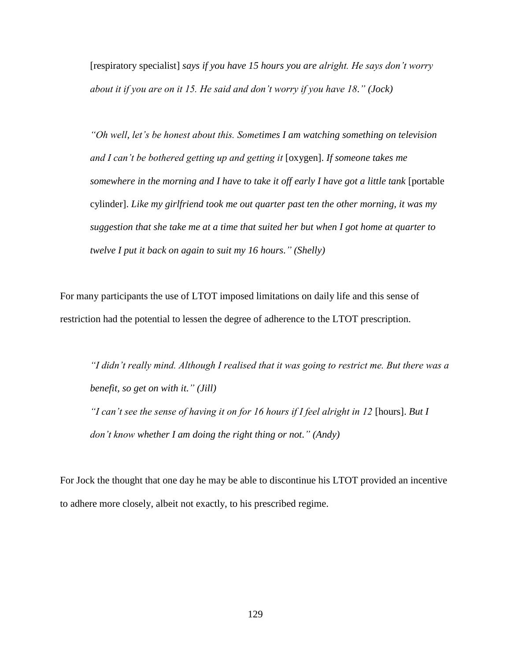[respiratory specialist] *says if you have 15 hours you are alright. He says don't worry about it if you are on it 15. He said and don't worry if you have 18." (Jock)*

*"Oh well, let's be honest about this. Sometimes I am watching something on television and I can't be bothered getting up and getting it* [oxygen]. *If someone takes me*  somewhere in the morning and I have to take it off early I have got a little tank [portable cylinder]. *Like my girlfriend took me out quarter past ten the other morning, it was my suggestion that she take me at a time that suited her but when I got home at quarter to twelve I put it back on again to suit my 16 hours." (Shelly)*

For many participants the use of LTOT imposed limitations on daily life and this sense of restriction had the potential to lessen the degree of adherence to the LTOT prescription.

*"I didn't really mind. Although I realised that it was going to restrict me. But there was a benefit, so get on with it." (Jill) "I can't see the sense of having it on for 16 hours if I feel alright in 12* [hours]. *But I don't know whether I am doing the right thing or not." (Andy)*

For Jock the thought that one day he may be able to discontinue his LTOT provided an incentive to adhere more closely, albeit not exactly, to his prescribed regime.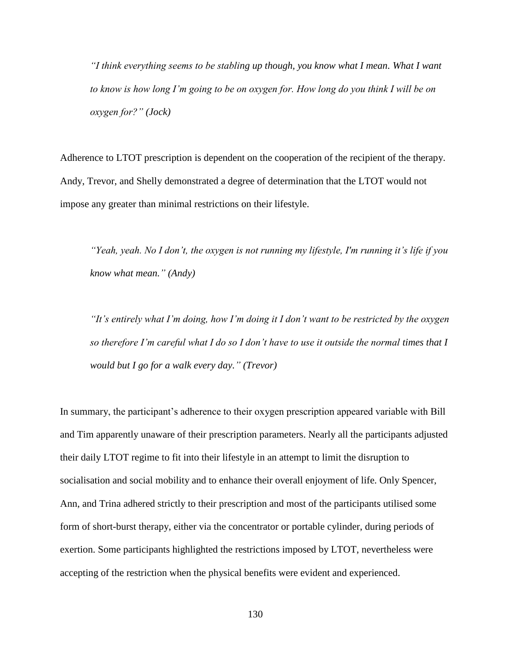*"I think everything seems to be stabling up though, you know what I mean. What I want to know is how long I'm going to be on oxygen for. How long do you think I will be on oxygen for?" (Jock)*

Adherence to LTOT prescription is dependent on the cooperation of the recipient of the therapy. Andy, Trevor, and Shelly demonstrated a degree of determination that the LTOT would not impose any greater than minimal restrictions on their lifestyle.

*"Yeah, yeah. No I don't, the oxygen is not running my lifestyle, I'm running it's life if you know what mean." (Andy)*

*"It's entirely what I'm doing, how I'm doing it I don't want to be restricted by the oxygen so therefore I'm careful what I do so I don't have to use it outside the normal times that I would but I go for a walk every day." (Trevor)*

In summary, the participant's adherence to their oxygen prescription appeared variable with Bill and Tim apparently unaware of their prescription parameters. Nearly all the participants adjusted their daily LTOT regime to fit into their lifestyle in an attempt to limit the disruption to socialisation and social mobility and to enhance their overall enjoyment of life. Only Spencer, Ann, and Trina adhered strictly to their prescription and most of the participants utilised some form of short-burst therapy, either via the concentrator or portable cylinder, during periods of exertion. Some participants highlighted the restrictions imposed by LTOT, nevertheless were accepting of the restriction when the physical benefits were evident and experienced.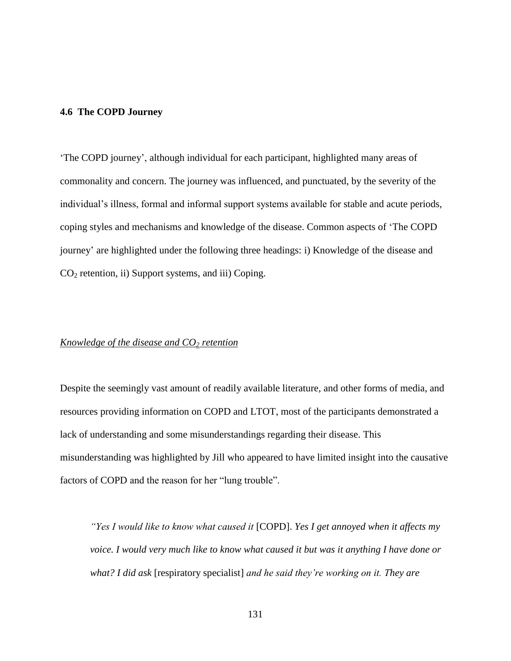## **4.6 The COPD Journey**

'The COPD journey', although individual for each participant, highlighted many areas of commonality and concern. The journey was influenced, and punctuated, by the severity of the individual's illness, formal and informal support systems available for stable and acute periods, coping styles and mechanisms and knowledge of the disease. Common aspects of 'The COPD journey' are highlighted under the following three headings: i) Knowledge of the disease and  $CO<sub>2</sub>$  retention, ii) Support systems, and iii) Coping.

## *Knowledge of the disease and CO<sup>2</sup> retention*

Despite the seemingly vast amount of readily available literature, and other forms of media, and resources providing information on COPD and LTOT, most of the participants demonstrated a lack of understanding and some misunderstandings regarding their disease. This misunderstanding was highlighted by Jill who appeared to have limited insight into the causative factors of COPD and the reason for her "lung trouble".

*"Yes I would like to know what caused it* [COPD]. *Yes I get annoyed when it affects my voice. I would very much like to know what caused it but was it anything I have done or what? I did ask* [respiratory specialist] *and he said they're working on it. They are*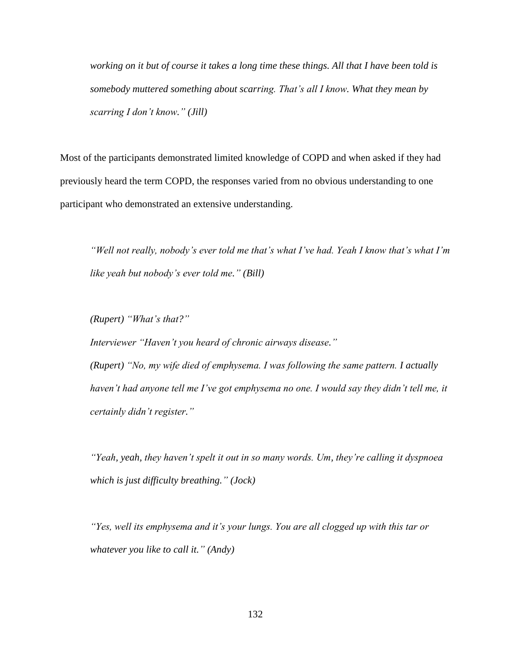*working on it but of course it takes a long time these things. All that I have been told is somebody muttered something about scarring. That's all I know. What they mean by scarring I don't know." (Jill)*

Most of the participants demonstrated limited knowledge of COPD and when asked if they had previously heard the term COPD, the responses varied from no obvious understanding to one participant who demonstrated an extensive understanding.

*"Well not really, nobody's ever told me that's what I've had. Yeah I know that's what I'm like yeah but nobody's ever told me." (Bill)*

*(Rupert) "What's that?"* 

*Interviewer "Haven't you heard of chronic airways disease." (Rupert) "No, my wife died of emphysema. I was following the same pattern. I actually haven't had anyone tell me I've got emphysema no one. I would say they didn't tell me, it certainly didn't register."* 

*"Yeah, yeah, they haven't spelt it out in so many words. Um, they're calling it dyspnoea which is just difficulty breathing." (Jock)*

*"Yes, well its emphysema and it's your lungs. You are all clogged up with this tar or whatever you like to call it." (Andy)*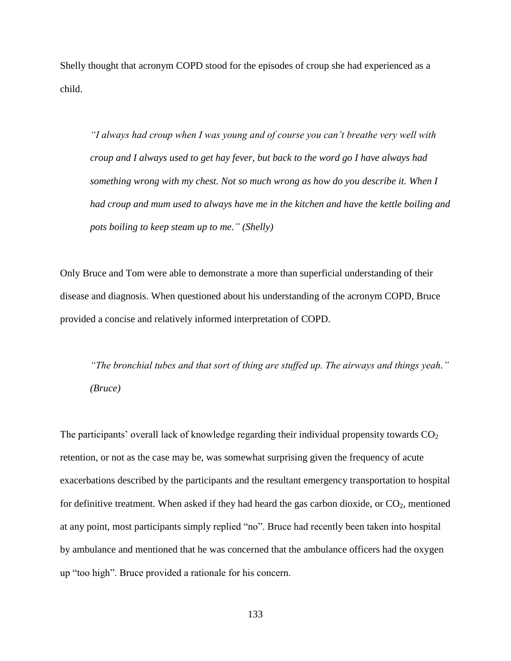Shelly thought that acronym COPD stood for the episodes of croup she had experienced as a child.

*"I always had croup when I was young and of course you can't breathe very well with croup and I always used to get hay fever, but back to the word go I have always had something wrong with my chest. Not so much wrong as how do you describe it. When I had croup and mum used to always have me in the kitchen and have the kettle boiling and pots boiling to keep steam up to me." (Shelly)*

Only Bruce and Tom were able to demonstrate a more than superficial understanding of their disease and diagnosis. When questioned about his understanding of the acronym COPD, Bruce provided a concise and relatively informed interpretation of COPD.

*"The bronchial tubes and that sort of thing are stuffed up. The airways and things yeah." (Bruce)*

The participants' overall lack of knowledge regarding their individual propensity towards  $CO<sub>2</sub>$ retention, or not as the case may be, was somewhat surprising given the frequency of acute exacerbations described by the participants and the resultant emergency transportation to hospital for definitive treatment. When asked if they had heard the gas carbon dioxide, or  $CO<sub>2</sub>$ , mentioned at any point, most participants simply replied "no". Bruce had recently been taken into hospital by ambulance and mentioned that he was concerned that the ambulance officers had the oxygen up "too high". Bruce provided a rationale for his concern.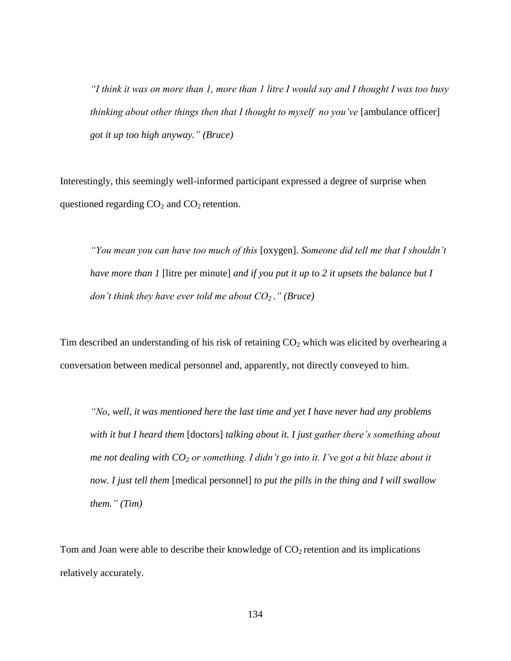*"I think it was on more than 1, more than 1 litre I would say and I thought I was too busy thinking about other things then that I thought to myself no you've* [ambulance officer] *got it up too high anyway." (Bruce)*

Interestingly, this seemingly well-informed participant expressed a degree of surprise when questioned regarding  $CO<sub>2</sub>$  and  $CO<sub>2</sub>$  retention.

*"You mean you can have too much of this* [oxygen]. *Someone did tell me that I shouldn't have more than 1* [litre per minute] *and if you put it up to 2 it upsets the balance but I don't think they have ever told me about CO<sup>2</sup> ." (Bruce)*

Tim described an understanding of his risk of retaining  $CO<sub>2</sub>$  which was elicited by overhearing a conversation between medical personnel and, apparently, not directly conveyed to him.

*"No, well, it was mentioned here the last time and yet I have never had any problems with it but I heard them* [doctors] *talking about it. I just gather there's something about me not dealing with CO<sup>2</sup> or something. I didn't go into it. I've got a bit blaze about it now. I just tell them* [medical personnel] *to put the pills in the thing and I will swallow them." (Tim)*

Tom and Joan were able to describe their knowledge of  $CO<sub>2</sub>$  retention and its implications relatively accurately.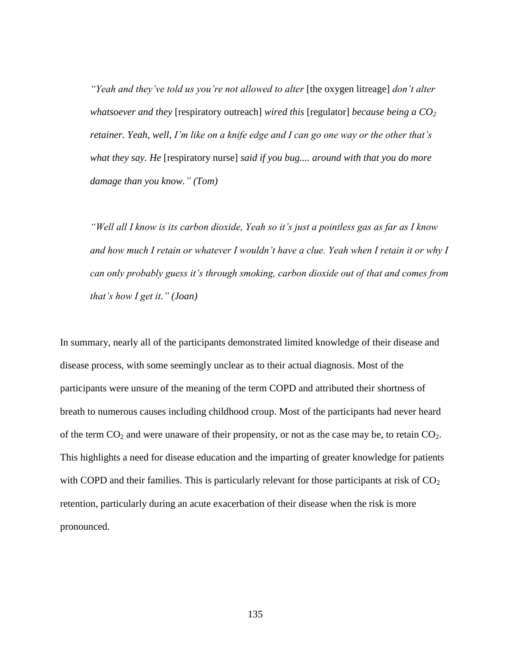*"Yeah and they've told us you're not allowed to alter* [the oxygen litreage] *don't alter whatsoever and they* [respiratory outreach] *wired this* [regulator] *because being a CO*<sub>2</sub> *retainer. Yeah, well, I'm like on a knife edge and I can go one way or the other that's what they say. He* [respiratory nurse] *said if you bug.... around with that you do more damage than you know." (Tom)* 

*"Well all I know is its carbon dioxide, Yeah so it's just a pointless gas as far as I know and how much I retain or whatever I wouldn't have a clue. Yeah when I retain it or why I can only probably guess it's through smoking, carbon dioxide out of that and comes from that's how I get it." (Joan)*

In summary, nearly all of the participants demonstrated limited knowledge of their disease and disease process, with some seemingly unclear as to their actual diagnosis. Most of the participants were unsure of the meaning of the term COPD and attributed their shortness of breath to numerous causes including childhood croup. Most of the participants had never heard of the term  $CO_2$  and were unaware of their propensity, or not as the case may be, to retain  $CO_2$ . This highlights a need for disease education and the imparting of greater knowledge for patients with COPD and their families. This is particularly relevant for those participants at risk of  $CO<sub>2</sub>$ retention, particularly during an acute exacerbation of their disease when the risk is more pronounced.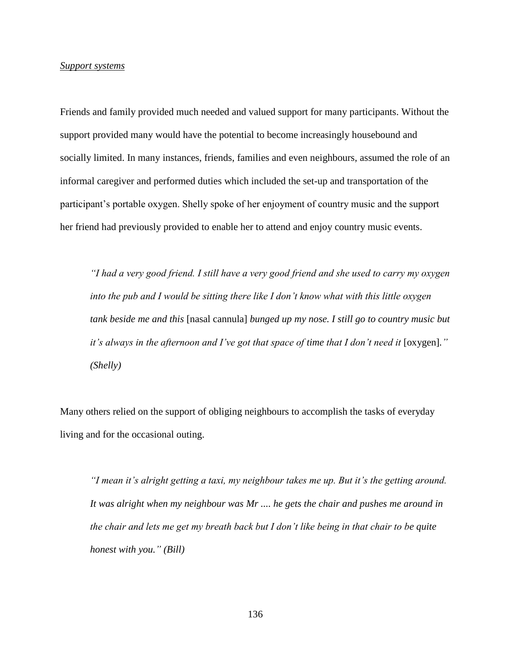## *Support systems*

Friends and family provided much needed and valued support for many participants. Without the support provided many would have the potential to become increasingly housebound and socially limited. In many instances, friends, families and even neighbours, assumed the role of an informal caregiver and performed duties which included the set-up and transportation of the participant's portable oxygen. Shelly spoke of her enjoyment of country music and the support her friend had previously provided to enable her to attend and enjoy country music events.

*"I had a very good friend. I still have a very good friend and she used to carry my oxygen into the pub and I would be sitting there like I don't know what with this little oxygen tank beside me and this* [nasal cannula] *bunged up my nose. I still go to country music but it's always in the afternoon and I've got that space of time that I don't need it* [oxygen]*." (Shelly)*

Many others relied on the support of obliging neighbours to accomplish the tasks of everyday living and for the occasional outing.

*"I mean it's alright getting a taxi, my neighbour takes me up. But it's the getting around. It was alright when my neighbour was Mr .... he gets the chair and pushes me around in the chair and lets me get my breath back but I don't like being in that chair to be quite honest with you." (Bill)*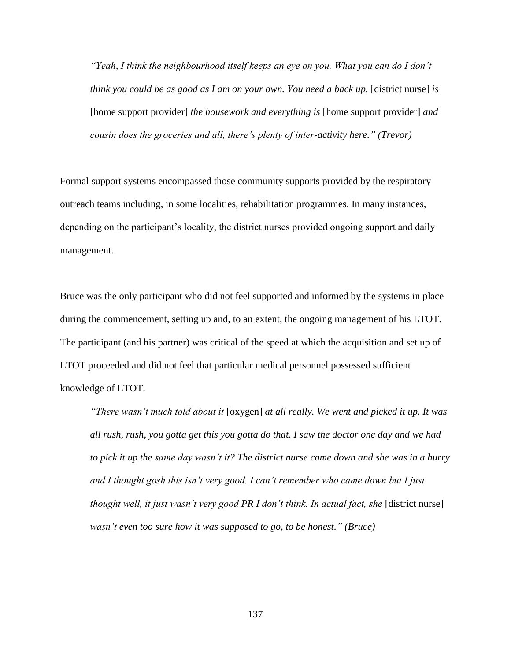*"Yeah, I think the neighbourhood itself keeps an eye on you. What you can do I don't think you could be as good as I am on your own. You need a back up.* [district nurse] *is* [home support provider] *the housework and everything is* [home support provider] *and cousin does the groceries and all, there's plenty of inter-activity here." (Trevor)*

Formal support systems encompassed those community supports provided by the respiratory outreach teams including, in some localities, rehabilitation programmes. In many instances, depending on the participant's locality, the district nurses provided ongoing support and daily management.

Bruce was the only participant who did not feel supported and informed by the systems in place during the commencement, setting up and, to an extent, the ongoing management of his LTOT. The participant (and his partner) was critical of the speed at which the acquisition and set up of LTOT proceeded and did not feel that particular medical personnel possessed sufficient knowledge of LTOT.

*"There wasn't much told about it* [oxygen] *at all really. We went and picked it up. It was all rush, rush, you gotta get this you gotta do that. I saw the doctor one day and we had to pick it up the same day wasn't it? The district nurse came down and she was in a hurry and I thought gosh this isn't very good. I can't remember who came down but I just thought well, it just wasn't very good PR I don't think. In actual fact, she* [district nurse] *wasn't even too sure how it was supposed to go, to be honest." (Bruce)*

137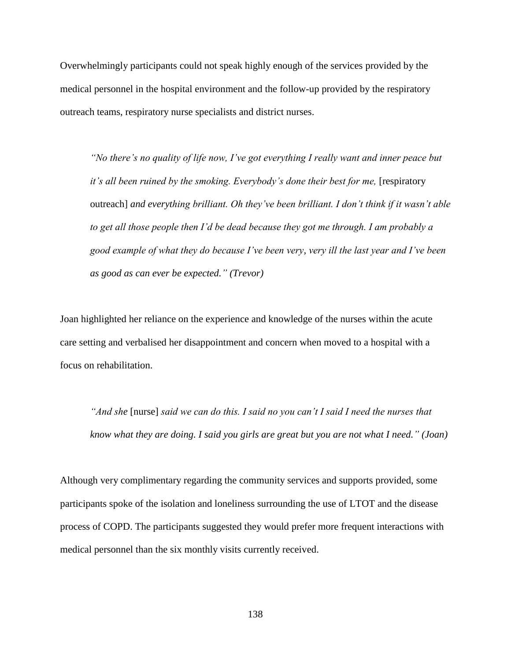Overwhelmingly participants could not speak highly enough of the services provided by the medical personnel in the hospital environment and the follow-up provided by the respiratory outreach teams, respiratory nurse specialists and district nurses.

*"No there's no quality of life now, I've got everything I really want and inner peace but it's all been ruined by the smoking. Everybody's done their best for me,* [respiratory outreach] *and everything brilliant. Oh they've been brilliant. I don't think if it wasn't able to get all those people then I'd be dead because they got me through. I am probably a good example of what they do because I've been very, very ill the last year and I've been as good as can ever be expected." (Trevor)*

Joan highlighted her reliance on the experience and knowledge of the nurses within the acute care setting and verbalised her disappointment and concern when moved to a hospital with a focus on rehabilitation.

*"And she* [nurse] *said we can do this. I said no you can't I said I need the nurses that know what they are doing. I said you girls are great but you are not what I need." (Joan)*

Although very complimentary regarding the community services and supports provided, some participants spoke of the isolation and loneliness surrounding the use of LTOT and the disease process of COPD. The participants suggested they would prefer more frequent interactions with medical personnel than the six monthly visits currently received.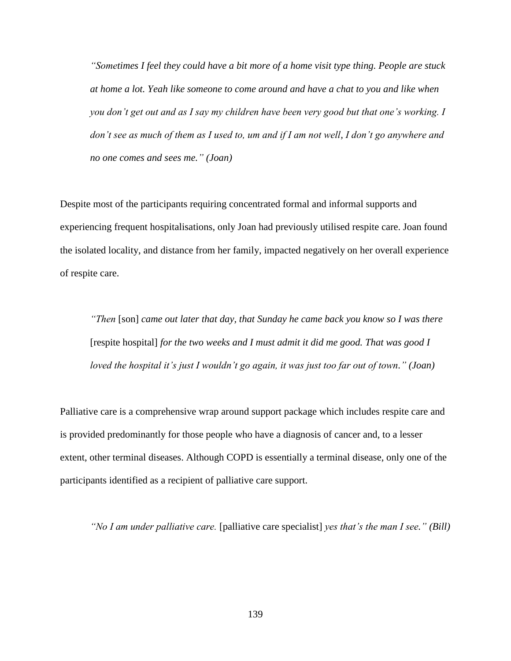*"Sometimes I feel they could have a bit more of a home visit type thing. People are stuck at home a lot. Yeah like someone to come around and have a chat to you and like when you don't get out and as I say my children have been very good but that one's working. I don't see as much of them as I used to, um and if I am not well, I don't go anywhere and no one comes and sees me." (Joan)*

Despite most of the participants requiring concentrated formal and informal supports and experiencing frequent hospitalisations, only Joan had previously utilised respite care. Joan found the isolated locality, and distance from her family, impacted negatively on her overall experience of respite care.

*"Then* [son] *came out later that day, that Sunday he came back you know so I was there*  [respite hospital] *for the two weeks and I must admit it did me good. That was good I loved the hospital it's just I wouldn't go again, it was just too far out of town." (Joan)*

Palliative care is a comprehensive wrap around support package which includes respite care and is provided predominantly for those people who have a diagnosis of cancer and, to a lesser extent, other terminal diseases. Although COPD is essentially a terminal disease, only one of the participants identified as a recipient of palliative care support.

*"No I am under palliative care.* [palliative care specialist] *yes that's the man I see." (Bill)*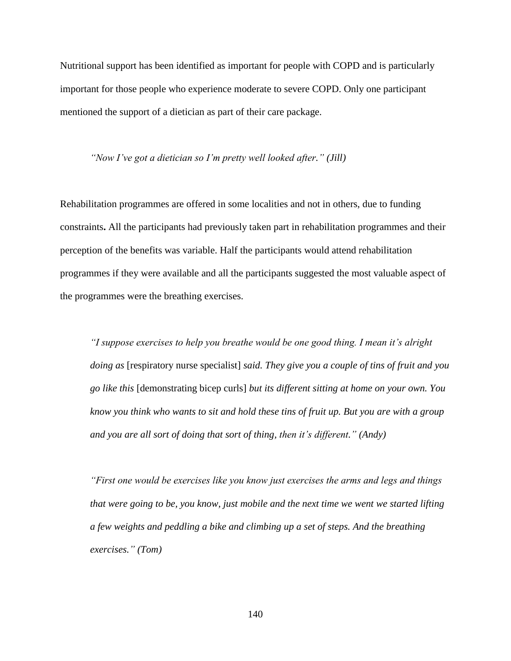Nutritional support has been identified as important for people with COPD and is particularly important for those people who experience moderate to severe COPD. Only one participant mentioned the support of a dietician as part of their care package.

*"Now I've got a dietician so I'm pretty well looked after." (Jill)*

Rehabilitation programmes are offered in some localities and not in others, due to funding constraints**.** All the participants had previously taken part in rehabilitation programmes and their perception of the benefits was variable. Half the participants would attend rehabilitation programmes if they were available and all the participants suggested the most valuable aspect of the programmes were the breathing exercises.

*"I suppose exercises to help you breathe would be one good thing. I mean it's alright doing as* [respiratory nurse specialist] *said. They give you a couple of tins of fruit and you go like this* [demonstrating bicep curls] *but its different sitting at home on your own. You know you think who wants to sit and hold these tins of fruit up. But you are with a group and you are all sort of doing that sort of thing, then it's different." (Andy)*

*"First one would be exercises like you know just exercises the arms and legs and things that were going to be, you know, just mobile and the next time we went we started lifting a few weights and peddling a bike and climbing up a set of steps. And the breathing exercises." (Tom)*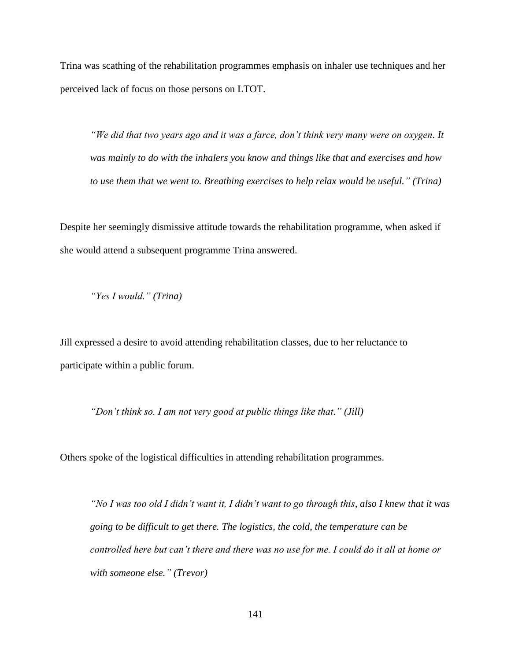Trina was scathing of the rehabilitation programmes emphasis on inhaler use techniques and her perceived lack of focus on those persons on LTOT.

*"We did that two years ago and it was a farce, don't think very many were on oxygen. It was mainly to do with the inhalers you know and things like that and exercises and how to use them that we went to. Breathing exercises to help relax would be useful." (Trina)*

Despite her seemingly dismissive attitude towards the rehabilitation programme, when asked if she would attend a subsequent programme Trina answered.

*"Yes I would." (Trina)*

Jill expressed a desire to avoid attending rehabilitation classes, due to her reluctance to participate within a public forum.

*"Don't think so. I am not very good at public things like that." (Jill)*

Others spoke of the logistical difficulties in attending rehabilitation programmes.

*"No I was too old I didn't want it, I didn't want to go through this, also I knew that it was going to be difficult to get there. The logistics, the cold, the temperature can be controlled here but can't there and there was no use for me. I could do it all at home or with someone else." (Trevor)*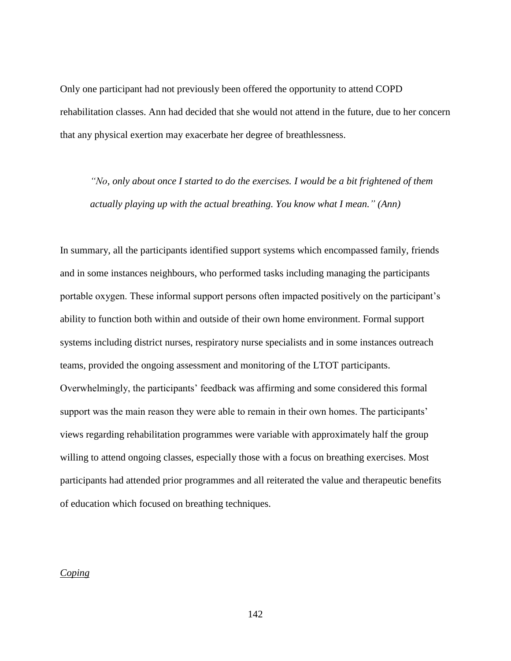Only one participant had not previously been offered the opportunity to attend COPD rehabilitation classes. Ann had decided that she would not attend in the future, due to her concern that any physical exertion may exacerbate her degree of breathlessness.

*"No, only about once I started to do the exercises. I would be a bit frightened of them actually playing up with the actual breathing. You know what I mean." (Ann)*

In summary, all the participants identified support systems which encompassed family, friends and in some instances neighbours, who performed tasks including managing the participants portable oxygen. These informal support persons often impacted positively on the participant's ability to function both within and outside of their own home environment. Formal support systems including district nurses, respiratory nurse specialists and in some instances outreach teams, provided the ongoing assessment and monitoring of the LTOT participants. Overwhelmingly, the participants' feedback was affirming and some considered this formal support was the main reason they were able to remain in their own homes. The participants' views regarding rehabilitation programmes were variable with approximately half the group willing to attend ongoing classes, especially those with a focus on breathing exercises. Most participants had attended prior programmes and all reiterated the value and therapeutic benefits of education which focused on breathing techniques.

## *Coping*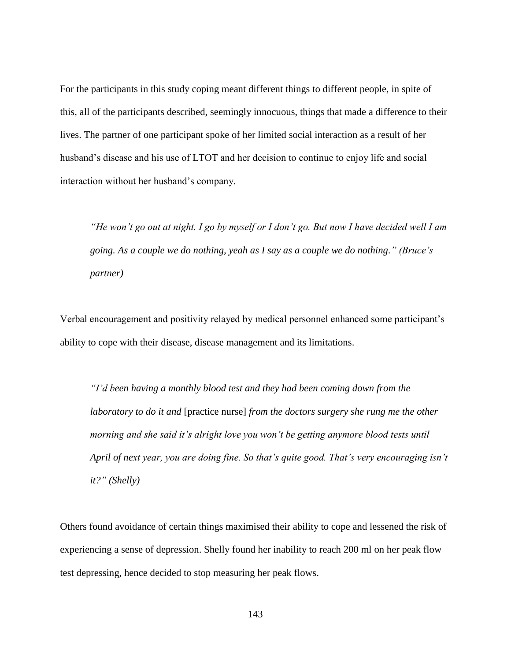For the participants in this study coping meant different things to different people, in spite of this, all of the participants described, seemingly innocuous, things that made a difference to their lives. The partner of one participant spoke of her limited social interaction as a result of her husband's disease and his use of LTOT and her decision to continue to enjoy life and social interaction without her husband's company.

*"He won't go out at night. I go by myself or I don't go. But now I have decided well I am going. As a couple we do nothing, yeah as I say as a couple we do nothing." (Bruce's partner)* 

Verbal encouragement and positivity relayed by medical personnel enhanced some participant's ability to cope with their disease, disease management and its limitations.

*"I'd been having a monthly blood test and they had been coming down from the laboratory to do it and* [practice nurse] *from the doctors surgery she rung me the other morning and she said it's alright love you won't be getting anymore blood tests until April of next year, you are doing fine. So that's quite good. That's very encouraging isn't it?" (Shelly)*

Others found avoidance of certain things maximised their ability to cope and lessened the risk of experiencing a sense of depression. Shelly found her inability to reach 200 ml on her peak flow test depressing, hence decided to stop measuring her peak flows.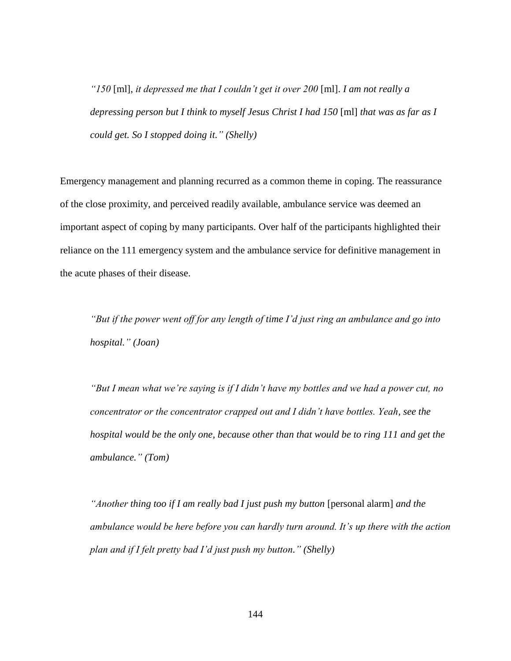*"150* [ml], *it depressed me that I couldn't get it over 200* [ml]. *I am not really a depressing person but I think to myself Jesus Christ I had 150* [ml] *that was as far as I could get. So I stopped doing it." (Shelly)*

Emergency management and planning recurred as a common theme in coping. The reassurance of the close proximity, and perceived readily available, ambulance service was deemed an important aspect of coping by many participants. Over half of the participants highlighted their reliance on the 111 emergency system and the ambulance service for definitive management in the acute phases of their disease.

*"But if the power went off for any length of time I'd just ring an ambulance and go into hospital." (Joan)*

*"But I mean what we're saying is if I didn't have my bottles and we had a power cut, no concentrator or the concentrator crapped out and I didn't have bottles. Yeah, see the hospital would be the only one, because other than that would be to ring 111 and get the ambulance." (Tom)*

*"Another thing too if I am really bad I just push my button* [personal alarm] *and the ambulance would be here before you can hardly turn around. It's up there with the action plan and if I felt pretty bad I'd just push my button." (Shelly)*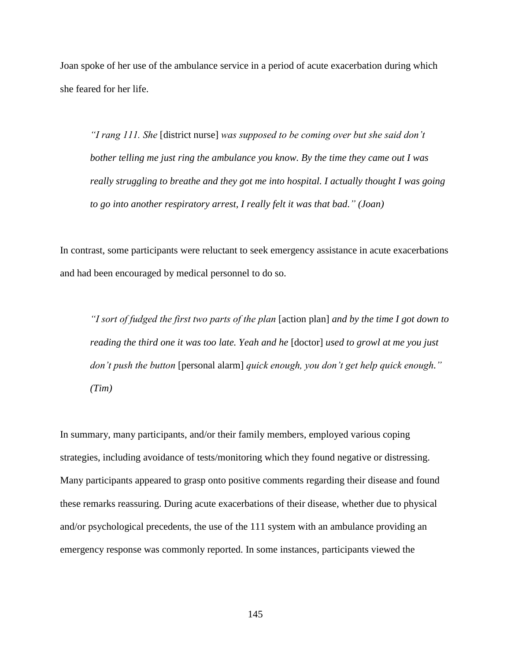Joan spoke of her use of the ambulance service in a period of acute exacerbation during which she feared for her life.

*"I rang 111. She* [district nurse] *was supposed to be coming over but she said don't bother telling me just ring the ambulance you know. By the time they came out I was really struggling to breathe and they got me into hospital. I actually thought I was going to go into another respiratory arrest, I really felt it was that bad." (Joan)*

In contrast, some participants were reluctant to seek emergency assistance in acute exacerbations and had been encouraged by medical personnel to do so.

*"I sort of fudged the first two parts of the plan* [action plan] *and by the time I got down to reading the third one it was too late. Yeah and he* [doctor] *used to growl at me you just don't push the button* [personal alarm] *quick enough, you don't get help quick enough." (Tim)*

In summary, many participants, and/or their family members, employed various coping strategies, including avoidance of tests/monitoring which they found negative or distressing. Many participants appeared to grasp onto positive comments regarding their disease and found these remarks reassuring. During acute exacerbations of their disease, whether due to physical and/or psychological precedents, the use of the 111 system with an ambulance providing an emergency response was commonly reported. In some instances, participants viewed the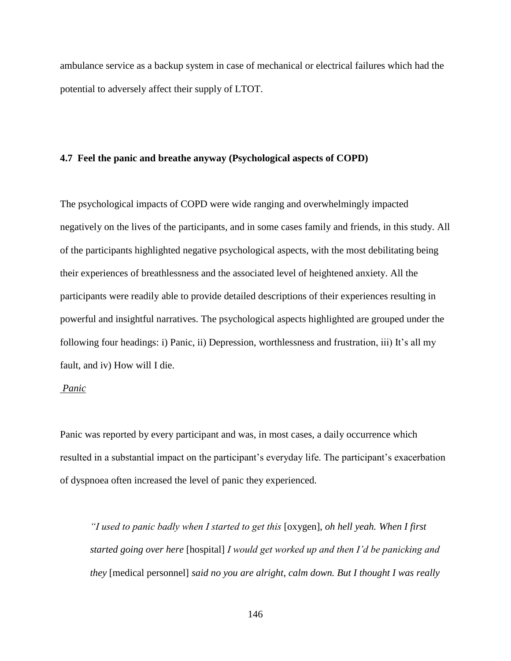ambulance service as a backup system in case of mechanical or electrical failures which had the potential to adversely affect their supply of LTOT.

## **4.7 Feel the panic and breathe anyway (Psychological aspects of COPD)**

The psychological impacts of COPD were wide ranging and overwhelmingly impacted negatively on the lives of the participants, and in some cases family and friends, in this study. All of the participants highlighted negative psychological aspects, with the most debilitating being their experiences of breathlessness and the associated level of heightened anxiety. All the participants were readily able to provide detailed descriptions of their experiences resulting in powerful and insightful narratives. The psychological aspects highlighted are grouped under the following four headings: i) Panic, ii) Depression, worthlessness and frustration, iii) It's all my fault, and iv) How will I die.

## *Panic*

Panic was reported by every participant and was, in most cases, a daily occurrence which resulted in a substantial impact on the participant's everyday life. The participant's exacerbation of dyspnoea often increased the level of panic they experienced.

*"I used to panic badly when I started to get this* [oxygen], *oh hell yeah. When I first started going over here* [hospital] *I would get worked up and then I'd be panicking and they* [medical personnel] *said no you are alright, calm down. But I thought I was really*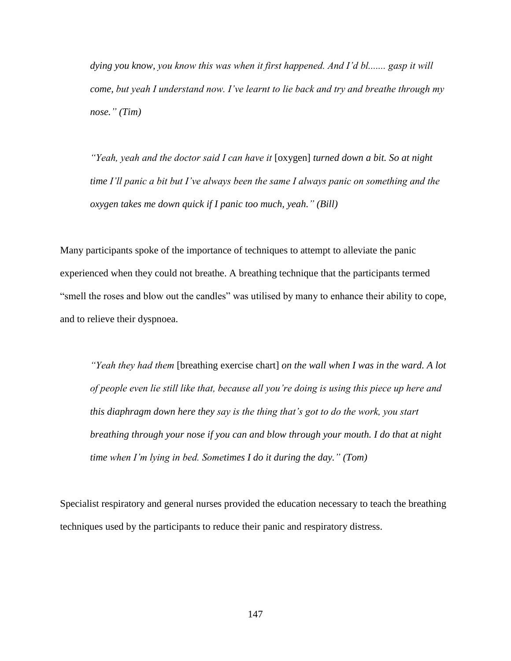*dying you know, you know this was when it first happened. And I'd bl....... gasp it will come, but yeah I understand now. I've learnt to lie back and try and breathe through my nose." (Tim)*

*"Yeah, yeah and the doctor said I can have it* [oxygen] *turned down a bit. So at night time I'll panic a bit but I've always been the same I always panic on something and the oxygen takes me down quick if I panic too much, yeah." (Bill)*

Many participants spoke of the importance of techniques to attempt to alleviate the panic experienced when they could not breathe. A breathing technique that the participants termed "smell the roses and blow out the candles" was utilised by many to enhance their ability to cope, and to relieve their dyspnoea.

*"Yeah they had them* [breathing exercise chart] *on the wall when I was in the ward. A lot of people even lie still like that, because all you're doing is using this piece up here and this diaphragm down here they say is the thing that's got to do the work, you start breathing through your nose if you can and blow through your mouth. I do that at night time when I'm lying in bed. Sometimes I do it during the day." (Tom)*

Specialist respiratory and general nurses provided the education necessary to teach the breathing techniques used by the participants to reduce their panic and respiratory distress.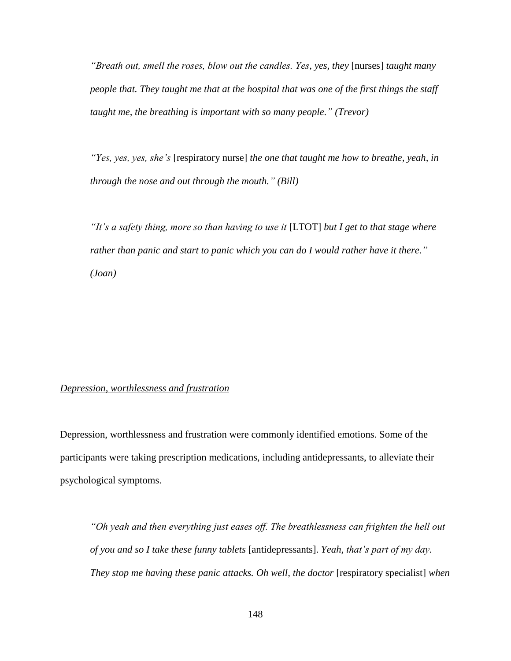*"Breath out, smell the roses, blow out the candles. Yes, yes, they* [nurses] *taught many people that. They taught me that at the hospital that was one of the first things the staff taught me, the breathing is important with so many people." (Trevor)*

*"Yes, yes, yes, she's* [respiratory nurse] *the one that taught me how to breathe, yeah, in through the nose and out through the mouth." (Bill)*

*"It's a safety thing, more so than having to use it* [LTOT] *but I get to that stage where rather than panic and start to panic which you can do I would rather have it there." (Joan)*

## *Depression, worthlessness and frustration*

Depression, worthlessness and frustration were commonly identified emotions. Some of the participants were taking prescription medications, including antidepressants, to alleviate their psychological symptoms.

*"Oh yeah and then everything just eases off. The breathlessness can frighten the hell out of you and so I take these funny tablets* [antidepressants]. *Yeah, that's part of my day. They stop me having these panic attacks. Oh well, the doctor* [respiratory specialist] *when*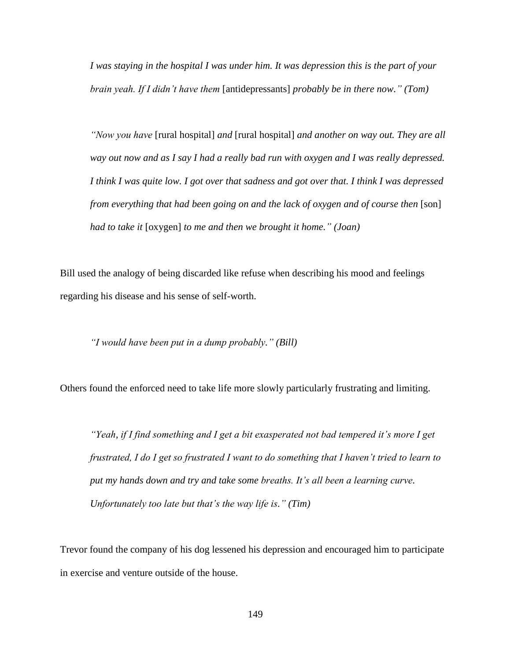*I was staying in the hospital I was under him. It was depression this is the part of your brain yeah. If I didn't have them* [antidepressants] *probably be in there now." (Tom)*

*"Now you have* [rural hospital] *and* [rural hospital] *and another on way out. They are all way out now and as I say I had a really bad run with oxygen and I was really depressed. I think I was quite low. I got over that sadness and got over that. I think I was depressed from everything that had been going on and the lack of oxygen and of course then* [son] *had to take it* [oxygen] *to me and then we brought it home." (Joan)*

Bill used the analogy of being discarded like refuse when describing his mood and feelings regarding his disease and his sense of self-worth.

*"I would have been put in a dump probably." (Bill)*

Others found the enforced need to take life more slowly particularly frustrating and limiting.

*"Yeah, if I find something and I get a bit exasperated not bad tempered it's more I get frustrated, I do I get so frustrated I want to do something that I haven't tried to learn to put my hands down and try and take some breaths. It's all been a learning curve. Unfortunately too late but that's the way life is." (Tim)*

Trevor found the company of his dog lessened his depression and encouraged him to participate in exercise and venture outside of the house.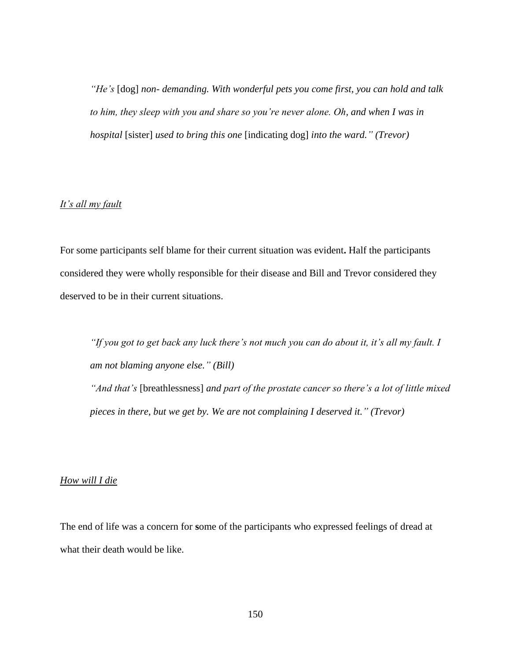*"He's* [dog] *non- demanding. With wonderful pets you come first, you can hold and talk to him, they sleep with you and share so you're never alone. Oh, and when I was in hospital* [sister] *used to bring this one* [indicating dog] *into the ward." (Trevor)*

# *It's all my fault*

For some participants self blame for their current situation was evident**.** Half the participants considered they were wholly responsible for their disease and Bill and Trevor considered they deserved to be in their current situations.

*"If you got to get back any luck there's not much you can do about it, it's all my fault. I am not blaming anyone else." (Bill) "And that's* [breathlessness] *and part of the prostate cancer so there's a lot of little mixed pieces in there, but we get by. We are not complaining I deserved it." (Trevor)*

## *How will I die*

The end of life was a concern for **s**ome of the participants who expressed feelings of dread at what their death would be like.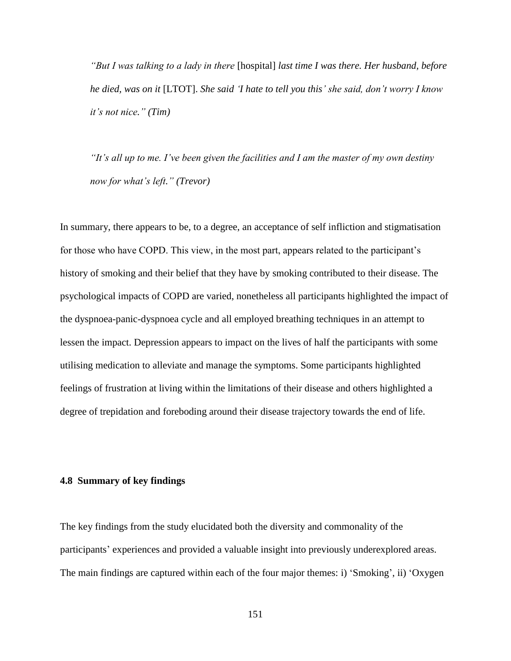*"But I was talking to a lady in there* [hospital] *last time I was there. Her husband, before he died, was on it* [LTOT]. *She said 'I hate to tell you this' she said, don't worry I know it's not nice." (Tim)*

*"It's all up to me. I've been given the facilities and I am the master of my own destiny now for what's left." (Trevor)*

In summary, there appears to be, to a degree, an acceptance of self infliction and stigmatisation for those who have COPD. This view, in the most part, appears related to the participant's history of smoking and their belief that they have by smoking contributed to their disease. The psychological impacts of COPD are varied, nonetheless all participants highlighted the impact of the dyspnoea-panic-dyspnoea cycle and all employed breathing techniques in an attempt to lessen the impact. Depression appears to impact on the lives of half the participants with some utilising medication to alleviate and manage the symptoms. Some participants highlighted feelings of frustration at living within the limitations of their disease and others highlighted a degree of trepidation and foreboding around their disease trajectory towards the end of life.

## **4.8 Summary of key findings**

The key findings from the study elucidated both the diversity and commonality of the participants' experiences and provided a valuable insight into previously underexplored areas. The main findings are captured within each of the four major themes: i) 'Smoking', ii) 'Oxygen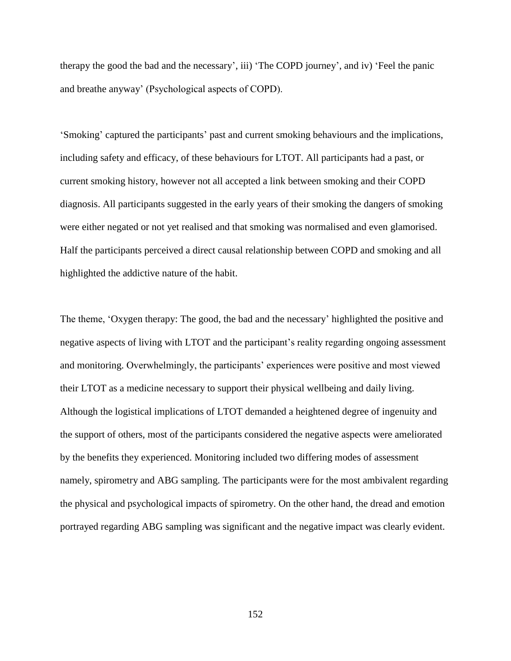therapy the good the bad and the necessary', iii) 'The COPD journey', and iv) 'Feel the panic and breathe anyway' (Psychological aspects of COPD).

'Smoking' captured the participants' past and current smoking behaviours and the implications, including safety and efficacy, of these behaviours for LTOT. All participants had a past, or current smoking history, however not all accepted a link between smoking and their COPD diagnosis. All participants suggested in the early years of their smoking the dangers of smoking were either negated or not yet realised and that smoking was normalised and even glamorised. Half the participants perceived a direct causal relationship between COPD and smoking and all highlighted the addictive nature of the habit.

The theme, 'Oxygen therapy: The good, the bad and the necessary' highlighted the positive and negative aspects of living with LTOT and the participant's reality regarding ongoing assessment and monitoring. Overwhelmingly, the participants' experiences were positive and most viewed their LTOT as a medicine necessary to support their physical wellbeing and daily living. Although the logistical implications of LTOT demanded a heightened degree of ingenuity and the support of others, most of the participants considered the negative aspects were ameliorated by the benefits they experienced. Monitoring included two differing modes of assessment namely, spirometry and ABG sampling. The participants were for the most ambivalent regarding the physical and psychological impacts of spirometry. On the other hand, the dread and emotion portrayed regarding ABG sampling was significant and the negative impact was clearly evident.

152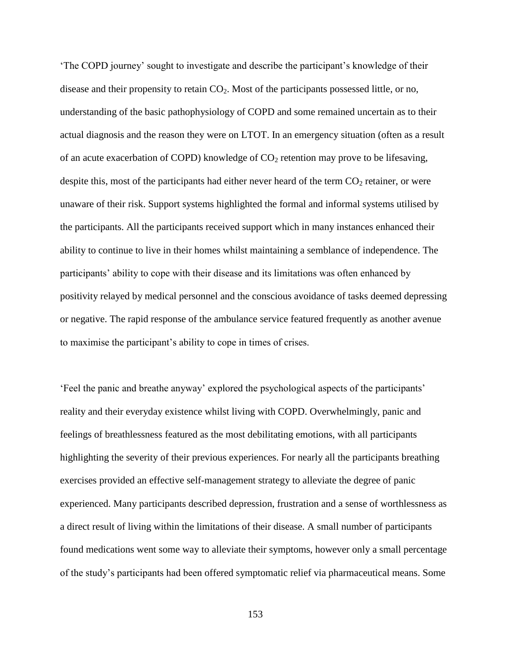'The COPD journey' sought to investigate and describe the participant's knowledge of their disease and their propensity to retain  $CO<sub>2</sub>$ . Most of the participants possessed little, or no, understanding of the basic pathophysiology of COPD and some remained uncertain as to their actual diagnosis and the reason they were on LTOT. In an emergency situation (often as a result of an acute exacerbation of COPD) knowledge of  $CO<sub>2</sub>$  retention may prove to be lifesaving, despite this, most of the participants had either never heard of the term  $CO<sub>2</sub>$  retainer, or were unaware of their risk. Support systems highlighted the formal and informal systems utilised by the participants. All the participants received support which in many instances enhanced their ability to continue to live in their homes whilst maintaining a semblance of independence. The participants' ability to cope with their disease and its limitations was often enhanced by positivity relayed by medical personnel and the conscious avoidance of tasks deemed depressing or negative. The rapid response of the ambulance service featured frequently as another avenue to maximise the participant's ability to cope in times of crises.

'Feel the panic and breathe anyway' explored the psychological aspects of the participants' reality and their everyday existence whilst living with COPD. Overwhelmingly, panic and feelings of breathlessness featured as the most debilitating emotions, with all participants highlighting the severity of their previous experiences. For nearly all the participants breathing exercises provided an effective self-management strategy to alleviate the degree of panic experienced. Many participants described depression, frustration and a sense of worthlessness as a direct result of living within the limitations of their disease. A small number of participants found medications went some way to alleviate their symptoms, however only a small percentage of the study's participants had been offered symptomatic relief via pharmaceutical means. Some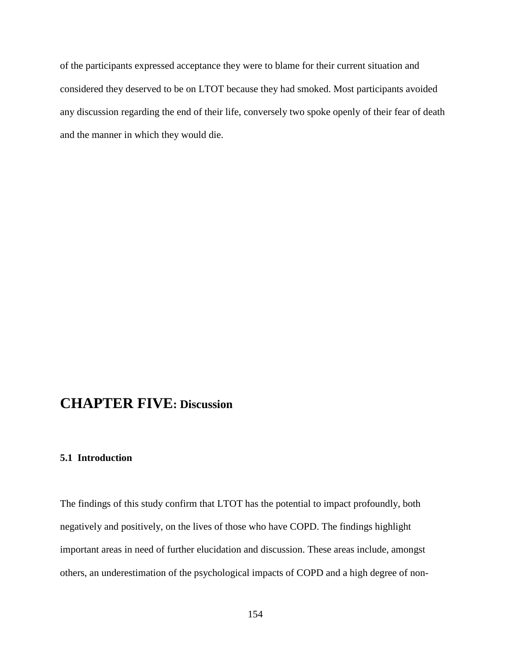of the participants expressed acceptance they were to blame for their current situation and considered they deserved to be on LTOT because they had smoked. Most participants avoided any discussion regarding the end of their life, conversely two spoke openly of their fear of death and the manner in which they would die.

# **CHAPTER FIVE: Discussion**

# **5.1 Introduction**

The findings of this study confirm that LTOT has the potential to impact profoundly, both negatively and positively, on the lives of those who have COPD. The findings highlight important areas in need of further elucidation and discussion. These areas include, amongst others, an underestimation of the psychological impacts of COPD and a high degree of non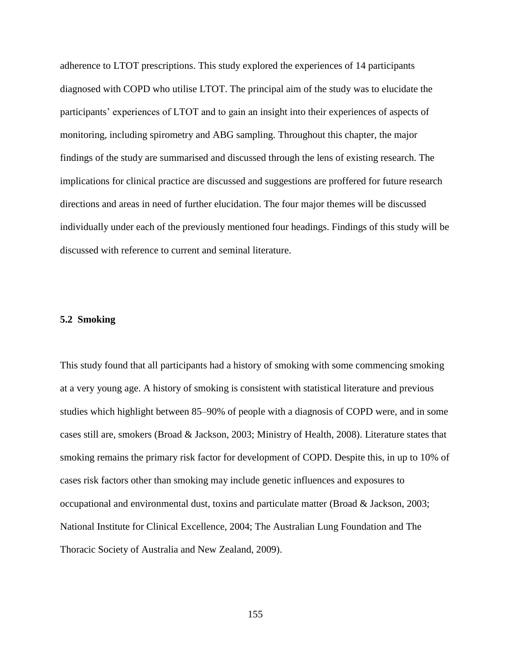adherence to LTOT prescriptions. This study explored the experiences of 14 participants diagnosed with COPD who utilise LTOT. The principal aim of the study was to elucidate the participants' experiences of LTOT and to gain an insight into their experiences of aspects of monitoring, including spirometry and ABG sampling. Throughout this chapter, the major findings of the study are summarised and discussed through the lens of existing research. The implications for clinical practice are discussed and suggestions are proffered for future research directions and areas in need of further elucidation. The four major themes will be discussed individually under each of the previously mentioned four headings. Findings of this study will be discussed with reference to current and seminal literature.

# **5.2 Smoking**

This study found that all participants had a history of smoking with some commencing smoking at a very young age. A history of smoking is consistent with statistical literature and previous studies which highlight between 85–90% of people with a diagnosis of COPD were, and in some cases still are, smokers (Broad & Jackson, 2003; Ministry of Health, 2008). Literature states that smoking remains the primary risk factor for development of COPD. Despite this, in up to 10% of cases risk factors other than smoking may include genetic influences and exposures to occupational and environmental dust, toxins and particulate matter (Broad & Jackson, 2003; National Institute for Clinical Excellence, 2004; The Australian Lung Foundation and The Thoracic Society of Australia and New Zealand, 2009).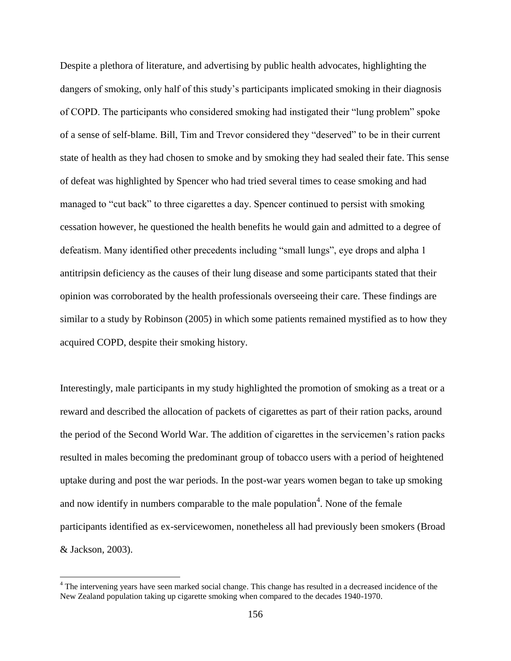Despite a plethora of literature, and advertising by public health advocates, highlighting the dangers of smoking, only half of this study's participants implicated smoking in their diagnosis of COPD. The participants who considered smoking had instigated their "lung problem" spoke of a sense of self-blame. Bill, Tim and Trevor considered they "deserved" to be in their current state of health as they had chosen to smoke and by smoking they had sealed their fate. This sense of defeat was highlighted by Spencer who had tried several times to cease smoking and had managed to "cut back" to three cigarettes a day. Spencer continued to persist with smoking cessation however, he questioned the health benefits he would gain and admitted to a degree of defeatism. Many identified other precedents including "small lungs", eye drops and alpha 1 antitripsin deficiency as the causes of their lung disease and some participants stated that their opinion was corroborated by the health professionals overseeing their care. These findings are similar to a study by Robinson (2005) in which some patients remained mystified as to how they acquired COPD, despite their smoking history.

Interestingly, male participants in my study highlighted the promotion of smoking as a treat or a reward and described the allocation of packets of cigarettes as part of their ration packs, around the period of the Second World War. The addition of cigarettes in the servicemen's ration packs resulted in males becoming the predominant group of tobacco users with a period of heightened uptake during and post the war periods. In the post-war years women began to take up smoking and now identify in numbers comparable to the male population<sup>4</sup>. None of the female participants identified as ex-servicewomen, nonetheless all had previously been smokers (Broad & Jackson, 2003).

 $\overline{a}$ 

<sup>&</sup>lt;sup>4</sup> The intervening years have seen marked social change. This change has resulted in a decreased incidence of the New Zealand population taking up cigarette smoking when compared to the decades 1940-1970.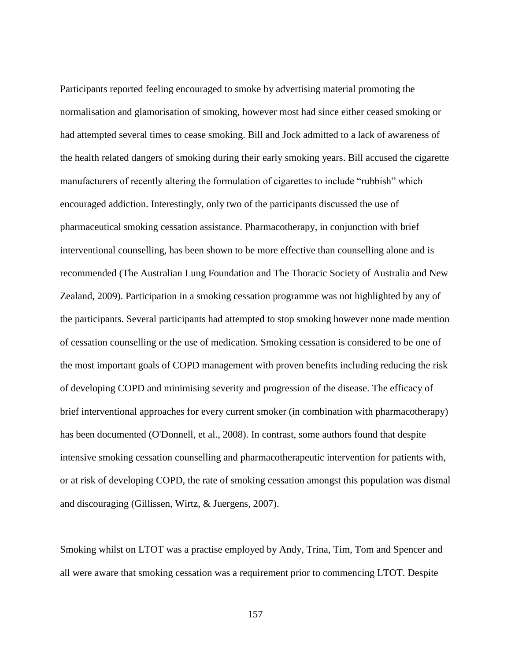Participants reported feeling encouraged to smoke by advertising material promoting the normalisation and glamorisation of smoking, however most had since either ceased smoking or had attempted several times to cease smoking. Bill and Jock admitted to a lack of awareness of the health related dangers of smoking during their early smoking years. Bill accused the cigarette manufacturers of recently altering the formulation of cigarettes to include "rubbish" which encouraged addiction. Interestingly, only two of the participants discussed the use of pharmaceutical smoking cessation assistance. Pharmacotherapy, in conjunction with brief interventional counselling, has been shown to be more effective than counselling alone and is recommended (The Australian Lung Foundation and The Thoracic Society of Australia and New Zealand, 2009). Participation in a smoking cessation programme was not highlighted by any of the participants. Several participants had attempted to stop smoking however none made mention of cessation counselling or the use of medication. Smoking cessation is considered to be one of the most important goals of COPD management with proven benefits including reducing the risk of developing COPD and minimising severity and progression of the disease. The efficacy of brief interventional approaches for every current smoker (in combination with pharmacotherapy) has been documented (O'Donnell, et al., 2008). In contrast, some authors found that despite intensive smoking cessation counselling and pharmacotherapeutic intervention for patients with, or at risk of developing COPD, the rate of smoking cessation amongst this population was dismal and discouraging (Gillissen, Wirtz, & Juergens, 2007).

Smoking whilst on LTOT was a practise employed by Andy, Trina, Tim, Tom and Spencer and all were aware that smoking cessation was a requirement prior to commencing LTOT. Despite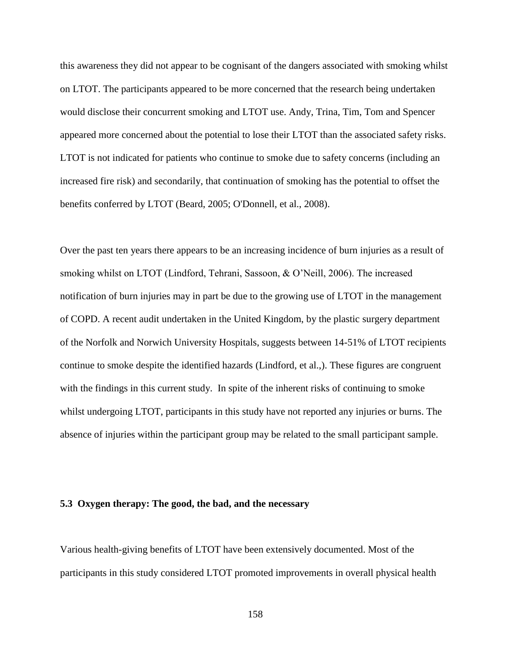this awareness they did not appear to be cognisant of the dangers associated with smoking whilst on LTOT. The participants appeared to be more concerned that the research being undertaken would disclose their concurrent smoking and LTOT use. Andy, Trina, Tim, Tom and Spencer appeared more concerned about the potential to lose their LTOT than the associated safety risks. LTOT is not indicated for patients who continue to smoke due to safety concerns (including an increased fire risk) and secondarily, that continuation of smoking has the potential to offset the benefits conferred by LTOT (Beard, 2005; O'Donnell, et al., 2008).

Over the past ten years there appears to be an increasing incidence of burn injuries as a result of smoking whilst on LTOT (Lindford, Tehrani, Sassoon, & O'Neill, 2006). The increased notification of burn injuries may in part be due to the growing use of LTOT in the management of COPD. A recent audit undertaken in the United Kingdom, by the plastic surgery department of the Norfolk and Norwich University Hospitals, suggests between 14-51% of LTOT recipients continue to smoke despite the identified hazards (Lindford, et al.,). These figures are congruent with the findings in this current study. In spite of the inherent risks of continuing to smoke whilst undergoing LTOT, participants in this study have not reported any injuries or burns. The absence of injuries within the participant group may be related to the small participant sample.

## **5.3 Oxygen therapy: The good, the bad, and the necessary**

Various health-giving benefits of LTOT have been extensively documented. Most of the participants in this study considered LTOT promoted improvements in overall physical health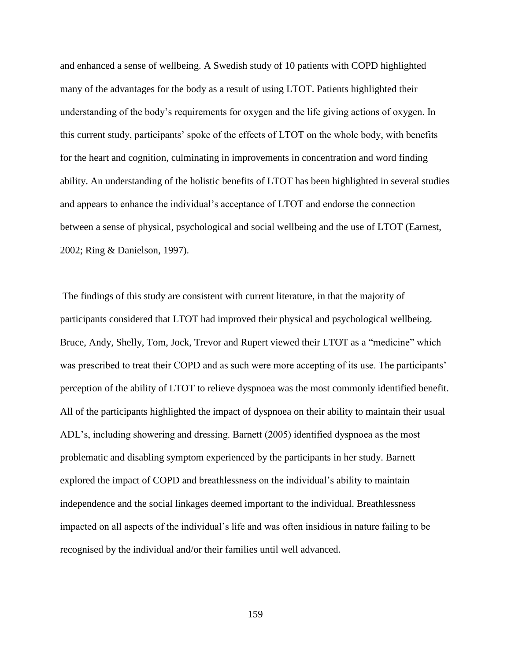and enhanced a sense of wellbeing. A Swedish study of 10 patients with COPD highlighted many of the advantages for the body as a result of using LTOT. Patients highlighted their understanding of the body's requirements for oxygen and the life giving actions of oxygen. In this current study, participants' spoke of the effects of LTOT on the whole body, with benefits for the heart and cognition, culminating in improvements in concentration and word finding ability. An understanding of the holistic benefits of LTOT has been highlighted in several studies and appears to enhance the individual's acceptance of LTOT and endorse the connection between a sense of physical, psychological and social wellbeing and the use of LTOT (Earnest, 2002; Ring & Danielson, 1997).

The findings of this study are consistent with current literature, in that the majority of participants considered that LTOT had improved their physical and psychological wellbeing. Bruce, Andy, Shelly, Tom, Jock, Trevor and Rupert viewed their LTOT as a "medicine" which was prescribed to treat their COPD and as such were more accepting of its use. The participants' perception of the ability of LTOT to relieve dyspnoea was the most commonly identified benefit. All of the participants highlighted the impact of dyspnoea on their ability to maintain their usual ADL's, including showering and dressing. Barnett (2005) identified dyspnoea as the most problematic and disabling symptom experienced by the participants in her study. Barnett explored the impact of COPD and breathlessness on the individual's ability to maintain independence and the social linkages deemed important to the individual. Breathlessness impacted on all aspects of the individual's life and was often insidious in nature failing to be recognised by the individual and/or their families until well advanced.

159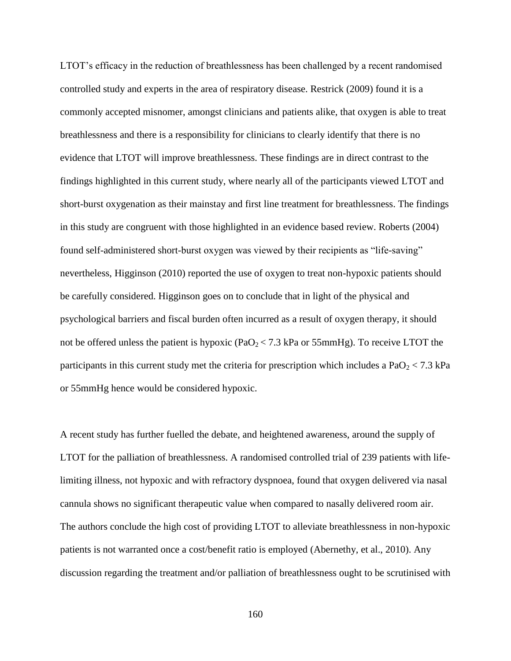LTOT's efficacy in the reduction of breathlessness has been challenged by a recent randomised controlled study and experts in the area of respiratory disease. Restrick (2009) found it is a commonly accepted misnomer, amongst clinicians and patients alike, that oxygen is able to treat breathlessness and there is a responsibility for clinicians to clearly identify that there is no evidence that LTOT will improve breathlessness. These findings are in direct contrast to the findings highlighted in this current study, where nearly all of the participants viewed LTOT and short-burst oxygenation as their mainstay and first line treatment for breathlessness. The findings in this study are congruent with those highlighted in an evidence based review. Roberts (2004) found self-administered short-burst oxygen was viewed by their recipients as "life-saving" nevertheless, Higginson (2010) reported the use of oxygen to treat non-hypoxic patients should be carefully considered. Higginson goes on to conclude that in light of the physical and psychological barriers and fiscal burden often incurred as a result of oxygen therapy, it should not be offered unless the patient is hypoxic (PaO<sub>2</sub> < 7.3 kPa or 55mmHg). To receive LTOT the participants in this current study met the criteria for prescription which includes a  $PaO<sub>2</sub> < 7.3$  kPa or 55mmHg hence would be considered hypoxic.

A recent study has further fuelled the debate, and heightened awareness, around the supply of LTOT for the palliation of breathlessness. A randomised controlled trial of 239 patients with lifelimiting illness, not hypoxic and with refractory dyspnoea, found that oxygen delivered via nasal cannula shows no significant therapeutic value when compared to nasally delivered room air. The authors conclude the high cost of providing LTOT to alleviate breathlessness in non-hypoxic patients is not warranted once a cost/benefit ratio is employed (Abernethy, et al., 2010). Any discussion regarding the treatment and/or palliation of breathlessness ought to be scrutinised with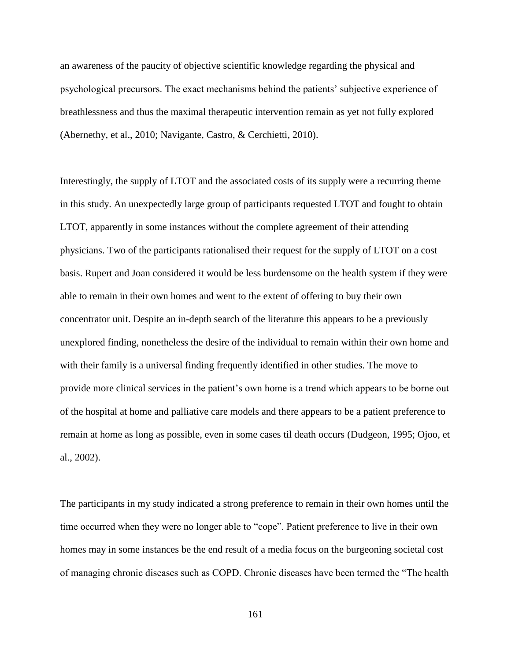an awareness of the paucity of objective scientific knowledge regarding the physical and psychological precursors. The exact mechanisms behind the patients' subjective experience of breathlessness and thus the maximal therapeutic intervention remain as yet not fully explored (Abernethy, et al., 2010; Navigante, Castro, & Cerchietti, 2010).

Interestingly, the supply of LTOT and the associated costs of its supply were a recurring theme in this study. An unexpectedly large group of participants requested LTOT and fought to obtain LTOT, apparently in some instances without the complete agreement of their attending physicians. Two of the participants rationalised their request for the supply of LTOT on a cost basis. Rupert and Joan considered it would be less burdensome on the health system if they were able to remain in their own homes and went to the extent of offering to buy their own concentrator unit. Despite an in-depth search of the literature this appears to be a previously unexplored finding, nonetheless the desire of the individual to remain within their own home and with their family is a universal finding frequently identified in other studies. The move to provide more clinical services in the patient's own home is a trend which appears to be borne out of the hospital at home and palliative care models and there appears to be a patient preference to remain at home as long as possible, even in some cases til death occurs (Dudgeon, 1995; Ojoo, et al., 2002).

The participants in my study indicated a strong preference to remain in their own homes until the time occurred when they were no longer able to "cope". Patient preference to live in their own homes may in some instances be the end result of a media focus on the burgeoning societal cost of managing chronic diseases such as COPD. Chronic diseases have been termed the "The health

161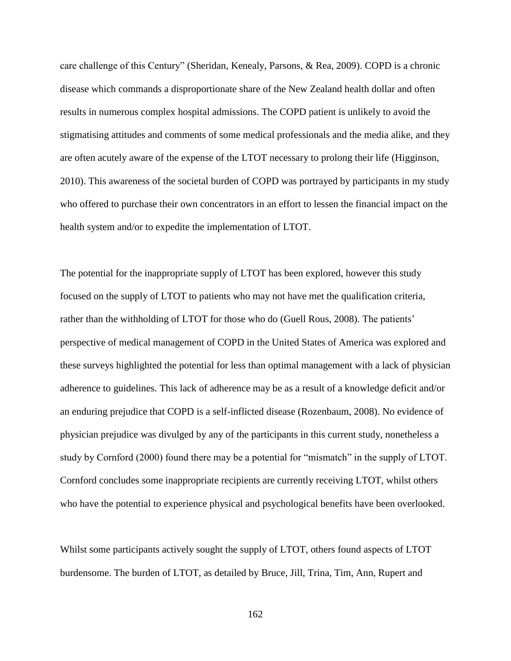care challenge of this Century" (Sheridan, Kenealy, Parsons, & Rea, 2009). COPD is a chronic disease which commands a disproportionate share of the New Zealand health dollar and often results in numerous complex hospital admissions. The COPD patient is unlikely to avoid the stigmatising attitudes and comments of some medical professionals and the media alike, and they are often acutely aware of the expense of the LTOT necessary to prolong their life (Higginson, 2010). This awareness of the societal burden of COPD was portrayed by participants in my study who offered to purchase their own concentrators in an effort to lessen the financial impact on the health system and/or to expedite the implementation of LTOT.

The potential for the inappropriate supply of LTOT has been explored, however this study focused on the supply of LTOT to patients who may not have met the qualification criteria, rather than the withholding of LTOT for those who do (Guell Rous, 2008). The patients' perspective of medical management of COPD in the United States of America was explored and these surveys highlighted the potential for less than optimal management with a lack of physician adherence to guidelines. This lack of adherence may be as a result of a knowledge deficit and/or an enduring prejudice that COPD is a self-inflicted disease (Rozenbaum, 2008). No evidence of physician prejudice was divulged by any of the participants in this current study, nonetheless a study by Cornford (2000) found there may be a potential for "mismatch" in the supply of LTOT. Cornford concludes some inappropriate recipients are currently receiving LTOT, whilst others who have the potential to experience physical and psychological benefits have been overlooked.

Whilst some participants actively sought the supply of LTOT, others found aspects of LTOT burdensome. The burden of LTOT, as detailed by Bruce, Jill, Trina, Tim, Ann, Rupert and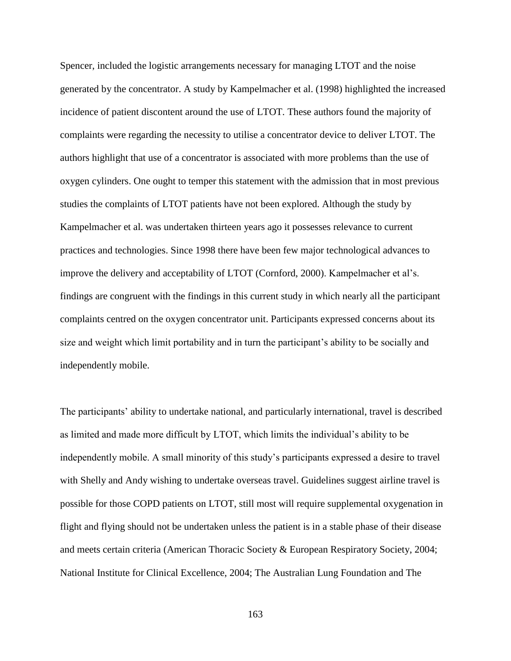Spencer, included the logistic arrangements necessary for managing LTOT and the noise generated by the concentrator. A study by Kampelmacher et al. (1998) highlighted the increased incidence of patient discontent around the use of LTOT. These authors found the majority of complaints were regarding the necessity to utilise a concentrator device to deliver LTOT. The authors highlight that use of a concentrator is associated with more problems than the use of oxygen cylinders. One ought to temper this statement with the admission that in most previous studies the complaints of LTOT patients have not been explored. Although the study by Kampelmacher et al. was undertaken thirteen years ago it possesses relevance to current practices and technologies. Since 1998 there have been few major technological advances to improve the delivery and acceptability of LTOT (Cornford, 2000). Kampelmacher et al's. findings are congruent with the findings in this current study in which nearly all the participant complaints centred on the oxygen concentrator unit. Participants expressed concerns about its size and weight which limit portability and in turn the participant's ability to be socially and independently mobile.

The participants' ability to undertake national, and particularly international, travel is described as limited and made more difficult by LTOT, which limits the individual's ability to be independently mobile. A small minority of this study's participants expressed a desire to travel with Shelly and Andy wishing to undertake overseas travel. Guidelines suggest airline travel is possible for those COPD patients on LTOT, still most will require supplemental oxygenation in flight and flying should not be undertaken unless the patient is in a stable phase of their disease and meets certain criteria (American Thoracic Society & European Respiratory Society, 2004; National Institute for Clinical Excellence, 2004; The Australian Lung Foundation and The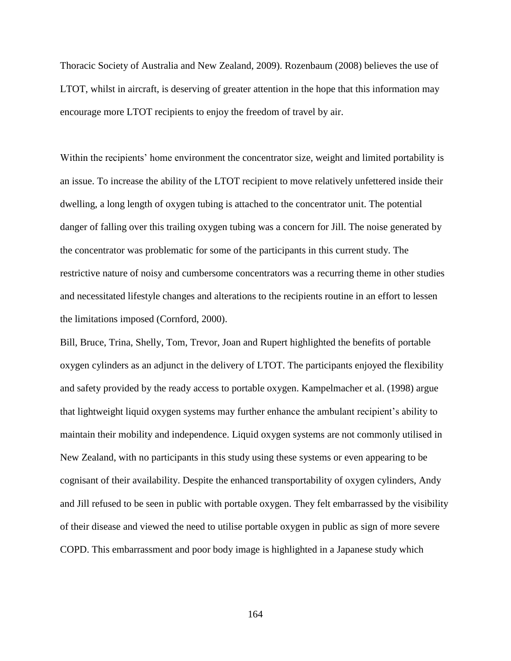Thoracic Society of Australia and New Zealand, 2009). Rozenbaum (2008) believes the use of LTOT, whilst in aircraft, is deserving of greater attention in the hope that this information may encourage more LTOT recipients to enjoy the freedom of travel by air.

Within the recipients' home environment the concentrator size, weight and limited portability is an issue. To increase the ability of the LTOT recipient to move relatively unfettered inside their dwelling, a long length of oxygen tubing is attached to the concentrator unit. The potential danger of falling over this trailing oxygen tubing was a concern for Jill. The noise generated by the concentrator was problematic for some of the participants in this current study. The restrictive nature of noisy and cumbersome concentrators was a recurring theme in other studies and necessitated lifestyle changes and alterations to the recipients routine in an effort to lessen the limitations imposed (Cornford, 2000).

Bill, Bruce, Trina, Shelly, Tom, Trevor, Joan and Rupert highlighted the benefits of portable oxygen cylinders as an adjunct in the delivery of LTOT. The participants enjoyed the flexibility and safety provided by the ready access to portable oxygen. Kampelmacher et al. (1998) argue that lightweight liquid oxygen systems may further enhance the ambulant recipient's ability to maintain their mobility and independence. Liquid oxygen systems are not commonly utilised in New Zealand, with no participants in this study using these systems or even appearing to be cognisant of their availability. Despite the enhanced transportability of oxygen cylinders, Andy and Jill refused to be seen in public with portable oxygen. They felt embarrassed by the visibility of their disease and viewed the need to utilise portable oxygen in public as sign of more severe COPD. This embarrassment and poor body image is highlighted in a Japanese study which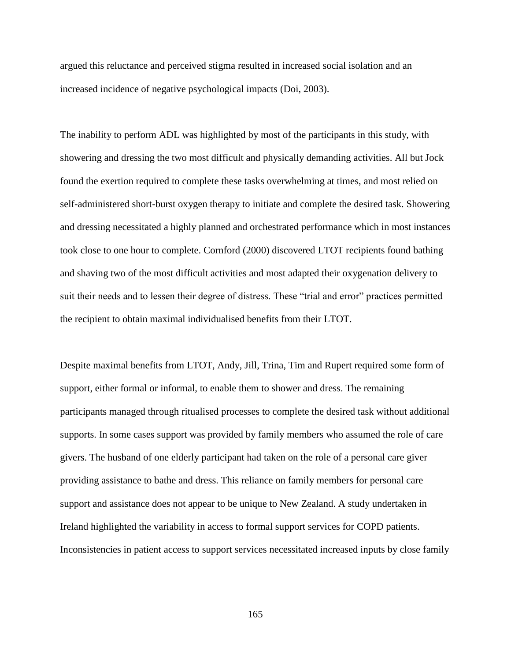argued this reluctance and perceived stigma resulted in increased social isolation and an increased incidence of negative psychological impacts (Doi, 2003).

The inability to perform ADL was highlighted by most of the participants in this study, with showering and dressing the two most difficult and physically demanding activities. All but Jock found the exertion required to complete these tasks overwhelming at times, and most relied on self-administered short-burst oxygen therapy to initiate and complete the desired task. Showering and dressing necessitated a highly planned and orchestrated performance which in most instances took close to one hour to complete. Cornford (2000) discovered LTOT recipients found bathing and shaving two of the most difficult activities and most adapted their oxygenation delivery to suit their needs and to lessen their degree of distress. These "trial and error" practices permitted the recipient to obtain maximal individualised benefits from their LTOT.

Despite maximal benefits from LTOT, Andy, Jill, Trina, Tim and Rupert required some form of support, either formal or informal, to enable them to shower and dress. The remaining participants managed through ritualised processes to complete the desired task without additional supports. In some cases support was provided by family members who assumed the role of care givers. The husband of one elderly participant had taken on the role of a personal care giver providing assistance to bathe and dress. This reliance on family members for personal care support and assistance does not appear to be unique to New Zealand. A study undertaken in Ireland highlighted the variability in access to formal support services for COPD patients. Inconsistencies in patient access to support services necessitated increased inputs by close family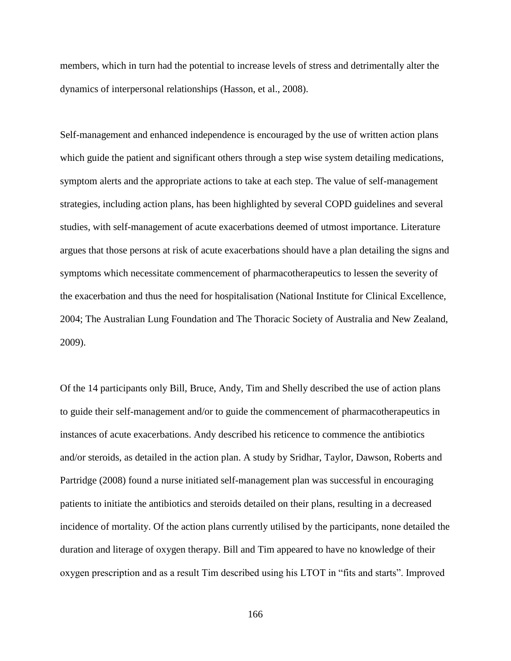members, which in turn had the potential to increase levels of stress and detrimentally alter the dynamics of interpersonal relationships (Hasson, et al., 2008).

Self-management and enhanced independence is encouraged by the use of written action plans which guide the patient and significant others through a step wise system detailing medications, symptom alerts and the appropriate actions to take at each step. The value of self-management strategies, including action plans, has been highlighted by several COPD guidelines and several studies, with self-management of acute exacerbations deemed of utmost importance. Literature argues that those persons at risk of acute exacerbations should have a plan detailing the signs and symptoms which necessitate commencement of pharmacotherapeutics to lessen the severity of the exacerbation and thus the need for hospitalisation (National Institute for Clinical Excellence, 2004; The Australian Lung Foundation and The Thoracic Society of Australia and New Zealand, 2009).

Of the 14 participants only Bill, Bruce, Andy, Tim and Shelly described the use of action plans to guide their self-management and/or to guide the commencement of pharmacotherapeutics in instances of acute exacerbations. Andy described his reticence to commence the antibiotics and/or steroids, as detailed in the action plan. A study by Sridhar, Taylor, Dawson, Roberts and Partridge (2008) found a nurse initiated self-management plan was successful in encouraging patients to initiate the antibiotics and steroids detailed on their plans, resulting in a decreased incidence of mortality. Of the action plans currently utilised by the participants, none detailed the duration and literage of oxygen therapy. Bill and Tim appeared to have no knowledge of their oxygen prescription and as a result Tim described using his LTOT in "fits and starts". Improved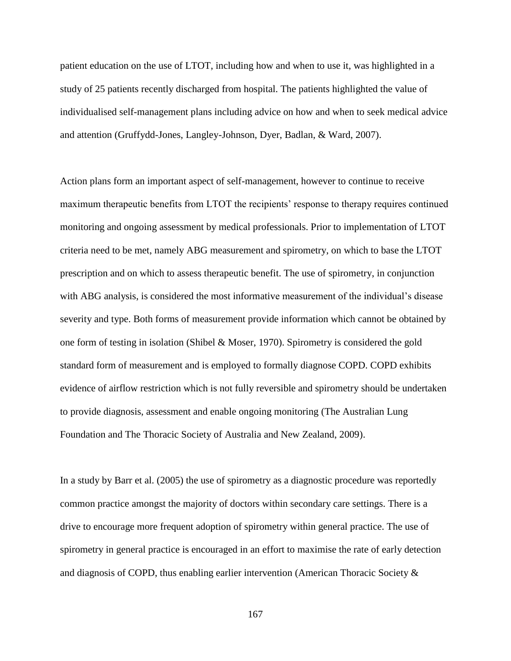patient education on the use of LTOT, including how and when to use it, was highlighted in a study of 25 patients recently discharged from hospital. The patients highlighted the value of individualised self-management plans including advice on how and when to seek medical advice and attention (Gruffydd-Jones, Langley-Johnson, Dyer, Badlan, & Ward, 2007).

Action plans form an important aspect of self-management, however to continue to receive maximum therapeutic benefits from LTOT the recipients' response to therapy requires continued monitoring and ongoing assessment by medical professionals. Prior to implementation of LTOT criteria need to be met, namely ABG measurement and spirometry, on which to base the LTOT prescription and on which to assess therapeutic benefit. The use of spirometry, in conjunction with ABG analysis, is considered the most informative measurement of the individual's disease severity and type. Both forms of measurement provide information which cannot be obtained by one form of testing in isolation (Shibel & Moser, 1970). Spirometry is considered the gold standard form of measurement and is employed to formally diagnose COPD. COPD exhibits evidence of airflow restriction which is not fully reversible and spirometry should be undertaken to provide diagnosis, assessment and enable ongoing monitoring (The Australian Lung Foundation and The Thoracic Society of Australia and New Zealand, 2009).

In a study by Barr et al. (2005) the use of spirometry as a diagnostic procedure was reportedly common practice amongst the majority of doctors within secondary care settings. There is a drive to encourage more frequent adoption of spirometry within general practice. The use of spirometry in general practice is encouraged in an effort to maximise the rate of early detection and diagnosis of COPD, thus enabling earlier intervention (American Thoracic Society &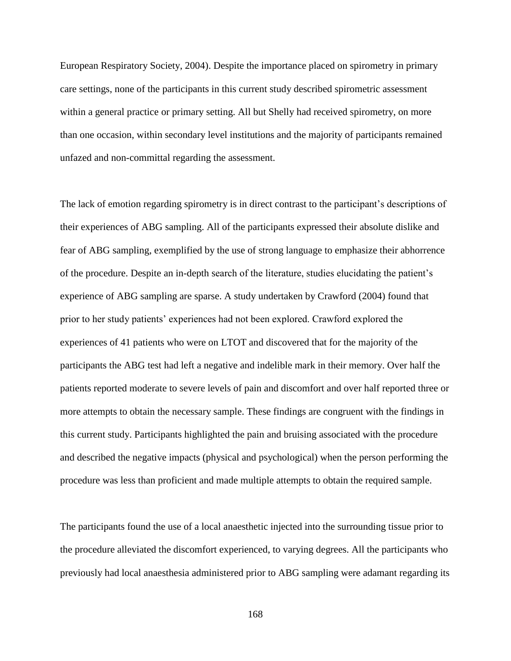European Respiratory Society, 2004). Despite the importance placed on spirometry in primary care settings, none of the participants in this current study described spirometric assessment within a general practice or primary setting. All but Shelly had received spirometry, on more than one occasion, within secondary level institutions and the majority of participants remained unfazed and non-committal regarding the assessment.

The lack of emotion regarding spirometry is in direct contrast to the participant's descriptions of their experiences of ABG sampling. All of the participants expressed their absolute dislike and fear of ABG sampling, exemplified by the use of strong language to emphasize their abhorrence of the procedure. Despite an in-depth search of the literature, studies elucidating the patient's experience of ABG sampling are sparse. A study undertaken by Crawford (2004) found that prior to her study patients' experiences had not been explored. Crawford explored the experiences of 41 patients who were on LTOT and discovered that for the majority of the participants the ABG test had left a negative and indelible mark in their memory. Over half the patients reported moderate to severe levels of pain and discomfort and over half reported three or more attempts to obtain the necessary sample. These findings are congruent with the findings in this current study. Participants highlighted the pain and bruising associated with the procedure and described the negative impacts (physical and psychological) when the person performing the procedure was less than proficient and made multiple attempts to obtain the required sample.

The participants found the use of a local anaesthetic injected into the surrounding tissue prior to the procedure alleviated the discomfort experienced, to varying degrees. All the participants who previously had local anaesthesia administered prior to ABG sampling were adamant regarding its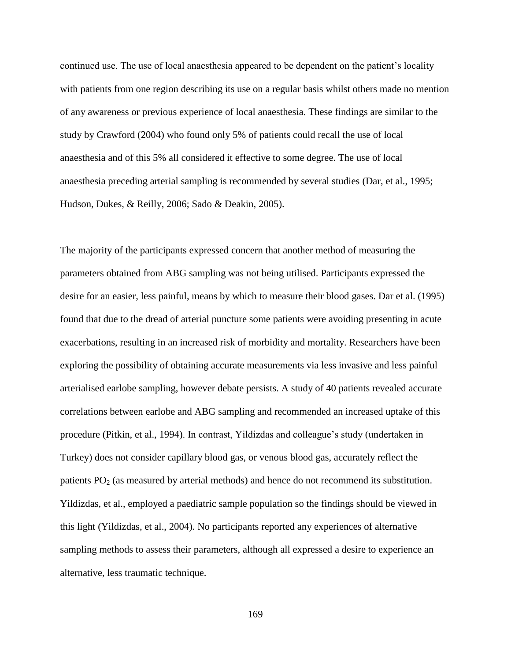continued use. The use of local anaesthesia appeared to be dependent on the patient's locality with patients from one region describing its use on a regular basis whilst others made no mention of any awareness or previous experience of local anaesthesia. These findings are similar to the study by Crawford (2004) who found only 5% of patients could recall the use of local anaesthesia and of this 5% all considered it effective to some degree. The use of local anaesthesia preceding arterial sampling is recommended by several studies (Dar, et al., 1995; Hudson, Dukes, & Reilly, 2006; Sado & Deakin, 2005).

The majority of the participants expressed concern that another method of measuring the parameters obtained from ABG sampling was not being utilised. Participants expressed the desire for an easier, less painful, means by which to measure their blood gases. Dar et al. (1995) found that due to the dread of arterial puncture some patients were avoiding presenting in acute exacerbations, resulting in an increased risk of morbidity and mortality. Researchers have been exploring the possibility of obtaining accurate measurements via less invasive and less painful arterialised earlobe sampling, however debate persists. A study of 40 patients revealed accurate correlations between earlobe and ABG sampling and recommended an increased uptake of this procedure (Pitkin, et al., 1994). In contrast, Yildizdas and colleague's study (undertaken in Turkey) does not consider capillary blood gas, or venous blood gas, accurately reflect the patients  $PO<sub>2</sub>$  (as measured by arterial methods) and hence do not recommend its substitution. Yildizdas, et al., employed a paediatric sample population so the findings should be viewed in this light (Yildizdas, et al., 2004). No participants reported any experiences of alternative sampling methods to assess their parameters, although all expressed a desire to experience an alternative, less traumatic technique.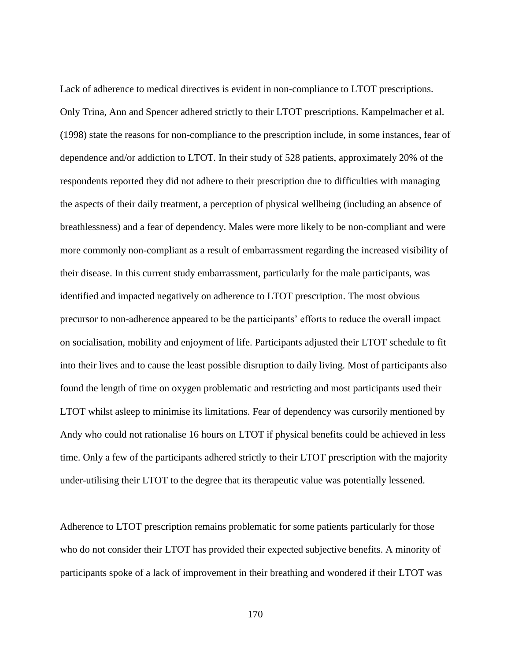Lack of adherence to medical directives is evident in non-compliance to LTOT prescriptions. Only Trina, Ann and Spencer adhered strictly to their LTOT prescriptions. Kampelmacher et al. (1998) state the reasons for non-compliance to the prescription include, in some instances, fear of dependence and/or addiction to LTOT. In their study of 528 patients, approximately 20% of the respondents reported they did not adhere to their prescription due to difficulties with managing the aspects of their daily treatment, a perception of physical wellbeing (including an absence of breathlessness) and a fear of dependency. Males were more likely to be non-compliant and were more commonly non-compliant as a result of embarrassment regarding the increased visibility of their disease. In this current study embarrassment, particularly for the male participants, was identified and impacted negatively on adherence to LTOT prescription. The most obvious precursor to non-adherence appeared to be the participants' efforts to reduce the overall impact on socialisation, mobility and enjoyment of life. Participants adjusted their LTOT schedule to fit into their lives and to cause the least possible disruption to daily living. Most of participants also found the length of time on oxygen problematic and restricting and most participants used their LTOT whilst asleep to minimise its limitations. Fear of dependency was cursorily mentioned by Andy who could not rationalise 16 hours on LTOT if physical benefits could be achieved in less time. Only a few of the participants adhered strictly to their LTOT prescription with the majority under-utilising their LTOT to the degree that its therapeutic value was potentially lessened.

Adherence to LTOT prescription remains problematic for some patients particularly for those who do not consider their LTOT has provided their expected subjective benefits. A minority of participants spoke of a lack of improvement in their breathing and wondered if their LTOT was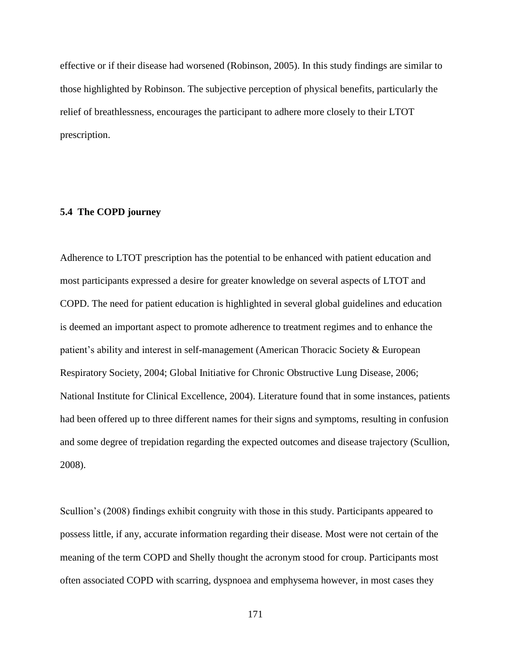effective or if their disease had worsened (Robinson, 2005). In this study findings are similar to those highlighted by Robinson. The subjective perception of physical benefits, particularly the relief of breathlessness, encourages the participant to adhere more closely to their LTOT prescription.

#### **5.4 The COPD journey**

Adherence to LTOT prescription has the potential to be enhanced with patient education and most participants expressed a desire for greater knowledge on several aspects of LTOT and COPD. The need for patient education is highlighted in several global guidelines and education is deemed an important aspect to promote adherence to treatment regimes and to enhance the patient's ability and interest in self-management (American Thoracic Society & European Respiratory Society, 2004; Global Initiative for Chronic Obstructive Lung Disease, 2006; National Institute for Clinical Excellence, 2004). Literature found that in some instances, patients had been offered up to three different names for their signs and symptoms, resulting in confusion and some degree of trepidation regarding the expected outcomes and disease trajectory (Scullion, 2008).

Scullion's (2008) findings exhibit congruity with those in this study. Participants appeared to possess little, if any, accurate information regarding their disease. Most were not certain of the meaning of the term COPD and Shelly thought the acronym stood for croup. Participants most often associated COPD with scarring, dyspnoea and emphysema however, in most cases they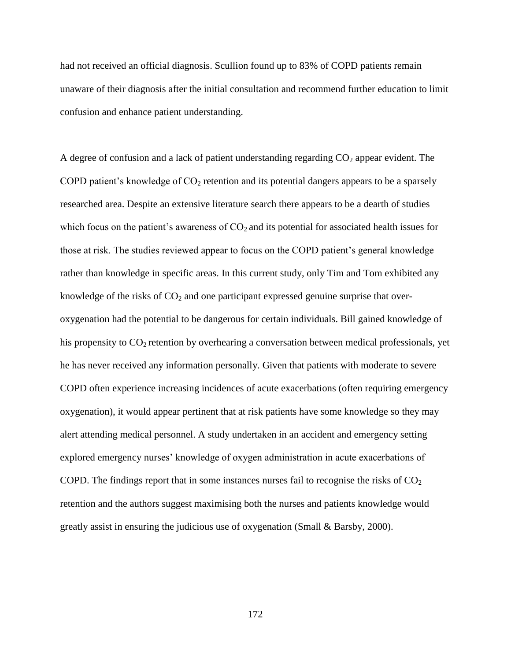had not received an official diagnosis. Scullion found up to 83% of COPD patients remain unaware of their diagnosis after the initial consultation and recommend further education to limit confusion and enhance patient understanding.

A degree of confusion and a lack of patient understanding regarding  $CO<sub>2</sub>$  appear evident. The COPD patient's knowledge of  $CO<sub>2</sub>$  retention and its potential dangers appears to be a sparsely researched area. Despite an extensive literature search there appears to be a dearth of studies which focus on the patient's awareness of  $CO<sub>2</sub>$  and its potential for associated health issues for those at risk. The studies reviewed appear to focus on the COPD patient's general knowledge rather than knowledge in specific areas. In this current study, only Tim and Tom exhibited any knowledge of the risks of  $CO<sub>2</sub>$  and one participant expressed genuine surprise that overoxygenation had the potential to be dangerous for certain individuals. Bill gained knowledge of his propensity to  $CO<sub>2</sub>$  retention by overhearing a conversation between medical professionals, yet he has never received any information personally. Given that patients with moderate to severe COPD often experience increasing incidences of acute exacerbations (often requiring emergency oxygenation), it would appear pertinent that at risk patients have some knowledge so they may alert attending medical personnel. A study undertaken in an accident and emergency setting explored emergency nurses' knowledge of oxygen administration in acute exacerbations of COPD. The findings report that in some instances nurses fail to recognise the risks of  $CO<sub>2</sub>$ retention and the authors suggest maximising both the nurses and patients knowledge would greatly assist in ensuring the judicious use of oxygenation (Small & Barsby, 2000).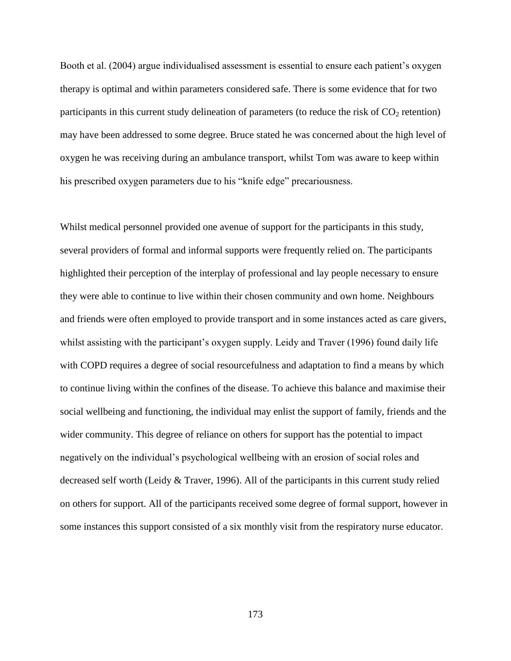Booth et al. (2004) argue individualised assessment is essential to ensure each patient's oxygen therapy is optimal and within parameters considered safe. There is some evidence that for two participants in this current study delineation of parameters (to reduce the risk of  $CO<sub>2</sub>$  retention) may have been addressed to some degree. Bruce stated he was concerned about the high level of oxygen he was receiving during an ambulance transport, whilst Tom was aware to keep within his prescribed oxygen parameters due to his "knife edge" precariousness.

Whilst medical personnel provided one avenue of support for the participants in this study, several providers of formal and informal supports were frequently relied on. The participants highlighted their perception of the interplay of professional and lay people necessary to ensure they were able to continue to live within their chosen community and own home. Neighbours and friends were often employed to provide transport and in some instances acted as care givers, whilst assisting with the participant's oxygen supply. Leidy and Traver (1996) found daily life with COPD requires a degree of social resourcefulness and adaptation to find a means by which to continue living within the confines of the disease. To achieve this balance and maximise their social wellbeing and functioning, the individual may enlist the support of family, friends and the wider community. This degree of reliance on others for support has the potential to impact negatively on the individual's psychological wellbeing with an erosion of social roles and decreased self worth (Leidy & Traver, 1996). All of the participants in this current study relied on others for support. All of the participants received some degree of formal support, however in some instances this support consisted of a six monthly visit from the respiratory nurse educator.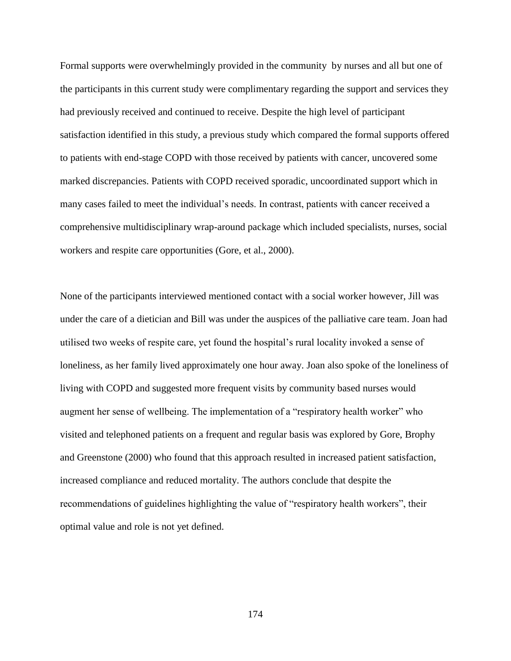Formal supports were overwhelmingly provided in the community by nurses and all but one of the participants in this current study were complimentary regarding the support and services they had previously received and continued to receive. Despite the high level of participant satisfaction identified in this study, a previous study which compared the formal supports offered to patients with end-stage COPD with those received by patients with cancer, uncovered some marked discrepancies. Patients with COPD received sporadic, uncoordinated support which in many cases failed to meet the individual's needs. In contrast, patients with cancer received a comprehensive multidisciplinary wrap-around package which included specialists, nurses, social workers and respite care opportunities (Gore, et al., 2000).

None of the participants interviewed mentioned contact with a social worker however, Jill was under the care of a dietician and Bill was under the auspices of the palliative care team. Joan had utilised two weeks of respite care, yet found the hospital's rural locality invoked a sense of loneliness, as her family lived approximately one hour away. Joan also spoke of the loneliness of living with COPD and suggested more frequent visits by community based nurses would augment her sense of wellbeing. The implementation of a "respiratory health worker" who visited and telephoned patients on a frequent and regular basis was explored by Gore, Brophy and Greenstone (2000) who found that this approach resulted in increased patient satisfaction, increased compliance and reduced mortality. The authors conclude that despite the recommendations of guidelines highlighting the value of "respiratory health workers", their optimal value and role is not yet defined.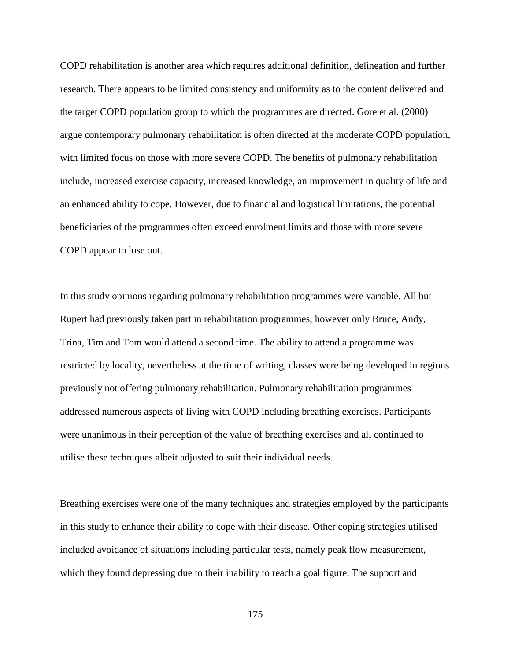COPD rehabilitation is another area which requires additional definition, delineation and further research. There appears to be limited consistency and uniformity as to the content delivered and the target COPD population group to which the programmes are directed. Gore et al. (2000) argue contemporary pulmonary rehabilitation is often directed at the moderate COPD population, with limited focus on those with more severe COPD. The benefits of pulmonary rehabilitation include, increased exercise capacity, increased knowledge, an improvement in quality of life and an enhanced ability to cope. However, due to financial and logistical limitations, the potential beneficiaries of the programmes often exceed enrolment limits and those with more severe COPD appear to lose out.

In this study opinions regarding pulmonary rehabilitation programmes were variable. All but Rupert had previously taken part in rehabilitation programmes, however only Bruce, Andy, Trina, Tim and Tom would attend a second time. The ability to attend a programme was restricted by locality, nevertheless at the time of writing, classes were being developed in regions previously not offering pulmonary rehabilitation. Pulmonary rehabilitation programmes addressed numerous aspects of living with COPD including breathing exercises. Participants were unanimous in their perception of the value of breathing exercises and all continued to utilise these techniques albeit adjusted to suit their individual needs.

Breathing exercises were one of the many techniques and strategies employed by the participants in this study to enhance their ability to cope with their disease. Other coping strategies utilised included avoidance of situations including particular tests, namely peak flow measurement, which they found depressing due to their inability to reach a goal figure. The support and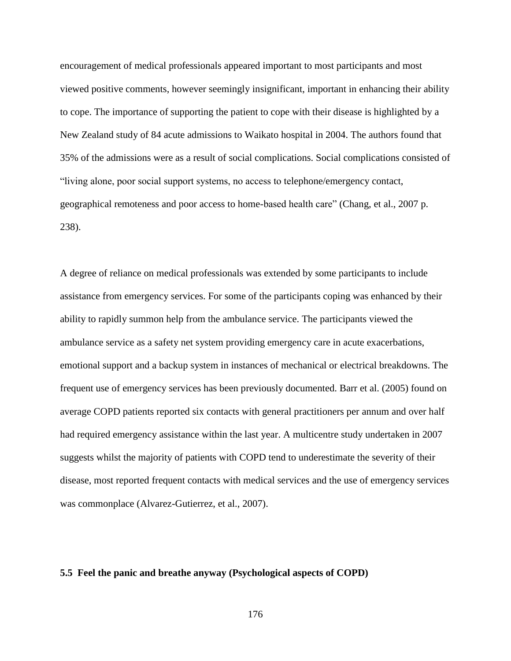encouragement of medical professionals appeared important to most participants and most viewed positive comments, however seemingly insignificant, important in enhancing their ability to cope. The importance of supporting the patient to cope with their disease is highlighted by a New Zealand study of 84 acute admissions to Waikato hospital in 2004. The authors found that 35% of the admissions were as a result of social complications. Social complications consisted of "living alone, poor social support systems, no access to telephone/emergency contact, geographical remoteness and poor access to home-based health care" (Chang, et al., 2007 p. 238).

A degree of reliance on medical professionals was extended by some participants to include assistance from emergency services. For some of the participants coping was enhanced by their ability to rapidly summon help from the ambulance service. The participants viewed the ambulance service as a safety net system providing emergency care in acute exacerbations, emotional support and a backup system in instances of mechanical or electrical breakdowns. The frequent use of emergency services has been previously documented. Barr et al. (2005) found on average COPD patients reported six contacts with general practitioners per annum and over half had required emergency assistance within the last year. A multicentre study undertaken in 2007 suggests whilst the majority of patients with COPD tend to underestimate the severity of their disease, most reported frequent contacts with medical services and the use of emergency services was commonplace (Alvarez-Gutierrez, et al., 2007).

#### **5.5 Feel the panic and breathe anyway (Psychological aspects of COPD)**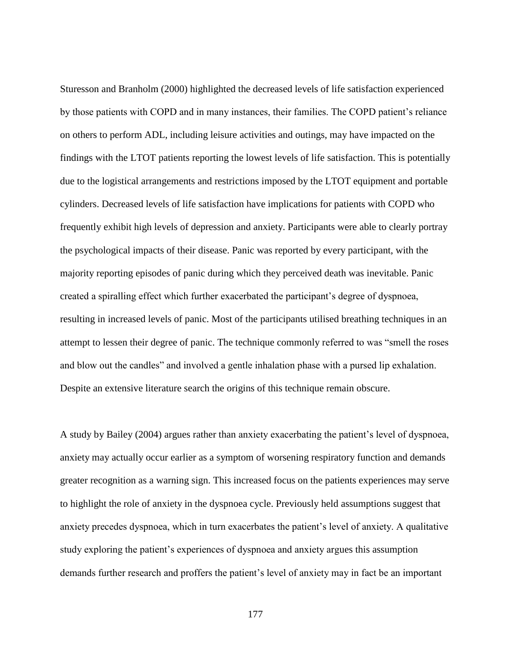Sturesson and Branholm (2000) highlighted the decreased levels of life satisfaction experienced by those patients with COPD and in many instances, their families. The COPD patient's reliance on others to perform ADL, including leisure activities and outings, may have impacted on the findings with the LTOT patients reporting the lowest levels of life satisfaction. This is potentially due to the logistical arrangements and restrictions imposed by the LTOT equipment and portable cylinders. Decreased levels of life satisfaction have implications for patients with COPD who frequently exhibit high levels of depression and anxiety. Participants were able to clearly portray the psychological impacts of their disease. Panic was reported by every participant, with the majority reporting episodes of panic during which they perceived death was inevitable. Panic created a spiralling effect which further exacerbated the participant's degree of dyspnoea, resulting in increased levels of panic. Most of the participants utilised breathing techniques in an attempt to lessen their degree of panic. The technique commonly referred to was "smell the roses and blow out the candles" and involved a gentle inhalation phase with a pursed lip exhalation. Despite an extensive literature search the origins of this technique remain obscure.

A study by Bailey (2004) argues rather than anxiety exacerbating the patient's level of dyspnoea, anxiety may actually occur earlier as a symptom of worsening respiratory function and demands greater recognition as a warning sign. This increased focus on the patients experiences may serve to highlight the role of anxiety in the dyspnoea cycle. Previously held assumptions suggest that anxiety precedes dyspnoea, which in turn exacerbates the patient's level of anxiety. A qualitative study exploring the patient's experiences of dyspnoea and anxiety argues this assumption demands further research and proffers the patient's level of anxiety may in fact be an important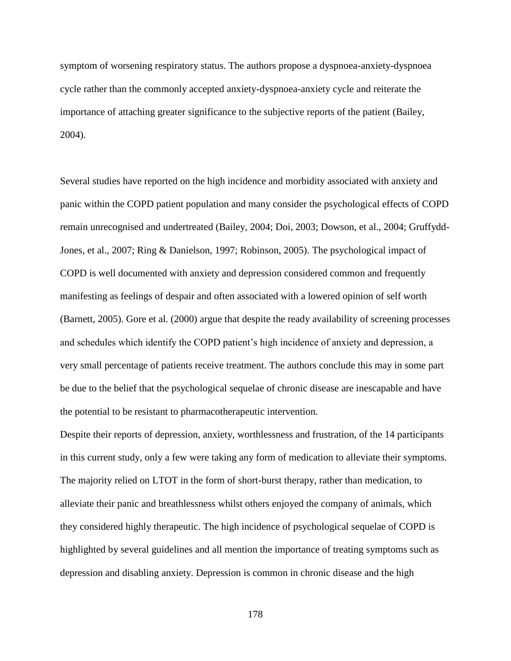symptom of worsening respiratory status. The authors propose a dyspnoea-anxiety-dyspnoea cycle rather than the commonly accepted anxiety-dyspnoea-anxiety cycle and reiterate the importance of attaching greater significance to the subjective reports of the patient (Bailey, 2004).

Several studies have reported on the high incidence and morbidity associated with anxiety and panic within the COPD patient population and many consider the psychological effects of COPD remain unrecognised and undertreated (Bailey, 2004; Doi, 2003; Dowson, et al., 2004; Gruffydd-Jones, et al., 2007; Ring & Danielson, 1997; Robinson, 2005). The psychological impact of COPD is well documented with anxiety and depression considered common and frequently manifesting as feelings of despair and often associated with a lowered opinion of self worth (Barnett, 2005). Gore et al. (2000) argue that despite the ready availability of screening processes and schedules which identify the COPD patient's high incidence of anxiety and depression, a very small percentage of patients receive treatment. The authors conclude this may in some part be due to the belief that the psychological sequelae of chronic disease are inescapable and have the potential to be resistant to pharmacotherapeutic intervention.

Despite their reports of depression, anxiety, worthlessness and frustration, of the 14 participants in this current study, only a few were taking any form of medication to alleviate their symptoms. The majority relied on LTOT in the form of short-burst therapy, rather than medication, to alleviate their panic and breathlessness whilst others enjoyed the company of animals, which they considered highly therapeutic. The high incidence of psychological sequelae of COPD is highlighted by several guidelines and all mention the importance of treating symptoms such as depression and disabling anxiety. Depression is common in chronic disease and the high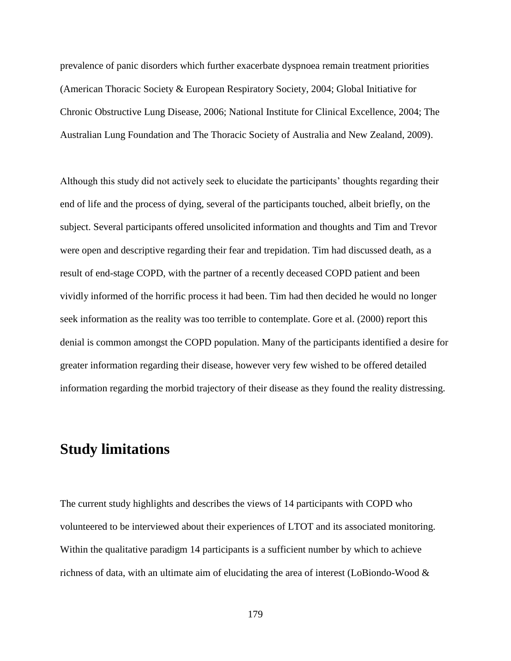prevalence of panic disorders which further exacerbate dyspnoea remain treatment priorities (American Thoracic Society & European Respiratory Society, 2004; Global Initiative for Chronic Obstructive Lung Disease, 2006; National Institute for Clinical Excellence, 2004; The Australian Lung Foundation and The Thoracic Society of Australia and New Zealand, 2009).

Although this study did not actively seek to elucidate the participants' thoughts regarding their end of life and the process of dying, several of the participants touched, albeit briefly, on the subject. Several participants offered unsolicited information and thoughts and Tim and Trevor were open and descriptive regarding their fear and trepidation. Tim had discussed death, as a result of end-stage COPD, with the partner of a recently deceased COPD patient and been vividly informed of the horrific process it had been. Tim had then decided he would no longer seek information as the reality was too terrible to contemplate. Gore et al. (2000) report this denial is common amongst the COPD population. Many of the participants identified a desire for greater information regarding their disease, however very few wished to be offered detailed information regarding the morbid trajectory of their disease as they found the reality distressing.

### **Study limitations**

The current study highlights and describes the views of 14 participants with COPD who volunteered to be interviewed about their experiences of LTOT and its associated monitoring. Within the qualitative paradigm 14 participants is a sufficient number by which to achieve richness of data, with an ultimate aim of elucidating the area of interest (LoBiondo-Wood  $\&$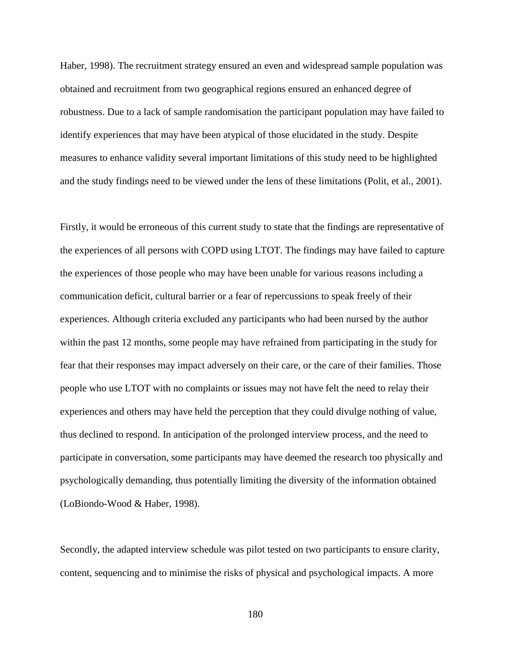Haber, 1998). The recruitment strategy ensured an even and widespread sample population was obtained and recruitment from two geographical regions ensured an enhanced degree of robustness. Due to a lack of sample randomisation the participant population may have failed to identify experiences that may have been atypical of those elucidated in the study. Despite measures to enhance validity several important limitations of this study need to be highlighted and the study findings need to be viewed under the lens of these limitations (Polit, et al., 2001).

Firstly, it would be erroneous of this current study to state that the findings are representative of the experiences of all persons with COPD using LTOT. The findings may have failed to capture the experiences of those people who may have been unable for various reasons including a communication deficit, cultural barrier or a fear of repercussions to speak freely of their experiences. Although criteria excluded any participants who had been nursed by the author within the past 12 months, some people may have refrained from participating in the study for fear that their responses may impact adversely on their care, or the care of their families. Those people who use LTOT with no complaints or issues may not have felt the need to relay their experiences and others may have held the perception that they could divulge nothing of value, thus declined to respond. In anticipation of the prolonged interview process, and the need to participate in conversation, some participants may have deemed the research too physically and psychologically demanding, thus potentially limiting the diversity of the information obtained (LoBiondo-Wood & Haber, 1998).

Secondly, the adapted interview schedule was pilot tested on two participants to ensure clarity, content, sequencing and to minimise the risks of physical and psychological impacts. A more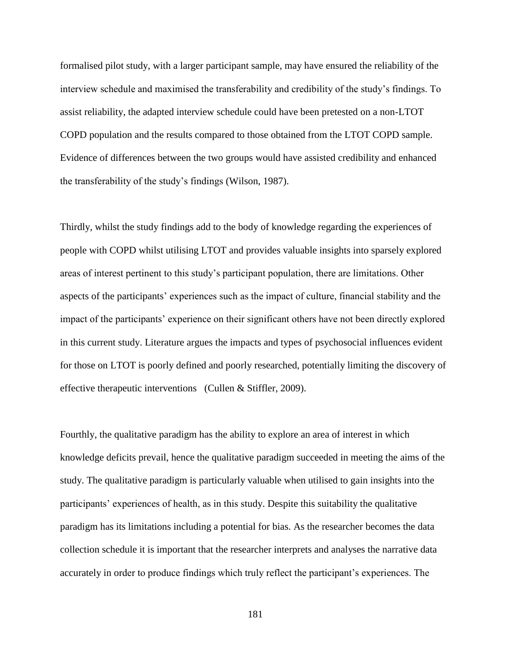formalised pilot study, with a larger participant sample, may have ensured the reliability of the interview schedule and maximised the transferability and credibility of the study's findings. To assist reliability, the adapted interview schedule could have been pretested on a non-LTOT COPD population and the results compared to those obtained from the LTOT COPD sample. Evidence of differences between the two groups would have assisted credibility and enhanced the transferability of the study's findings (Wilson, 1987).

Thirdly, whilst the study findings add to the body of knowledge regarding the experiences of people with COPD whilst utilising LTOT and provides valuable insights into sparsely explored areas of interest pertinent to this study's participant population, there are limitations. Other aspects of the participants' experiences such as the impact of culture, financial stability and the impact of the participants' experience on their significant others have not been directly explored in this current study. Literature argues the impacts and types of psychosocial influences evident for those on LTOT is poorly defined and poorly researched, potentially limiting the discovery of effective therapeutic interventions (Cullen & Stiffler, 2009).

Fourthly, the qualitative paradigm has the ability to explore an area of interest in which knowledge deficits prevail, hence the qualitative paradigm succeeded in meeting the aims of the study. The qualitative paradigm is particularly valuable when utilised to gain insights into the participants' experiences of health, as in this study. Despite this suitability the qualitative paradigm has its limitations including a potential for bias. As the researcher becomes the data collection schedule it is important that the researcher interprets and analyses the narrative data accurately in order to produce findings which truly reflect the participant's experiences. The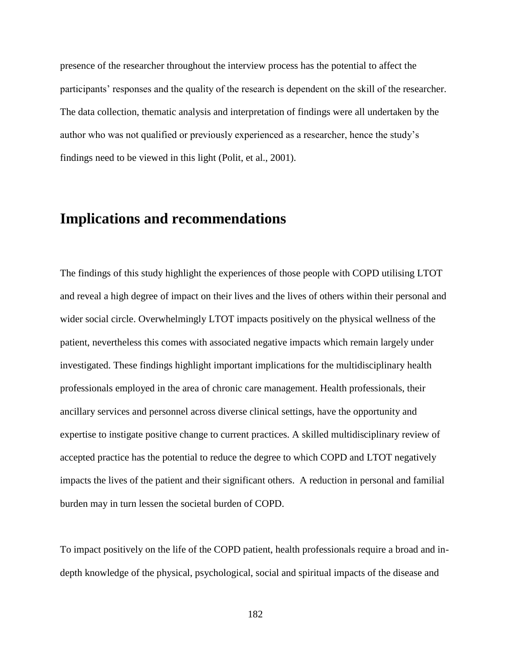presence of the researcher throughout the interview process has the potential to affect the participants' responses and the quality of the research is dependent on the skill of the researcher. The data collection, thematic analysis and interpretation of findings were all undertaken by the author who was not qualified or previously experienced as a researcher, hence the study's findings need to be viewed in this light (Polit, et al., 2001).

## **Implications and recommendations**

The findings of this study highlight the experiences of those people with COPD utilising LTOT and reveal a high degree of impact on their lives and the lives of others within their personal and wider social circle. Overwhelmingly LTOT impacts positively on the physical wellness of the patient, nevertheless this comes with associated negative impacts which remain largely under investigated. These findings highlight important implications for the multidisciplinary health professionals employed in the area of chronic care management. Health professionals, their ancillary services and personnel across diverse clinical settings, have the opportunity and expertise to instigate positive change to current practices. A skilled multidisciplinary review of accepted practice has the potential to reduce the degree to which COPD and LTOT negatively impacts the lives of the patient and their significant others. A reduction in personal and familial burden may in turn lessen the societal burden of COPD.

To impact positively on the life of the COPD patient, health professionals require a broad and indepth knowledge of the physical, psychological, social and spiritual impacts of the disease and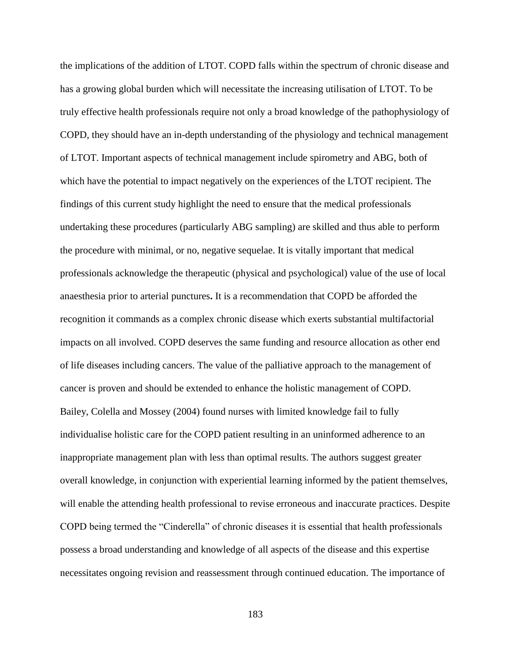the implications of the addition of LTOT. COPD falls within the spectrum of chronic disease and has a growing global burden which will necessitate the increasing utilisation of LTOT. To be truly effective health professionals require not only a broad knowledge of the pathophysiology of COPD, they should have an in-depth understanding of the physiology and technical management of LTOT. Important aspects of technical management include spirometry and ABG, both of which have the potential to impact negatively on the experiences of the LTOT recipient. The findings of this current study highlight the need to ensure that the medical professionals undertaking these procedures (particularly ABG sampling) are skilled and thus able to perform the procedure with minimal, or no, negative sequelae. It is vitally important that medical professionals acknowledge the therapeutic (physical and psychological) value of the use of local anaesthesia prior to arterial punctures**.** It is a recommendation that COPD be afforded the recognition it commands as a complex chronic disease which exerts substantial multifactorial impacts on all involved. COPD deserves the same funding and resource allocation as other end of life diseases including cancers. The value of the palliative approach to the management of cancer is proven and should be extended to enhance the holistic management of COPD. Bailey, Colella and Mossey (2004) found nurses with limited knowledge fail to fully individualise holistic care for the COPD patient resulting in an uninformed adherence to an inappropriate management plan with less than optimal results. The authors suggest greater overall knowledge, in conjunction with experiential learning informed by the patient themselves, will enable the attending health professional to revise erroneous and inaccurate practices. Despite COPD being termed the "Cinderella" of chronic diseases it is essential that health professionals possess a broad understanding and knowledge of all aspects of the disease and this expertise necessitates ongoing revision and reassessment through continued education. The importance of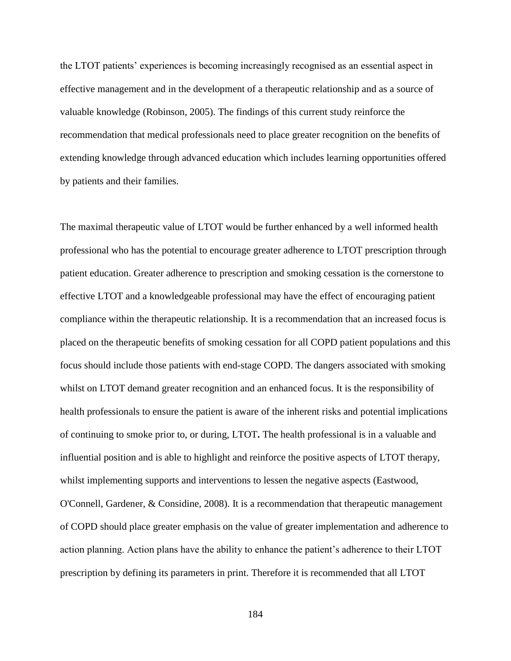the LTOT patients' experiences is becoming increasingly recognised as an essential aspect in effective management and in the development of a therapeutic relationship and as a source of valuable knowledge (Robinson, 2005). The findings of this current study reinforce the recommendation that medical professionals need to place greater recognition on the benefits of extending knowledge through advanced education which includes learning opportunities offered by patients and their families.

The maximal therapeutic value of LTOT would be further enhanced by a well informed health professional who has the potential to encourage greater adherence to LTOT prescription through patient education. Greater adherence to prescription and smoking cessation is the cornerstone to effective LTOT and a knowledgeable professional may have the effect of encouraging patient compliance within the therapeutic relationship. It is a recommendation that an increased focus is placed on the therapeutic benefits of smoking cessation for all COPD patient populations and this focus should include those patients with end-stage COPD. The dangers associated with smoking whilst on LTOT demand greater recognition and an enhanced focus. It is the responsibility of health professionals to ensure the patient is aware of the inherent risks and potential implications of continuing to smoke prior to, or during, LTOT**.** The health professional is in a valuable and influential position and is able to highlight and reinforce the positive aspects of LTOT therapy, whilst implementing supports and interventions to lessen the negative aspects (Eastwood, O'Connell, Gardener, & Considine, 2008). It is a recommendation that therapeutic management of COPD should place greater emphasis on the value of greater implementation and adherence to action planning. Action plans have the ability to enhance the patient's adherence to their LTOT prescription by defining its parameters in print. Therefore it is recommended that all LTOT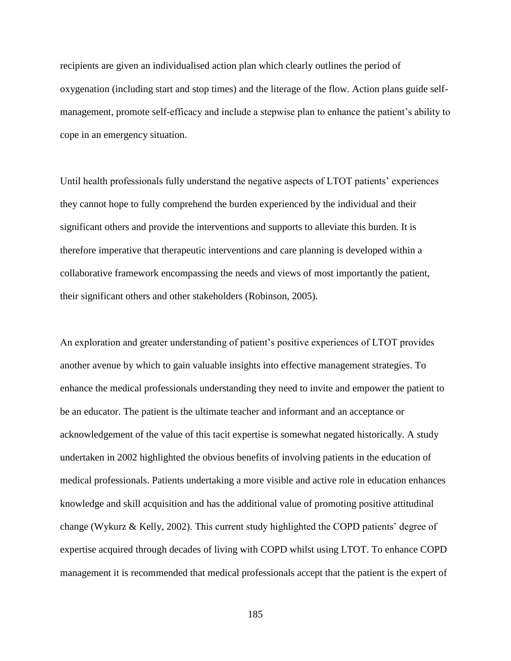recipients are given an individualised action plan which clearly outlines the period of oxygenation (including start and stop times) and the literage of the flow. Action plans guide selfmanagement, promote self-efficacy and include a stepwise plan to enhance the patient's ability to cope in an emergency situation.

Until health professionals fully understand the negative aspects of LTOT patients' experiences they cannot hope to fully comprehend the burden experienced by the individual and their significant others and provide the interventions and supports to alleviate this burden. It is therefore imperative that therapeutic interventions and care planning is developed within a collaborative framework encompassing the needs and views of most importantly the patient, their significant others and other stakeholders (Robinson, 2005).

An exploration and greater understanding of patient's positive experiences of LTOT provides another avenue by which to gain valuable insights into effective management strategies. To enhance the medical professionals understanding they need to invite and empower the patient to be an educator. The patient is the ultimate teacher and informant and an acceptance or acknowledgement of the value of this tacit expertise is somewhat negated historically. A study undertaken in 2002 highlighted the obvious benefits of involving patients in the education of medical professionals. Patients undertaking a more visible and active role in education enhances knowledge and skill acquisition and has the additional value of promoting positive attitudinal change (Wykurz & Kelly, 2002). This current study highlighted the COPD patients' degree of expertise acquired through decades of living with COPD whilst using LTOT. To enhance COPD management it is recommended that medical professionals accept that the patient is the expert of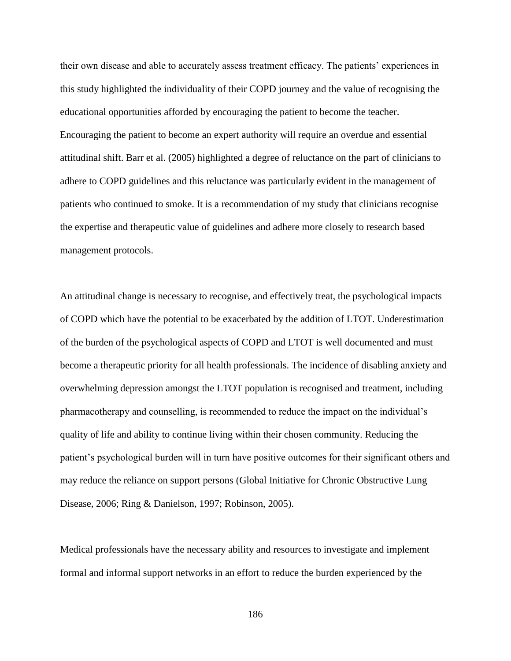their own disease and able to accurately assess treatment efficacy. The patients' experiences in this study highlighted the individuality of their COPD journey and the value of recognising the educational opportunities afforded by encouraging the patient to become the teacher. Encouraging the patient to become an expert authority will require an overdue and essential attitudinal shift. Barr et al. (2005) highlighted a degree of reluctance on the part of clinicians to adhere to COPD guidelines and this reluctance was particularly evident in the management of patients who continued to smoke. It is a recommendation of my study that clinicians recognise the expertise and therapeutic value of guidelines and adhere more closely to research based management protocols.

An attitudinal change is necessary to recognise, and effectively treat, the psychological impacts of COPD which have the potential to be exacerbated by the addition of LTOT. Underestimation of the burden of the psychological aspects of COPD and LTOT is well documented and must become a therapeutic priority for all health professionals. The incidence of disabling anxiety and overwhelming depression amongst the LTOT population is recognised and treatment, including pharmacotherapy and counselling, is recommended to reduce the impact on the individual's quality of life and ability to continue living within their chosen community. Reducing the patient's psychological burden will in turn have positive outcomes for their significant others and may reduce the reliance on support persons (Global Initiative for Chronic Obstructive Lung Disease, 2006; Ring & Danielson, 1997; Robinson, 2005).

Medical professionals have the necessary ability and resources to investigate and implement formal and informal support networks in an effort to reduce the burden experienced by the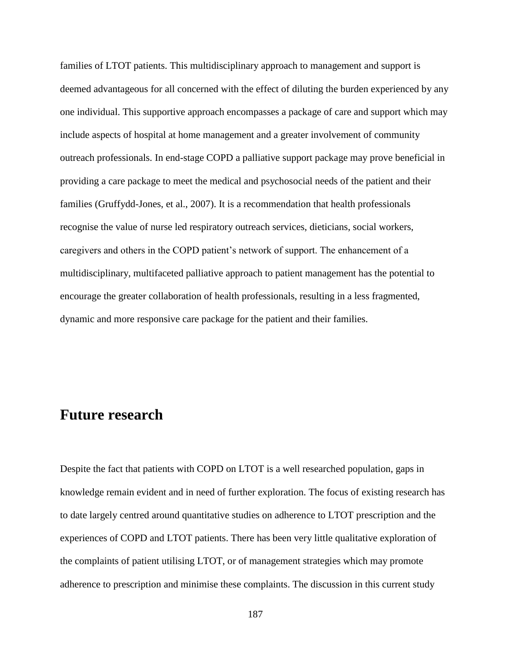families of LTOT patients. This multidisciplinary approach to management and support is deemed advantageous for all concerned with the effect of diluting the burden experienced by any one individual. This supportive approach encompasses a package of care and support which may include aspects of hospital at home management and a greater involvement of community outreach professionals. In end-stage COPD a palliative support package may prove beneficial in providing a care package to meet the medical and psychosocial needs of the patient and their families (Gruffydd-Jones, et al., 2007). It is a recommendation that health professionals recognise the value of nurse led respiratory outreach services, dieticians, social workers, caregivers and others in the COPD patient's network of support. The enhancement of a multidisciplinary, multifaceted palliative approach to patient management has the potential to encourage the greater collaboration of health professionals, resulting in a less fragmented, dynamic and more responsive care package for the patient and their families.

## **Future research**

Despite the fact that patients with COPD on LTOT is a well researched population, gaps in knowledge remain evident and in need of further exploration. The focus of existing research has to date largely centred around quantitative studies on adherence to LTOT prescription and the experiences of COPD and LTOT patients. There has been very little qualitative exploration of the complaints of patient utilising LTOT, or of management strategies which may promote adherence to prescription and minimise these complaints. The discussion in this current study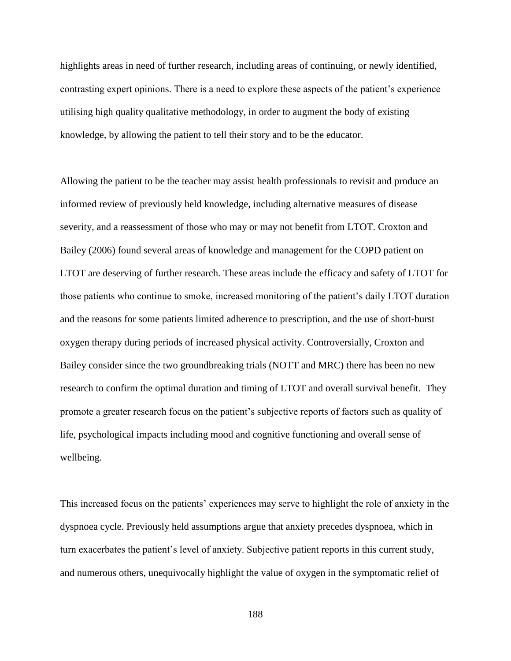highlights areas in need of further research, including areas of continuing, or newly identified, contrasting expert opinions. There is a need to explore these aspects of the patient's experience utilising high quality qualitative methodology, in order to augment the body of existing knowledge, by allowing the patient to tell their story and to be the educator.

Allowing the patient to be the teacher may assist health professionals to revisit and produce an informed review of previously held knowledge, including alternative measures of disease severity, and a reassessment of those who may or may not benefit from LTOT. Croxton and Bailey (2006) found several areas of knowledge and management for the COPD patient on LTOT are deserving of further research. These areas include the efficacy and safety of LTOT for those patients who continue to smoke, increased monitoring of the patient's daily LTOT duration and the reasons for some patients limited adherence to prescription, and the use of short-burst oxygen therapy during periods of increased physical activity. Controversially, Croxton and Bailey consider since the two groundbreaking trials (NOTT and MRC) there has been no new research to confirm the optimal duration and timing of LTOT and overall survival benefit. They promote a greater research focus on the patient's subjective reports of factors such as quality of life, psychological impacts including mood and cognitive functioning and overall sense of wellbeing.

This increased focus on the patients' experiences may serve to highlight the role of anxiety in the dyspnoea cycle. Previously held assumptions argue that anxiety precedes dyspnoea, which in turn exacerbates the patient's level of anxiety. Subjective patient reports in this current study, and numerous others, unequivocally highlight the value of oxygen in the symptomatic relief of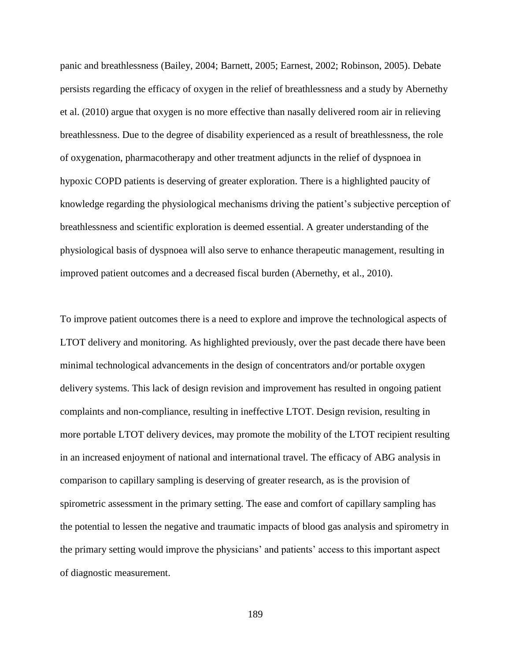panic and breathlessness (Bailey, 2004; Barnett, 2005; Earnest, 2002; Robinson, 2005). Debate persists regarding the efficacy of oxygen in the relief of breathlessness and a study by Abernethy et al. (2010) argue that oxygen is no more effective than nasally delivered room air in relieving breathlessness. Due to the degree of disability experienced as a result of breathlessness, the role of oxygenation, pharmacotherapy and other treatment adjuncts in the relief of dyspnoea in hypoxic COPD patients is deserving of greater exploration. There is a highlighted paucity of knowledge regarding the physiological mechanisms driving the patient's subjective perception of breathlessness and scientific exploration is deemed essential. A greater understanding of the physiological basis of dyspnoea will also serve to enhance therapeutic management, resulting in improved patient outcomes and a decreased fiscal burden (Abernethy, et al., 2010).

To improve patient outcomes there is a need to explore and improve the technological aspects of LTOT delivery and monitoring. As highlighted previously, over the past decade there have been minimal technological advancements in the design of concentrators and/or portable oxygen delivery systems. This lack of design revision and improvement has resulted in ongoing patient complaints and non-compliance, resulting in ineffective LTOT. Design revision, resulting in more portable LTOT delivery devices, may promote the mobility of the LTOT recipient resulting in an increased enjoyment of national and international travel. The efficacy of ABG analysis in comparison to capillary sampling is deserving of greater research, as is the provision of spirometric assessment in the primary setting. The ease and comfort of capillary sampling has the potential to lessen the negative and traumatic impacts of blood gas analysis and spirometry in the primary setting would improve the physicians' and patients' access to this important aspect of diagnostic measurement.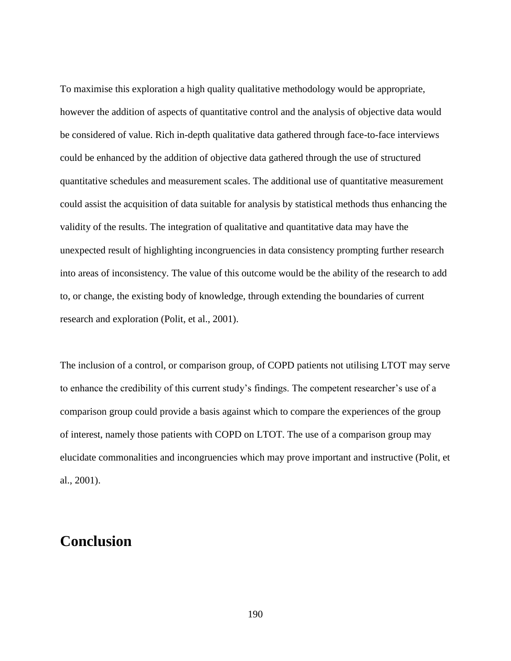To maximise this exploration a high quality qualitative methodology would be appropriate, however the addition of aspects of quantitative control and the analysis of objective data would be considered of value. Rich in-depth qualitative data gathered through face-to-face interviews could be enhanced by the addition of objective data gathered through the use of structured quantitative schedules and measurement scales. The additional use of quantitative measurement could assist the acquisition of data suitable for analysis by statistical methods thus enhancing the validity of the results. The integration of qualitative and quantitative data may have the unexpected result of highlighting incongruencies in data consistency prompting further research into areas of inconsistency. The value of this outcome would be the ability of the research to add to, or change, the existing body of knowledge, through extending the boundaries of current research and exploration (Polit, et al., 2001).

The inclusion of a control, or comparison group, of COPD patients not utilising LTOT may serve to enhance the credibility of this current study's findings. The competent researcher's use of a comparison group could provide a basis against which to compare the experiences of the group of interest, namely those patients with COPD on LTOT. The use of a comparison group may elucidate commonalities and incongruencies which may prove important and instructive (Polit, et al., 2001).

# **Conclusion**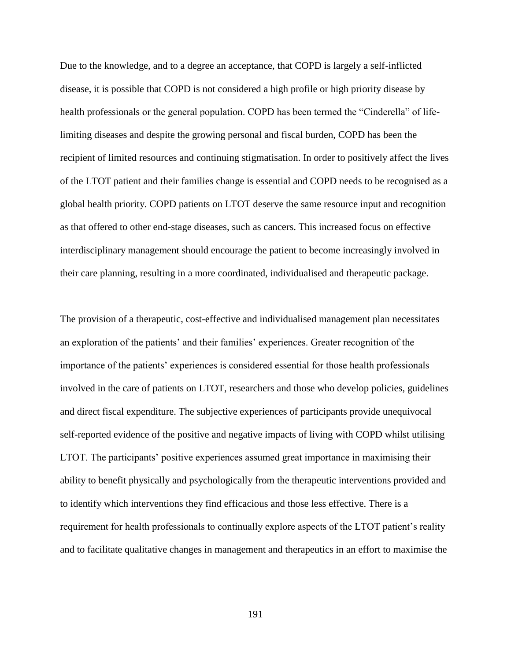Due to the knowledge, and to a degree an acceptance, that COPD is largely a self-inflicted disease, it is possible that COPD is not considered a high profile or high priority disease by health professionals or the general population. COPD has been termed the "Cinderella" of lifelimiting diseases and despite the growing personal and fiscal burden, COPD has been the recipient of limited resources and continuing stigmatisation. In order to positively affect the lives of the LTOT patient and their families change is essential and COPD needs to be recognised as a global health priority. COPD patients on LTOT deserve the same resource input and recognition as that offered to other end-stage diseases, such as cancers. This increased focus on effective interdisciplinary management should encourage the patient to become increasingly involved in their care planning, resulting in a more coordinated, individualised and therapeutic package.

The provision of a therapeutic, cost-effective and individualised management plan necessitates an exploration of the patients' and their families' experiences. Greater recognition of the importance of the patients' experiences is considered essential for those health professionals involved in the care of patients on LTOT, researchers and those who develop policies, guidelines and direct fiscal expenditure. The subjective experiences of participants provide unequivocal self-reported evidence of the positive and negative impacts of living with COPD whilst utilising LTOT. The participants' positive experiences assumed great importance in maximising their ability to benefit physically and psychologically from the therapeutic interventions provided and to identify which interventions they find efficacious and those less effective. There is a requirement for health professionals to continually explore aspects of the LTOT patient's reality and to facilitate qualitative changes in management and therapeutics in an effort to maximise the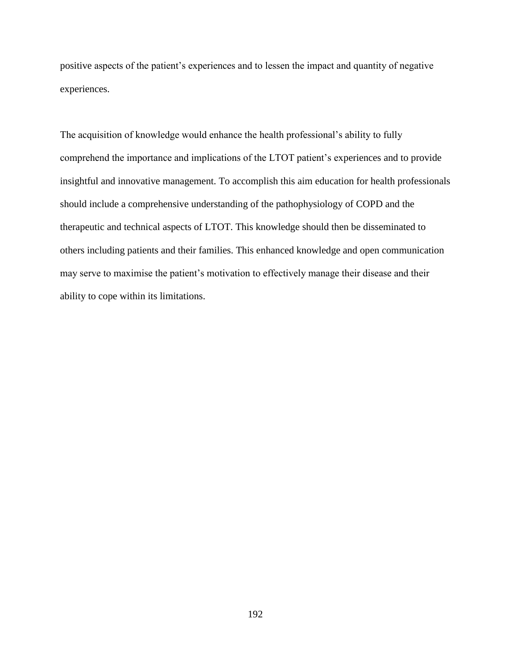positive aspects of the patient's experiences and to lessen the impact and quantity of negative experiences.

The acquisition of knowledge would enhance the health professional's ability to fully comprehend the importance and implications of the LTOT patient's experiences and to provide insightful and innovative management. To accomplish this aim education for health professionals should include a comprehensive understanding of the pathophysiology of COPD and the therapeutic and technical aspects of LTOT. This knowledge should then be disseminated to others including patients and their families. This enhanced knowledge and open communication may serve to maximise the patient's motivation to effectively manage their disease and their ability to cope within its limitations.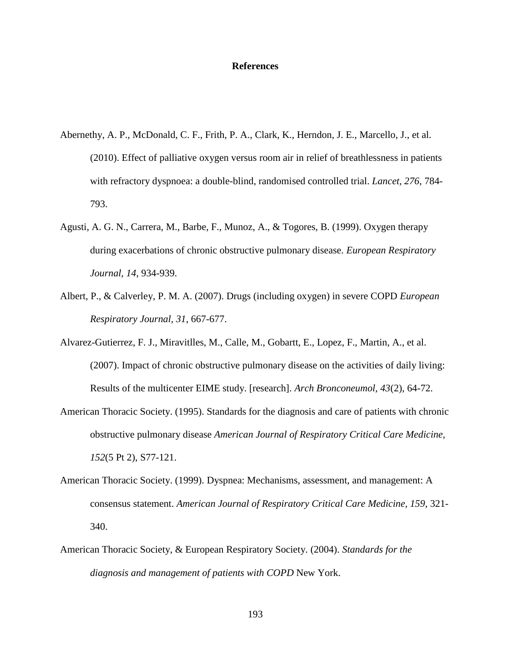### **References**

- Abernethy, A. P., McDonald, C. F., Frith, P. A., Clark, K., Herndon, J. E., Marcello, J., et al. (2010). Effect of palliative oxygen versus room air in relief of breathlessness in patients with refractory dyspnoea: a double-blind, randomised controlled trial. *Lancet, 276*, 784- 793.
- Agusti, A. G. N., Carrera, M., Barbe, F., Munoz, A., & Togores, B. (1999). Oxygen therapy during exacerbations of chronic obstructive pulmonary disease. *European Respiratory Journal, 14*, 934-939.
- Albert, P., & Calverley, P. M. A. (2007). Drugs (including oxygen) in severe COPD *European Respiratory Journal, 31*, 667-677.
- Alvarez-Gutierrez, F. J., Miravitlles, M., Calle, M., Gobartt, E., Lopez, F., Martin, A., et al. (2007). Impact of chronic obstructive pulmonary disease on the activities of daily living: Results of the multicenter EIME study. [research]. *Arch Bronconeumol, 43*(2), 64-72.
- American Thoracic Society. (1995). Standards for the diagnosis and care of patients with chronic obstructive pulmonary disease *American Journal of Respiratory Critical Care Medicine, 152*(5 Pt 2), S77-121.
- American Thoracic Society. (1999). Dyspnea: Mechanisms, assessment, and management: A consensus statement. *American Journal of Respiratory Critical Care Medicine, 159*, 321- 340.
- American Thoracic Society, & European Respiratory Society. (2004). *Standards for the diagnosis and management of patients with COPD* New York.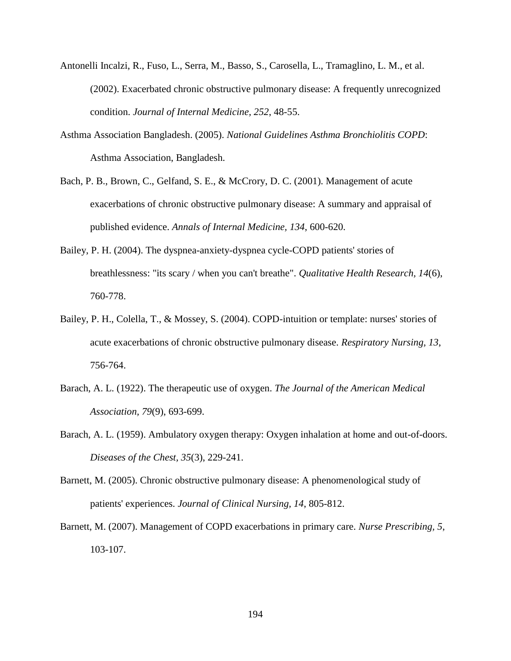- Antonelli Incalzi, R., Fuso, L., Serra, M., Basso, S., Carosella, L., Tramaglino, L. M., et al. (2002). Exacerbated chronic obstructive pulmonary disease: A frequently unrecognized condition. *Journal of Internal Medicine, 252*, 48-55.
- Asthma Association Bangladesh. (2005). *National Guidelines Asthma Bronchiolitis COPD*: Asthma Association, Bangladesh.
- Bach, P. B., Brown, C., Gelfand, S. E., & McCrory, D. C. (2001). Management of acute exacerbations of chronic obstructive pulmonary disease: A summary and appraisal of published evidence. *Annals of Internal Medicine, 134*, 600-620.
- Bailey, P. H. (2004). The dyspnea-anxiety-dyspnea cycle-COPD patients' stories of breathlessness: "its scary / when you can't breathe". *Qualitative Health Research, 14*(6), 760-778.
- Bailey, P. H., Colella, T., & Mossey, S. (2004). COPD-intuition or template: nurses' stories of acute exacerbations of chronic obstructive pulmonary disease. *Respiratory Nursing, 13*, 756-764.
- Barach, A. L. (1922). The therapeutic use of oxygen. *The Journal of the American Medical Association, 79*(9), 693-699.
- Barach, A. L. (1959). Ambulatory oxygen therapy: Oxygen inhalation at home and out-of-doors. *Diseases of the Chest, 35*(3), 229-241.
- Barnett, M. (2005). Chronic obstructive pulmonary disease: A phenomenological study of patients' experiences. *Journal of Clinical Nursing, 14*, 805-812.
- Barnett, M. (2007). Management of COPD exacerbations in primary care. *Nurse Prescribing, 5*, 103-107.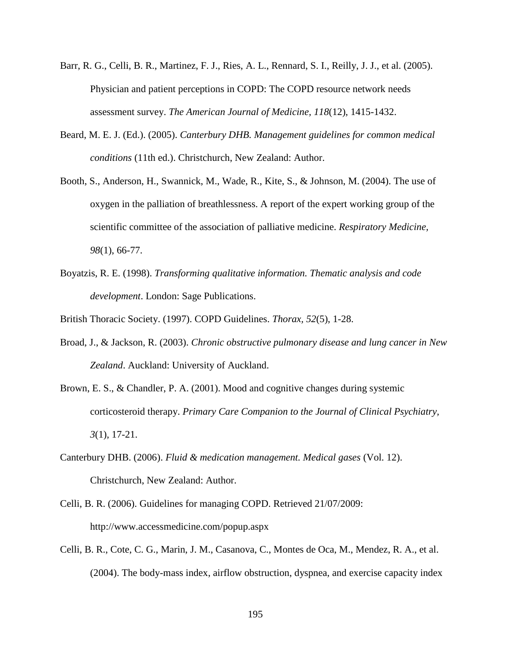- Barr, R. G., Celli, B. R., Martinez, F. J., Ries, A. L., Rennard, S. I., Reilly, J. J., et al. (2005). Physician and patient perceptions in COPD: The COPD resource network needs assessment survey. *The American Journal of Medicine, 118*(12), 1415-1432.
- Beard, M. E. J. (Ed.). (2005). *Canterbury DHB. Management guidelines for common medical conditions* (11th ed.). Christchurch, New Zealand: Author.
- Booth, S., Anderson, H., Swannick, M., Wade, R., Kite, S., & Johnson, M. (2004). The use of oxygen in the palliation of breathlessness. A report of the expert working group of the scientific committee of the association of palliative medicine. *Respiratory Medicine, 98*(1), 66-77.
- Boyatzis, R. E. (1998). *Transforming qualitative information. Thematic analysis and code development*. London: Sage Publications.

British Thoracic Society. (1997). COPD Guidelines. *Thorax, 52*(5), 1-28.

- Broad, J., & Jackson, R. (2003). *Chronic obstructive pulmonary disease and lung cancer in New Zealand*. Auckland: University of Auckland.
- Brown, E. S., & Chandler, P. A. (2001). Mood and cognitive changes during systemic corticosteroid therapy. *Primary Care Companion to the Journal of Clinical Psychiatry, 3*(1), 17-21.
- Canterbury DHB. (2006). *Fluid & medication management. Medical gases* (Vol. 12). Christchurch, New Zealand: Author.
- Celli, B. R. (2006). Guidelines for managing COPD. Retrieved 21/07/2009: http://www.accessmedicine.com/popup.aspx
- Celli, B. R., Cote, C. G., Marin, J. M., Casanova, C., Montes de Oca, M., Mendez, R. A., et al. (2004). The body-mass index, airflow obstruction, dyspnea, and exercise capacity index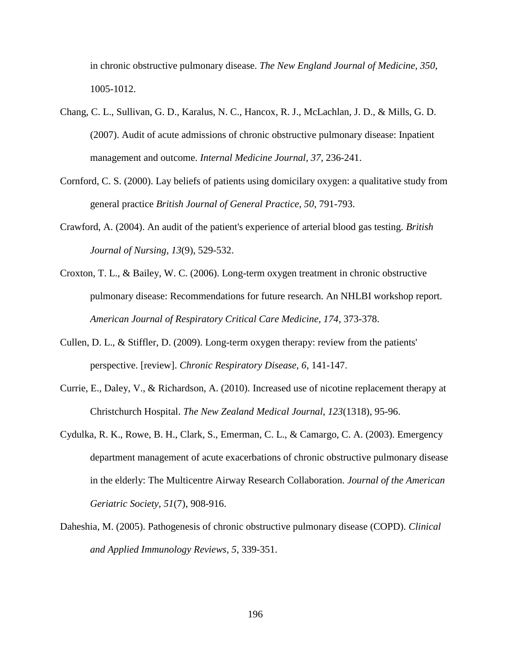in chronic obstructive pulmonary disease. *The New England Journal of Medicine, 350*, 1005-1012.

- Chang, C. L., Sullivan, G. D., Karalus, N. C., Hancox, R. J., McLachlan, J. D., & Mills, G. D. (2007). Audit of acute admissions of chronic obstructive pulmonary disease: Inpatient management and outcome. *Internal Medicine Journal, 37*, 236-241.
- Cornford, C. S. (2000). Lay beliefs of patients using domicilary oxygen: a qualitative study from general practice *British Journal of General Practice, 50*, 791-793.
- Crawford, A. (2004). An audit of the patient's experience of arterial blood gas testing. *British Journal of Nursing, 13*(9), 529-532.
- Croxton, T. L., & Bailey, W. C. (2006). Long-term oxygen treatment in chronic obstructive pulmonary disease: Recommendations for future research. An NHLBI workshop report. *American Journal of Respiratory Critical Care Medicine, 174*, 373-378.
- Cullen, D. L., & Stiffler, D. (2009). Long-term oxygen therapy: review from the patients' perspective. [review]. *Chronic Respiratory Disease, 6*, 141-147.
- Currie, E., Daley, V., & Richardson, A. (2010). Increased use of nicotine replacement therapy at Christchurch Hospital. *The New Zealand Medical Journal, 123*(1318), 95-96.
- Cydulka, R. K., Rowe, B. H., Clark, S., Emerman, C. L., & Camargo, C. A. (2003). Emergency department management of acute exacerbations of chronic obstructive pulmonary disease in the elderly: The Multicentre Airway Research Collaboration. *Journal of the American Geriatric Society, 51*(7), 908-916.
- Daheshia, M. (2005). Pathogenesis of chronic obstructive pulmonary disease (COPD). *Clinical and Applied Immunology Reviews, 5*, 339-351.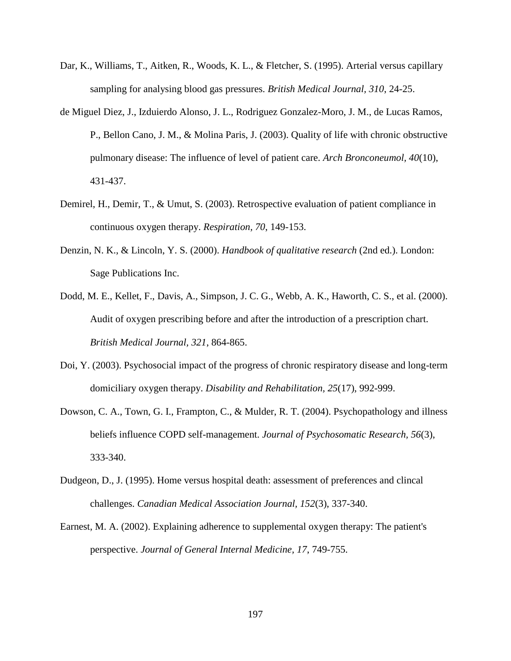- Dar, K., Williams, T., Aitken, R., Woods, K. L., & Fletcher, S. (1995). Arterial versus capillary sampling for analysing blood gas pressures. *British Medical Journal, 310*, 24-25.
- de Miguel Diez, J., Izduierdo Alonso, J. L., Rodriguez Gonzalez-Moro, J. M., de Lucas Ramos, P., Bellon Cano, J. M., & Molina Paris, J. (2003). Quality of life with chronic obstructive pulmonary disease: The influence of level of patient care. *Arch Bronconeumol, 40*(10), 431-437.
- Demirel, H., Demir, T., & Umut, S. (2003). Retrospective evaluation of patient compliance in continuous oxygen therapy. *Respiration, 70*, 149-153.
- Denzin, N. K., & Lincoln, Y. S. (2000). *Handbook of qualitative research* (2nd ed.). London: Sage Publications Inc.
- Dodd, M. E., Kellet, F., Davis, A., Simpson, J. C. G., Webb, A. K., Haworth, C. S., et al. (2000). Audit of oxygen prescribing before and after the introduction of a prescription chart. *British Medical Journal, 321*, 864-865.
- Doi, Y. (2003). Psychosocial impact of the progress of chronic respiratory disease and long-term domiciliary oxygen therapy. *Disability and Rehabilitation, 25*(17), 992-999.
- Dowson, C. A., Town, G. I., Frampton, C., & Mulder, R. T. (2004). Psychopathology and illness beliefs influence COPD self-management. *Journal of Psychosomatic Research, 56*(3), 333-340.
- Dudgeon, D., J. (1995). Home versus hospital death: assessment of preferences and clincal challenges. *Canadian Medical Association Journal, 152*(3), 337-340.
- Earnest, M. A. (2002). Explaining adherence to supplemental oxygen therapy: The patient's perspective. *Journal of General Internal Medicine, 17*, 749-755.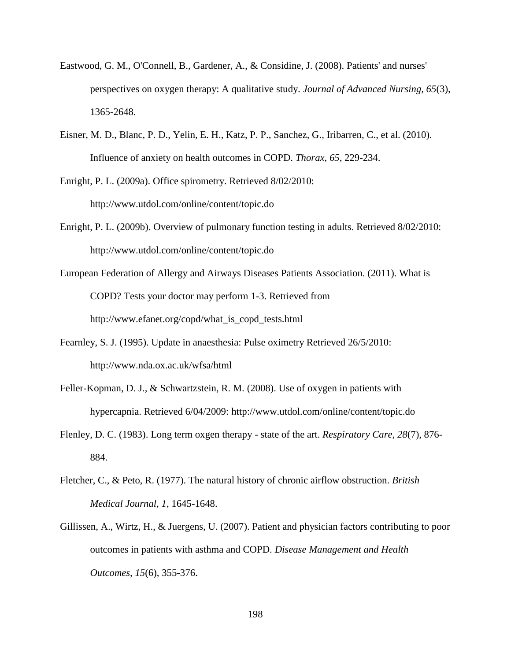- Eastwood, G. M., O'Connell, B., Gardener, A., & Considine, J. (2008). Patients' and nurses' perspectives on oxygen therapy: A qualitative study. *Journal of Advanced Nursing, 65*(3), 1365-2648.
- Eisner, M. D., Blanc, P. D., Yelin, E. H., Katz, P. P., Sanchez, G., Iribarren, C., et al. (2010). Influence of anxiety on health outcomes in COPD. *Thorax, 65*, 229-234.
- Enright, P. L. (2009a). Office spirometry. Retrieved 8/02/2010: http://www.utdol.com/online/content/topic.do
- Enright, P. L. (2009b). Overview of pulmonary function testing in adults. Retrieved 8/02/2010: http://www.utdol.com/online/content/topic.do
- European Federation of Allergy and Airways Diseases Patients Association. (2011). What is COPD? Tests your doctor may perform 1-3. Retrieved from http://www.efanet.org/copd/what\_is\_copd\_tests.html
- Fearnley, S. J. (1995). Update in anaesthesia: Pulse oximetry Retrieved 26/5/2010: http://www.nda.ox.ac.uk/wfsa/html
- Feller-Kopman, D. J., & Schwartzstein, R. M. (2008). Use of oxygen in patients with hypercapnia. Retrieved 6/04/2009: http://www.utdol.com/online/content/topic.do
- Flenley, D. C. (1983). Long term oxgen therapy state of the art. *Respiratory Care, 28*(7), 876- 884.
- Fletcher, C., & Peto, R. (1977). The natural history of chronic airflow obstruction. *British Medical Journal, 1*, 1645-1648.
- Gillissen, A., Wirtz, H., & Juergens, U. (2007). Patient and physician factors contributing to poor outcomes in patients with asthma and COPD. *Disease Management and Health Outcomes, 15*(6), 355-376.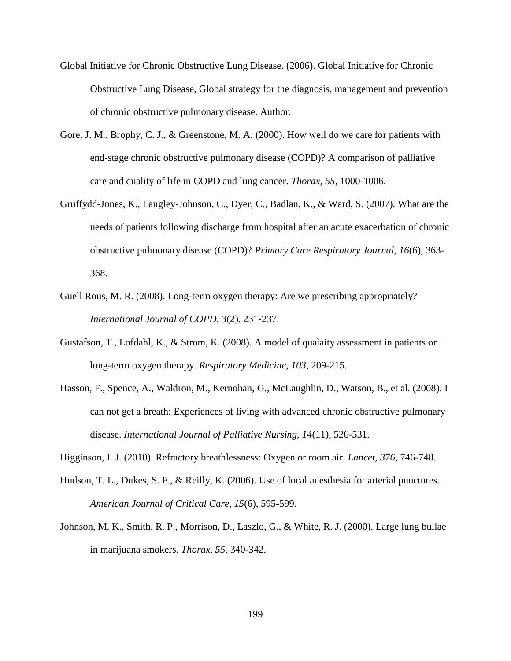- Global Initiative for Chronic Obstructive Lung Disease. (2006). Global Initiative for Chronic Obstructive Lung Disease, Global strategy for the diagnosis, management and prevention of chronic obstructive pulmonary disease. Author.
- Gore, J. M., Brophy, C. J., & Greenstone, M. A. (2000). How well do we care for patients with end-stage chronic obstructive pulmonary disease (COPD)? A comparison of palliative care and quality of life in COPD and lung cancer. *Thorax, 55*, 1000-1006.
- Gruffydd-Jones, K., Langley-Johnson, C., Dyer, C., Badlan, K., & Ward, S. (2007). What are the needs of patients following discharge from hospital after an acute exacerbation of chronic obstructive pulmonary disease (COPD)? *Primary Care Respiratory Journal, 16*(6), 363- 368.
- Guell Rous, M. R. (2008). Long-term oxygen therapy: Are we prescribing appropriately? *International Journal of COPD, 3*(2), 231-237.
- Gustafson, T., Lofdahl, K., & Strom, K. (2008). A model of qualaity assessment in patients on long-term oxygen therapy. *Respiratory Medicine, 103*, 209-215.
- Hasson, F., Spence, A., Waldron, M., Kernohan, G., McLaughlin, D., Watson, B., et al. (2008). I can not get a breath: Experiences of living with advanced chronic obstructive pulmonary disease. *International Journal of Palliative Nursing, 14*(11), 526-531.
- Higginson, I. J. (2010). Refractory breathlessness: Oxygen or room air. *Lancet, 376*, 746-748.
- Hudson, T. L., Dukes, S. F., & Reilly, K. (2006). Use of local anesthesia for arterial punctures. *American Journal of Critical Care, 15*(6), 595-599.
- Johnson, M. K., Smith, R. P., Morrison, D., Laszlo, G., & White, R. J. (2000). Large lung bullae in marijuana smokers. *Thorax, 55*, 340-342.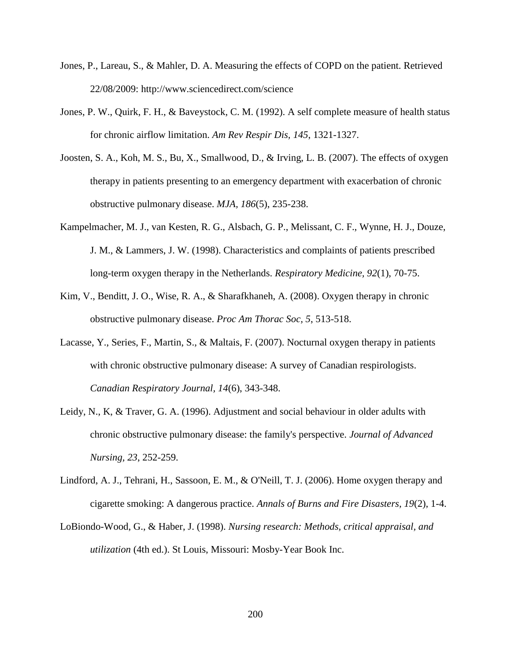- Jones, P., Lareau, S., & Mahler, D. A. Measuring the effects of COPD on the patient. Retrieved 22/08/2009: http://www.sciencedirect.com/science
- Jones, P. W., Quirk, F. H., & Baveystock, C. M. (1992). A self complete measure of health status for chronic airflow limitation. *Am Rev Respir Dis, 145*, 1321-1327.
- Joosten, S. A., Koh, M. S., Bu, X., Smallwood, D., & Irving, L. B. (2007). The effects of oxygen therapy in patients presenting to an emergency department with exacerbation of chronic obstructive pulmonary disease. *MJA, 186*(5), 235-238.
- Kampelmacher, M. J., van Kesten, R. G., Alsbach, G. P., Melissant, C. F., Wynne, H. J., Douze, J. M., & Lammers, J. W. (1998). Characteristics and complaints of patients prescribed long-term oxygen therapy in the Netherlands. *Respiratory Medicine, 92*(1), 70-75.
- Kim, V., Benditt, J. O., Wise, R. A., & Sharafkhaneh, A. (2008). Oxygen therapy in chronic obstructive pulmonary disease. *Proc Am Thorac Soc, 5*, 513-518.
- Lacasse, Y., Series, F., Martin, S., & Maltais, F. (2007). Nocturnal oxygen therapy in patients with chronic obstructive pulmonary disease: A survey of Canadian respirologists. *Canadian Respiratory Journal, 14*(6), 343-348.
- Leidy, N., K, & Traver, G. A. (1996). Adjustment and social behaviour in older adults with chronic obstructive pulmonary disease: the family's perspective. *Journal of Advanced Nursing, 23*, 252-259.
- Lindford, A. J., Tehrani, H., Sassoon, E. M., & O'Neill, T. J. (2006). Home oxygen therapy and cigarette smoking: A dangerous practice. *Annals of Burns and Fire Disasters, 19*(2), 1-4.
- LoBiondo-Wood, G., & Haber, J. (1998). *Nursing research: Methods, critical appraisal, and utilization* (4th ed.). St Louis, Missouri: Mosby-Year Book Inc.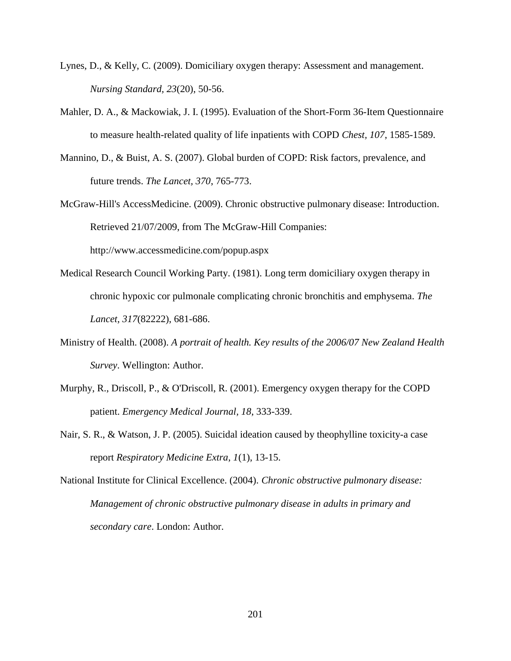- Lynes, D., & Kelly, C. (2009). Domiciliary oxygen therapy: Assessment and management. *Nursing Standard, 23*(20), 50-56.
- Mahler, D. A., & Mackowiak, J. I. (1995). Evaluation of the Short-Form 36-Item Questionnaire to measure health-related quality of life inpatients with COPD *Chest, 107*, 1585-1589.
- Mannino, D., & Buist, A. S. (2007). Global burden of COPD: Risk factors, prevalence, and future trends. *The Lancet, 370*, 765-773.
- McGraw-Hill's AccessMedicine. (2009). Chronic obstructive pulmonary disease: Introduction. Retrieved 21/07/2009, from The McGraw-Hill Companies: http://www.accessmedicine.com/popup.aspx

- Medical Research Council Working Party. (1981). Long term domiciliary oxygen therapy in chronic hypoxic cor pulmonale complicating chronic bronchitis and emphysema. *The Lancet, 317*(82222), 681-686.
- Ministry of Health. (2008). *A portrait of health. Key results of the 2006/07 New Zealand Health Survey*. Wellington: Author.
- Murphy, R., Driscoll, P., & O'Driscoll, R. (2001). Emergency oxygen therapy for the COPD patient. *Emergency Medical Journal, 18*, 333-339.
- Nair, S. R., & Watson, J. P. (2005). Suicidal ideation caused by theophylline toxicity-a case report *Respiratory Medicine Extra, 1*(1), 13-15.
- National Institute for Clinical Excellence. (2004). *Chronic obstructive pulmonary disease: Management of chronic obstructive pulmonary disease in adults in primary and secondary care*. London: Author.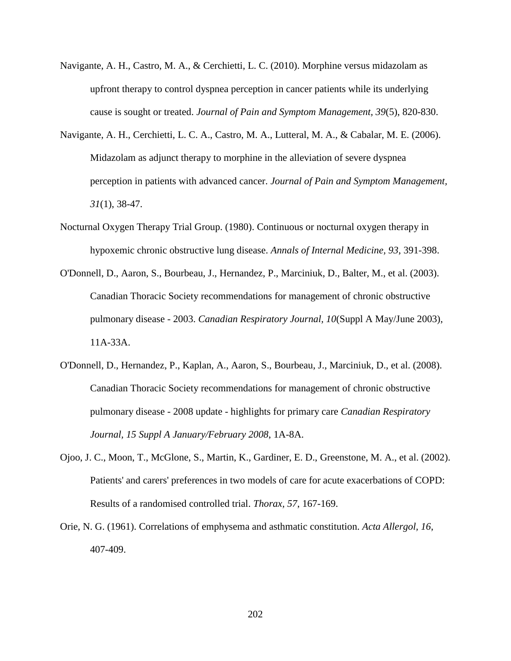- Navigante, A. H., Castro, M. A., & Cerchietti, L. C. (2010). Morphine versus midazolam as upfront therapy to control dyspnea perception in cancer patients while its underlying cause is sought or treated. *Journal of Pain and Symptom Management, 39*(5), 820-830.
- Navigante, A. H., Cerchietti, L. C. A., Castro, M. A., Lutteral, M. A., & Cabalar, M. E. (2006). Midazolam as adjunct therapy to morphine in the alleviation of severe dyspnea perception in patients with advanced cancer. *Journal of Pain and Symptom Management, 31*(1), 38-47.
- Nocturnal Oxygen Therapy Trial Group. (1980). Continuous or nocturnal oxygen therapy in hypoxemic chronic obstructive lung disease. *Annals of Internal Medicine, 93*, 391-398.
- O'Donnell, D., Aaron, S., Bourbeau, J., Hernandez, P., Marciniuk, D., Balter, M., et al. (2003). Canadian Thoracic Society recommendations for management of chronic obstructive pulmonary disease - 2003. *Canadian Respiratory Journal, 10*(Suppl A May/June 2003), 11A-33A.
- O'Donnell, D., Hernandez, P., Kaplan, A., Aaron, S., Bourbeau, J., Marciniuk, D., et al. (2008). Canadian Thoracic Society recommendations for management of chronic obstructive pulmonary disease - 2008 update - highlights for primary care *Canadian Respiratory Journal, 15 Suppl A January/February 2008*, 1A-8A.
- Ojoo, J. C., Moon, T., McGlone, S., Martin, K., Gardiner, E. D., Greenstone, M. A., et al. (2002). Patients' and carers' preferences in two models of care for acute exacerbations of COPD: Results of a randomised controlled trial. *Thorax, 57*, 167-169.
- Orie, N. G. (1961). Correlations of emphysema and asthmatic constitution. *Acta Allergol, 16*, 407-409.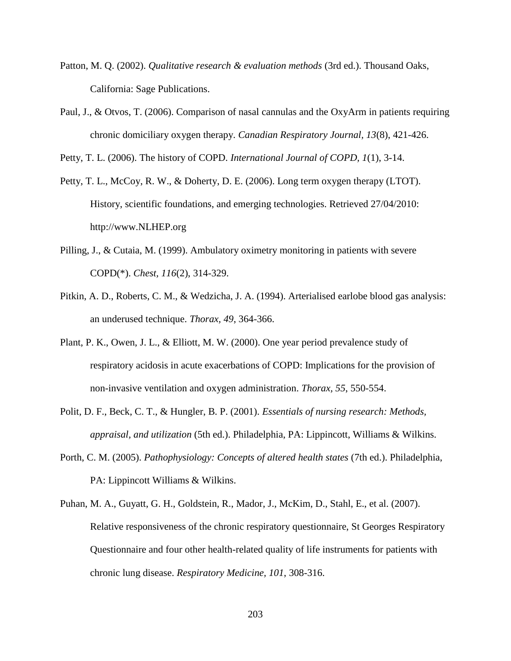- Patton, M. Q. (2002). *Qualitative research & evaluation methods* (3rd ed.). Thousand Oaks, California: Sage Publications.
- Paul, J., & Otvos, T. (2006). Comparison of nasal cannulas and the OxyArm in patients requiring chronic domiciliary oxygen therapy. *Canadian Respiratory Journal, 13*(8), 421-426.

Petty, T. L. (2006). The history of COPD. *International Journal of COPD, 1*(1), 3-14.

- Petty, T. L., McCoy, R. W., & Doherty, D. E. (2006). Long term oxygen therapy (LTOT). History, scientific foundations, and emerging technologies. Retrieved 27/04/2010: http://www.NLHEP.org
- Pilling, J., & Cutaia, M. (1999). Ambulatory oximetry monitoring in patients with severe COPD(\*). *Chest, 116*(2), 314-329.
- Pitkin, A. D., Roberts, C. M., & Wedzicha, J. A. (1994). Arterialised earlobe blood gas analysis: an underused technique. *Thorax, 49*, 364-366.
- Plant, P. K., Owen, J. L., & Elliott, M. W. (2000). One year period prevalence study of respiratory acidosis in acute exacerbations of COPD: Implications for the provision of non-invasive ventilation and oxygen administration. *Thorax, 55*, 550-554.
- Polit, D. F., Beck, C. T., & Hungler, B. P. (2001). *Essentials of nursing research: Methods, appraisal, and utilization* (5th ed.). Philadelphia, PA: Lippincott, Williams & Wilkins.
- Porth, C. M. (2005). *Pathophysiology: Concepts of altered health states* (7th ed.). Philadelphia, PA: Lippincott Williams & Wilkins.
- Puhan, M. A., Guyatt, G. H., Goldstein, R., Mador, J., McKim, D., Stahl, E., et al. (2007). Relative responsiveness of the chronic respiratory questionnaire, St Georges Respiratory Questionnaire and four other health-related quality of life instruments for patients with chronic lung disease. *Respiratory Medicine, 101*, 308-316.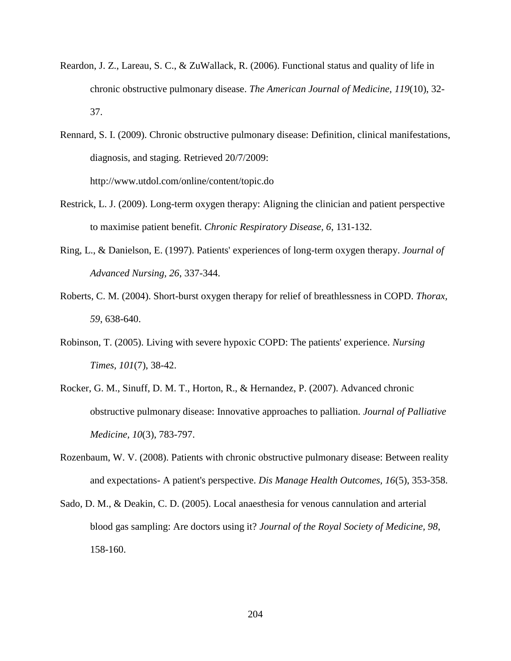- Reardon, J. Z., Lareau, S. C., & ZuWallack, R. (2006). Functional status and quality of life in chronic obstructive pulmonary disease. *The American Journal of Medicine, 119*(10), 32- 37.
- Rennard, S. I. (2009). Chronic obstructive pulmonary disease: Definition, clinical manifestations, diagnosis, and staging. Retrieved 20/7/2009: http://www.utdol.com/online/content/topic.do
- Restrick, L. J. (2009). Long-term oxygen therapy: Aligning the clinician and patient perspective to maximise patient benefit. *Chronic Respiratory Disease, 6*, 131-132.
- Ring, L., & Danielson, E. (1997). Patients' experiences of long-term oxygen therapy. *Journal of Advanced Nursing, 26*, 337-344.
- Roberts, C. M. (2004). Short-burst oxygen therapy for relief of breathlessness in COPD. *Thorax, 59*, 638-640.
- Robinson, T. (2005). Living with severe hypoxic COPD: The patients' experience. *Nursing Times, 101*(7), 38-42.
- Rocker, G. M., Sinuff, D. M. T., Horton, R., & Hernandez, P. (2007). Advanced chronic obstructive pulmonary disease: Innovative approaches to palliation. *Journal of Palliative Medicine, 10*(3), 783-797.
- Rozenbaum, W. V. (2008). Patients with chronic obstructive pulmonary disease: Between reality and expectations- A patient's perspective. *Dis Manage Health Outcomes, 16*(5), 353-358.
- Sado, D. M., & Deakin, C. D. (2005). Local anaesthesia for venous cannulation and arterial blood gas sampling: Are doctors using it? *Journal of the Royal Society of Medicine, 98*, 158-160.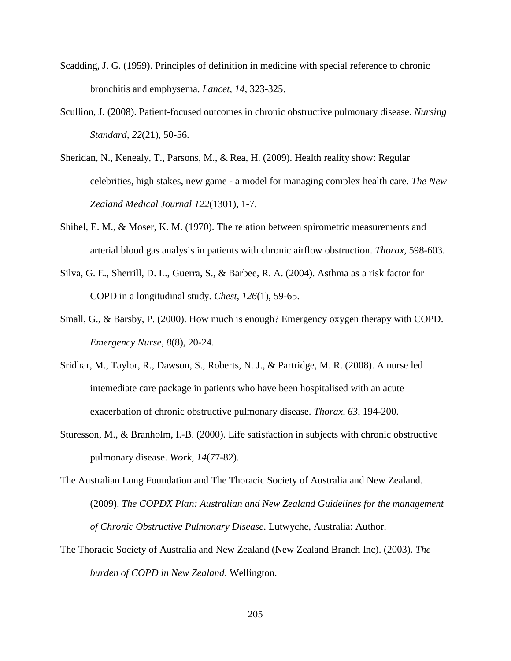- Scadding, J. G. (1959). Principles of definition in medicine with special reference to chronic bronchitis and emphysema. *Lancet, 14*, 323-325.
- Scullion, J. (2008). Patient-focused outcomes in chronic obstructive pulmonary disease. *Nursing Standard, 22*(21), 50-56.
- Sheridan, N., Kenealy, T., Parsons, M., & Rea, H. (2009). Health reality show: Regular celebrities, high stakes, new game - a model for managing complex health care. *The New Zealand Medical Journal 122*(1301), 1-7.
- Shibel, E. M., & Moser, K. M. (1970). The relation between spirometric measurements and arterial blood gas analysis in patients with chronic airflow obstruction. *Thorax*, 598-603.
- Silva, G. E., Sherrill, D. L., Guerra, S., & Barbee, R. A. (2004). Asthma as a risk factor for COPD in a longitudinal study. *Chest, 126*(1), 59-65.
- Small, G., & Barsby, P. (2000). How much is enough? Emergency oxygen therapy with COPD. *Emergency Nurse, 8*(8), 20-24.
- Sridhar, M., Taylor, R., Dawson, S., Roberts, N. J., & Partridge, M. R. (2008). A nurse led intemediate care package in patients who have been hospitalised with an acute exacerbation of chronic obstructive pulmonary disease. *Thorax, 63*, 194-200.
- Sturesson, M., & Branholm, I.-B. (2000). Life satisfaction in subjects with chronic obstructive pulmonary disease. *Work, 14*(77-82).
- The Australian Lung Foundation and The Thoracic Society of Australia and New Zealand. (2009). *The COPDX Plan: Australian and New Zealand Guidelines for the management of Chronic Obstructive Pulmonary Disease*. Lutwyche, Australia: Author.
- The Thoracic Society of Australia and New Zealand (New Zealand Branch Inc). (2003). *The burden of COPD in New Zealand*. Wellington.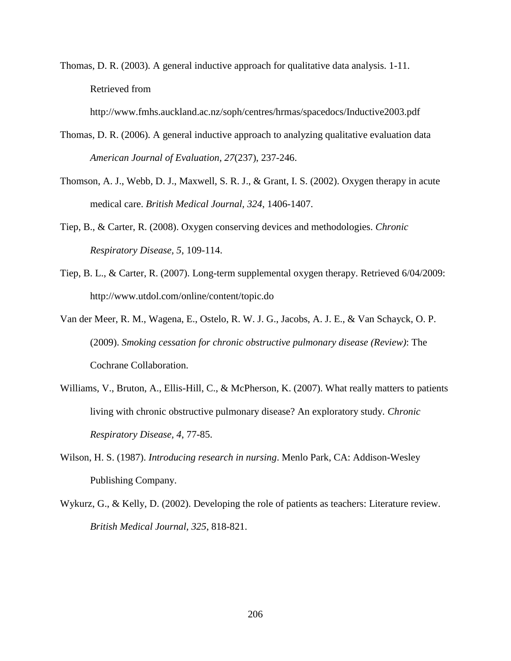Thomas, D. R. (2003). A general inductive approach for qualitative data analysis. 1-11. Retrieved from

http://www.fmhs.auckland.ac.nz/soph/centres/hrmas/spacedocs/Inductive2003.pdf

- Thomas, D. R. (2006). A general inductive approach to analyzing qualitative evaluation data *American Journal of Evaluation, 27*(237), 237-246.
- Thomson, A. J., Webb, D. J., Maxwell, S. R. J., & Grant, I. S. (2002). Oxygen therapy in acute medical care. *British Medical Journal, 324*, 1406-1407.
- Tiep, B., & Carter, R. (2008). Oxygen conserving devices and methodologies. *Chronic Respiratory Disease, 5*, 109-114.
- Tiep, B. L., & Carter, R. (2007). Long-term supplemental oxygen therapy. Retrieved 6/04/2009: http://www.utdol.com/online/content/topic.do
- Van der Meer, R. M., Wagena, E., Ostelo, R. W. J. G., Jacobs, A. J. E., & Van Schayck, O. P. (2009). *Smoking cessation for chronic obstructive pulmonary disease (Review)*: The Cochrane Collaboration.
- Williams, V., Bruton, A., Ellis-Hill, C., & McPherson, K. (2007). What really matters to patients living with chronic obstructive pulmonary disease? An exploratory study. *Chronic Respiratory Disease, 4*, 77-85.
- Wilson, H. S. (1987). *Introducing research in nursing*. Menlo Park, CA: Addison-Wesley Publishing Company.
- Wykurz, G., & Kelly, D. (2002). Developing the role of patients as teachers: Literature review. *British Medical Journal, 325*, 818-821.